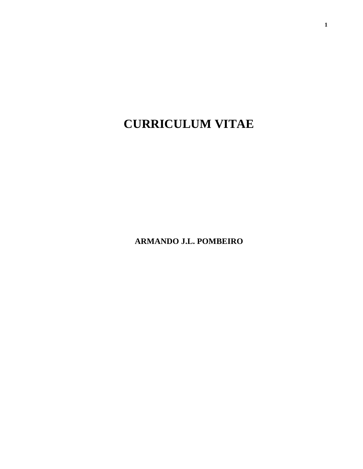# **CURRICULUM VITAE**

**ARMANDO J.L. POMBEIRO**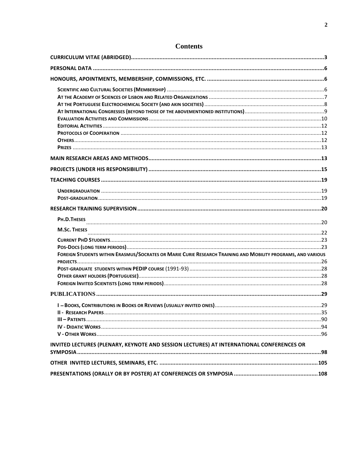| PH.D.THESES                                                                                                  |  |
|--------------------------------------------------------------------------------------------------------------|--|
| <b>M.Sc. THESES</b>                                                                                          |  |
|                                                                                                              |  |
|                                                                                                              |  |
| FOREIGN STUDENTS WITHIN ERASMUS/SOCRATES OR MARIE CURIE RESEARCH TRAINING AND MOBILITY PROGRAMS, AND VARIOUS |  |
|                                                                                                              |  |
|                                                                                                              |  |
|                                                                                                              |  |
|                                                                                                              |  |
|                                                                                                              |  |
|                                                                                                              |  |
|                                                                                                              |  |
| $III  P$ $ATENTS$                                                                                            |  |
|                                                                                                              |  |
|                                                                                                              |  |
| INVITED LECTURES (PLENARY, KEYNOTE AND SESSION LECTURES) AT INTERNATIONAL CONFERENCES OR                     |  |
|                                                                                                              |  |
|                                                                                                              |  |
|                                                                                                              |  |

# **Contents**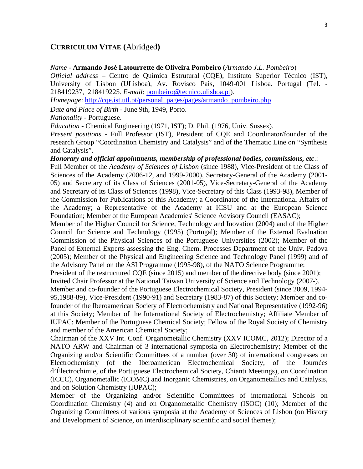#### **CURRICULUM VITAE (**Abridged**)**

*Name* - **Armando José Latourrette de Oliveira Pombeiro** (*Armando J.L. Pombeiro*)

*Official address* – Centro de Química Estrutural (CQE), Instituto Superior Técnico (IST), University of Lisbon (ULisboa), Av. Rovisco Pais, 1049-001 Lisboa. Portugal (Tel. - 218419237, 218419225. *E-mail*: pombeiro@tecnico.ulisboa.pt).

*Homepage*: http://cqe.ist.utl.pt/personal\_pages/pages/armando\_pombeiro.php

*Date and Place of Birth* - June 9th, 1949, Porto.

*Nationality* - Portuguese.

*Education* - Chemical Engineering (1971, IST); D. Phil. (1976, Univ. Sussex).

*Present positions* - Full Professor (IST), President of CQE and Coordinator/founder of the research Group "Coordination Chemistry and Catalysis" and of the Thematic Line on "Synthesis and Catalysis".

*Honorary and official appointments, membership of professional bodies***,** *commissions, etc*.:

Full Member of the *Academy of Sciences of Lisbon* (since 1988), Vice-President of the Class of Sciences of the Academy (2006-12, and 1999-2000), Secretary-General of the Academy (2001- 05) and Secretary of its Class of Sciences (2001-05), Vice-Secretary-General of the Academy and Secretary of its Class of Sciences (1998), Vice-Secretary of this Class (1993-98), Member of the Commission for Publications of this Academy; a Coordinator of the International Affairs of the Academy; a Representative of the Academy at ICSU and at the European Science Foundation; Member of the European Academies' Science Advisory Council (EASAC);

Member of the Higher Council for Science, Technology and Inovation (2004) and of the Higher Council for Science and Technology (1995) (Portugal); Member of the External Evaluation Commission of the Physical Sciences of the Portuguese Universities (2002); Member of the Panel of External Experts assessing the Eng. Chem. Processes Department of the Univ. Padova (2005); Member of the Physical and Engineering Science and Technology Panel (1999) and of the Advisory Panel on the ASI Programme (1995-98), of the NATO Science Programme;

President of the restructured CQE (since 2015) and member of the directive body (since 2001); Invited Chair Professor at the National Taiwan University of Science and Technology (2007-).

Member and co-founder of the Portuguese Electrochemical Society, President (since 2009, 1994- 95,1988-89), Vice-President (1990-91) and Secretary (1983-87) of this Society; Member and cofounder of the Iberoamerican Society of Electrochemistry and National Representative (1992-96) at this Society; Member of the International Society of Electrochemistry; Affiliate Member of IUPAC; Member of the Portuguese Chemical Society; Fellow of the Royal Society of Chemistry

and member of the American Chemical Society;

Chairman of the XXV Int. Conf. Organometallic Chemistry (XXV ICOMC, 2012); Director of a NATO ARW and Chairman of 3 international symposia on Electrochemistry; Member of the Organizing and/or Scientific Committees of a number (over 30) of international congresses on Electrochemistry (of the Iberoamerican Electrochemical Society, of the Journées d'Électrochimie, of the Portuguese Electrochemical Society, Chianti Meetings), on Coordination (ICCC), Organometallic (ICOMC) and Inorganic Chemistries, on Organometallics and Catalysis, and on Solution Chemistry (IUPAC);

Member of the Organizing and/or Scientific Committees of international Schools on Coordination Chemistry (4) and on Organometallic Chemistry (ISOC) (10); Member of the Organizing Committees of various symposia at the Academy of Sciences of Lisbon (on History and Development of Science, on interdisciplinary scientific and social themes);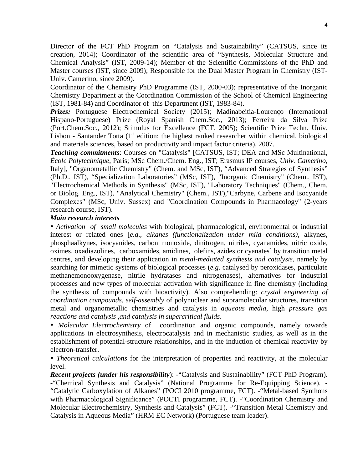Director of the FCT PhD Program on "Catalysis and Sustainability" (CATSUS, since its creation, 2014); Coordinator of the scientific area of "Synthesis, Molecular Structure and Chemical Analysis" (IST, 2009-14); Member of the Scientific Commissions of the PhD and Master courses (IST, since 2009); Responsible for the Dual Master Program in Chemistry (IST-Univ. Camerino, since 2009).

Coordinator of the Chemistry PhD Programme (IST, 2000-03); representative of the Inorganic Chemistry Department at the Coordination Commission of the School of Chemical Engineering (IST, 1981-84) and Coordinator of this Department (IST, 1983-84).

*Prizes:* Portuguese Electrochemical Society (2015); Madinabeitia-Lourenço (International Hispano-Portuguese) Prize (Royal Spanish Chem.Soc., 2013); Ferreira da Silva Prize (Port.Chem.Soc., 2012); Stimulus for Excellence (FCT, 2005); Scientific Prize Techn. Univ. Lisbon - Santander Totta  $(1<sup>st</sup>$  edition; the highest ranked researcher within chemical, biological and materials sciences, based on productivity and impact factor criteria), 2007.

*Teaching commitments*: Courses on "Catalysis" [CATSUS, IST; DEA and MSc Multinational, *École Polytechnique*, Paris; MSc Chem./Chem. Eng., IST; Erasmus IP courses, *Univ. Camerino*, Italy], "Organometallic Chemistry" (Chem. and MSc, IST), "Advanced Strategies of Synthesis" (Ph.D., IST), "Specialization Laboratories" (MSc, IST), "Inorganic Chemistry" (Chem., IST), "Electrochemical Methods in Synthesis" (MSc, IST), "Laboratory Techniques" (Chem., Chem. or Biolog. Eng., IST), "Analytical Chemistry" (Chem., IST),"Carbyne, Carbene and Isocyanide Complexes" (MSc, Univ. Sussex) and "Coordination Compounds in Pharmacology" (2-years research course, IST).

#### *Main research interests*

• *Activation of small molecules* with biological, pharmacological, environmental or industrial interest or related ones [*e.g*., *alkanes (functionalization under mild conditions)*, alkynes, phosphaalkynes, isocyanides, carbon monoxide, dinitrogen, nitriles, cyanamides, nitric oxide, oximes, oxadiazolines, carboxamides, amidines, olefins, azides or cyanates] by transition metal centres, and developing their application in *metal-mediated synthesis and catalysis*, namely by searching for mimetic systems of biological processes (*e.g*. catalysed by peroxidases, particulate methanemonooxygenase, nitrile hydratases and nitrogenases), alternatives for industrial processes and new types of molecular activation with significance in fine chemistry (including the synthesis of compounds with bioactivity). Also comprehending: *crystal engineering of coordination compounds, self-assembly* of polynuclear and supramolecular structures, transition metal and organometallic chemistries and catalysis in *aqueous media*, high *pressure gas reactions and catalysis ,and catalysis in supercritical fluids*.

• *Molecular Electrochemistry* of coordination and organic compounds, namely towards applications in electrosynthesis, electrocatalysis and in mechanistic studies, as well as in the establishment of potential-structure relationships, and in the induction of chemical reactivity by electron-transfer.

• *Theoretical calculations* for the interpretation of properties and reactivity, at the molecular level.

*Recent projects (under his responsibility*): - "Catalysis and Sustainability" (FCT PhD Program). -"Chemical Synthesis and Catalysis" (National Programme for Re-Equipping Science). - "Catalytic Carboxylation of Alkanes" (POCI 2010 programme, FCT). -"Metal-based Synthons with Pharmacological Significance" (POCTI programme, FCT). -"Coordination Chemistry and Molecular Electrochemistry, Synthesis and Catalysis" (FCT). -"Transition Metal Chemistry and Catalysis in Aqueous Media" (HRM EC Network) (Portuguese team leader).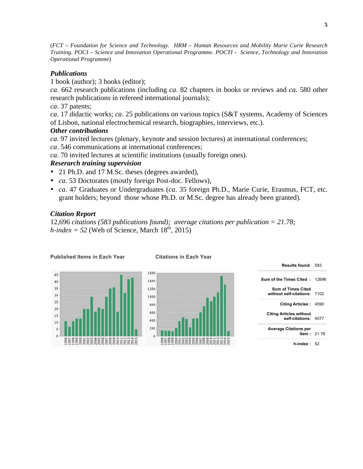(*FCT – Foundation for Science and Technology. HRM – Human Resources and Mobility Marie Curie Research Training. POCI – Science and Innovation Operational Programme. POCTI - Science, Technology and Innovation Operational Programme*)

## *Publications*

1 book (author); 3 books (editor);

*ca*. 662 research publications (including *ca*. 82 chapters in books or reviews and *ca*. 580 other research publications in refereed international journals);

*ca*. 37 patents;

*ca*. 17 didactic works; *ca*. 25 publications on various topics (S&T systems, Academy of Sciences of Lisbon, national electrochemical research, biographies, interviews, etc.).

#### *Other contributions*

*ca*. 97 invited lectures (plenary, keynote and session lectures) at international conferences;

*ca*. 546 communications at international conferences;

*ca*. 70 invited lectures at scientific institutions (usually foreign ones).

# *Reserarch training supervision*

- 21 Ph.D. and 17 M.Sc. theses (degrees awarded),
- *ca*. 53 Doctorates (mostly foreign Post-doc. Fellows),
- *ca*. 47 Graduates or Undergraduates (*ca*. 35 foreign Ph.D., Marie Curie, Erasmus, FCT, etc. grant holders; beyond those whose Ph.D. or M.Sc. degree has already been granted).

# *Citation Report*

12,696 *citations (583 publications found); average citations per publication = 21.78; h-index = 52* (Web of Science, March  $18<sup>th</sup>$ , 2015)



**Published Items in Each Year Citations in Each Year**



| Sum of the Times Cited : 12696                            |  |
|-----------------------------------------------------------|--|
| <b>Sum of Times Cited</b><br>without self-citations: 7102 |  |
| Citing Articles: 4590                                     |  |
| <b>Citing Articles without</b><br>self-citations: 4077    |  |
| <b>Average Citations per</b><br>Item: $2178$              |  |
| h-index : 52                                              |  |

**Results found:** 583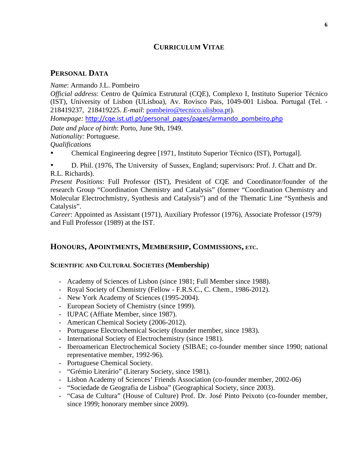# **CURRICULUM VITAE**

# **PERSONAL DATA**

*Name*: Armando J.L. Pombeiro

*Official address*: Centro de Química Estrutural (CQE), Complexo I, Instituto Superior Técnico (IST), University of Lisbon (ULisboa), Av. Rovisco Pais, 1049-001 Lisboa. Portugal (Tel. - 218419237, 218419225. *E-mail*: pombeiro@tecnico.ulisboa.pt).

*Homepage:* http://cqe.ist.utl.pt/personal\_pages/pages/armando\_pombeiro.php

*Date and place of birth*: Porto, June 9th, 1949.

*Nationality:* Portuguese.

*Qualifications*

• Chemical Engineering degree [1971, Instituto Superior Técnico (IST), Portugal].

• D. Phil. (1976, The University of Sussex, England; supervisors: Prof. J. Chatt and Dr. R.L. Richards).

*Present Positions*: Full Professor (IST), President of CQE and Coordinator/founder of the research Group "Coordination Chemistry and Catalysis" (former "Coordination Chemistry and Molecular Electrochmistry, Synthesis and Catalysis") and of the Thematic Line "Synthesis and Catalysis".

*Career*: Appointed as Assistant (1971), Auxiliary Professor (1976), Associate Professor (1979) and Full Professor (1989) at the IST.

# **HONOURS, APOINTMENTS, MEMBERSHIP, COMMISSIONS, ETC.**

#### **SCIENTIFIC AND CULTURAL SOCIETIES (Membership)**

- Academy of Sciences of Lisbon (since 1981; Full Member since 1988).
- Royal Society of Chemistry (Fellow F.R.S.C., C. Chem., 1986-2012).
- New York Academy of Sciences (1995-2004).
- European Society of Chemistry (since 1999).
- IUPAC (Affiate Member, since 1987).
- American Chemical Society (2006-2012).
- Portuguese Electrochemical Society (founder member, since 1983).
- International Society of Electrochemistry (since 1981).
- Iberoamerican Electrochemical Society (SIBAE; co-founder member since 1990; national representative member, 1992-96).
- Portuguese Chemical Society.
- "Grémio Literário" (Literary Society, since 1981).
- Lisbon Academy of Sciences' Friends Association (co-founder member, 2002-06)
- "Sociedade de Geografia de Lisboa" (Geographical Society, since 2003).
- "Casa de Cultura" (House of Culture) Prof. Dr. José Pinto Peixoto (co-founder member, since 1999; honorary member since 2009).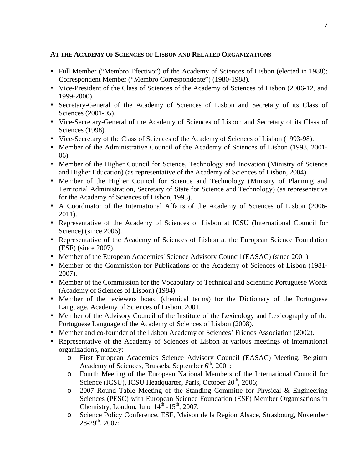#### **AT THE ACADEMY OF SCIENCES OF LISBON AND RELATED ORGANIZATIONS**

- Full Member ("Membro Efectivo") of the Academy of Sciences of Lisbon (elected in 1988); Correspondent Member ("Membro Correspondente") (1980-1988).
- Vice-President of the Class of Sciences of the Academy of Sciences of Lisbon (2006-12, and 1999-2000).
- Secretary-General of the Academy of Sciences of Lisbon and Secretary of its Class of Sciences (2001-05).
- Vice-Secretary-General of the Academy of Sciences of Lisbon and Secretary of its Class of Sciences (1998).
- Vice-Secretary of the Class of Sciences of the Academy of Sciences of Lisbon (1993-98).
- Member of the Administrative Council of the Academy of Sciences of Lisbon (1998, 2001-06)
- Member of the Higher Council for Science, Technology and Inovation (Ministry of Science) and Higher Education) (as representative of the Academy of Sciences of Lisbon, 2004).
- Member of the Higher Council for Science and Technology (Ministry of Planning and Territorial Administration, Secretary of State for Science and Technology) (as representative for the Academy of Sciences of Lisbon, 1995).
- A Coordinator of the International Affairs of the Academy of Sciences of Lisbon (2006- 2011).
- Representative of the Academy of Sciences of Lisbon at ICSU (International Council for Science) (since 2006).
- Representative of the Academy of Sciences of Lisbon at the European Science Foundation (ESF) (since 2007).
- Member of the European Academies' Science Advisory Council (EASAC) (since 2001).
- Member of the Commission for Publications of the Academy of Sciences of Lisbon (1981-2007).
- Member of the Commission for the Vocabulary of Technical and Scientific Portuguese Words (Academy of Sciences of Lisbon) (1984).
- Member of the reviewers board (chemical terms) for the Dictionary of the Portuguese Language, Academy of Sciences of Lisbon, 2001.
- Member of the Advisory Council of the Institute of the Lexicology and Lexicography of the Portuguese Language of the Academy of Sciences of Lisbon (2008).
- Member and co-founder of the Lisbon Academy of Sciences' Friends Association (2002).
- Representative of the Academy of Sciences of Lisbon at various meetings of international organizations, namely:
	- o First European Academies Science Advisory Council (EASAC) Meeting, Belgium Academy of Sciences, Brussels, September  $6<sup>th</sup>$ , 2001;
	- o Fourth Meeting of the European National Members of the International Council for Science (ICSU), ICSU Headquarter, Paris, October  $20<sup>th</sup>$ , 2006;
	- o 2007 Round Table Meeting of the Standing Committe for Physical & Engineering Sciences (PESC) with European Science Foundation (ESF) Member Organisations in Chemistry, London, June  $14^{\text{th}}$  -15<sup>th</sup>, 2007;
	- o Science Policy Conference, ESF, Maison de la Region Alsace, Strasbourg, November  $28-29^{th}$ , 2007;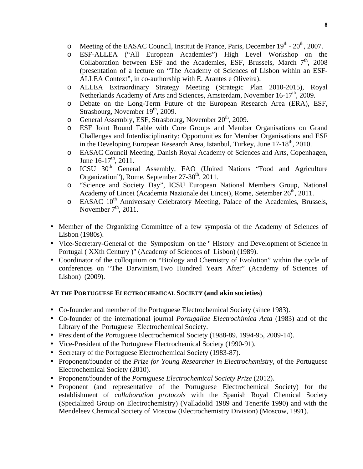- o Meeting of the EASAC Council, Institut de France, Paris, December  $19<sup>th</sup>$   $20<sup>th</sup>$ , 2007.
- o ESF-ALLEA ("All European Academies") High Level Workshop on the Collaboration between ESF and the Academies, ESF, Brussels, March  $7<sup>th</sup>$ , 2008 (presentation of a lecture on "The Academy of Sciences of Lisbon within an ESF-ALLEA Context", in co-authorship with E. Arantes e Oliveira).
- o ALLEA Extraordinary Strategy Meeting (Strategic Plan 2010-2015), Royal Netherlands Academy of Arts and Sciences, Amsterdam, November 16-17<sup>th</sup>, 2009.
- o Debate on the Long-Term Future of the European Research Area (ERA), ESF, Strasbourg, November 19<sup>th</sup>, 2009.
- o General Assembly, ESF, Strasbourg, November  $20<sup>th</sup>$ , 2009.
- o ESF Joint Round Table with Core Groups and Member Organisations on Grand Challenges and Interdisciplinarity: Opportunities for Member Organisations and ESF in the Developing European Research Area, Istanbul, Turkey, June  $17-18<sup>th</sup>$ , 2010.
- o EASAC Council Meeting, Danish Royal Academy of Sciences and Arts, Copenhagen, June  $16-17^{\text{th}}$ , 2011.
- o ICSU 30<sup>th</sup> General Assembly, FAO (United Nations "Food and Agriculture Organization"), Rome, September 27-30<sup>th</sup>, 2011.
- o "Science and Society Day", ICSU European National Members Group, National Academy of Lincei (Academia Nazionale dei Lincei), Rome, Setember 26<sup>th</sup>, 2011.
- $\circ$  EASAC 10<sup>th</sup> Anniversary Celebratory Meeting, Palace of the Academies, Brussels, November  $7<sup>th</sup>$ , 2011.
- Member of the Organizing Committee of a few symposia of the Academy of Sciences of Lisbon (1980s).
- Vice-Secretary-General of the Symposium on the " History and Development of Science in Portugal ( XXth Century )" (Academy of Sciences of Lisbon) (1989).
- Coordinator of the colloquium on "Biology and Chemistry of Evolution" within the cycle of conferences on "The Darwinism,Two Hundred Years After" (Academy of Sciences of Lisbon) (2009).

# **AT THE PORTUGUESE ELECTROCHEMICAL SOCIETY (and akin societies)**

- Co-founder and member of the Portuguese Electrochemical Society (since 1983).
- Co-founder of the international journal *Portugaliae Electrochimica Acta* (1983) and of the Library of the Portuguese Electrochemical Society.
- President of the Portuguese Electrochemical Society (1988-89, 1994-95, 2009-14).
- Vice-President of the Portuguese Electrochemical Society (1990-91).
- Secretary of the Portuguese Electrochemical Society (1983-87).
- Proponent/founder of the *Prize for Young Researcher in Electrochemistry*, of the Portuguese Electrochemical Society (2010).
- Proponent/founder of the *Portuguese Electrochemical Society Prize* (2012).
- Proponent (and representative of the Portuguese Electrochemical Society) for the establishment of *collaboration protocols* with the Spanish Royal Chemical Society (Specialized Group on Electrochemistry) (Valladolid 1989 and Tenerife 1990) and with the Mendeleev Chemical Society of Moscow (Electrochemistry Division) (Moscow, 1991).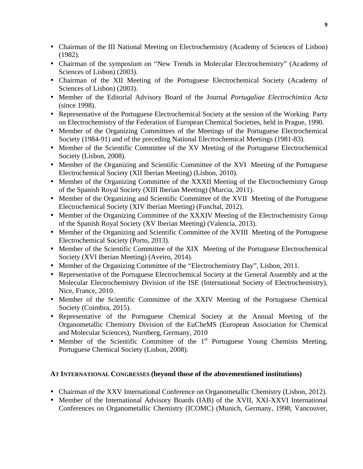- Chairman of the III National Meeting on Electrochemistry (Academy of Sciences of Lisbon) (1982).
- Chairman of the symposium on "New Trends in Molecular Electrochemistry" (Academy of Sciences of Lisbon) (2003).
- Chairman of the XII Meeting of the Portuguese Electrochemical Society (Academy of Sciences of Lisbon) (2003).
- Member of the Editorial Advisory Board of the Journal *Portugaliae Electrochimica Acta* (since 1998).
- Representative of the Portuguese Electrochemical Society at the session of the Working Party on Electrochemistry of the Federation of European Chemical Societies, held in Prague, 1990.
- Member of the Organizing Committees of the Meetings of the Portuguese Electrochemical Society (1984-91) and of the preceding National Electrochemical Meetings (1981-83).
- Member of the Scientific Committee of the XV Meeting of the Portuguese Electrochemical Society (Lisbon, 2008).
- Member of the Organizing and Scientific Committee of the XVI Meeting of the Portuguese Electrochemical Society (XII Iberian Meeting) (Lisbon, 2010).
- Member of the Organizing Committee of the XXXII Meeting of the Electrochemistry Group of the Spanish Royal Society (XIII Iberian Meeting) (Murcia, 2011).
- Member of the Organizing and Scientific Committee of the XVII Meeting of the Portuguese Electrochemical Society (XIV Iberian Meeting) (Funchal, 2012).
- Member of the Organizing Committee of the XXXIV Meeting of the Electrochemistry Group of the Spanish Royal Society (XV Iberian Meeting) (Valencia, 2013).
- Member of the Organizing and Scientific Committee of the XVIII Meeting of the Portuguese Electrochemical Society (Porto, 2013).
- Member of the Scientific Committee of the XIX Meeting of the Portuguese Electrochemical Society (XVI Iberian Meeting) (Aveiro, 2014).
- Member of the Organizing Committee of the "Electrochemistry Day", Lisbon, 2011.
- Representative of the Portuguese Electrochemical Society at the General Assembly and at the Molecular Electrochemistry Division of the ISE (International Society of Electrochemistry), Nice, France, 2010.
- Member of the Scientific Committee of the XXIV Meeting of the Portuguese Chemical Society (Coimbra, 2015).
- Representative of the Portuguese Chemical Society at the Annual Meeting of the Organometallic Chemistry Division of the EuCheMS (European Association for Chemical and Molecular Sciences), Nurnberg, Germany, 2010
- Member of the Scientific Committee of the 1<sup>st</sup> Portuguese Young Chemists Meeting, Portuguese Chemical Society (Lisbon, 2008).

# **AT INTERNATIONAL CONGRESSES (beyond those of the abovementioned institutions)**

- Chairman of the XXV International Conference on Organometallic Chemistry (Lisbon, 2012).
- Member of the International Advisory Boards (IAB) of the XVII, XXI-XXVI International Conferences on Organometallic Chemistry (ICOMC) (Munich, Germany, 1998; Vancouver,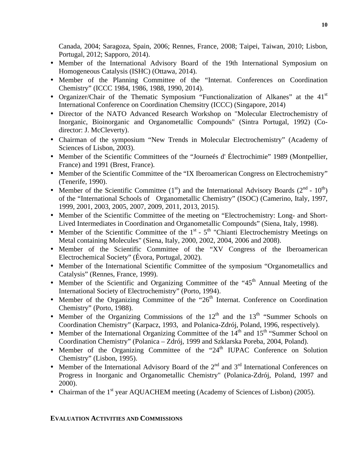Canada, 2004; Saragoza, Spain, 2006; Rennes, France, 2008; Taipei, Taiwan, 2010; Lisbon, Portugal, 2012; Sapporo, 2014).

- Member of the International Advisory Board of the 19th International Symposium on Homogeneous Catalysis (ISHC) (Ottawa, 2014).
- Member of the Planning Committee of the "Internat. Conferences on Coordination Chemistry" (ICCC 1984, 1986, 1988, 1990, 2014).
- Organizer/Chair of the Thematic Symposium "Functionalization of Alkanes" at the 41<sup>st</sup> International Conference on Coordination Chemsitry (ICCC) (Singapore, 2014)
- Director of the NATO Advanced Research Workshop on "Molecular Electrochemistry of Inorganic, Bioinorganic and Organometallic Compounds" (Sintra Portugal, 1992) (Codirector: J. McCleverty).
- Chairman of the symposium "New Trends in Molecular Electrochemistry" (Academy of Sciences of Lisbon, 2003).
- Member of the Scientific Committees of the "Journeés d' Électrochimie" 1989 (Montpellier, France) and 1991 (Brest, France).
- Member of the Scientific Committee of the "IX Iberoamerican Congress on Electrochemistry" (Tenerife, 1990).
- Member of the Scientific Committee  $(1<sup>st</sup>)$  and the International Advisory Boards  $(2<sup>nd</sup> 10<sup>th</sup>)$ of the "International Schools of Organometallic Chemistry" (ISOC) (Camerino, Italy, 1997, 1999, 2001, 2003, 2005, 2007, 2009, 2011, 2013, 2015).
- Member of the Scientific Committee of the meeting on "Electrochemistry: Long- and Short-Lived Intermediates in Coordination and Organometallic Compounds" (Siena, Italy, 1998).
- Member of the Scientific Committee of the  $1<sup>st</sup>$   $5<sup>th</sup>$  "Chianti Electrochemistry Meetings on Metal containing Molecules" (Siena, Italy, 2000, 2002, 2004, 2006 and 2008).
- Member of the Scientific Committee of the "XV Congress of the Iberoamerican Electrochemical Society" (Évora, Portugal, 2002).
- Member of the International Scientific Committee of the symposium "Organometallics and Catalysis" (Rennes, France, 1999).
- Member of the Scientific and Organizing Committee of the " $45<sup>th</sup>$  Annual Meeting of the International Society of Electrochemistry" (Porto, 1994).
- Member of the Organizing Committee of the "26<sup>th</sup> Internat. Conference on Coordination Chemistry" (Porto, 1988).
- Member of the Organizing Commissions of the  $12<sup>th</sup>$  and the  $13<sup>th</sup>$  "Summer Schools on Coordination Chemistry" (Karpacz, 1993, and Polanica-Zdrój, Poland, 1996, respectively).
- Member of the International Organizing Committee of the  $14<sup>th</sup>$  and  $15<sup>th</sup>$  "Summer School on Coordination Chemistry" (Polanica – Zdrój, 1999 and Szklarska Poreba, 2004, Poland).
- Member of the Organizing Committee of the "24<sup>th</sup> IUPAC Conference on Solution Chemistry" (Lisbon, 1995).
- Member of the International Advisory Board of the  $2<sup>nd</sup>$  and  $3<sup>rd</sup>$  International Conferences on Progress in Inorganic and Organometallic Chemistry" (Polanica-Zdrój, Poland, 1997 and 2000).
- Chairman of the 1<sup>st</sup> year AQUACHEM meeting (Academy of Sciences of Lisbon) (2005).

# **EVALUATION ACTIVITIES AND COMMISSIONS**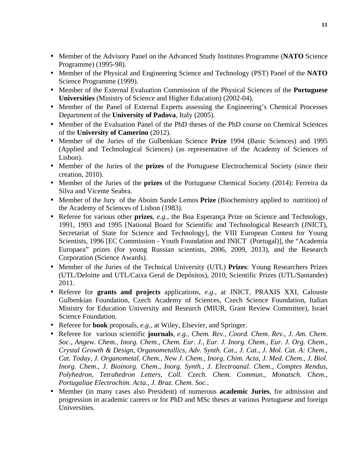- Member of the Advisory Panel on the Advanced Study Institutes Programme (**NATO** Science Programme) (1995-98).
- Member of the Physical and Engineering Science and Technology (PST) Panel of the **NATO** Science Programme (1999).
- Member of the External Evaluation Commission of the Physical Sciences of the **Portuguese Universities** (Ministry of Science and Higher Education) (2002-04).
- Member of the Panel of External Experts assessing the Engineering's Chemical Processes Department of the **University of Padova**, Italy (2005).
- Member of the Evaluation Panel of the PhD theses of the PhD course on Chemical Sciences of the **University of Camerino** (2012).
- Member of the Juries of the Gulbenkian Science **Prize** 1994 (Basic Sciences) and 1995 (Applied and Technological Sciences) (as representative of the Academy of Sciences of Lisbon).
- Member of the Juries of the **prizes** of the Portuguese Electrochemical Society (since their creation, 2010).
- Member of the Juries of the **prizes** of the Portuguese Chemical Society (2014): Ferreira da Silva and Vicente Seabra.
- Member of the Jury of the Aboim Sande Lemos **Prize** (Biochemistry applied to nutrition) of the Academy of Sciences of Lisbon (1983).
- Referee for various other **prizes**, *e.g.,* the Boa Esperança Prize on Science and Technology, 1991, 1993 and 1995 [National Board for Scientific and Technological Research (JNICT), Secretariat of State for Science and Technology], the VIII European Contest for Young Scientists, 1996 [EC Commission - Youth Foundation and JNICT (Portugal)], the "Academia Europaea" prizes (for young Russian scientists, 2006, 2009, 2013), and the Research Corporation (Science Awards).
- Member of the Juries of the Technical University (UTL) **Prizes**: Young Researchers Prizes (UTL/Deloitte and UTL/Caixa Geral de Depósitos), 2010; Scientific Prizes (UTL/Santander) 2011.
- Referee for **grants and projects** applications, *e.g.,* at JNICT, PRAXIS XXI, Calouste Gulbenkian Foundation, Czech Academy of Sciences, Czech Science Foundation, Italian Ministry for Education University and Research (MIUR, Grant Review Committee), Israel Science Foundation.
- Referee for **book** proposals, *e.g.,* at Wiley, Elsevier, and Springer.
- Referee for various scientific **journals**, *e.g., Chem. Rev., Coord. Chem. Rev., J. Am. Chem. Soc., Angew. Chem., Inorg. Chem*., *Chem. Eur. J.*, *Eur. J. Inorg. Chem.*, *Eur. J. Org. Chem.*, *Crystal Growth & Design*, *Organometallics, Adv. Synth. Cat.*, *J. Cat.*, *J. Mol. Cat. A: Chem.*, *Cat. Today, J. Organometal. Chem., New J. Chem., Inorg. Chim. Acta*, *J. Med. Chem.*, *J. Biol. Inorg. Chem*., *J. Bioinorg. Chem*.*, Inorg. Synth.*, *J. Electroanal. Chem.*, *Comptes Rendus*, *Polyhedron, Tetrahedron Letters, Coll. Czech. Chem. Commun., Monatsch. Chem., Portugaliae Electrochim. Acta., J. Braz. Chem. Soc.*.
- Member (in many cases also President) of numerous **academic Juries**, for admission and progression in academic careers or for PhD and MSc theses at various Portuguese and foreign Universities.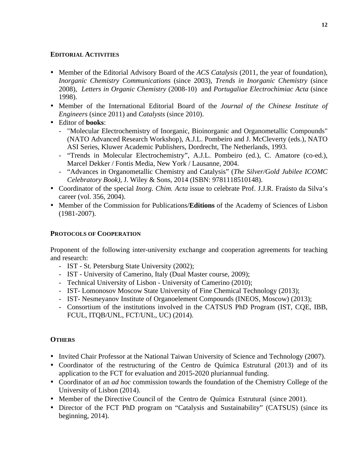#### **EDITORIAL ACTIVITIES**

- Member of the Editorial Advisory Board of the *ACS Catalysis* (2011, the year of foundation), *Inorganic Chemistry Communications* (since 2003), *Trends in Inorganic Chemistry* (since 2008), *Letters in Organic Chemistry* (2008-10) and *Portugaliae Electrochimiac Acta* (since 1998).
- Member of the International Editorial Board of the *Journal of the Chinese Institute of Engineers* (since 2011) and *Catalysts* (since 2010).
- Editor of **books**:
	- "Molecular Electrochemistry of Inorganic, Bioinorganic and Organometallic Compounds" (NATO Advanced Research Workshop), A.J.L. Pombeiro and J. McCleverty (eds.), NATO ASI Series, Kluwer Academic Publishers, Dordrecht, The Netherlands, 1993.
	- "Trends in Molecular Electrochemistry", A.J.L. Pombeiro (ed.), C. Amatore (co-ed.), Marcel Dekker / Fontis Media, New York / Lausanne, 2004.
	- "Advances in Organometallic Chemistry and Catalysis" (*The Silver/Gold Jubilee ICOMC Celebratory Book)*, J. Wiley & Sons, 2014 (ISBN: 9781118510148).
- Coordinator of the special *Inorg. Chim. Acta* issue to celebrate Prof. J.J.R. Fraústo da Silva's career (vol. 356, 2004).
- Member of the Commission for Publications/**Editions** of the Academy of Sciences of Lisbon (1981-2007).

#### **PROTOCOLS OF COOPERATION**

Proponent of the following inter-university exchange and cooperation agreements for teaching and research:

- IST St. Petersburg State University (2002);
- IST University of Camerino, Italy (Dual Master course, 2009);
- Technical University of Lisbon University of Camerino (2010);
- IST- Lomonosov Moscow State University of Fine Chemical Technology (2013);
- IST- Nesmeyanov Institute of Organoelement Compounds (INEOS, Moscow) (2013);
- Consortium of the institutions involved in the CATSUS PhD Program (IST, CQE, IBB, FCUL, ITQB/UNL, FCT/UNL, UC) (2014).

#### **OTHERS**

- Invited Chair Professor at the National Taiwan University of Science and Technology (2007).
- Coordinator of the restructuring of the Centro de Química Estrutural (2013) and of its application to the FCT for evaluation and 2015-2020 pluriannual funding.
- Coordinator of an *ad hoc* commission towards the foundation of the Chemistry College of the University of Lisbon (2014).
- Member of the Directive Council of the Centro de Química Estrutural (since 2001).
- Director of the FCT PhD program on "Catalysis and Sustainability" (CATSUS) (since its beginning, 2014).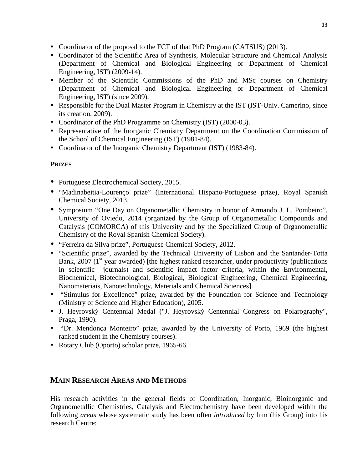- Coordinator of the proposal to the FCT of that PhD Program (CATSUS) (2013).
- Coordinator of the Scientific Area of Synthesis, Molecular Structure and Chemical Analysis (Department of Chemical and Biological Engineering or Department of Chemical Engineering, IST) (2009-14).
- Member of the Scientific Commissions of the PhD and MSc courses on Chemistry (Department of Chemical and Biological Engineering or Department of Chemical Engineering, IST) (since 2009).
- Responsible for the Dual Master Program in Chemistry at the IST (IST-Univ. Camerino, since its creation, 2009).
- Coordinator of the PhD Programme on Chemistry (IST) (2000-03).
- Representative of the Inorganic Chemistry Department on the Coordination Commission of the School of Chemical Engineering (IST) (1981-84).
- Coordinator of the Inorganic Chemistry Department (IST) (1983-84).

# **PRIZES**

- Portuguese Electrochemical Society, 2015.
- "Madinabeitia-Lourenço prize" (International Hispano-Portuguese prize), Royal Spanish Chemical Society, 2013.
- Symposium "One Day on Organometallic Chemistry in honor of Armando J. L. Pombeiro", University of Oviedo, 2014 (organized by the Group of Organometallic Compounds and Catalysis (COMORCA) of this University and by the Specialized Group of Organometallic Chemistry of the Royal Spanish Chemical Society).
- "Ferreira da Silva prize", Portuguese Chemical Society, 2012.
- "Scientific prize", awarded by the Technical University of Lisbon and the Santander-Totta Bank, 2007 ( $1<sup>st</sup>$  year awarded) [the highest ranked researcher, under productivity (publications in scientific journals) and scientific impact factor criteria, within the Environmental, Biochemical, Biotechnological, Biological, Biological Engineering, Chemical Engineering, Nanomateriais, Nanotechnology, Materials and Chemical Sciences].
- "Stimulus for Excellence" prize, awarded by the Foundation for Science and Technology (Ministry of Science and Higher Education), 2005.
- J. Heyrovský Centennial Medal ("J. Heyrovský Centennial Congress on Polarography", Praga, 1990).
- "Dr. Mendonça Monteiro" prize, awarded by the University of Porto, 1969 (the highest ranked student in the Chemistry courses).
- Rotary Club (Oporto) scholar prize, 1965-66.

# **MAIN RESEARCH AREAS AND METHODS**

His research activities in the general fields of Coordination, Inorganic, Bioinorganic and Organometallic Chemistries, Catalysis and Electrochemistry have been developed within the following *areas* whose systematic study has been often *introduced* by him (his Group) into his research Centre: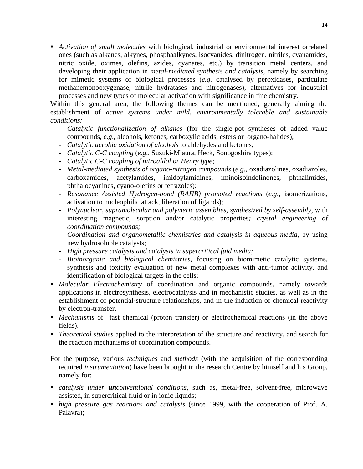• *Activation of small molecules* with biological, industrial or environmental interest orrelated ones (such as alkanes, alkynes, phosphaalkynes, isocyanides, dinitrogen, nitriles, cyanamides, nitric oxide, oximes, olefins, azides, cyanates, etc.) by transition metal centers, and developing their application in *metal-mediated synthesis and catalysis*, namely by searching for mimetic systems of biological processes (*e.g*. catalysed by peroxidases, particulate methanemonooxygenase, nitrile hydratases and nitrogenases), alternatives for industrial processes and new types of molecular activation with significance in fine chemistry.

Within this general area, the following themes can be mentioned, generally aiming the establishment of *active systems under mild, environmentally tolerable and sustainable conditions:*

- *Catalytic functionalization of alkanes* (for the single-pot syntheses of added value compounds, *e.g*., alcohols, ketones, carboxylic acids, esters or organo-halides);
- *Catalytic aerobic oxidation of alcohols* to aldehydes and ketones;
- *Catalytic C-C coupling* (*e.g*., Suzuki-Miaura, Heck, Sonogoshira types);
- *Catalytic C-C coupling of nitroaldol or Henry type;*
- *Metal-mediated synthesis of organo-nitrogen compounds* (*e.g*., oxadiazolines, oxadiazoles, carboxamides, acetylamides, imidoylamidines, iminoisoindolinones, phthalimides, phthalocyanines, cyano-olefins or tetrazoles);
- *Resonance Assisted Hydrogen-bond (RAHB) promoted reactions (e.g., isomerizations,* activation to nucleophilic attack, liberation of ligands);
- *Polynuclear, supramolecular and polymeric assemblies, synthesized by self-assembly,* with interesting magnetic, sorption and/or catalytic properties*; crystal engineering of coordination compounds;*
- *Coordination and organometallic chemistries and catalysis in aqueous media*, by using new hydrosoluble catalysts;
- *High pressure catalysis and catalysis in supercritical fuid media;*
- *Bioinorganic and biological chemistries*, focusing on biomimetic catalytic systems, synthesis and toxicity evaluation of new metal complexes with anti-tumor activity, and identification of biological targets in the cells;
- *Molecular Electrochemistry* of coordination and organic compounds, namely towards applications in electrosynthesis, electrocatalysis and in mechanistic studies, as well as in the establishment of potential-structure relationships, and in the induction of chemical reactivity by electron-transfer.
- *Mechanisms* of fast chemical (proton transfer) or electrochemical reactions (in the above fields).
- *Theoretical studies* applied to the interpretation of the structure and reactivity, and search for the reaction mechanisms of coordination compounds.
- For the purpose, various *techniques* and *methods* (with the acquisition of the corresponding required *instrumentation*) have been brought in the research Centre by himself and his Group, namely for:
- *catalysis under unconventional conditions*, such as, metal-free, solvent-free, microwave assisted, in supercritical fluid or in ionic liquids;
- *high pressure gas reactions and catalysis* (since 1999, with the cooperation of Prof. A. Palavra);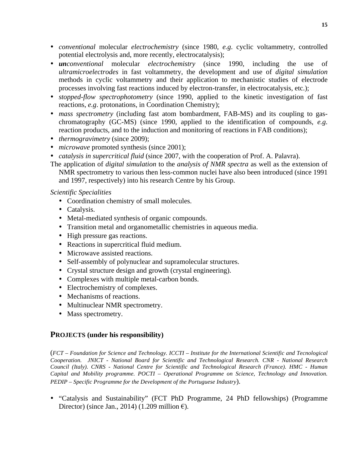- *conventional* molecular *electrochemistry* (since 1980, *e.g*. cyclic voltammetry, controlled potential electrolysis and, more recently, electrocatalysis);
- *unconventional* molecular *electrochemistry* (since 1990, including the use of *ultramicroelectrodes* in fast voltammetry, the development and use of *digital simulation*  methods in cyclic voltammetry and their application to mechanistic studies of electrode processes involving fast reactions induced by electron-transfer, in electrocatalysis, etc.);
- *stopped-flow spectrophotometry* (since 1990, applied to the kinetic investigation of fast reactions, *e.g*. protonations, in Coordination Chemistry);
- *mass spectrometry* (including fast atom bombardment, FAB-MS) and its coupling to gaschromatography (GC-MS) (since 1990, applied to the identification of compounds, *e.g*. reaction products, and to the induction and monitoring of reactions in FAB conditions);
- *thermogravimetry* (since 2009);
- *microwave* promoted synthesis (since 2001);
- *catalysis in supercritical fluid* (since 2007, with the cooperation of Prof. A. Palavra).
- The application of *digital simulation* to the *analysis of NMR spectra* as well as the extension of NMR spectrometry to various then less-common nuclei have also been introduced (since 1991 and 1997, respectively) into his research Centre by his Group.

#### *Scientific Specialities*

- Coordination chemistry of small molecules.
- Catalysis.
- Metal-mediated synthesis of organic compounds.
- Transition metal and organometallic chemistries in aqueous media.
- High pressure gas reactions.
- Reactions in supercritical fluid medium.
- Microwave assisted reactions.
- Self-assembly of polynuclear and supramolecular structures.
- Crystal structure design and growth (crystal engineering).
- Complexes with multiple metal-carbon bonds.
- Electrochemistry of complexes.
- Mechanisms of reactions.
- Multinuclear NMR spectrometry.
- Mass spectrometry.

# **PROJECTS (under his responsibility)**

(*FCT – Foundation for Science and Technology. ICCTI – Institute for the International Scientific and Tecnological Cooperation. JNICT - National Board for Scientific and Technological Research. CNR - National Research Council (Italy). CNRS - National Centre for Scientific and Technological Research (France). HMC - Human Capital and Mobility programme. POCTI – Operational Programme on Science, Technology and Innovation. PEDIP – Specific Programme for the Development of the Portuguese Industry*).

• "Catalysis and Sustainability" (FCT PhD Programme, 24 PhD fellowships) (Programme Director) (since Jan., 2014) (1.209 million  $\epsilon$ ).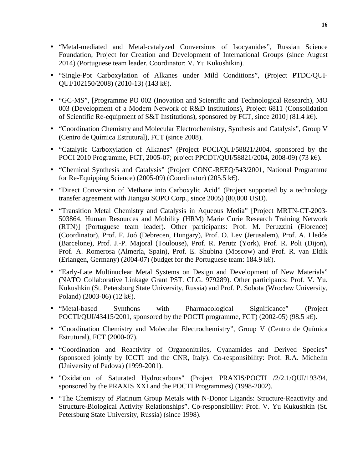- "Metal-mediated and Metal-catalyzed Conversions of Isocyanides", Russian Science Foundation, Project for Creation and Development of International Groups (since August 2014) (Portuguese team leader. Coordinator: V. Yu Kukushikin).
- "Single-Pot Carboxylation of Alkanes under Mild Conditions", (Project PTDC/QUI-QUI/102150/2008) (2010-13) (143 k€).
- "GC-MS", [Programme PO 002 (Inovation and Scientific and Technological Research), MO 003 (Development of a Modern Network of R&D Institutions), Project 6811 (Consolidation of Scientific Re-equipment of S&T Institutions), sponsored by FCT, since 2010] (81.4 k€).
- "Coordination Chemistry and Molecular Electrochemistry, Synthesis and Catalysis", Group V (Centro de Química Estrutural), FCT (since 2008).
- "Catalytic Carboxylation of Alkanes" (Project POCI/QUI/58821/2004, sponsored by the POCI 2010 Programme, FCT, 2005-07; project PPCDT/QUI/58821/2004, 2008-09) (73 k€).
- "Chemical Synthesis and Catalysis" (Project CONC-REEQ/543/2001, National Programme for Re-Equipping Science) (2005-09) (Coordinator) (205.5 k€).
- "Direct Conversion of Methane into Carboxylic Acid" (Project supported by a technology transfer agreement with Jiangsu SOPO Corp., since 2005) (80,000 USD).
- "Transition Metal Chemistry and Catalysis in Aqueous Media" [Project MRTN-CT-2003- 503864, Human Resources and Mobility (HRM) Marie Curie Research Training Network (RTN)] (Portuguese team leader). Other participants: Prof. M. Peruzzini (Florence) (Coordinator), Prof. F. Joó (Debrecen, Hungary), Prof. O. Lev (Jerusalem), Prof. A. Lledós (Barcelone), Prof. J.-P. Majoral (Toulouse), Prof. R. Perutz (York), Prof. R. Poli (Dijon), Prof. A. Romerosa (Almería, Spain), Prof. E. Shubina (Moscow) and Prof. R. van Eldik (Erlangen, Germany) (2004-07) (budget for the Portuguese team:  $184.9 \text{ k}\text{\textsterling}$ ).
- "Early-Late Multinuclear Metal Systems on Design and Development of New Materials" (NATO Collaborative Linkage Grant PST. CLG. 979289). Other participants: Prof. V. Yu. Kukushkin (St. Petersburg State University, Russia) and Prof. P. Sobota (Wroclaw University, Poland) (2003-06) (12 k€).
- "Metal-based Synthons with Pharmacological Significance" (Project POCTI/QUI/43415/2001, sponsored by the POCTI programme, FCT) (2002-05) (98.5 k $\epsilon$ ).
- "Coordination Chemistry and Molecular Electrochemistry", Group V (Centro de Química Estrutural), FCT (2000-07).
- "Coordination and Reactivity of Organonitriles, Cyanamides and Derived Species" (sponsored jointly by ICCTI and the CNR, Italy). Co-responsibility: Prof. R.A. Michelin (University of Padova) (1999-2001).
- "Oxidation of Saturated Hydrocarbons" (Project PRAXIS/POCTI /2/2.1/QUI/193/94, sponsored by the PRAXIS XXI and the POCTI Programmes) (1998-2002).
- "The Chemistry of Platinum Group Metals with N-Donor Ligands: Structure-Reactivity and Structure-Biological Activity Relationships". Co-responsibility: Prof. V. Yu Kukushkin (St. Petersburg State University, Russia) (since 1998).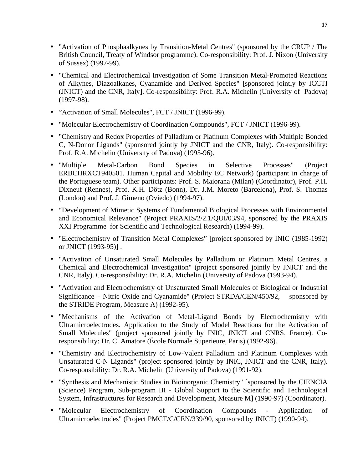- "Activation of Phosphaalkynes by Transition-Metal Centres" (sponsored by the CRUP / The British Council, Treaty of Windsor programme). Co-responsibility: Prof. J. Nixon (University of Sussex) (1997-99).
- "Chemical and Electrochemical Investigation of Some Transition Metal-Promoted Reactions of Alkynes, Diazoalkanes, Cyanamide and Derived Species" [sponsored jointly by ICCTI (JNICT) and the CNR, Italy]. Co-responsibility: Prof. R.A. Michelin (University of Padova) (1997-98).
- "Activation of Small Molecules", FCT / JNICT (1996-99).
- "Molecular Electrochemistry of Coordination Compounds", FCT / JNICT (1996-99).
- "Chemistry and Redox Properties of Palladium or Platinum Complexes with Multiple Bonded C, N-Donor Ligands" (sponsored jointly by JNICT and the CNR, Italy). Co-responsibility: Prof. R.A. Michelin (University of Padova) (1995-96).
- "Multiple Metal-Carbon Bond Species in Selective Processes" (Project ERBCHRXCT940501, Human Capital and Mobility EC Network) (participant in charge of the Portuguese team). Other participants: Prof. S. Maiorana (Milan) (Coordinator), Prof. P.H. Dixneuf (Rennes), Prof. K.H. Dötz (Bonn), Dr. J.M. Moreto (Barcelona), Prof. S. Thomas (London) and Prof. J. Gimeno (Oviedo) (1994-97).
- "Development of Mimetic Systems of Fundamental Biological Processes with Environmental and Economical Relevance" (Project PRAXIS/2/2.1/QUI/03/94, sponsored by the PRAXIS XXI Programme for Scientific and Technological Research) (1994-99).
- "Electrochemistry of Transition Metal Complexes" [project sponsored by INIC (1985-1992) or JNICT (1993-95)] .
- "Activation of Unsaturated Small Molecules by Palladium or Platinum Metal Centres, a Chemical and Electrochemical Investigation" (project sponsored jointly by JNICT and the CNR, Italy). Co-responsibility: Dr. R.A. Michelin (University of Padova (1993-94).
- "Activation and Electrochemistry of Unsaturated Small Molecules of Biological or Industrial Significance − Nitric Oxide and Cyanamide" (Project STRDA/CEN/450/92, sponsored by the STRIDE Program, Measure A) (1992-95).
- "Mechanisms of the Activation of Metal-Ligand Bonds by Electrochemistry with Ultramicroelectrodes. Application to the Study of Model Reactions for the Activation of Small Molecules" (project sponsored jointly by INIC, JNICT and CNRS, France). Coresponsibility: Dr. C. Amatore (École Normale Superieure, Paris) (1992-96).
- "Chemistry and Electrochemistry of Low-Valent Palladium and Platinum Complexes with Unsaturated C-N Ligands" (project sponsored jointly by INIC, JNICT and the CNR, Italy). Co-responsibility: Dr. R.A. Michelin (University of Padova) (1991-92).
- "Synthesis and Mechanistic Studies in Bioinorganic Chemistry" [sponsored by the CIENCIA (Science) Program, Sub-program III - Global Support to the Scientific and Technological System, Infrastructures for Research and Development, Measure M] (1990-97) (Coordinator).
- "Molecular Electrochemistry of Coordination Compounds Application of Ultramicroelectrodes" (Project PMCT/C/CEN/339/90, sponsored by JNICT) (1990-94).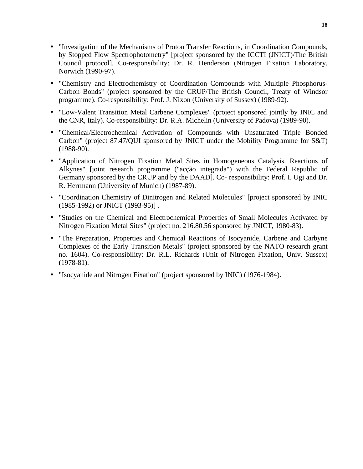- "Investigation of the Mechanisms of Proton Transfer Reactions, in Coordination Compounds, by Stopped Flow Spectrophotometry" [project sponsored by the ICCTI (JNICT)/The British Council protocol]. Co-responsibility: Dr. R. Henderson (Nitrogen Fixation Laboratory, Norwich (1990-97).
- "Chemistry and Electrochemistry of Coordination Compounds with Multiple Phosphorus-Carbon Bonds" (project sponsored by the CRUP/The British Council, Treaty of Windsor programme). Co-responsibility: Prof. J. Nixon (University of Sussex) (1989-92).
- "Low-Valent Transition Metal Carbene Complexes" (project sponsored jointly by INIC and the CNR, Italy). Co-responsibility: Dr. R.A. Michelin (University of Padova) (1989-90).
- "Chemical/Electrochemical Activation of Compounds with Unsaturated Triple Bonded Carbon" (project 87.47/QUI sponsored by JNICT under the Mobility Programme for S&T) (1988-90).
- "Application of Nitrogen Fixation Metal Sites in Homogeneous Catalysis. Reactions of Alkynes" [joint research programme ("acção integrada") with the Federal Republic of Germany sponsored by the CRUP and by the DAAD]. Co- responsibility: Prof. I. Ugi and Dr. R. Herrmann (University of Munich) (1987-89).
- "Coordination Chemistry of Dinitrogen and Related Molecules" [project sponsored by INIC (1985-1992) or JNICT (1993-95)] .
- "Studies on the Chemical and Electrochemical Properties of Small Molecules Activated by Nitrogen Fixation Metal Sites" (project no. 216.80.56 sponsored by JNICT, 1980-83).
- "The Preparation, Properties and Chemical Reactions of Isocyanide, Carbene and Carbyne Complexes of the Early Transition Metals" (project sponsored by the NATO research grant no. 1604). Co-responsibility: Dr. R.L. Richards (Unit of Nitrogen Fixation, Univ. Sussex) (1978-81).
- "Isocyanide and Nitrogen Fixation" (project sponsored by INIC) (1976-1984).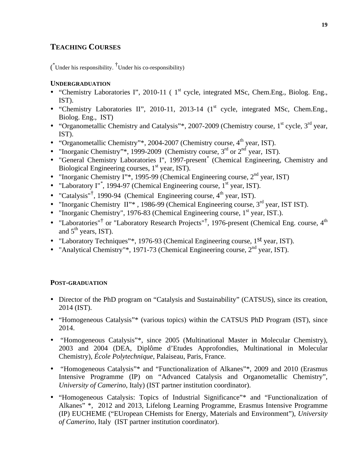# **TEACHING COURSES**

 $(\bigl($ <sup>\*</sup>Under his responsibility. <sup>†</sup>Under his co-responsibility)

## **UNDERGRADUATION**

- "Chemistry Laboratories I", 2010-11 ( $1<sup>st</sup>$  cycle, integrated MSc, Chem.Eng., Biolog. Eng., IST).
- "Chemistry Laboratories II", 2010-11, 2013-14  $(1<sup>st</sup>$  cycle, integrated MSc, Chem.Eng., Biolog. Eng., IST)
- "Organometallic Chemistry and Catalysis"\*, 2007-2009 (Chemistry course,  $1<sup>st</sup>$  cycle,  $3<sup>rd</sup>$  year, IST).
- "Organometallic Chemistry"\*, 2004-2007 (Chemistry course,  $4<sup>th</sup>$  year, IST).
- "Inorganic Chemistry"\*, 1999-2009 (Chemistry course,  $3<sup>rd</sup>$  or  $2<sup>nd</sup>$  year, IST).
- "General Chemistry Laboratories I", 1997-present*\** (Chemical Engineering, Chemistry and Biological Engineering courses, 1<sup>st</sup> year, IST).
- "Inorganic Chemistry I"\*, 1995-99 (Chemical Engineering course,  $2<sup>nd</sup>$  year, IST)
- "Laboratory I"<sup>\*</sup>, 1994-97 (Chemical Engineering course, 1<sup>st</sup> year, IST).
- "Catalysis"<sup>†</sup>, 1990-94 (Chemical Engineering course,  $4<sup>th</sup>$  year, IST).
- "Inorganic Chemistry II"\*, 1986-99 (Chemical Engineering course,  $3<sup>rd</sup>$  year, IST IST).
- "Inorganic Chemistry", 1976-83 (Chemical Engineering course,  $1<sup>st</sup>$  year, IST.).
- "Laboratories"<sup>†</sup> or "Laboratory Research Projects"<sup>†</sup>, 1976-present (Chemical Eng. course,  $4<sup>th</sup>$ and  $5<sup>th</sup>$  years, IST).
- "Laboratory Techniques"\*, 1976-93 (Chemical Engineering course, 1st year, IST).
- "Analytical Chemistry"\*, 1971-73 (Chemical Engineering course,  $2<sup>nd</sup>$  year, IST).

# **POST-GRADUATION**

- Director of the PhD program on "Catalysis and Sustainability" (CATSUS), since its creation, 2014 (IST).
- "Homogeneous Catalysis"\* (various topics) within the CATSUS PhD Program (IST), since 2014.
- "Homogeneous Catalysis"\*, since 2005 (Multinational Master in Molecular Chemistry), 2003 and 2004 (DEA, Diplôme d'Etudes Approfondies, Multinational in Molecular Chemistry), *École Polytechnique*, Palaiseau, Paris, France.
- "Homogeneous Catalysis"\* and "Functionalization of Alkanes"\*, 2009 and 2010 (Erasmus Intensive Programme (IP) on "Advanced Catalysis and Organometallic Chemistry", *University of Camerino*, Italy) (IST partner institution coordinator).
- "Homogeneous Catalysis: Topics of Industrial Significance"\* and "Functionalization of Alkanes" \*, 2012 and 2013, Lifelong Learning Programme, Erasmus Intensive Programme (IP) EUCHEME ("EUropean CHemists for Energy, Materials and Environment"), *University of Camerino*, Italy (IST partner institution coordinator).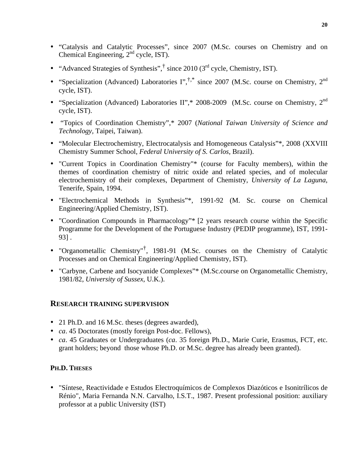- "Catalysis and Catalytic Processes", since 2007 (M.Sc. courses on Chemistry and on Chemical Engineering, 2nd cycle, IST).
- "Advanced Strategies of Synthesis", $\dagger$  since 2010 (3<sup>rd</sup> cycle, Chemistry, IST).
- "Specialization (Advanced) Laboratories  $\Gamma$ ",  $\uparrow$ ,  $\uparrow$  since 2007 (M.Sc. course on Chemistry, 2<sup>nd</sup> cycle, IST).
- "Specialization (Advanced) Laboratories II",\* 2008-2009 (M.Sc. course on Chemistry,  $2^{nd}$ cycle, IST).
- "Topics of Coordination Chemistry",\* 2007 (*National Taiwan University of Science and Technology,* Taipei, Taiwan).
- "Molecular Electrochemistry, Electrocatalysis and Homogeneous Catalysis"\*, 2008 (XXVIII) Chemistry Summer School, *Federal University of S. Carlos*, Brazil).
- "Current Topics in Coordination Chemistry"\* (course for Faculty members), within the themes of coordination chemistry of nitric oxide and related species, and of molecular electrochemistry of their complexes, Department of Chemistry, *University of La Laguna*, Tenerife, Spain, 1994.
- "Electrochemical Methods in Synthesis"\*, 1991-92 (M. Sc. course on Chemical Engineering/Applied Chemistry, IST).
- "Coordination Compounds in Pharmacology"\* [2 years research course within the Specific Programme for the Development of the Portuguese Industry (PEDIP programme), IST, 1991- 93] .
- "Organometallic Chemistry"† , 1981-91 (M.Sc. courses on the Chemistry of Catalytic Processes and on Chemical Engineering/Applied Chemistry, IST).
- "Carbyne, Carbene and Isocyanide Complexes"\* (M.Sc.course on Organometallic Chemistry, 1981/82, *University of Sussex*, U.K.).

# **RESEARCH TRAINING SUPERVISION**

- 21 Ph.D. and 16 M.Sc. theses (degrees awarded),
- *ca*. 45 Doctorates (mostly foreign Post-doc. Fellows),
- *ca*. 45 Graduates or Undergraduates (*ca*. 35 foreign Ph.D., Marie Curie, Erasmus, FCT, etc. grant holders; beyond those whose Ph.D. or M.Sc. degree has already been granted).

# **PH.D. THESES**

• "Síntese, Reactividade e Estudos Electroquímicos de Complexos Diazóticos e Isonitrílicos de Rénio", Maria Fernanda N.N. Carvalho, I.S.T., 1987. Present professional position: auxiliary professor at a public University (IST)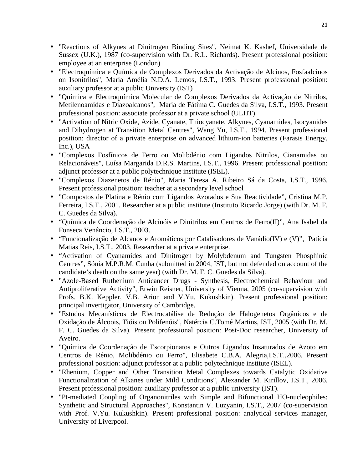- "Reactions of Alkynes at Dinitrogen Binding Sites", Neimat K. Kashef, Universidade de Sussex (U.K.), 1987 (co-supervision with Dr. R.L. Richards). Present professional position: employee at an enterprise (London)
- "Electroquímica e Química de Complexos Derivados da Activação de Alcinos, Fosfaalcinos on Isonitrilos", Maria Amélia N.D.A. Lemos, I.S.T., 1993. Present professional position: auxiliary professor at a public University (IST)
- "Química e Electroquímica Molecular de Complexos Derivados da Activação de Nitrilos, Metilenoamidas e Diazoalcanos", Maria de Fátima C. Guedes da Silva, I.S.T., 1993. Present professional position: associate professor at a private school (ULHT)
- "Activation of Nitric Oxide, Azide, Cyanate, Thiocyanate, Alkynes, Cyanamides, Isocyanides and Dihydrogen at Transition Metal Centres", Wang Yu, I.S.T., 1994. Present professional position: director of a private enterprise on advanced lithium-ion batteries (Farasis Energy, Inc.), USA
- "Complexos Fosfínicos de Ferro ou Molibdénio com Ligandos Nitrilos, Cianamidas ou Relacionáveis", Luísa Margarida D.R.S. Martins, I.S.T., 1996. Present professional position: adjunct professor at a public polytechnique institute (ISEL).
- "Complexos Diazenetos de Rénio", Maria Teresa A. Ribeiro Sá da Costa, I.S.T., 1996. Present professional position: teacher at a secondary level school
- "Compostos de Platina e Rénio com Ligandos Azotados e Sua Reactividade", Cristina M.P. Ferreira, I.S.T., 2001. Researcher at a public institute (Instituto Ricardo Jorge) (with Dr. M. F. C. Guedes da Silva).
- "Química de Coordenação de Alcinóis e Dinitrilos em Centros de Ferro(II)", Ana Isabel da Fonseca Venâncio, I.S.T., 2003.
- "Funcionalização de Alcanos e Aromáticos por Catalisadores de Vanádio(IV) e (V)", Patícia Matias Reis, I.S.T., 2003. Researcher at a private enterprise.
- "Activation of Cyanamides and Dinitrogen by Molybdenum and Tungsten Phosphinic Centres", Sónia M.P.R.M. Cunha (submitted in 2004, IST, but not defended on account of the candidate's death on the same year) (with Dr. M. F. C. Guedes da Silva).
- "Azole-Based Ruthenium Anticancer Drugs Synthesis, Electrochemical Behaviour and Antiproliferative Activity", Erwin Reisner, University of Vienna, 2005 (co-supervision with Profs. B.K. Keppler, V.B. Arion and V.Yu. Kukushkin). Present professional position: principal invertigator, University of Cambridge.
- "Estudos Mecanísticos de Electrocatálise de Redução de Halogenetos Orgânicos e de Oxidação de Álcoois, Tióis ou Polifenóis", Natércia C.Tomé Martins, IST, 2005 (with Dr. M. F. C. Guedes da Silva). Present professional position: Post-Doc researcher, University of Aveiro.
- "Química de Coordenação de Escorpionatos e Outros Ligandos Insaturados de Azoto em Centros de Rénio, Molibdénio ou Ferro", Elisabete C.B.A. Alegria,I.S.T.,2006. Present professional position: adjunct professor at a public polytechnique institute (ISEL).
- "Rhenium, Copper and Other Transition Metal Complexes towards Catalytic Oxidative Functionalization of Alkanes under Mild Conditions", Alexander M. Kirillov, I.S.T., 2006. Present professional position: auxiliary professor at a public university (IST).
- "Pt-mediated Coupling of Organonitriles with Simple and Bifunctional HO-nucleophiles: Synthetic and Structural Approaches", Konstantin V. Luzyanin, I.S.T., 2007 (co-supervision with Prof. V.Yu. Kukushkin). Present professional position: analytical services manager, University of Liverpool.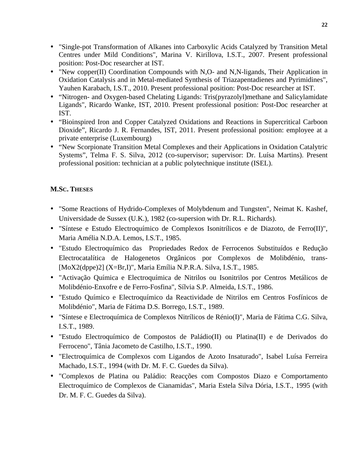- "Single-pot Transformation of Alkanes into Carboxylic Acids Catalyzed by Transition Metal Centres under Mild Conditions", Marina V. Kirillova, I.S.T., 2007. Present professional position: Post-Doc researcher at IST.
- "New copper(II) Coordination Compounds with N,O- and N,N-ligands, Their Application in Oxidation Catalysis and in Metal-mediated Synthesis of Triazapentadienes and Pyrimidines", Yauhen Karabach, I.S.T., 2010. Present professional position: Post-Doc researcher at IST.
- "Nitrogen- and Oxygen-based Chelating Ligands: Tris(pyrazolyl)methane and Salicylamidate Ligands", Ricardo Wanke, IST, 2010. Present professional position: Post-Doc researcher at IST.
- "Bioinspired Iron and Copper Catalyzed Oxidations and Reactions in Supercritical Carboon Dioxide", Ricardo J. R. Fernandes, IST, 2011. Present professional position: employee at a private enterprise (Luxembourg)
- "New Scorpionate Transition Metal Complexes and their Applications in Oxidation Catalytric Systems", Telma F. S. Silva, 2012 (co-supervisor; supervisor: Dr. Luísa Martins). Present professional position: technician at a public polytechnique institute (ISEL).

# **M.SC. THESES**

- "Some Reactions of Hydrido-Complexes of Molybdenum and Tungsten", Neimat K. Kashef, Universidade de Sussex (U.K.), 1982 (co-supersion with Dr. R.L. Richards).
- "Síntese e Estudo Electroquímico de Complexos Isonitrílicos e de Diazoto, de Ferro(II)", Maria Amélia N.D.A. Lemos, I.S.T., 1985.
- "Estudo Electroquímico das Propriedades Redox de Ferrocenos Substituídos e Redução Electrocatalítica de Halogenetos Orgânicos por Complexos de Molibdénio, trans- [MoX2(dppe)2] (X=Br,I)", Maria Emília N.P.R.A. Silva, I.S.T., 1985.
- "Activação Química e Electroquímica de Nitrilos ou Isonitrilos por Centros Metálicos de Molibdénio-Enxofre e de Ferro-Fosfina", Sílvia S.P. Almeida, I.S.T., 1986.
- "Estudo Químico e Electroquímico da Reactividade de Nitrilos em Centros Fosfínicos de Molibdénio", Maria de Fátima D.S. Borrego, I.S.T., 1989.
- "Síntese e Electroquímica de Complexos Nitrílicos de Rénio(I)", Maria de Fátima C.G. Silva, I.S.T., 1989.
- "Estudo Electroquímico de Compostos de Paládio(II) ou Platina(II) e de Derivados do Ferroceno", Tânia Jacometo de Castilho, I.S.T., 1990.
- "Electroquímica de Complexos com Ligandos de Azoto Insaturado", Isabel Luísa Ferreira Machado, I.S.T., 1994 (with Dr. M. F. C. Guedes da Silva).
- "Complexos de Platina ou Paládio: Reacções com Compostos Diazo e Comportamento Electroquímico de Complexos de Cianamidas", Maria Estela Silva Dória, I.S.T., 1995 (with Dr. M. F. C. Guedes da Silva).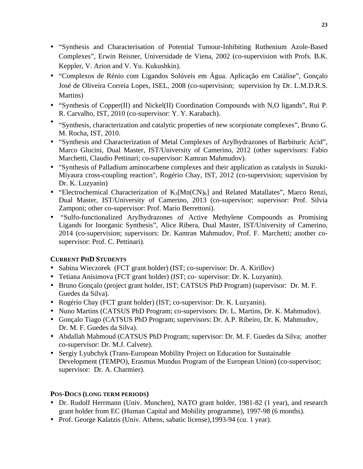- "Synthesis and Characterisation of Potential Tumour-Inhibiting Ruthenium Azole-Based Complexes", Erwin Reisner, Universidade de Viena, 2002 (co-supervision with Profs. B.K. Keppler, V. Arion and V. Yu. Kukushkin).
- "Complexos de Rénio com Ligandos Solúveis em Água. Aplicação em Catálise", Gonçalo José de Oliveira Correia Lopes, ISEL, 2008 (co-supervision; supervision by Dr. L.M.D.R.S. Martins)
- "Synthesis of Copper(II) and Nickel(II) Coordination Compounds with N,O ligands", Rui P. R. Carvalho, IST, 2010 (co-supervisor: Y. Y. Karabach).
- "Synthesis, characterization and catalytic properties of new scorpionate complexes", Bruno G. M. Rocha, IST, 2010.
- "Synthesis and Characterization of Metal Complexes of Arylhydrazones of Barbituric Acid", Marco Glucini, Dual Master, IST/University of Camerino, 2012 (other supervisors: Fabio Marchetti, Claudio Pettinari; co-supervisor: Kamran Mahmudov).
- "Synthesis of Palladium aminocarbene complexes and their application as catalysts in Suzuki-Miyaura cross-coupling reaction", Rogério Chay, IST, 2012 (co-supervision; supervision by Dr. K. Luzyanin)
- "Electrochemical Characterization of  $K_3[Mn(CN)_6]$  and Related Matallates", Marco Renzi, Dual Master, IST/University of Camerino, 2013 (co-supervisor; supervisor: Prof. Silvia Zamponi; other co-supervisor: Prof. Mario Berrettoni).
- "Sulfo-functionalized Arylhydrazones of Active Methylene Compounds as Promising Ligands for Inorganic Synthesis", Alice Ribera, Dual Master, IST/University of Camerino, 2014 (co-supervision; supervisors: Dr. Kamran Mahmudov, Prof. F. Marchetti; another cosupervisor: Prof. C. Pettinari).

# **CURRENT PHD STUDENTS**

- Sabina Wieczorek (FCT grant holder) (IST; co-supervisor: Dr. A. Kirillov)
- Tetiana Anisimova (FCT grant holder) (IST; co- supervisor: Dr. K. Luzyanin).
- Bruno Gonçalo (project grant holder, IST; CATSUS PhD Program) (supervisor: Dr. M. F. Guedes da Silva).
- Rogério Chay (FCT grant holder) (IST; co-supervisor: Dr. K. Luzyanin).
- Nuno Martins (CATSUS PhD Program; co-supervisors: Dr. L. Martins, Dr. K. Mahmudov).
- Gonçalo Tiago (CATSUS PhD Program; supervisors: Dr. A.P. Ribeiro, Dr. K. Mahmudov, Dr. M. F. Guedes da Silva).
- Abdallah Mahmoud (CATSUS PhD Program; supervisor: Dr. M. F. Guedes da Silva; another co-supervisor: Dr. M.J. Calvete).
- Sergiy Lyubchyk (Trans-European Mobility Project on Education for Sustainable Development (TEMPO), Erasmus Mundus Program of the European Union) (co-supervisor; supervisor: Dr. A. Charmier).

# **POS-DOCS (LONG TERM PERIODS)**

- Dr. Rudolf Herrmann (Univ. Munchen), NATO grant holder, 1981-82 (1 year), and research grant holder from EC (Human Capital and Mobility programme), 1997-98 (6 months).
- Prof. George Kalatzis (Univ. Athens, sabatic license),1993-94 (*ca*. 1 year).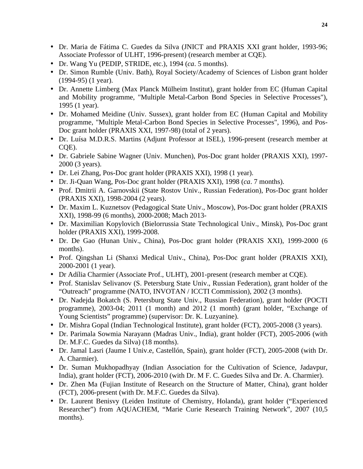- Dr. Maria de Fátima C. Guedes da Silva (JNICT and PRAXIS XXI grant holder, 1993-96; Associate Professor of ULHT, 1996-present) (research member at CQE).
- Dr. Wang Yu (PEDIP, STRIDE, etc.), 1994 (*ca*. 5 months).
- Dr. Simon Rumble (Univ. Bath), Royal Society/Academy of Sciences of Lisbon grant holder (1994-95) (1 year).
- Dr. Annette Limberg (Max Planck Mülheim Institut), grant holder from EC (Human Capital and Mobility programme, "Multiple Metal-Carbon Bond Species in Selective Processes"), 1995 (1 year).
- Dr. Mohamed Meidine (Univ. Sussex), grant holder from EC (Human Capital and Mobility programme, "Multiple Metal-Carbon Bond Species in Selective Processes", 1996), and Pos-Doc grant holder (PRAXIS XXI, 1997-98) (total of 2 years).
- Dr. Luísa M.D.R.S. Martins (Adjunt Professor at ISEL), 1996-present (research member at CQE).
- Dr. Gabriele Sabine Wagner (Univ. Munchen), Pos-Doc grant holder (PRAXIS XXI), 1997- 2000 (3 years).
- Dr. Lei Zhang, Pos-Doc grant holder (PRAXIS XXI), 1998 (1 year).
- Dr. Ji-Quan Wang, Pos-Doc grant holder (PRAXIS XXI), 1998 (*ca*. 7 months).
- Prof. Dmitrii A. Garnovskii (State Rostov Univ., Russian Federation), Pos-Doc grant holder (PRAXIS XXI), 1998-2004 (2 years).
- Dr. Maxim L. Kuznetsov (Pedagogical State Univ., Moscow), Pos-Doc grant holder (PRAXIS XXI), 1998-99 (6 months), 2000-2008; Mach 2013-
- Dr. Maximilian Kopylovich (Bielorrussia State Technological Univ., Minsk), Pos-Doc grant holder (PRAXIS XXI), 1999-2008.
- Dr. De Gao (Hunan Univ., China), Pos-Doc grant holder (PRAXIS XXI), 1999-2000 (6 months).
- Prof. Qingshan Li (Shanxi Medical Univ., China), Pos-Doc grant holder (PRAXIS XXI), 2000-2001 (1 year).
- Dr Adília Charmier (Associate Prof., ULHT), 2001-present (research member at CQE).
- Prof. Stanislav Selivanov (S. Petersburg State Univ., Russian Federation), grant holder of the "Outreach" programme (NATO, INVOTAN / ICCTI Commission), 2002 (3 months).
- Dr. Nadejda Bokatch (S. Petersburg State Univ., Russian Federation), grant holder (POCTI programme), 2003-04; 2011 (1 month) and 2012 (1 month) (grant holder, "Exchange of Young Scientists" programme) (supervisor: Dr. K. Luzyanine).
- Dr. Mishra Gopal (Indian Technological Institute), grant holder (FCT), 2005-2008 (3 years).
- Dr. Parimala Sowmia Narayann (Madras Univ., India), grant holder (FCT), 2005-2006 (with Dr. M.F.C. Guedes da Silva) (18 months).
- Dr. Jamal Lasri (Jaume I Univ.e, Castellón, Spain), grant holder (FCT), 2005-2008 (with Dr. A. Charmier).
- Dr. Suman Mukhopadhyay (Indian Association for the Cultivation of Science, Jadavpur, India), grant holder (FCT), 2006-2010 (with Dr. M F. C. Guedes Silva and Dr. A. Charmier).
- Dr. Zhen Ma (Fujian Institute of Research on the Structure of Matter, China), grant holder (FCT), 2006-present (with Dr. M.F.C. Guedes da Silva).
- Dr. Laurent Benisvy (Leiden Institute of Chemistry, Holanda), grant holder ("Experienced Researcher") from AQUACHEM, "Marie Curie Research Training Network", 2007 (10,5 months).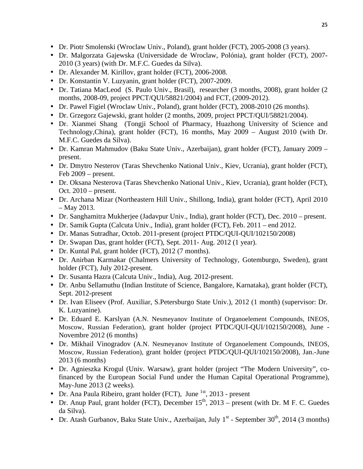- Dr. Piotr Smolenski (Wroclaw Univ., Poland), grant holder (FCT), 2005-2008 (3 years).
- Dr. Malgorzata Gajewska (Universidade de Wroclaw, Polónia), grant holder (FCT), 2007- 2010 (3 years) (with Dr. M.F.C. Guedes da Silva).
- Dr. Alexander M. Kirillov, grant holder (FCT), 2006-2008.
- Dr. Konstantin V. Luzyanin, grant holder (FCT), 2007-2009.
- Dr. Tatiana MacLeod (S. Paulo Univ., Brasil), researcher (3 months, 2008), grant holder (2 months, 2008-09, project PPCT/QUI/58821/2004) and FCT, (2009-2012).
- Dr. Pawel Figiel (Wroclaw Univ., Poland), grant holder (FCT), 2008-2010 (26 months).
- Dr. Grzegorz Gajewski, grant holder (2 months, 2009, project PPCT/QUI/58821/2004).
- Dr. Xianmei Shang (Tongji School of Pharmacy, Huazhong University of Science and Technology,China), grant holder (FCT), 16 months, May 2009 – August 2010 (with Dr. M.F.C. Guedes da Silva).
- Dr. Kamran Mahmudov (Baku State Univ., Azerbaijan), grant holder (FCT), January 2009 present.
- Dr. Dmytro Nesterov (Taras Shevchenko National Univ., Kiev, Ucrania), grant holder (FCT), Feb 2009 – present.
- Dr. Oksana Nesterova (Taras Shevchenko National Univ., Kiev, Ucrania), grant holder (FCT), Oct. 2010 – present.
- Dr. Archana Mizar (Northeastern Hill Univ., Shillong, India), grant holder (FCT), April 2010 – May 2013.
- Dr. Sanghamitra Mukherjee (Jadavpur Univ., India), grant holder (FCT), Dec. 2010 present.
- Dr. Samik Gupta (Calcuta Univ., India), grant holder (FCT), Feb. 2011 end 2012.
- Dr. Manas Sutradhar, Octob. 2011-present (project PTDC/QUI-QUI/102150/2008)
- Dr. Swapan Das, grant holder (FCT), Sept. 2011- Aug. 2012 (1 year).
- Dr. Kuntal Pal, grant holder (FCT), 2012 (7 months).
- Dr. Anirban Karmakar (Chalmers University of Technology, Gotemburgo, Sweden), grant holder (FCT), July 2012-present.
- Dr. Susanta Hazra (Calcuta Univ., India), Aug. 2012-present.
- Dr. Anbu Sellamuthu (Indian Institute of Science, Bangalore, Karnataka), grant holder (FCT), Sept. 2012-present
- Dr. Ivan Eliseev (Prof. Auxiliar, S.Petersburgo State Univ.), 2012 (1 month) (supervisor: Dr. K. Luzyanine).
- Dr. Eduard E. Karslyan (A.N. Nesmeyanov Institute of Organoelement Compounds, INEOS, Moscow, Russian Federation), grant holder (project PTDC/QUI-QUI/102150/2008), June - Novembre 2012 (6 months)
- Dr. Mikhail Vinogradov (A.N. Nesmeyanov Institute of Organoelement Compounds, INEOS, Moscow, Russian Federation), grant holder (project PTDC/QUI-QUI/102150/2008), Jan.-June 2013 (6 months)
- Dr. Agnieszka Krogul (Univ. Warsaw), grant holder (project "The Modern University", cofinanced by the European Social Fund under the Human Capital Operational Programme), May-June 2013 (2 weeks).
- Dr. Ana Paula Ribeiro, grant holder (FCT), June  $<sup>1st</sup>$ , 2013 present</sup>
- Dr. Anup Paul, grant holder (FCT), December  $15<sup>th</sup>$ ,  $2013$  present (with Dr. M F. C. Guedes da Silva).
- Dr. Atash Gurbanov, Baku State Univ., Azerbaijan, July 1<sup>st</sup> September  $30<sup>th</sup>$ , 2014 (3 months)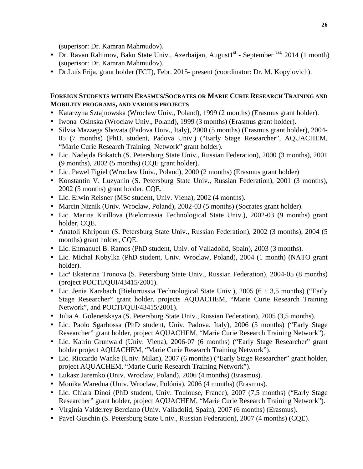(superisor: Dr. Kamran Mahmudov).

- Dr. Ravan Rahimov, Baku State Univ., Azerbaijan, August $1<sup>st</sup>$  September  $<sup>1st</sup>$ , 2014 (1 month)</sup> (superisor: Dr. Kamran Mahmudov).
- Dr.Luís Frija, grant holder (FCT), Febr. 2015- present (coordinator: Dr. M. Kopylovich).

# **FOREIGN STUDENTS WITHIN ERASMUS/SOCRATES OR MARIE CURIE RESEARCH TRAINING AND MOBILITY PROGRAMS, AND VARIOUS PROJECTS**

- Katarzyna Sztajnowska (Wroclaw Univ., Poland), 1999 (2 months) (Erasmus grant holder).
- Iwona Osinska (Wroclaw Univ., Poland), 1999 (3 months) (Erasmus grant holder).
- Silvia Mazzega Sbovata (Padova Univ., Italy), 2000 (5 months) (Erasmus grant holder), 2004- 05 (7 months) (PhD. student, Padova Univ.) ("Early Stage Researcher", AQUACHEM, "Marie Curie Research Training Network" grant holder).
- Lic. Nadejda Bokatch (S. Petersburg State Univ., Russian Federation), 2000 (3 months), 2001 (9 months), 2002 (5 months) (CQE grant holder).
- Lic. Pawel Figiel (Wroclaw Univ., Poland), 2000 (2 months) (Erasmus grant holder)
- Konstantin V. Luzyanin (S. Petersburg State Univ., Russian Federation), 2001 (3 months), 2002 (5 months) grant holder, CQE.
- Lic. Erwin Reisner (MSc student, Univ. Viena), 2002 (4 months).
- Marcin Niznik (Univ. Wroclaw, Poland), 2002-03 (5 months) (Socrates grant holder).
- Lic. Marina Kirillova (Bielorrussia Technological State Univ.), 2002-03 (9 months) grant holder, CQE.
- Anatoli Khripoun (S. Petersburg State Univ., Russian Federation), 2002 (3 months), 2004 (5 months) grant holder, CQE.
- Lic. Enmanuel B. Ramos (PhD student, Univ. of Valladolid, Spain), 2003 (3 months).
- Lic. Michal Kobylka (PhD student, Univ. Wroclaw, Poland), 2004 (1 month) (NATO grant holder).
- Lic<sup>a</sup> Ekaterina Tronova (S. Petersburg State Univ., Russian Federation), 2004-05 (8 months) (project POCTI/QUI/43415/2001).
- Lic. Jenia Karabach (Bielorrussia Technological State Univ.), 2005 (6 + 3,5 months) ("Early Stage Researcher" grant holder, projects AQUACHEM, "Marie Curie Research Training Network", and POCTI/QUI/43415/2001).
- Julia A. Golenetskaya (S. Petersburg State Univ., Russian Federation), 2005 (3,5 months).
- Lic. Paolo Sgarbossa (PhD student, Univ. Padova, Italy), 2006 (5 months) ("Early Stage Researcher" grant holder, project AQUACHEM, "Marie Curie Research Training Network").
- Lic. Katrin Grunwald (Univ. Viena), 2006-07 (6 months) ("Early Stage Researcher" grant holder project AQUACHEM, "Marie Curie Research Training Network").
- Lic. Riccardo Wanke (Univ. Milan), 2007 (6 months) ("Early Stage Researcher" grant holder, project AQUACHEM, "Marie Curie Research Training Network").
- Lukasz Jaremko (Univ. Wroclaw, Poland), 2006 (4 months) (Erasmus).
- Monika Waredna (Univ. Wroclaw, Polónia), 2006 (4 months) (Erasmus).
- Lic. Chiara Dinoi (PhD student, Univ. Toulouse, France), 2007 (7.5 months) ("Early Stage Researcher" grant holder, project AQUACHEM, "Marie Curie Research Training Network").
- Virginia Valderrey Berciano (Univ. Valladolid, Spain), 2007 (6 months) (Erasmus).
- Pavel Guschin (S. Petersburg State Univ., Russian Federation), 2007 (4 months) (CQE).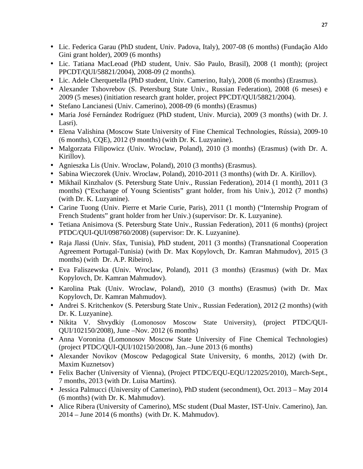- Lic. Federica Garau (PhD student, Univ. Padova, Italy), 2007-08 (6 months) (Fundação Aldo Gini grant holder), 2009 (6 months)
- Lic. Tatiana MacLeoad (PhD student, Univ. São Paulo, Brasil), 2008 (1 month); (project PPCDT/QUI/58821/2004), 2008-09 (2 months).
- Lic. Adele Cherquetella (PhD student, Univ. Camerino, Italy), 2008 (6 months) (Erasmus).
- Alexander Tshovrebov (S. Petersburg State Univ., Russian Federation), 2008 (6 meses) e 2009 (5 meses) (initiation research grant holder, project PPCDT/QUI/58821/2004).
- Stefano Lancianesi (Univ. Camerino), 2008-09 (6 months) (Erasmus)
- Maria José Fernández Rodríguez (PhD student, Univ. Murcia), 2009 (3 months) (with Dr. J. Lasri).
- Elena Valishina (Moscow State University of Fine Chemical Technologies, Rússia), 2009-10 (6 months), CQE), 2012 (9 months) (with Dr. K. Luzyanine).
- Malgorzata Filipowicz (Univ. Wroclaw, Poland), 2010 (3 months) (Erasmus) (with Dr. A. Kirillov).
- Agnieszka Lis (Univ. Wroclaw, Poland), 2010 (3 months) (Erasmus).
- Sabina Wieczorek (Univ. Wroclaw, Poland), 2010-2011 (3 months) (with Dr. A. Kirillov).
- Mikhail Kinzhalov (S. Petersburg State Univ., Russian Federation), 2014 (1 month), 2011 (3 months) ("Exchange of Young Scientists" grant holder, from his Univ.), 2012 (7 months) (with Dr. K. Luzyanine).
- Carine Tuong (Univ. Pierre et Marie Curie, Paris), 2011 (1 month) ("Internship Program of French Students" grant holder from her Univ.) (supervisor: Dr. K. Luzyanine).
- Tetiana Anisimova (S. Petersburg State Univ., Russian Federation), 2011 (6 months) (project PTDC/QUI-QUI/098760/2008) (supervisor: Dr. K. Luzyanine).
- Raja Jlassi (Univ. Sfax, Tunisia), PhD student, 2011 (3 months) (Transnational Cooperation Agreement Portugal-Tunisia) (with Dr. Max Kopylovch, Dr. Kamran Mahmudov), 2015 (3 months) (with Dr. A.P. Ribeiro).
- Eva Faliszewska (Univ. Wroclaw, Poland), 2011 (3 months) (Erasmus) (with Dr. Max Kopylovch, Dr. Kamran Mahmudov).
- Karolina Ptak (Univ. Wroclaw, Poland), 2010 (3 months) (Erasmus) (with Dr. Max Kopylovch, Dr. Kamran Mahmudov).
- Andrei S. Kritchenkov (S. Petersburg State Univ., Russian Federation), 2012 (2 months) (with Dr. K. Luzyanine).
- Nikita V. Shvydkiy (Lomonosov Moscow State University), (project PTDC/QUI-QUI/102150/2008), June –Nov. 2012 (6 months)
- Anna Voronina (Lomonosov Moscow State University of Fine Chemical Technologies) (project PTDC/QUI-QUI/102150/2008), Jan.–June 2013 (6 months)
- Alexander Novikov (Moscow Pedagogical State University, 6 months, 2012) (with Dr. Maxim Kuznetsov)
- Felix Bacher (University of Vienna), (Project PTDC/EQU-EQU/122025/2010), March-Sept., 7 months, 2013 (with Dr. Luisa Martins).
- Jessica Palmucci (University of Camerino), PhD student (secondment), Oct. 2013 May 2014 (6 months) (with Dr. K. Mahmudov).
- Alice Ribera (University of Camerino), MSc student (Dual Master, IST-Univ. Camerino), Jan. 2014 – June 2014 (6 months) (with Dr. K. Mahmudov).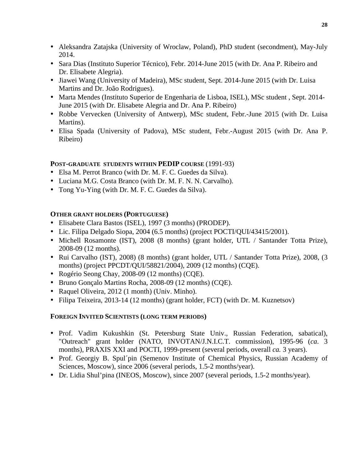- Aleksandra Zatajska (University of Wroclaw, Poland), PhD student (secondment), May-July 2014.
- Sara Dias (Instituto Superior Técnico), Febr. 2014-June 2015 (with Dr. Ana P. Ribeiro and Dr. Elisabete Alegria).
- Jiawei Wang (University of Madeira), MSc student, Sept. 2014-June 2015 (with Dr. Luisa Martins and Dr. João Rodrigues).
- Marta Mendes (Instituto Superior de Engenharia de Lisboa, ISEL), MSc student , Sept. 2014- June 2015 (with Dr. Elisabete Alegria and Dr. Ana P. Ribeiro)
- Robbe Vervecken (University of Antwerp), MSc student, Febr.-June 2015 (with Dr. Luisa Martins).
- Elisa Spada (University of Padova), MSc student, Febr.-August 2015 (with Dr. Ana P. Ribeiro)

#### **POST-GRADUATE STUDENTS WITHIN PEDIP COURSE** (1991-93)

- Elsa M. Perrot Branco (with Dr. M. F. C. Guedes da Silva).
- Luciana M.G. Costa Branco (with Dr. M. F. N. N. Carvalho).
- Tong Yu-Ying (with Dr. M. F. C. Guedes da Silva).

#### **OTHER GRANT HOLDERS (PORTUGUESE)**

- Elisabete Clara Bastos (ISEL), 1997 (3 months) (PRODEP).
- Lic. Filipa Delgado Siopa, 2004 (6.5 months) (project POCTI/QUI/43415/2001).
- Michell Rosamonte (IST), 2008 (8 months) (grant holder, UTL / Santander Totta Prize), 2008-09 (12 months).
- Rui Carvalho (IST), 2008) (8 months) (grant holder, UTL / Santander Totta Prize), 2008, (3 months) (project PPCDT/QUI/58821/2004), 2009 (12 months) (CQE).
- Rogério Seong Chay, 2008-09 (12 months) (CQE).
- Bruno Gonçalo Martins Rocha, 2008-09 (12 months) (CQE).
- Raquel Oliveira, 2012 (1 month) (Univ. Minho).
- Filipa Teixeira, 2013-14 (12 months) (grant holder, FCT) (with Dr. M. Kuznetsov)

#### **FOREIGN INVITED SCIENTISTS (LONG TERM PERIODS)**

- Prof. Vadim Kukushkin (St. Petersburg State Univ., Russian Federation, sabatical), "Outreach" grant holder (NATO, INVOTAN/J.N.I.C.T. commission), 1995-96 (*ca*. 3 months), PRAXIS XXI and POCTI, 1999-present (several periods, overall *ca.* 3 years).
- Prof. Georgiy B. Spul´pin (Semenov Institute of Chemical Physics, Russian Academy of Sciences, Moscow), since 2006 (several periods, 1.5-2 months/year).
- Dr. Lidia Shul'pina (INEOS, Moscow), since 2007 (several periods, 1.5-2 months/year).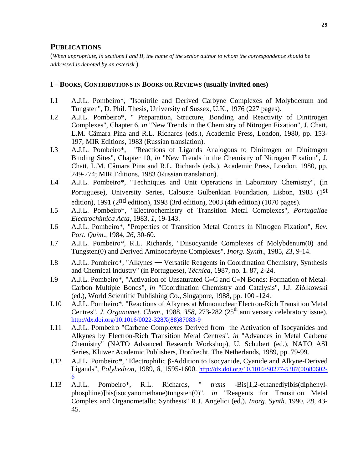#### **PUBLICATIONS**

(*When appropriate, in sections I and II, the name of the senior author to whom the correspondence should be addressed is denoted by an asterisk.*)

#### **I** − **BOOKS, CONTRIBUTIONS IN BOOKS OR REVIEWS (usually invited ones)**

- I.1 A.J.L. Pombeiro\*, "Isonitrile and Derived Carbyne Complexes of Molybdenum and Tungsten", D. Phil. Thesis, University of Sussex, U.K., 1976 (227 pages).
- I.2 A.J.L. Pombeiro\*, " Preparation, Structure, Bonding and Reactivity of Dinitrogen Complexes", Chapter 6, *in* "New Trends in the Chemistry of Nitrogen Fixation", J. Chatt, L.M. Câmara Pina and R.L. Richards (eds.), Academic Press, London, 1980, pp. 153- 197; MIR Editions, 1983 (Russian translation).
- I.3 A.J.L. Pombeiro\*, "Reactions of Ligands Analogous to Dinitrogen on Dinitrogen Binding Sites", Chapter 10, *in* "New Trends in the Chemistry of Nitrogen Fixation", J. Chatt, L.M. Câmara Pina and R.L. Richards (eds.), Academic Press, London, 1980, pp. 249-274; MIR Editions, 1983 (Russian translation).
- **I.4** A.J.L. Pombeiro\*, "Techniques and Unit Operations in Laboratory Chemistry", (in Portuguese), University Series, Calouste Gulbenkian Foundation, Lisbon, 1983 (1st edition), 1991 (2nd edition), 1998 (3rd edition), 2003 (4th edition) (1070 pages).
- I.5 A.J.L. Pombeiro\*, "Electrochemistry of Transition Metal Complexes", *Portugaliae Electrochimica Acta*, 1983, *1*, 19-143.
- I.6 A.J.L. Pombeiro\*, "Properties of Transition Metal Centres in Nitrogen Fixation", *Rev. Port. Quím*., 1984, *26*, 30-60.
- I.7 A.J.L. Pombeiro\*, R.L. Richards, "Diisocyanide Complexes of Molybdenum(0) and Tungsten(0) and Derived Aminocarbyne Complexes", *Inorg. Synth*., 1985, 23, 9-14.
- I.8 A.J.L. Pombeiro\*, "Alkynes Versatile Reagents in Coordination Chemistry, Synthesis and Chemical Industry" (in Portuguese), *Técnica*, 1987, no. 1. 87, 2-24.
- I.9 A.J.L. Pombeiro\*, "Activation of Unsaturated C≡C and C≡N Bonds: Formation of Metal-Carbon Multiple Bonds", *in* "Coordination Chemistry and Catalysis", J.J. Ziólkowski (ed.), World Scientific Publishing Co., Singapore, 1988, pp. 100 -124.
- I.10 A.J.L. Pombeiro\*, "Reactions of Alkynes at Mononuclear Electron-Rich Transition Metal Centres", *J. Organomet. Chem.*, 1988, 358, 273-282 (25<sup>th</sup> anniversary celebratory issue). http://dx.doi.org/10.1016/0022-328X(88)87083-9
- I.11 A.J.L. Pombeiro "Carbene Complexes Derived from the Activation of Isocyanides and Alkynes by Electron-Rich Transition Metal Centres", *in* "Advances in Metal Carbene Chemistry" (NATO Advanced Research Workshop), U. Schubert (ed.), NATO ASI Series, Kluwer Academic Publishers, Dordrecht, The Netherlands, 1989, pp. 79-99.
- I.12 A.J.L. Pombeiro\*, "Electrophilic β-Addition to Isocyanide, Cyanide and Alkyne-Derived Ligands", *Polyhedron*, 1989, *8*, 1595-1600. http://dx.doi.org/10.1016/S0277-5387(00)80602- 6
- I.13 A.J.L. Pombeiro\*, R.L. Richards, " *trans* -Bis[1,2-ethanediylbis(diphenylphosphine)]bis(isocyanomethane)tungsten(0)", *in* "Reagents for Transition Metal Complex and Organometallic Synthesis" R.J. Angelici (ed.), *Inorg. Synth*. 1990, *28*, 43- 45.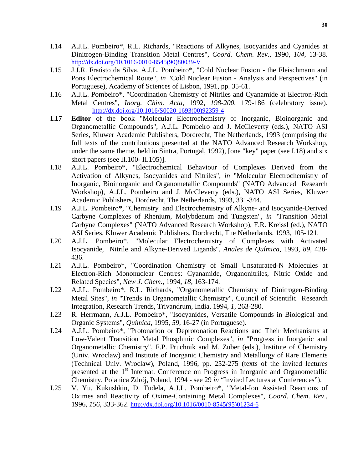- I.14 A.J.L. Pombeiro\*, R.L. Richards, "Reactions of Alkynes, Isocyanides and Cyanides at Dinitrogen-Binding Transition Metal Centres", *Coord. Chem*. *Rev*., 1990, *104*, 13-38. http://dx.doi.org/10.1016/0010-8545(90)80039-V
- I.15 J.J.R. Fraústo da Silva, A.J.L. Pombeiro\*, "Cold Nuclear Fusion the Fleischmann and Pons Electrochemical Route", *in* "Cold Nuclear Fusion - Analysis and Perspectives" (in Portuguese), Academy of Sciences of Lisbon, 1991, pp. 35-61.
- I.16 A.J.L. Pombeiro\*, "Coordination Chemistry of Nitriles and Cyanamide at Electron-Rich Metal Centres", *Inorg. Chim. Acta*, 1992, *198-200*, 179-186 (celebratory issue). http://dx.doi.org/10.1016/S0020-1693(00)92359-4
- **I.17 Editor** of the book "Molecular Electrochemistry of Inorganic, Bioinorganic and Organometallic Compounds", A.J.L. Pombeiro and J. McCleverty (eds.), NATO ASI Series, Kluwer Academic Publishers, Dordrecht, The Netherlands, 1993 (comprising the full texts of the contributions presented at the NATO Advanced Research Workshop, under the same theme, held in Sintra, Portugal, 1992), [one "key" paper (see I.18) and six short papers (see II.100- II.105)].
- I.18 A.J.L. Pombeiro\*, "Electrochemical Behaviour of Complexes Derived from the Activation of Alkynes, Isocyanides and Nitriles", *in* "Molecular Electrochemistry of Inorganic, Bioinorganic and Organometallic Compounds" (NATO Advanced Research Workshop), A.J.L. Pombeiro and J. McCleverty (eds.), NATO ASI Series, Kluwer Academic Publishers, Dordrecht, The Netherlands, 1993, 331-344.
- I.19 A.J.L. Pombeiro\*, "Chemistry and Electrochemistry of Alkyne- and Isocyanide-Derived Carbyne Complexes of Rhenium, Molybdenum and Tungsten", *in* "Transition Metal Carbyne Complexes" (NATO Advanced Research Workshop), F.R. Kreissl (ed.), NATO ASI Series, Kluwer Academic Publishers, Dordrecht, The Netherlands, 1993, 105-121.
- I.20 A.J.L. Pombeiro\*, "Molecular Electrochemistry of Complexes with Activated Isocyanide, Nitrile and Alkyne-Derived Ligands", *Anales de Química*, 1993, *89*, 428- 436.
- I.21 A.J.L. Pombeiro\*, "Coordination Chemistry of Small Unsaturated-N Molecules at Electron-Rich Mononuclear Centres: Cyanamide, Organonitriles, Nitric Oxide and Related Species", *New J. Chem.,* 1994, *18,* 163-174.
- I.22 A.J.L. Pombeiro\*, R.L. Richards, "Organometallic Chemistry of Dinitrogen-Binding Metal Sites", *in* "Trends in Organometallic Chemistry", Council of Scientific Research Integration, Research Trends, Trivandrum, India, 1994, *1*, 263-280.
- I.23 R. Herrmann, A.J.L. Pombeiro\*, "Isocyanides, Versatile Compounds in Biological and Organic Systems", *Química*, 1995, *59*, 16-27 (in Portuguese).
- I.24 A.J.L. Pombeiro\*, "Protonation or Deprotonation Reactions and Their Mechanisms at Low-Valent Transition Metal Phosphinic Complexes", *in* "Progress in Inorganic and Organometallic Chemistry", F.P. Pruchnik and M. Zuber (eds.), Institute of Chemistry (Univ. Wroclaw) and Institute of Inorganic Chemistry and Metallurgy of Rare Elements (Technical Univ. Wroclaw), Poland, 1996, pp. 252-275 (texts of the invited lectures presented at the  $1<sup>st</sup>$  Internat. Conference on Progress in Inorganic and Organometallic Chemistry, Polanica Zdrój, Poland, 1994 - see 29 *in* "Invited Lectures at Conferences").
- I.25 V. Yu. Kukushkin, D. Tudela, A.J.L. Pombeiro\*, "Metal-Ion Assisted Reactions of Oximes and Reactivity of Oxime-Containing Metal Complexes", *Coord. Chem*. *Rev*., 1996, *156*, 333-362. http://dx.doi.org/10.1016/0010-8545(95)01234-6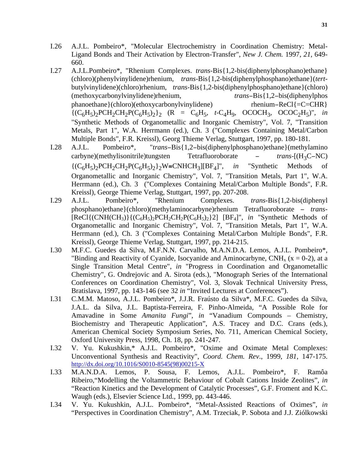- I.26 A.J.L. Pombeiro\*, "Molecular Electrochemistry in Coordination Chemistry: Metal-Ligand Bonds and Their Activation by Electron-Transfer", *New J. Chem.* 1997, *21*, 649- 660.
- I.27 A.J.L.Pombeiro\*, "Rhenium Complexes. *trans*-Bis{1,2-bis(diphenylphosphano)ethane} (chloro)(phenylvinylidene)rhenium, *trans*-Bis{1,2-bis(diphenylphosphano)ethane}(*tert*butylvinylidene)(chloro)rhenium, *trans*-Bis{1,2-bis(diphenylphosphano)ethane}(chloro) (methoxycarbonylvinylidene)rhenium, *trans*−Bis{1,2−bis(diphenylphos phanoethane}(chloro)(ethoxycarbonylvinylidene) rhenium–ReCl{=C=CHR}  ${(C_6H_5)_2PCH_2CH_2P(C_6H_5)_2}_2$  (R =  $C_6H_5$ , *t*-C<sub>4</sub>H<sub>9</sub>, OCOCH<sub>3</sub>, OCOC<sub>2</sub>H<sub>5</sub>)", *in* "Synthetic Methods of Organometallic and Inorganic Chemistry", Vol. 7, "Transition Metals, Part 1", W.A. Herrmann (ed.), Ch. 3 ("Complexes Containing Metal/Carbon Multiple Bonds", F.R. Kreissl), Georg Thieme Verlag, Stuttgart, 1997, pp. 180-181.
- I.28 A.J.L. Pombeiro\*, "*trans*−Bis{1,2−bis(diphenylphosphano)ethane}(methylamino carbyne)(methylisonitrile)tungsten Tetrafluoroborate − *trans*-[(H3C−NC)  ${ (C_6H_5)_2PCH_2CH_2P(C_6H_5)_2 }$ <sup>2</sup> W≡CNHCH<sub>3</sub> [[BF<sub>4</sub>]", *in* "Synthetic Methods of Organometallic and Inorganic Chemistry", Vol. 7, "Transition Metals, Part 1", W.A. Herrmann (ed.), Ch. 3 ("Complexes Containing Metal/Carbon Multiple Bonds", F.R. Kreissl), George Thieme Verlag, Stuttgart, 1997, pp. 207-208.
- I.29 A.J.L. Pombeiro\*, "Rhenium Complexes. *trans*-Bis{1,2-bis(diphenyl phosphano)ethane}(chloro)(methylaminocarbyne)rhenium Tetrafluoroborate − *trans*-  $[ReLU{CNH(CH_3)}{(C_6H_5)_2PCH_2CH_2P(C_6H_5)_2}$ <sup>2</sup>]  $[BF_4]$ ", *in* "Synthetic Methods of Organometallic and Inorganic Chemistry", Vol. 7, "Transition Metals, Part 1", W.A. Herrmann (ed.), Ch. 3 ("Complexes Containing Metal/Carbon Multiple Bonds", F.R. Kreissl), George Thieme Verlag, Stuttgart, 1997, pp. 214-215.
- I.30 M.F.C. Guedes da Silva, M.F.N.N. Carvalho, M.A.N.D.A. Lemos, A.J.L. Pombeiro\*, "Binding and Reactivity of Cyanide, Isocyanide and Aminocarbyne, CNH<sub>x</sub> ( $x = 0-2$ ), at a Single Transition Metal Centre", *in* "Progress in Coordination and Organometallic Chemistry", G. Ondrejovic and A. Sirota (eds.), "Monograph Series of the International Conferences on Coordination Chemistry", Vol. 3, Slovak Technical University Press, Bratislava, 1997, pp. 143-146 (see 32 *in* "Invited Lectures at Conferences").
- I.31 C.M.M. Matoso, A.J.L. Pombeiro\*, J.J.R. Fraústo da Silva\*, M.F.C. Guedes da Silva, J.A.L. da Silva, J.L. Baptista-Ferreira, F. Pinho-Almeida, "A Possible Role for Amavadine in Some *Amanita Fungi*", *in* "Vanadium Compounds – Chemistry, Biochemistry and Therapeutic Application", A.S. Tracey and D.C. Crans (eds.), American Chemical Society Symposium Series, No. 711, American Chemical Society, Oxford University Press, 1998, Ch. 18, pp. 241-247.
- I.32 V. Yu. Kukushkin,\* A.J.L. Pombeiro\*, "Oxime and Oximate Metal Complexes: Unconventional Synthesis and Reactivity", *Coord. Chem. Rev*., 1999, *181*, 147-175. http://dx.doi.org/10.1016/S0010-8545(98)00215-X
- I.33 M.A.N.D.A. Lemos, P. Sousa, F. Lemos, A.J.L. Pombeiro\*, F. Ramôa Ribeiro,"Modelling the Voltammetric Behaviour of Cobalt Cations Inside Zeolites", *in* "Reaction Kinetics and the Development of Catalytic Processes", G.F. Froment and K.C. Waugh (eds.), Elsevier Science Ltd., 1999, pp. 443-446.
- I.34 V. Yu. Kukushkin, A.J.L. Pombeiro\*, "Metal-Assisted Reactions of Oximes", *in*  "Perspectives in Coordination Chemistry", A.M. Trzeciak, P. Sobota and J.J. Ziólkowski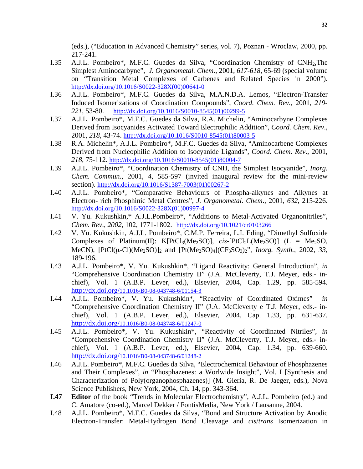(eds.), ("Education in Advanced Chemistry" series, vol. 7), Poznan - Wroclaw, 2000, pp. 217-241.

- I.35 A.J.L. Pombeiro\*, M.F.C. Guedes da Silva, "Coordination Chemistry of CNH2,The Simplest Aminocarbyne", *J. Organometal. Chem*., 2001, *617-618*, 65-69 (special volume on "Transition Metal Complexes of Carbenes and Related Species in 2000"). http://dx.doi.org/10.1016/S0022-328X(00)00641-0
- I.36 A.J.L. Pombeiro\*, M.F.C. Guedes da Silva, M.A.N.D.A. Lemos, "Electron-Transfer Induced Isomerizations of Coordination Compounds", *Coord. Chem. Rev.,* 2001, *219- 221*, 53-80. http://dx.doi.org/10.1016/S0010-8545(01)00299-5
- I.37 A.J.L. Pombeiro\*, M.F.C. Guedes da Silva, R.A. Michelin, "Aminocarbyne Complexes Derived from Isocyanides Activated Toward Electrophilic Addition", *Coord. Chem. Rev*., 2001, *218*, 43-74. http://dx.doi.org/10.1016/S0010-8545(01)80003-5
- I.38 R.A. Michelin\*, A.J.L. Pombeiro\*, M.F.C. Guedes da Silva, "Aminocarbene Complexes Derived from Nucleophilic Addition to Isocyanide Ligands", *Coord. Chem. Rev*., 2001, *218*, 75-112. http://dx.doi.org/10.1016/S0010-8545(01)80004-7
- I.39 A.J.L. Pombeiro\*, "Coordination Chemistry of CNH, the Simplest Isocyanide", *Inorg. Chem. Commun*., 2001, *4*, 585-597 (invited inaugural review for the mini-review section). http://dx.doi.org/10.1016/S1387-7003(01)00267-2
- I.40 A.J.L. Pombeiro\*, "Comparative Behaviours of Phospha-alkynes and Alkynes at Electron- rich Phosphinic Metal Centres", *J. Organometal. Chem*., 2001, *632*, 215-226. http://dx.doi.org/10.1016/S0022-328X(01)00997-4
- I.41 V. Yu. Kukushkin,\* A.J.L.Pombeiro\*, "Additions to Metal-Activated Organonitriles", *Chem. Rev*., *2002*, 102, 1771-1802. http://dx.doi.org/10.1021/cr0103266
- I.42 V. Yu. Kukushkin, A.J.L. Pombeiro\*, C.M.P. Ferreira, L.I. Eding, "Dimethyl Sulfoxide Complexes of Platinum(II):  $K[PtCl_3(Me_2SO)]$ , *cis*- $[PtCl_2L(Me_2SO)]$  (L = Me<sub>2</sub>SO, MeCN),  $[PtCl(\mu-Cl)(Me_2SO)]_2$  and  $[Pt(Me_2SO)_4](CF_3SO_3)_2$ ", *Inorg. Synth.*, 2002, 33, 189-196.
- I.43 A.J.L. Pombeiro\*, V. Yu. Kukushkin\*, "Ligand Reactivity: General Introduction", *in*  "Comprehensive Coordination Chemistry II" (J.A. McCleverty, T.J. Meyer, eds.- inchief), Vol. 1 (A.B.P. Lever, ed.), Elsevier, 2004, Cap. 1.29, pp. 585-594. http://dx.doi.org/10.1016/B0-08-043748-6/01154-3
- I.44 A.J.L. Pombeiro\*, V. Yu. Kukushkin\*, "Reactivity of Coordinated Oximes" *in*  "Comprehensive Coordination Chemistry II" (J.A. McCleverty e T.J. Meyer, eds.- inchief), Vol. 1 (A.B.P. Lever, ed.), Elsevier, 2004, Cap. 1.33, pp. 631-637. http://dx.doi.org/10.1016/B0-08-043748-6/01247-0
- I.45 A.J.L. Pombeiro\*, V. Yu. Kukushkin\*, "Reactivity of Coordinated Nitriles", *in*  "Comprehensive Coordination Chemistry II" (J.A. McCleverty, T.J. Meyer, eds.- inchief), Vol. 1 (A.B.P. Lever, ed.), Elsevier, 2004, Cap. 1.34, pp. 639-660. http://dx.doi.org/10.1016/B0-08-043748-6/01248-2
- I.46 A.J.L. Pombeiro\*, M.F.C. Guedes da Silva, "Electrochemical Behaviour of Phosphazenes and Their Complexes", *in* "Phosphazenes: a Worlwide Insight", Vol. I [Synthesis and Characterization of Poly(organophosphazenes)] (M. Gleria, R. De Jaeger, eds.), Nova Science Publishers, New York, 2004, Ch. 14, pp. 343-364.
- **I.47 Editor** of the book "Trends in Molecular Electrochemistry", A.J.L. Pombeiro (ed.) and C. Amatore (co-ed.), Marcel Dekker / FontisMedia, New York / Lausanne, 2004.
- I.48 A.J.L. Pombeiro\*, M.F.C. Guedes da Silva, "Bond and Structure Activation by Anodic Electron-Transfer: Metal-Hydrogen Bond Cleavage and *cis*/*trans* Isomerization in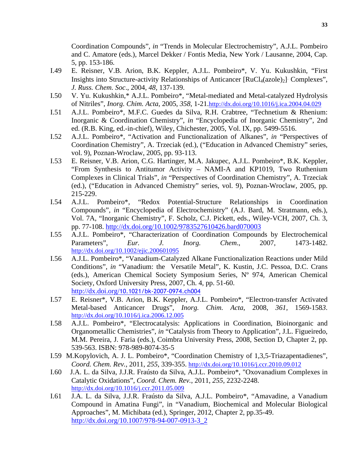Coordination Compounds", *in* "Trends in Molecular Electrochemistry", A.J.L. Pombeiro and C. Amatore (eds.), Marcel Dekker / Fontis Media, New York / Lausanne, 2004, Cap. 5, pp. 153-186.

- I.49 E. Reisner, V.B. Arion, B.K. Keppler, A.J.L. Pombeiro\*, V. Yu. Kukushkin, "First Insights into Structure-activity Relationships of Anticancer [RuCl<sub>4</sub>(azole)<sub>2</sub>]− Complexes", *J. Russ. Chem. Soc*., 2004, *48*, 137-139.
- I.50 V. Yu. Kukushkin,\* A.J.L. Pombeiro\*, "Metal-mediated and Metal-catalyzed Hydrolysis of Nitriles", *Inorg. Chim. Acta*, 2005, *358*, 1-21.http://dx.doi.org/10.1016/j.ica.2004.04.029
- I.51 A.J.L. Pombeiro\*, M.F.C. Guedes da Silva, R.H. Crabtree, "Technetium & Rhenium: Inorganic & Coordination Chemistry", *in* "Encyclopedia of Inorganic Chemistry", 2nd ed. (R.B. King, ed.-in-chief), Wiley, Chichester, 2005, Vol. IX, pp. 5499-5516.
- I.52 A.J.L. Pombeiro\*, "Activation and Functionalization of Alkanes", *in* "Perspectives of Coordination Chemistry", A. Trzeciak (ed.), ("Education in Advanced Chemistry" series, vol. 9), Poznan-Wroclaw, 2005, pp. 93-113.
- I.53 E. Reisner, V.B. Arion, C.G. Hartinger, M.A. Jakupec, A.J.L. Pombeiro\*, B.K. Keppler, "From Synthesis to Antitumor Activity – NAMI-A and KP1019, Two Ruthenium Complexes in Clinical Trials", *in* "Perspectives of Coordination Chemistry", A. Trzeciak (ed.), ("Education in Advanced Chemistry" series, vol. 9), Poznan-Wroclaw, 2005, pp. 215-229.
- I.54 A.J.L. Pombeiro\*, "Redox Potential-Structure Relationships in Coordination Compounds", *in* "Encyclopedia of Electrochemistry" (A.J. Bard, M. Stratmann, eds.), Vol. 7A, "Inorganic Chemistry", F. Scholz, C.J. Pickett, eds., Wiley-VCH, 2007, Ch. 3, pp. 77-108. http://dx.doi.org/10.1002/9783527610426.bard070003
- I.55 A.J.L. Pombeiro\*, "Characterization of Coordination Compounds by Electrochemical Parameters", *Eur. J. Inorg. Chem*., 2007, 1473-1482. http://dx.doi.org/10.1002/ejic.200601095
- I.56 A.J.L. Pombeiro\*, "Vanadium-Catalyzed Alkane Functionalization Reactions under Mild Conditions", *in* "Vanadium: the Versatile Metal", K. Kustin, J.C. Pessoa, D.C. Crans (eds.), American Chemical Society Symposium Series, Nº 974, American Chemical Society, Oxford University Press, 2007, Ch. 4, pp. 51-60. http://dx.doi.org/10.1021/bk-2007-0974.ch004
- I.57 E. Reisner\*, V.B. Arion, B.K. Keppler, A.J.L. Pombeiro\*, "Electron-transfer Activated Metal-based Anticancer Drugs", *Inorg. Chim. Acta*, 2008, *361,* 1569-158*3*. http://dx.doi.org/10.1016/j.ica.2006.12.005
- I.58 A.J.L. Pombeiro\*, "Electrocatalysis: Applications in Coordination, Bioinorganic and Organometallic Chemistries", *in* "Catalysis from Theory to Application", J.L. Figueiredo, M.M. Pereira, J. Faria (eds.), Coimbra University Press, 2008, Section D, Chapter 2, pp. 539-563. ISBN: 978-989-8074-35-5
- I.59 M.Kopylovich, A. J. L. Pombeiro\*, "Coordination Chemistry of 1,3,5-Triazapentadienes", *Coord. Chem. Rev.*, 2011, *255*, 339-355. http://dx.doi.org/10.1016/j.ccr.2010.09.012
- I.60 J.A. L. da Silva, J.J.R. Fraústo da Silva, A.J.L. Pombeiro\*, "Oxovanadium Complexes in Catalytic Oxidations", *Coord. Chem. Rev.*, 2011, *255*, 2232-2248. http://dx.doi.org/10.1016/j.ccr.2011.05.009
- I.61 J.A. L. da Silva, J.J.R. Fraústo da Silva, A.J.L. Pombeiro\*, "Amavadine, a Vanadium Compound in Amatina Fungi", in "Vanadium, Biochemical and Molecular Biological Approaches", M. Michibata (ed.), Springer, 2012, Chapter 2, pp.35-49. http://dx.doi.org/10.1007/978-94-007-0913-3\_2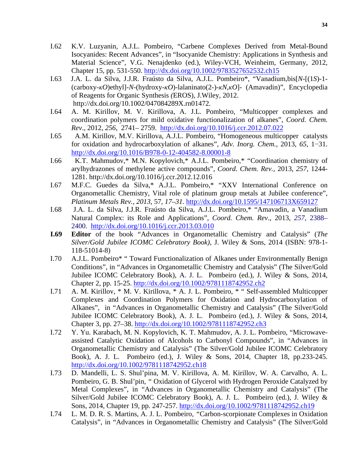- I.62 K.V. Luzyanin, A.J.L. Pombeiro, "Carbene Complexes Derived from Metal-Bound Isocyanides: Recent Advances", in "Isocyanide Chemistry: Applications in Synthesis and Material Science", V.G. Nenajdenko (ed.), Wiley-VCH, Weinheim, Germany, 2012, Chapter 15, pp. 531-550. http://dx.doi.org/10.1002/9783527652532.ch15
- I.63 J.A. L. da Silva, J.J.R. Fraústo da Silva, A.J.L. Pombeiro\*, "Vanadium,bis[*N*-[(1*S*)-1- (carboxy-*κO*)ethyl]-*N*-(hydroxy-*κO*)-lalaninato(2-)-*κN*,*κO*]- (Amavadin)", Encyclopedia of Reagents for Organic Synthesis *(*EROS), J.Wiley*,* 2012. http://dx.doi.org/10.1002/047084289X.rn01472*.*
- I.64 A. M. Kirillov, M. V. Kirillova, A. J.L. Pombeiro, "Multicopper complexes and coordination polymers for mild oxidative functionalization of alkanes", *Coord. Chem. Rev*., 2012, *256*, 2741– 2759. http://dx.doi.org/10.1016/j.ccr.2012.07.022
- I.65 A.M. Kirillov, M.V. Kirillova, A.J.L. Pombeiro, "Homogeneous multicopper catalysts for oxidation and hydrocarboxylation of alkanes", *Adv. Inorg. Chem.,* 2013, *65*, 1−31. http://dx.doi.org/10.1016/B978-0-12-404582-8.00001-8
- I.66 K.T. Mahmudov,\* M.N. Kopylovich,\* A.J.L. Pombeiro,\* "Coordination chemistry of arylhydrazones of methylene active compounds", *Coord. Chem. Rev.,* 2013, *257*, 1244- 1281. http://dx.doi.org/10.1016/j.ccr.2012.12.016
- I.67 M.F.C. Guedes da Silva,\* A.J.L. Pombeiro,\* "XXV International Conference on Organometallic Chemistry, Vital role of platinum group metals at Jubilee conference", *Platinum Metals Rev., 2013,* 57*, 17–31.* http://dx.doi.org/10.1595/147106713X659127
- I.68 J.A. L. da Silva, J.J.R. Fraústo da Silva, A.J.L. Pombeiro,\* "Amavadin, a Vanadium Natural Complex: its Role and Applications", *Coord. Chem. Rev*., 2013, *257*, 2388– 2400. http://dx.doi.org/10.1016/j.ccr.2013.03.010
- **I.69 Editor** of the book "Advances in Organometallic Chemistry and Catalysis" (*The Silver/Gold Jubilee ICOMC Celebratory Book)*, J. Wiley & Sons, 2014 (ISBN: 978-1- 118-51014-8)
- I.70 A.J.L. Pombeiro\* " Toward Functionalization of Alkanes under Environmentally Benign Conditions", in "Advances in Organometallic Chemistry and Catalysis" (The Silver/Gold Jubilee ICOMC Celebratory Book), A. J. L. Pombeiro (ed.), J. Wiley & Sons, 2014, Chapter 2, pp. 15-25. http://dx.doi.org/10.1002/9781118742952.ch2
- I.71 A. M. Kirillov, \* M. V. Kirillova, \* A. J. L. Pombeiro, \* " Self-assembled Multicopper Complexes and Coordination Polymers for Oxidation and Hydrocarboxylation of Alkanes",in "Advances in Organometallic Chemistry and Catalysis" (The Silver/Gold Jubilee ICOMC Celebratory Book), A. J. L. Pombeiro (ed.), J. Wiley & Sons, 2014, Chapter 3, pp. 27–38. http://dx.doi.org/10.1002/9781118742952.ch3
- I.72 Y. Yu. Karabach, M. N. Kopylovich, K. T. Mahmudov, A. J. L. Pombeiro, "Microwaveassisted Catalytic Oxidation of Alcohols to Carbonyl Compounds", in "Advances in Organometallic Chemistry and Catalysis" (The Silver/Gold Jubilee ICOMC Celebratory Book), A. J. L. Pombeiro (ed.), J. Wiley & Sons, 2014, Chapter 18, pp.233-245. http://dx.doi.org/10.1002/9781118742952.ch18
- I.73 D. Mandelli, L. S. Shul'pina, M. V. Kirillova, A. M. Kirillov, W. A. Carvalho, A. L. Pombeiro, G. B. Shul'pin, *"* Oxidation of Glycerol with Hydrogen Peroxide Catalyzed by Metal Complexes", in "Advances in Organometallic Chemistry and Catalysis" (The Silver/Gold Jubilee ICOMC Celebratory Book), A. J. L. Pombeiro (ed.), J. Wiley & Sons, 2014, Chapter 19, pp. 247-257. http://dx.doi.org/10.1002/9781118742952.ch19
- I.74 L. M. D. R. S. Martins, A. J. L. Pombeiro*, "*Carbon-scorpionate Complexes in Oxidation Catalysis", in "Advances in Organometallic Chemistry and Catalysis" (The Silver/Gold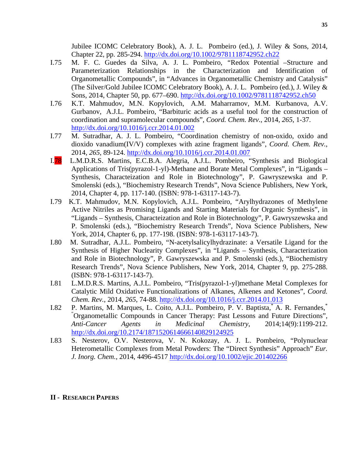Jubilee ICOMC Celebratory Book), A. J. L. Pombeiro (ed.), J. Wiley & Sons, 2014, Chapter 22, pp. 285-294. http://dx.doi.org/10.1002/9781118742952.ch22

- I.75 M. F. C. Guedes da Silva, A. J. L. Pombeiro, *"*Redox Potential –Structure and Parameterization Relationships in the Characterization and Identification of Organometallic Compounds", in "Advances in Organometallic Chemistry and Catalysis" (The Silver/Gold Jubilee ICOMC Celebratory Book), A. J. L. Pombeiro (ed.), J. Wiley & Sons, 2014, Chapter 50, pp. 677–690. http://dx.doi.org/10.1002/9781118742952.ch50
- I.76 K.T. Mahmudov, M.N. Kopylovich, A.M. Maharramov, M.M. Kurbanova, A.V. Gurbanov, A.J.L. Pombeiro, "Barbituric acids as a useful tool for the construction of coordination and supramolecular compounds", *Coord. Chem. Rev.*, 2014, *265*, 1-37. http://dx.doi.org/10.1016/j.ccr.2014.01.002
- I.77 M. Sutradhar, A. J. L. Pombeiro, "Coordination chemistry of non-oxido, oxido and dioxido vanadium(IV/V) complexes with azine fragment ligands", *Coord. Chem. Rev.*, 2014, *265*, 89-124. http://dx.doi.org/10.1016/j.ccr.2014.01.007
- I.78 L.M.D.R.S. Martins, E.C.B.A. Alegria, A.J.L. Pombeiro, "Synthesis and Biological Applications of Tris(pyrazol-1-yl)-Methane and Borate Metal Complexes", in "Ligands – Synthesis, Characteization and Role in Biotechnology", P. Gawryszewska and P. Smolenski (eds.), "Biochemistry Research Trends", Nova Science Publishers, New York, 2014, Chapter 4, pp. 117-140. (ISBN: 978-1-63117-143-7).
- I.79 K.T. Mahmudov, M.N. Kopylovich, A.J.L. Pombeiro, "Arylhydrazones of Methylene Active Nitriles as Promising Ligands and Starting Materials for Organic Synthesis", in "Ligands – Synthesis, Characteization and Role in Biotechnology", P. Gawryszewska and P. Smolenski (eds.), "Biochemistry Research Trends", Nova Science Publishers, New York, 2014, Chapter 6, pp. 177-198. (ISBN: 978-1-63117-143-7).
- I.80 M. Sutradhar, A.J.L. Pombeiro, "N-acetylsalicylhydrazinate: a Versatile Ligand for the Synthesis of Higher Nuclearity Complexes", in "Ligands – Synthesis, Characterization and Role in Biotechnology", P. Gawryszewska and P. Smolenski (eds.), "Biochemistry Research Trends", Nova Science Publishers, New York, 2014, Chapter 9, pp. 275-288. (ISBN: 978-1-63117-143-7).
- I.81 L.M.D.R.S. Martins, A.J.L. Pombeiro, "Tris(pyrazol-1-yl)methane Metal Complexes for Catalytic Mild Oxidative Functionalizations of Alkanes, Alkenes and Ketones", *Coord. Chem. Rev.*, 2014, *265*, 74-88. http://dx.doi.org/10.1016/j.ccr.2014.01.013
- I.82 P. Martins, M. Marques, L. Coito, A.J.L. Pombeiro, P. V. Baptista,\* A. R. Fernandes,\* " Organometallic Compounds in Cancer Therapy: Past Lessons and Future Directions", *Anti-Cancer Agents in Medicinal Chemistry*, 2014;14(9):1199-212. http://dx.doi.org/10.2174/1871520614666140829124925
- I.83 S. Nesterov, O.V. Nesterova, V. N. Kokozay, A. J. L. Pombeiro, "Polynuclear Heterometallic Complexes from Metal Powders: The "Direct Synthesis" Approach" *Eur. J. Inorg. Chem.*, 2014, 4496-4517 http://dx.doi.org/10.1002/ejic.201402266

#### **II - RESEARCH PAPERS**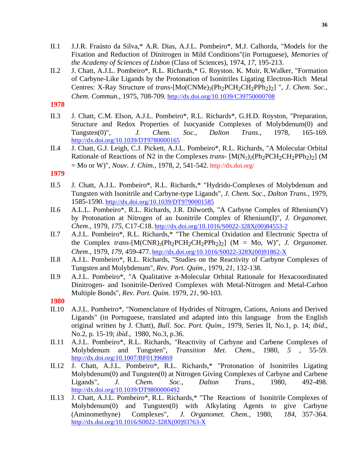- II.1 J.J.R. Fraústo da Silva,\* A.R. Dias, A.J.L. Pombeiro\*, M.J. Calhorda, "Models for the Fixation and Reduction of Dinitrogen in Mild Conditions"(in Portuguese), *Memories of the Academy of Sciences of Lisbon* (Class of Sciences), 1974, *17*, 195-213.
- II.2 J. Chatt, A.J.L. Pombeiro\*, R.L. Richards,\* G. Royston. K. Muir, R.Walker, "Formation of Carbyne-Like Ligands by the Protonation of Isonitriles Ligating Electron-Rich Metal Centres: X-Ray Structure of *trans*-[Mo(CNMe)<sub>2</sub>(Ph<sub>2</sub>PCH<sub>2</sub>CH<sub>2</sub>PPh<sub>2</sub>)<sub>2</sub>] ", *J. Chem. Soc.*, *Chem. Commun.*, 1975, 708-709. http://dx.doi.org/10.1039/C39750000708

# **1978**

- II.3 J. Chatt, C.M. Elson, A.J.L. Pombeiro\*, R.L. Richards\*, G.H.D. Royston, "Preparation, Structure and Redox Properties of Isocyanide Complexes of Molybdenum(0) and Tungsten(0)", *J. Chem. Soc., Dalton Trans*., 1978, 165-169. http://dx.doi.org/10.1039/DT9780000165
- II.4 J. Chatt, G.J. Leigh, C.J. Pickett, A.J.L. Pombeiro\*, R.L. Richards, "A Molecular Orbital Rationale of Reactions of N2 in the Complexes *trans*-  $[M(N_2)_2(Ph_2PCH_2CH_2PPh_2)_2]$  (M = Mo or W)", *Nouv. J. Chim.*, 1978, *2,* 541-542. http://dx.doi.org/

#### **1979**

- II.5 J. Chatt, A.J.L. Pombeiro\*, R.L. Richards,\* "Hydrido-Complexes of Molybdenum and Tungsten with Isonitrile and Carbyne-type Ligands", *J. Chem. Soc., Dalton Trans.*, 1979, 1585-1590. http://dx.doi.org/10.1039/DT9790001585
- II.6 A.L.L. Pombeiro\*, R.L. Richards, J.R. Dilworth, "A Carbyne Complex of Rhenium(V) by Protonation at Nitrogen of an Isonitrile Complex of Rhenium(I)", *J. Organomet. Chem*., 1979, *175*, C17-C18. http://dx.doi.org/10.1016/S0022-328X(00)84553-2
- II.7 A.J.L. Pombeiro\*, R.L. Richards,\* "The Chemical Oxidation and Electronic Spectra of the Complex *trans*- $[M(CNR)_2(Ph_2PCH_2CH_2PPh_2)_2]$  (M = Mo, W)", *J. Organomet. Chem*., 1979, *179*, 459-477. http://dx.doi.org/10.1016/S0022-328X(00)91862-X
- II.8 A.J.L. Pombeiro\*, R.L. Richards, "Studies on the Reactivity of Carbyne Complexes of Tungsten and Molybdenum", *Rev. Port. Quím*., 1979, *21*, 132-138.
- II.9 A.J.L. Pombeiro\*, "A Qualitative π-Molecular Orbital Rationale for Hexacoordinated Dinitrogen- and Isonitrile-Derived Complexes with Metal-Nitrogen and Metal-Carbon Multiple Bonds", *Rev. Port. Quím.* 1979, *21*, 90-103.

## **1980**

- II.10 A.J.L. Pombeiro\*, "Nomenclature of Hydrides of Nitrogen, Cations, Anions and Derived Ligands" (in Portuguese, translated and adapted into this language from the English original written by J. Chatt), *Bull. Soc. Port. Quím*., 1979, Series II, No.1, p. 14; *ibid*., No.2, p. 15-19; *ibid.,* 1980, No.3, p.36.
- II.11 A.J.L. Pombeiro\*, R.L. Richards, "Reactivity of Carbyne and Carbene Complexes of Molybdenum and Tungsten", *Transition Met. Chem.*, 1980, *5* , 55-59. http://dx.doi.org/10.1007/BF01396869
- II.12 J. Chatt, A.J.L. Pombeiro\*, R.L. Richards,\* "Protonation of Isonitriles Ligating Molybdenum(0) and Tungsten(0) at Nitrogen Giving Complexes of Carbyne and Carbene Ligands", *J. Chem. Soc., Dalton Trans*., 1980, 492-498. http://dx.doi.org/10.1039/DT9800000492
- II.13 J. Chatt, A.J.L. Pombeiro\*, R.L. Richards,\* "The Reactions of Isonitrile Complexes of Molybdenum(0) and Tungsten(0) with Alkylating Agents to give Carbyne (Aminomethyne) Complexes", *J. Organomet. Chem.*, 1980, *184*, 357-364. http://dx.doi.org/10.1016/S0022-328X(00)93763-X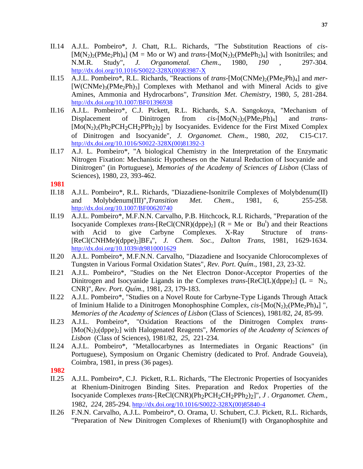- II.14 A.J.L. Pombeiro\*, J. Chatt, R.L. Richards, "The Substitution Reactions of *cis*  $[M(N_2)_2(PMe_2Ph)_4]$  (M = Mo or W) and *trans*- $[Mo(N_2)_2(PMePh_2)_4]$  with Isonitriles; and N.M.R. Study", *J. Organometal. Chem.*, 1980, 190, 297-304. N.M.R. Study", *J. Organometal. Chem*., 1980, *190* , 297-304. http://dx.doi.org/10.1016/S0022-328X(00)83987-X
- II.15 A.J.L. Pombeiro\*, R.L. Richards, "Reactions of *trans*-[Mo(CNMe)<sub>2</sub>(PMe<sub>2</sub>Ph)<sub>4</sub>] and *mer*- $[W(CNMe)<sub>3</sub>(PMe<sub>2</sub>Ph)<sub>3</sub>]$  Complexes with Methanol and with Mineral Acids to give Amines, Ammonia and Hydrocarbons", *Transition Met*. *Chemistry*, 1980, *5*, 281-284. http://dx.doi.org/10.1007/BF01396938
- II.16 A.J.L. Pombeiro\*, C.J. Pickett, R.L. Richards, S.A. Sangokoya, "Mechanism of Displacement of Dinitrogen from *cis*-[Mo(N<sub>2</sub>)<sub>2</sub>(PMe<sub>2</sub>Ph)<sub>4</sub>] and *trans*- $[Mo(N_2)_2(Ph_2PCH_2CH_2PPh_2)_2]$  by Isocyanides. Evidence for the First Mixed Complex of Dinitrogen and Isocyanide", *J. Organomet. Chem*., 1980, *202*, C15-C17. http://dx.doi.org/10.1016/S0022-328X(00)81392-3
- II.17 A.J. L. Pombeiro\*, "A biological Chemistry in the Interpretation of the Enzymatic Nitrogen Fixation: Mechanistic Hypotheses on the Natural Reduction of Isocyanide and Dinitrogen" (in Portuguese), *Memories of the Academy of Sciences of Lisbon* (Class of Sciences), 1980, *23*, 393-462.

**1981**

- II.18 A.J.L. Pombeiro\*, R.L. Richards, "Diazadiene-Isonitrile Complexes of Molybdenum(II) and Molybdenum(III)",*Transition Met. Chem*., 1981, *6,* 255-258. http://dx.doi.org/10.1007/BF00620740
- II.19 A.J.L. Pombeiro\*, M.F.N.N. Carvalho, P.B. Hitchcock, R.L Richards, "Preparation of the Isocyanide Complexes *trans*-[ReCl(CNR)(dppe)<sub>2</sub>] ( $R = Me$  or Bu<sup>t</sup>) and their Reactions with Acid to give Carbyne Complexes. X-Ray Structure of *trans*- [ReCl(CNHMe)(dppe)2]BF4", *J. Chem. Soc., Dalton Trans*, 1981, 1629-1634. http://dx.doi.org/10.1039/dt9810001629
- II.20 A.J.L. Pombeiro\*, M.F.N.N. Carvalho, "Diazadiene and Isocyanide Chlorocomplexes of Tungsten in Various Formal Oxidation States", *Rev. Port*. *Quím*., 1981, *23*, 23-32.
- II.21 A.J.L. Pombeiro\*, "Studies on the Net Electron Donor-Acceptor Properties of the Dinitrogen and Isocyanide Ligands in the Complexes *trans*-[ReCl(L)(dppe)<sub>2</sub>] (L = N<sub>2</sub>, CNR)", *Rev. Port. Quím*., 1981, *23*, 179-183.
- II.22 A.J.L. Pombeiro\*, "Studies on a Novel Route for Carbyne-Type Ligands Through Attack of Iminium Halide to a Dinitrogen Monophosphine Complex, *cis*-[Mo(N<sub>2</sub>)<sub>2</sub>(PMe<sub>2</sub>Ph)<sub>4</sub>] ", *Memories of the Academy of Sciences of Lisbon* (Class of Sciences), 1981/82, *24*, 85-99.
- II.23 A.J.L. Pombeiro\*, "Oxidation Reactions of the Dinitrogen Complex *trans* [Mo(N2)2(dppe)2] with Halogenated Reagents", *Memories of the Academy of Sciences of Lisbon* (Class of Sciences), 1981/82, *25*, 221-234.
- II.24 A.J.L. Pombeiro\*, "Metallocarbynes as Intermediates in Organic Reactions" (in Portuguese), Symposium on Organic Chemistry (dedicated to Prof. Andrade Gouveia), Coimbra, 1981, in press (36 pages).

- II.25 A.J.L. Pombeiro\*, C.J. Pickett, R.L. Richards, "The Electronic Properties of Isocyanides at Rhenium-Dinitrogen Binding Sites. Preparation and Redox Properties of the Isocyanide Complexes *trans*-[ReCl(CNR)(Ph<sub>2</sub>PCH<sub>2</sub>CH<sub>2</sub>PPh<sub>2</sub>)<sub>2</sub>]", *J. Organomet. Chem.,* 1982, *224*, 285-294. http://dx.doi.org/10.1016/S0022-328X(00)85840-4
- II.26 F.N.N. Carvalho, A.J.L. Pombeiro\*, O. Orama, U. Schubert, C.J. Pickett, R.L. Richards, "Preparation of New Dinitrogen Complexes of Rhenium(I) with Organophosphite and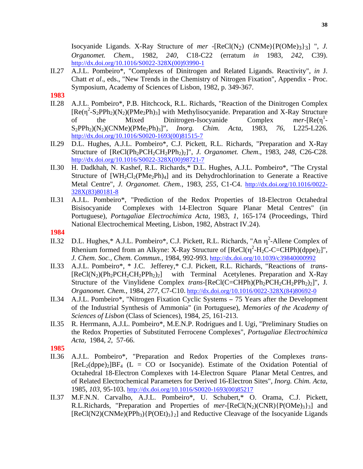Isocyanide Ligands. X-Ray Structure of *mer* -[ReCl(N2) (CNMe){P(OMe)3}3] ", *J. Organomet. Chem.*, 1982, *240*, C18-C22 (erratum *in* 1983, *242,* C39). http://dx.doi.org/10.1016/S0022-328X(00)93990-1

- II.27 A.J.L. Pombeiro\*, "Complexes of Dinitrogen and Related Ligands. Reactivity", *in* J. Chatt *et al*., eds., "New Trends in the Chemistry of Nitrogen Fixation", Appendix - Proc. Symposium, Academy of Sciences of Lisbon, 1982, p. 349-367.
- **1983**
- II.28 A.J.L. Pombeiro\*, P.B. Hitchcock, R.L. Richards, "Reaction of the Dinitrogen Complex  $[Re(\eta^2-S_2PPh_2)(N_2)(PMe_2Ph)_3]$  with Methylisocyanide. Preparation and X-Ray Structure of the Mixed Dinitrogen-Isocyanide Complex 1 - S2PPh2)(N2)(CNMe)(PMe2Ph)3]", *Inorg. Chim. Acta*, 1983, *76*, L225-L226. http://dx.doi.org/10.1016/S0020-1693(00)81515-7
- II.29 D.L. Hughes, A.J.L. Pombeiro\*, C.J. Pickett, R.L. Richards, "Preparation and X-Ray Structure of [ReCl(Ph2PCH2CH2PPh2)2]", *J. Organomet. Chem*., 1983, *248*, C26-C28. http://dx.doi.org/10.1016/S0022-328X(00)98721-7
- II.30 H. Dadkhah, N. Kashef, R.L. Richards,\* D.L. Hughes, A.J.L. Pombeiro\*, "The Crystal Structure of  $[WH_2Cl_2(PMe_2Ph)_4]$  and its Dehydrochlorination to Generate a Reactive Metal Centre", *J. Organomet. Chem.*, 1983, *255*, C1-C4. http://dx.doi.org/10.1016/0022- 328X(83)80181-8
- II.31 A.J.L. Pombeiro\*, "Prediction of the Redox Properties of 18-Electron Octahedral Bisisocyanide Complexes with 14-Electron Square Planar Metal Centres" (in Portuguese), *Portugaliae Electrochimica Acta,* 1983, *1*, 165-174 (Proceedings, Third National Electrochemical Meeting, Lisbon, 1982, Abstract IV.24).
- **1984**
- II.32 D.L. Hughes,\* A.J.L. Pombeiro\*, C.J. Pickett, R.L. Richards, "An  $\eta^2$ -Allene Complex of Rhenium formed from an Alkyne: X-Ray Structure of  $[ReCl(\eta^2-H_2C-C=CHPh)(dppe)_2]$ ", *J. Chem. Soc., Chem. Commun.*, 1984, 992-993. http://dx.doi.org/10.1039/c39840000992
- II.33 A.J.L. Pombeiro\*, \* J.C. Jefferey,\* C.J. Pickett, R.L. Richards, "Reactions of *trans-*  $[ReCl(N_2)(Ph_2PCH_2CH_2PPh_2)_2]$  with Terminal Acetylenes. Preparation and X-Ray Structure of the Vinylidene Complex *trans*-[ReCl(C=CHPh)(Ph<sub>2</sub>PCH<sub>2</sub>CH<sub>2</sub>PPh<sub>2</sub>)<sub>2</sub>]", J. *Organomet. Chem.*, 1984, *277,* C7-C10. http://dx.doi.org/10.1016/0022-328X(84)80692-0
- II.34 A.J.L. Pombeiro\*, "Nitrogen Fixation Cyclic Systems − 75 Years after the Development of the Industrial Synthesis of Ammonia" (in Portuguese), *Memories of the Academy of Sciences of Lisbon* (Class of Sciences), 1984, *25*, 161-213.
- II.35 R. Herrmann, A.J.L. Pombeiro\*, M.E.N.P. Rodrigues and I. Ugi, "Preliminary Studies on the Redox Properties of Substituted Ferrocene Complexes", *Portugaliae Electrochimica Acta*, 1984, *2*, 57-66.

- II.36 A.J.L. Pombeiro\*, "Preparation and Redox Properties of the Complexes *trans*  $[ReLU_2(dppe)_2]BF_4$  (L = CO or Isocyanide). Estimate of the Oxidation Potential of Octahedral 18-Electron Complexes with 14-Electron Square Planar Metal Centres, and of Related Electrochemical Parameters for Derived 16-Electron Sites", *Inorg. Chim. Acta*, 1985, *103*, 95-103. http://dx.doi.org/10.1016/S0020-1693(00)85217
- II.37 M.F.N.N. Carvalho, A.J.L. Pombeiro\*, U. Schubert,\* O. Orama, C.J. Pickett, R.L.Richards, "Preparation and Properties of  $mer$ -[ReCl(N<sub>2</sub>)(CNR){P(OMe)<sub>3</sub>}<sub>3</sub>] and  $[ReCl(N2)(CNMe)(PPh<sub>3</sub>){P(OEt)<sub>3</sub>}$  and Reductive Cleavage of the Isocyanide Ligands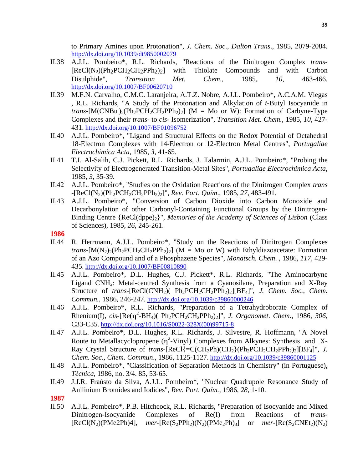to Primary Amines upon Protonation", *J. Chem. Soc*., *Dalton Trans*., 1985, 2079-2084. http://dx.doi.org/10.1039/dt9850002079

- II.38 A.J.L. Pombeiro\*, R.L. Richards, "Reactions of the Dinitrogen Complex *trans*  $[ReCl(N_2)(Ph_2PCH_2CH_2PPh_2)_2]$  with Thiolate Compounds and with Carbon Disulphide", *Transition Met. Chem.*, 1985, *10,* 463-466. http://dx.doi.org/10.1007/BF00620710
- II.39 M.F.N. Carvalho, C.M.C. Laranjeira, A.T.Z. Nobre, A.J.L. Pombeiro\*, A.C.A.M. Viegas , R.L. Richards, "A Study of the Protonation and Alkylation of *t*-Butyl Isocyanide in *trans*-[M(CNBu<sup>t</sup>)<sub>2</sub>(Ph<sub>2</sub>PCH<sub>2</sub>CH<sub>2</sub>PPh<sub>2</sub>)<sub>2</sub>] (M = Mo or W): Formation of Carbyne-Type Complexes and their *trans*- to *cis*- Isomerization", *Transition Met. Chem.*, 1985, *10*, 427- 431. http://dx.doi.org/10.1007/BF01096752
- II.40 A.J.L. Pombeiro\*, "Ligand and Structural Effects on the Redox Potential of Octahedral 18-Electron Complexes with 14-Electron or 12-Electron Metal Centres", *Portugaliae Electrochimica Acta*, 1985, *3*, 41-65.
- II.41 T.I. Al-Salih, C.J. Pickett, R.L. Richards, J. Talarmin, A.J.L. Pombeiro\*, "Probing the Selectivity of Electrogenerated Transition-Metal Sites", *Portugaliae Electrochimica Acta,* 1985, *3*, 35-39.
- II.42 A.J.L. Pombeiro\*, "Studies on the Oxidation Reactions of the Dinitrogen Complex *trans*  -[ReCl(N2)(Ph2PCH2CH2PPh2)2]", *Rev. Port. Quím*., 1985, *27,* 483-491.
- II.43 A.J.L. Pombeiro\*, "Conversion of Carbon Dioxide into Carbon Monoxide and Decarbonylation of other Carbonyl-Containing Functional Groups by the Dinitrogen-Binding Centre {ReCl(dppe)2}", *Memories of the Academy of Sciences of Lisbon* (Class of Sciences), 1985, *26*, 245-261.
- **1986**
- II.44 R. Herrmann, A.J.L. Pombeiro\*, "Study on the Reactions of Dinitrogen Complexes *trans*- $[M(N_2)_2(Ph_2PCH_2CH_2PPh_2)_2]$  (M = Mo or W) with Ethyldiazoacetate: Formation of an Azo Compound and of a Phosphazene Species", *Monatsch. Chem*. , 1986, *117,* 429- 435. http://dx.doi.org/10.1007/BF00810890
- II.45 A.J.L. Pombeiro\*, D.L. Hughes, C.J. Pickett\*, R.L. Richards, "The Aminocarbyne Ligand CNH2: Metal-centred Synthesis from a Cyanosilane, Preparation and X-Ray Structure of *trans*-[ReCl(CNH<sub>2</sub>)( Ph<sub>2</sub>PCH<sub>2</sub>CH<sub>2</sub>PPh<sub>2</sub>)<sub>2</sub>][BF<sub>4</sub>]", *J. Chem. Soc., Chem. Commun.,* 1986, 246-247. http://dx.doi.org/10.1039/c39860000246
- II.46 A.J.L. Pombeiro\*, R.L. Richards, "Preparation of a Tetrahydroborate Complex of Rhenium(I), *cis*-[Re(η 2 -BH4)( Ph2PCH2CH2PPh2)2]", *J. Organomet*. *Chem.*, 1986, *306*, C33-C35. http://dx.doi.org/10.1016/S0022-328X(00)99715-8
- II.47 A.J.L. Pombeiro\*, D.L. Hughes, R.L. Richards, J. Silvestre, R. Hoffmann, "A Novel Route to Metallacyclopropene  $(\eta^2$ -Vinyl) Complexes from Alkynes: Synthesis and X-Ray Crystal Structure of *trans*-[ReCl{=C(CH<sub>2</sub>Ph)(CH<sub>2</sub>}(Ph<sub>2</sub>PCH<sub>2</sub>CH<sub>2</sub>PPh<sub>2</sub>)<sub>2</sub>][BF<sub>4</sub>]", *J. Chem. Soc., Chem. Commun*., 1986, 1125-1127. http://dx.doi.org/10.1039/c39860001125
- II.48 A.J.L. Pombeiro\*, "Classification of Separation Methods in Chemistry" (in Portuguese), *Técnica*, 1986, no. 3/4. 85, 53-65.
- II.49 J.J.R. Fraústo da Silva, A.J.L. Pombeiro\*, "Nuclear Quadrupole Resonance Study of Anilinium Bromides and Iodides", *Rev. Port. Quím.*, 1986, *28*, 1-10.

**1987**

II.50 A.J.L. Pombeiro\*, P.B. Hitchcock, R.L. Richards, "Preparation of Isocyanide and Mixed Dinitrogen-Isocyanide Complexes of Re(I) from Reactions of *trans*-  $[ReCl(N_2)(PMe2Ph)4]$ ,  $mer-[Re(S_2PPh_2)(N_2)(PMe_2Ph)_3]$  or  $mer-[Re(S_2CNEt_2)(N_2)$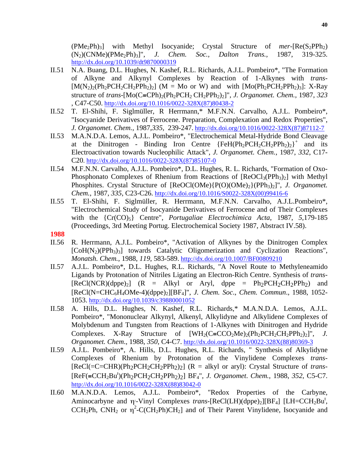$(PMe_2Ph_3]$  with Methyl Isocyanide; Crystal Structure of *mer*- $[Re(S_2PPh_2)]$ (N2)(CNMe)(PMe2Ph)3]", *J. Chem. Soc., Dalton Trans.*, 1987, 319-325. http://dx.doi.org/10.1039/dt9870000319

- II.51 N.A. Buang, D.L. Hughes, N. Kashef, R.L. Richards, A.J.L. Pombeiro\*, "The Formation of Alkyne and Alkynyl Complexes by Reaction of 1-Alkynes with *trans*-  $[M(N_2)_2(Ph_2PCH_2CH_2PPh_2)_2]$  (M = Mo or W) and with  $[Mo(Ph_2PCH_2PPh_2)_3]$ : X-Ray structure of *trans*- $[Mo(C=CPh)_{2}(Ph_{2}PCH_{2}CH_{2}PPh_{2})_{2}]$ ", *J. Organomet. Chem.*, 1987, 323 , C47-C50. http://dx.doi.org/10.1016/0022-328X(87)80438-2
- II.52 T. El-Shihi, F. Siglmüller, R Herrmann,\* M.F.N.N. Carvalho, A.J.L. Pombeiro\*, "Isocyanide Derivatives of Ferrocene. Preparation, Complexation and Redox Properties", *J. Organomet. Chem.*, 1987,*335,* 239-247. http://dx.doi.org/10.1016/0022-328X(87)87112-7
- II.53 M.A.N.D.A. Lemos, A.J.L. Pombeiro\*, "Electrochemical Metal-Hydride Bond Cleavage at the Dinitrogen - Binding Iron Centre  ${FeH(Ph<sub>2</sub>PCH<sub>2</sub>CH<sub>2</sub>PPh<sub>2</sub>)<sub>2</sub>}^+$  and its Electroactivation towards Nucleophilic Attack", *J. Organomet. Chem.*, 1987, *332*, C17- C20. http://dx.doi.org/10.1016/0022-328X(87)85107-0
- II.54 M.F.N.N. Carvalho, A.J.L. Pombeiro\*, D.L. Hughes, R. L. Richards, "Formation of Oxo-Phosphonato Complexes of Rhenium from Reactions of  $[ReOCl_3(Ph_3)_2]$  with Methyl Phosphites. Crystal Structure of [ReOCl(OMe){P(O)(OMe)2}(PPh3)2]", *J. Organomet. Chem.*, 1987, *335*, C23-C26. http://dx.doi.org/10.1016/S0022-328X(00)99416-6
- II.55 T. El-Shihi, F. Siglmüller, R. Herrmann, M.F.N.N. Carvalho, A.J.L.Pombeiro\*, "Electrochemical Study of Isocyanide Derivatives of Ferrocene and of Their Complexes with the {Cr(CO)5} Centre", *Portugaliae Electrochimica Acta*, 1987, *5*,179-185 (Proceedings, 3rd Meeting Portug. Electrochemical Society 1987, Abstract IV.58).
- **1988**
- II.56 R. Herrmann, A.J.L. Pombeiro\*, "Activation of Alkynes by the Dinitrogen Complex  $[CoH(N<sub>2</sub>)(PPh<sub>3</sub>)$ <sub>3</sub>] towards Catalytic Oligomerization and Cyclization Reactions", *Monatsh. Chem.*, 1988, *119*, 583-589. http://dx.doi.org/10.1007/BF00809210
- II.57 A.J.L. Pombeiro\*, D.L. Hughes, R.L. Richards, "A Novel Route to Methyleneamido Ligands by Protonation of Nitriles Ligating an Electron-Rich Centre. Synthesis of *trans*-  $[ReCl(NCR)(dppe)_2]$   $(R = Alkyl$  or Aryl, dppe =  $Ph_2PCH_2CH_2PPh_2$  and [ReCl(N=CHC6H4OMe-4)(dppe)2][BF4]", *J. Chem. Soc*., *Chem. Commun*., 1988, 1052- 1053. http://dx.doi.org/10.1039/c39880001052
- II.58 A. Hills, D.L. Hughes, N. Kashef, R.L. Richards,\* M.A.N.D.A. Lemos, A.J.L. Pombeiro\*, "Mononuclear Alkynyl, Alkenyl, Alkylidyne and Alkylidene Complexes of Molybdenum and Tungsten from Reactions of 1-Alkynes with Dinitrogen and Hydride Complexes. X-Ray Structure of  $[WH_2(C=CCO_2Me)_2(Ph_2PCH_2CH_2PPh_2)_2]$ ", *J. Organomet. Chem*., 1988, *350*, C4-C7. http://dx.doi.org/10.1016/0022-328X(88)80369-3
- II.59 A.J.L. Pombeiro\*, A. Hills, D.L. Hughes, R.L. Richards, " Synthesis of Alkylidyne Complexes of Rhenium by Protonation of the Vinylidene Complexes *trans*- [ReCl(=C=CHR)(Ph<sub>2</sub>PCH<sub>2</sub>CH<sub>2</sub>PPh<sub>2</sub>)<sub>2</sub>] (R = alkyl or aryl): Crystal Structure of *trans*-[ReF(≡CCH2Bu<sup>t</sup> )(Ph2PCH2CH2PPh2)2] BF4", *J. Organomet*. *Chem.*, 1988, *352*, C5-C7. http://dx.doi.org/10.1016/0022-328X(88)83042-0
- II.60 M.A.N.D.A. Lemos, A.J.L. Pombeiro\*, "Redox Properties of the Carbyne, Aminocarbyne and η<sup>2</sup>-Vinyl Complexes *trans*-[ReCl(LH)(dppe)<sub>2</sub>][BF<sub>4</sub>] [LH=CCH<sub>2</sub>Bu<sup>t</sup>, CCH<sub>2</sub>Ph, CNH<sub>2</sub> or  $\eta^2$ -C(CH<sub>2</sub>Ph)CH<sub>2</sub>] and of Their Parent Vinylidene, Isocyanide and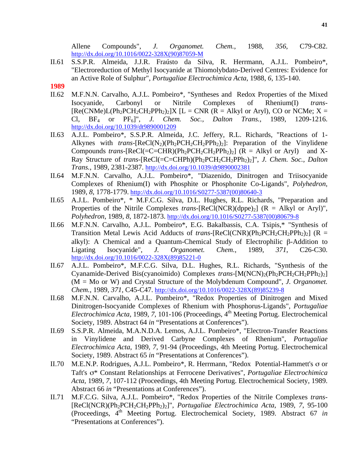Allene Compounds", *J. Organomet. Chem.*, 1988, *356*, C79-C82. http://dx.doi.org/10.1016/0022-328X(90)87059-M

- II.61 S.S.P.R. Almeida, J.J.R. Fraústo da Silva, R. Herrmann, A.J.L. Pombeiro\*, "Electroreduction of Methyl Isocyanide at Thiomolybdato-Derived Centres: Evidence for an Active Role of Sulphur", *Portugaliae Electrochimica Acta*, 1988, *6*, 135-140.
- **1989**
- II.62 M.F.N.N. Carvalho, A.J.L. Pombeiro\*, "Syntheses and Redox Properties of the Mixed Isocyanide, Carbonyl or Nitrile Complexes of Rhenium(I) *trans*-  $[Re(CNMe)L(Ph<sub>2</sub>PCH<sub>2</sub>CH<sub>2</sub>PPh<sub>2</sub>)<sub>2</sub>]X [L = CNR (R = Alkyl or Aryl), CO or NCMe; X =$ Cl, BF4 or PF6]", *J. Chem. Soc., Dalton Trans.*, 1989, 1209-1216. http://dx.doi.org/10.1039/dt9890001209
- II.63 A.J.L. Pombeiro\*, S.S.P.R. Almeida, J.C. Jeffery, R.L. Richards, "Reactions of 1- Alkynes with *trans*- $[Recl(N_2)(Ph_2PCH_2CH_2PPh_2)_2]$ : Preparation of the Vinylidene Compounds *trans*- $[Recl (=C=CHR)(Ph<sub>2</sub>PCH<sub>2</sub>CH<sub>2</sub>PPh<sub>2</sub>)<sub>2</sub>]$  ( $R = Alkyl$  or Aryl) and X-Ray Structure of *trans-*[ReCl(=C=CHPh)(Ph2PCH2CH2PPh2)2]", *J. Chem. Soc., Dalton Trans.*, 1989, 2381-2387. http://dx.doi.org/10.1039/dt9890002381
- II.64 M.F.N.N. Carvalho, A.J.L. Pombeiro\*, "Diazenido, Dinitrogen and Triisocyanide Complexes of Rhenium(I) with Phosphite or Phosphonite Co-Ligands", *Polyhedron*, 1989, *8*, 1778-1779. http://dx.doi.org/10.1016/S0277-5387(00)80640-3
- II.65 A.J.L. Pombeiro\*, \* M.F.C.G. Silva, D.L. Hughes, R.L. Richards, "Preparation and Properties of the Nitrile Complexes *trans*- $[ReCl(NCR)(dppe)_2]$  ( $R = Alkyl$  or Aryl)", *Polyhedron*, 1989, *8*, 1872-1873. http://dx.doi.org/10.1016/S0277-5387(00)80679-8
- II.66 M.F.N.N. Carvalho, A.J.L. Pombeiro\*, E.G. Bakalbassis, C.A. Tsipis,\* "Synthesis of Transition Metal Lewis Acid Adducts of *trans*-[ReCl(CNR)(Ph<sub>2</sub>PCH<sub>2</sub>CH<sub>2</sub>PPh<sub>2</sub>)<sub>2</sub>] (R = alkyl): A Chemical and a Quantum-Chemical Study of Electrophilic β-Addition to Ligating Isocyanide", J. Organomet. Chem., 1989, 371, C26-C30. Ligating Isocyanide", *J. Organomet. Chem.*, 1989, *371*, C26-C30. http://dx.doi.org/10.1016/0022-328X(89)85221-0
- II.67 A.J.L. Pombeiro\*, M.F.C.G. Silva, D.L. Hughes, R.L. Richards, "Synthesis of the Cyanamide-Derived Bis(cyanoimido) Complexes *trans*-[M(NCN)<sub>2</sub>(Ph<sub>2</sub>PCH<sub>2</sub>CH<sub>2</sub>PPh<sub>2</sub>)<sub>2</sub>] (M = Mo or W) and Crystal Structure of the Molybdenum Compound", *J. Organomet. Chem.*, 1989, *371,* C45-C47. http://dx.doi.org/10.1016/0022-328X(89)85239-8
- II.68 M.F.N.N. Carvalho, A.J.L. Pombeiro\*, "Redox Properties of Dinitrogen and Mixed Dinitrogen-Isocyanide Complexes of Rhenium with Phosphorus-Ligands", *Portugaliae Electrochimica Acta*, 1989, 7, 101-106 (Proceedings, 4<sup>th</sup> Meeting Portug. Electrochemical Society, 1989. Abstract 64 *in* "Presentations at Conferences").
- II.69 S.S.P.R. Almeida, M.A.N.D.A. Lemos, A.J.L. Pombeiro\*, "Electron-Transfer Reactions in Vinylidene and Derived Carbyne Complexes of Rhenium", *Portugaliae Electrochimica Acta*, 1989, *7*, 91-94 (Proceedings, 4th Meeting Portug. Electrochemical Society, 1989. Abstract 65 *in* "Presentations at Conferences").
- II.70 M.E.N.P. Rodrigues, A.J.L. Pombeiro\*, R. Herrmann, "Redox Potential-Hammett's σ or Taft's σ\* Constant Relationships at Ferrocene Derivatives", *Portugaliae Electrochimica Acta*, 1989, *7*, 107-112 (Proceedings, 4th Meeting Portug. Electrochemical Society, 1989. Abstract 66 *in* "Presentations at Conferences").
- II.71 M.F.C.G. Silva, A.J.L. Pombeiro\*, "Redox Properties of the Nitrile Complexes *trans* [ReCl(NCR)(Ph2PCH2CH2PPh2)2]", *Portugaliae Electrochimica Acta*, 1989, *7*, 95-100 (Proceedings, 4th Meeting Portug. Electrochemical Society, 1989. Abstract 67 *in* "Presentations at Conferences").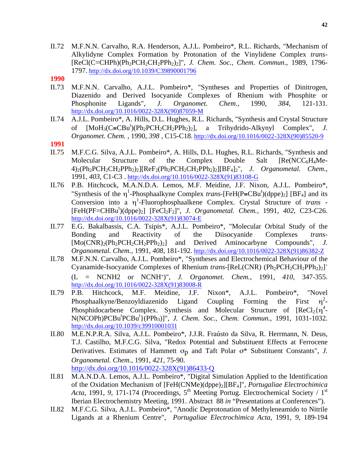II.72 M.F.N.N. Carvalho, R.A. Henderson, A.J.L. Pombeiro\*, R.L. Richards, "Mechanism of Alkylidyne Complex Formation by Protonation of the Vinylidene Complex *trans-* [ReCl(C=CHPh)(Ph2PCH2CH2PPh2)2]", *J. Chem. Soc., Chem. Commun.,* 1989, 1796- 1797. http://dx.doi.org/10.1039/C39890001796

- II.73 M.F.N.N. Carvalho, A.J.L. Pombeiro\*, "Syntheses and Properties of Dinitrogen, Diazenido and Derived Isocyanide Complexes of Rhenium with Phosphite or Phosphonite Ligands", *J. Organomet. Chem.*, 1990, *384*, 121-131. http://dx.doi.org/10.1016/0022-328X(90)87059-M
- II.74 A.J.L. Pombeiro\*, A. Hills, D.L. Hughes, R.L. Richards, "Synthesis and Crystal Structure of  $[MoH_3(C≡CBu^t)(Ph_2PCH_2CH_2PPh_2)_2]$ , a Trihydrido-Alkynyl Complex", *J. Organomet. Chem.* , 1990, *398* , C15-C18. http://dx.doi.org/10.1016/0022-328X(90)85520-9
- **1991**
- II.75 M.F.C.G. Silva, A.J.L. Pombeiro\*, A. Hills, D.L. Hughes, R.L. Richards, "Synthesis and Molecular Structure of the Complex Double Salt [Re(NCC6H4Me-4)2(Ph2PCH2CH2PPh2)2][ReF2(Ph2PCH2CH2PPh2)2][BF4]2", *J. Organometal. Chem.*, 1991, *403*, C1-C3 . http://dx.doi.org/10.1016/0022-328X(91)83108-G
- II.76 P.B. Hitchcock, M.A.N.D.A. Lemos, M.F. Meidine, J.F. Nixon, A.J.L. Pombeiro\*, "Synthesis of the  $\eta$ <sup>1</sup>-Phosphaalkyne Complex *trans*-[FeH(P=CBu<sup>t</sup>)(dppe)<sub>2</sub>] [BF<sub>4</sub>] and its Conversion into a η 1 -Fluorophosphaalkene Complex. Crystal Structure of *trans* - [FeH(PF=CHBut )(dppe)2] [FeCl2F2]", *J. Organometal. Chem.*, 1991, *402*, C23-C26. http://dx.doi.org/10.1016/0022-328X(91)83074-E
- II.77 E.G. Bakalbassis, C.A. Tsipis\*, A.J.L. Pombeiro\*, "Molecular Orbital Study of the Bonding and Reactivity of the Diisocyanide Complexes *trans*- [Mo(CNR)<sub>2</sub>(Ph<sub>2</sub>PCH<sub>2</sub>CH<sub>2</sub>PPh<sub>2</sub>)<sub>2</sub>] and Derived Aminocarbyne Compounds", *J. Organometal. Chem.*, 1991, *408*, 181-192. http://dx.doi.org/10.1016/0022-328X(91)86382-Z
- II.78 M.F.N.N. Carvalho, A.J.L. Pombeiro\*, "Syntheses and Electrochemical Behaviour of the Cyanamide-Isocyanide Complexes of Rhenium *trans*-[ReL(CNR) (Ph<sub>2</sub>PCH<sub>2</sub>CH<sub>2</sub>PPh<sub>2</sub>)<sub>2</sub>]<sup>+</sup> (L = NCNH2 or NCNH-)", *J. Organomet*. *Chem.*, 1991, *410*, 347-355. http://dx.doi.org/10.1016/0022-328X(91)83008-R
- II.79 P.B. Hitchcock, M.F. Meidine, J.F. Nixon\*, A.J.L. Pombeiro\*, "Novel Phosphaalkyne/Benzoyldiazenido Ligand Coupling Forming the First  $\frac{2}{1}$ Phosphidocarbene Complex. Synthesis and Molecular Structure of  $[ReCl_2{\eta^4}$ -N(NCOPh)PCBu<sup>t</sup>PCBu<sup>t</sup>}(PPh<sub>3</sub>)]", *J. Chem. Soc., Chem. Commun.*, 1991, 1031-1032. http://dx.doi.org/10.1039/c39910001031
- II.80 M.E.N.P.R.A. Silva, A.J.L. Pombeiro\*, J.J.R. Fraústo da Silva, R. Herrmann, N. Deus, T.J. Castilho, M.F.C.G. Silva, "Redox Potential and Substituent Effects at Ferrocene Derivatives. Estimates of Hammett  $\sigma_p$  and Taft Polar  $\sigma^*$  Substituent Constants", *J. Organometal. Chem.*, 1991, *421*, 75-90. http://dx.doi.org/10.1016/0022-328X(91)86433-Q
- II.81 M.A.N.D.A. Lemos, A.J.L. Pombeiro\*, "Digital Simulation Applied to the Identification of the Oxidation Mechanism of [FeH(CNMe)(dppe)2][BF4]", *Portugaliae Electrochimica Acta*, 1991, 9, 171-174 (Proceedings, 5<sup>th</sup> Meeting Portug. Electrochemical Society / 1<sup>st</sup> Iberian Electrochemistry Meeting, 1991. Abstract 88 *in* "Presentations at Conferences").
- II.82 M.F.C.G. Silva, A.J.L. Pombeiro\*, "Anodic Deprotonation of Methyleneamido to Nitrile Ligands at a Rhenium Centre", *Portugaliae Electrochimica Acta*, 1991, *9*, 189-194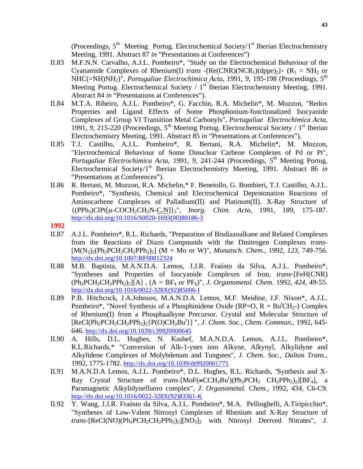(Proceedings,  $5<sup>th</sup>$  Meeting Portug. Electrochemical Society/1<sup>st</sup> Iberian Electrochemistry Meeting, 1991. Abstract 87 *in* "Presentations at Conferences")

- II.83 M.F.N.N. Carvalho, A.J.L. Pombeiro\*, "Study on the Electrochemical Behaviour of the Cyanamide Complexes of Rhenium(I) *trans* -[Re(CNR)(NCR<sub>1</sub>)(dppe)<sub>2</sub>]+ (R<sub>1</sub> = NH<sub>2</sub> or NHC(=NH)NH<sub>2</sub>)", *Portugaliae Electrochimica Acta*, 1991, 9, 195-198 (Proceedings, 5<sup>th</sup> Meeting Portug. Electrochemical Society  $/1<sup>st</sup>$  Iberian Electrochemistry Meeting, 1991. Abstract 84 *in* "Presentations at Conferences").
- II.84 M.T.A. Ribeiro, A.J.L. Pombeiro\*, G. Facchin, R.A. Michelin\*, M. Mozzon, "Redox Properties and Ligand Effects of Some Phosphonium-functionalized Isocyanide Complexes of Group VI Transition Metal Carbonyls", *Portugaliae Electrochimica Acta*, 1991, 9, 215-220 (Proceedings, 5<sup>th</sup> Meeting Portug. Electrochemical Society / 1<sup>st</sup> Iberian Electrochemistry Meeting, 1991. Abstract 85 *in* "Presentations at Conferences").
- II.85 T.J. Castilho, A.J.L. Pombeiro\*, R. Bertani, R.A. Michelin\*, M. Mozzon, "Electrochemical Behaviour of Some Dinuclear Carbene Complexes of Pd or Pt", *Portugaliae Electrochimica Acta*, 1991, 9, 241-244 (Proceedings, 5<sup>th</sup> Meeting Portug. Electrochemical Society/1st Iberian Electrochemistry Meeting, 1991. Abstract 86 *in* "Presentations at Conferences").
- II.86 R. Bertani, M. Mozzon, R.A. Michelin,\* F. Benetollo, G. Bombieri, T.J. Castilho, A.J.L. Pombeiro\*, "Synthesis, Chemical and Electrochemical Deprotonation Reactions of Aminocarbene Complexes of Palladium(II) and Platinum(II). X-Ray Structure of {(PPh3)ClPt[µ-COCH2CH2N-C,N]}2", *Inorg*. *Chim. Acta*, 1991, *189*, 175-187. http://dx.doi.org/10.1016/S0020-1693(00)80186-3

- II.87 A.J.L. Pombeiro\*, R.L. Richards, "Preparation of Bisdiazoalkane and Related Complexes from the Reactions of Diazo Compounds with the Dinitrogen Complexes *trans*-  $[M(N_2)_2(Ph_2PCH_2CH_2PPh_2)_2]$  (M = Mo or W)", *Monatsch. Chem.*, 1992, 123, 749-756. http://dx.doi.org/10.1007/BF00812324
- II.88 M.B. Baptista, M.A.N.D.A. Lemos, J.J.R. Fraústo da Silva, A.J.L. Pombeiro\*, "Syntheses and Properties of Isocyanide Complexes of Iron, *trans*-[FeH(CNR)  $(Ph_2PCH_2CH_2PPh_2)_2[[A]$ ,  $(A = BF_4$  or  $PF_6)$ ", *J. Organometal. Chem.* 1992, 424, 49-55. http://dx.doi.org/10.1016/0022-328X(92)85006-I
- II.89 P.B. Hitchcock, J.A.Johnson, M.A.N.D.A. Lemos, M.F. Meidine, J.F. Nixon\*, A.J.L. Pombeiro\*, "Novel Synthesis of a Phosphinidene Oxide (RP=O,  $R = Bu^tCH_2$ -) Complex of Rhenium(I) from a Phosphaalkyne Precursor. Crystal and Molecular Structure of [ReCl(Ph2PCH2CH2PPh2)2{P(O)CH2But }] ", *J. Chem. Soc., Chem. Commun.*, 1992, 645- 646. http://dx.doi.org/10.1039/c39920000645
- II.90 A. Hills, D.L. Hughes, N. Kashef, M.A.N.D.A. Lemos, A.J.L. Pombeiro\*, R.L.Richards,\* "Conversion of Alk-1-ynes into Alkyne, Alkynyl, Alkylidyne and Alkylidene Complexes of Molybdenum and Tungsten", *J. Chem. Soc., Dalton Trans.*, 1992, 1775-1782. http://dx.doi.org/10.1039/dt9920001775
- II.91 M.A.N.D.A Lemos, A.J.L. Pombeiro\*, D.L. Hughes, R.L. Richards, "Synthesis and X-Ray Crystal Structure of *trans*-[MoF(=CCH<sub>2</sub>Bu<sup>t</sup>)(Ph<sub>2</sub>PCH<sub>2</sub> CH<sub>2</sub>PPh<sub>2</sub>)<sub>2</sub>][BF<sub>4</sub>], a Paramagnetic Alkylidynefluoro complex", *J. Organometal. Chem.*, 1992, *434*, C6-C9. http://dx.doi.org/10.1016/0022-328X(92)83361-K
- II.92 Y. Wang, J.J.R. Fraústo da Silva, A.J.L. Pombeiro\*, M.A. Pellinghelli, A.Tiripicchio\*, "Syntheses of Low-Valent Nitrosyl Complexes of Rhenium and X-Ray Structure of  $trans$ -[ReCl(NO)(Ph<sub>2</sub>PCH<sub>2</sub>CH<sub>2</sub>PPh<sub>2</sub>)<sub>2</sub>][NO<sub>3</sub>]<sub>2</sub> with Nitrosyl Derived Nitrates", *J.*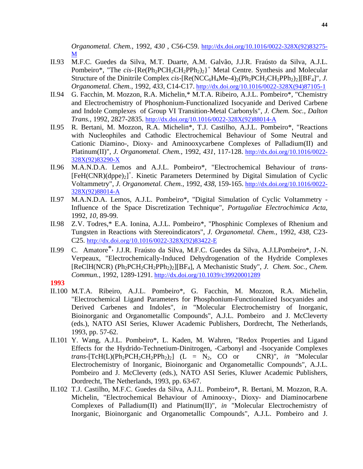*Organometal. Chem.*, 1992, *430* , C56-C59. http://dx.doi.org/10.1016/0022-328X(92)83275- M

- II.93 M.F.C. Guedes da Silva, M.T. Duarte, A.M. Galvão, J.J.R. Fraústo da Silva, A.J.L. Pombeiro\*, "The *cis*-{Re(Ph<sub>2</sub>PCH<sub>2</sub>CH<sub>2</sub>PPh<sub>2</sub>)<sub>2</sub>}<sup>+</sup> Metal Centre. Synthesis and Molecular Structure of the Dinitrile Complex *cis*-[Re(NCC<sub>6</sub>H<sub>4</sub>Me-4)<sub>2</sub>(Ph<sub>2</sub>PCH<sub>2</sub>CH<sub>2</sub>PPh<sub>2</sub>)<sub>2</sub>][BF<sub>4</sub>]", *J. Organometal. Chem.*, 1992, *433*, C14-C17. http://dx.doi.org/10.1016/0022-328X(94)87105-1
- II.94 G. Facchin, M. Mozzon, R.A. Michelin,\* M.T.A. Ribeiro, A.J.L. Pombeiro\*, "Chemistry and Electrochemistry of Phosphonium-Functionalized Isocyanide and Derived Carbene and Indole Complexes of Group VI Transition-Metal Carbonyls", *J. Chem. Soc., Dalton Trans.*, 1992, 2827-2835. http://dx.doi.org/10.1016/0022-328X(92)88014-A
- II.95 R. Bertani, M. Mozzon, R.A. Michelin\*, T.J. Castilho, A.J.L. Pombeiro\*, "Reactions with Nucleophiles and Cathodic Electrochemical Behaviour of Some Neutral and Cationic Diamino-, Dioxy- and Aminooxycarbene Complexes of Palladium(II) and Platinum(II)", *J. Organometal. Chem.*, 1992, *431*, 117-128. http://dx.doi.org/10.1016/0022- 328X(92)83290-X
- II.96 M.A.N.D.A. Lemos and A.J.L. Pombeiro\*, "Electrochemical Behaviour of *trans-* [FeH(CNR)(dppe)<sub>2</sub>]<sup>+</sup>. Kinetic Parameters Determined by Digital Simulation of Cyclic Voltammetry", *J. Organometal. Chem.*, 1992, *438*, 159-165. http://dx.doi.org/10.1016/0022- 328X(92)88014-A
- II.97 M.A.N.D.A. Lemos, A.J.L. Pombeiro\*, "Digital Simulation of Cyclic Voltammetry Influence of the Space Discretization Technique", *Portugaliae Electrochimica Acta*, 1992, *10*, 89-99.
- II.98 Z.V. Todres,\* E.A. Ionina, A.J.L. Pombeiro\*, "Phosphinic Complexes of Rhenium and Tungsten in Reactions with Stereoindicators", *J. Organometal. Chem.*, 1992, *438,* C23- C25. http://dx.doi.org/10.1016/0022-328X(92)83422-E
- II.99 C. Amatore\*, J.J.R. Fraústo da Silva, M.F.C. Guedes da Silva, A.J.LPombeiro\*, J.-N. Verpeaux, "Electrochemically-Induced Dehydrogenation of the Hydride Complexes [ReClH(NCR) (Ph2PCH2CH2PPh2)2][BF4], A Mechanistic Study", *J. Chem. Soc., Chem. Commun.*, 1992, 1289-1291. http://dx.doi.org/10.1039/c39920001289
- **1993**
- II.100 M.T.A. Ribeiro, A.J.L. Pombeiro\*, G. Facchin, M. Mozzon, R.A. Michelin, "Electrochemical Ligand Parameters for Phosphonium-Functionalized Isocyanides and Derived Carbenes and Indoles", *in* "Molecular Electrochemistry of Inorganic, Bioinorganic and Organometallic Compounds", A.J.L. Pombeiro and J. McCleverty (eds.), NATO ASI Series, Kluwer Academic Publishers, Dordrecht, The Netherlands, 1993, pp. 57-62.
- II.101 Y. Wang, A.J.L. Pombeiro\*, L. Kaden, M. Wahren, "Redox Properties and Ligand Effects for the Hydrido-Technetium-Dinitrogen, -Carbonyl and -Isocyanide Complexes *trans*-[TcH(L)(Ph<sub>2</sub>PCH<sub>2</sub>CH<sub>2</sub>PPh<sub>2</sub>)<sub>2</sub>] (L = N<sub>2</sub>, CO or CNR)", *in* "Molecular Electrochemistry of Inorganic, Bioinorganic and Organometallic Compounds", A.J.L. Pombeiro and J. McCleverty (eds.), NATO ASI Series, Kluwer Academic Publishers, Dordrecht, The Netherlands, 1993, pp. 63-67.
- II.102 T.J. Castilho, M.F.C. Guedes da Silva, A.J.L. Pombeiro\*, R. Bertani, M. Mozzon, R.A. Michelin, "Electrochemical Behaviour of Aminooxy-, Dioxy- and Diaminocarbene Complexes of Palladium(II) and Platinum(II)", *in* "Molecular Electrochemistry of Inorganic, Bioinorganic and Organometallic Compounds", A.J.L. Pombeiro and J.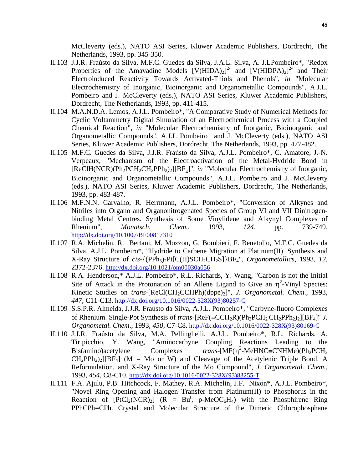McCleverty (eds.), NATO ASI Series, Kluwer Academic Publishers, Dordrecht, The Netherlands, 1993, pp. 345-350.

- II.103 J.J.R. Fraústo da Silva, M.F.C. Guedes da Silva, J.A.L. Silva, A. J.LPombeiro\*, "Redox Properties of the Amavadine Models  $[V(HIDA)_2]^2$  and  $[V(HIDPA)_2]^2$  and Their Electroinduced Reactivity Towards Activated-Thiols and Phenols", *in* "Molecular Electrochemistry of Inorganic, Bioinorganic and Organometallic Compounds", A.J.L. Pombeiro and J. McCleverty (eds.), NATO ASI Series, Kluwer Academic Publishers, Dordrecht, The Netherlands, 1993, pp. 411-415.
- II.104 M.A.N.D.A. Lemos, A.J.L. Pombeiro\*, "A Comparative Study of Numerical Methods for Cyclic Voltammetry Digital Simulation of an Electrochemical Process with a Coupled Chemical Reaction", *in* "Molecular Electrochemistry of Inorganic, Bioinorganic and Organometallic Compounds", A.J.L Pombeiro and J. McCleverty (eds.), NATO ASI Series, Kluwer Academic Publishers, Dordrecht, The Netherlands, 1993, pp. 477-482.
- II.105 M.F.C. Guedes da Silva, J.J.R. Fraústo da Silva, A.J.L. Pombeiro\*, C. Amatore, J.-N. Verpeaux, "Mechanism of the Electroactivation of the Metal-Hydride Bond in [ReClH(NCR)(Ph<sub>2</sub>PCH<sub>2</sub>CH<sub>2</sub>PPh<sub>2</sub>)<sub>2</sub>][BF<sub>4</sub>]", *in* "Molecular Electrochemistry of Inorganic, Bioinorganic and Organometallic Compounds", A.J.L. Pombeiro and J. McCleverty (eds.), NATO ASI Series, Kluwer Academic Publishers, Dordrecht, The Netherlands, 1993, pp. 483-487.
- II.106 M.F.N.N. Carvalho, R. Herrmann, A.J.L. Pombeiro\*, "Conversion of Alkynes and Nitriles into Organo and Organonitrogenated Species of Group VI and VII Dinitrogenbinding Metal Centres. Synthesis of Some Vinylidene and Alkynyl Complexes of Rhenium", *Monatsch. Chem.*, 1993, *124*, pp. 739-749. http://dx.doi.org/10.1007/BF00817310
- II.107 R.A. Michelin, R. Bertani, M. Mozzon, G. Bombieri, F. Benetollo, M.F.C. Guedes da Silva, A.J.L. Pombeiro\*, "Hydride to Carbene Migration at Platinum(II). Synthesis and X-Ray Structure of *cis*-{(PPh3)2Pt[C(H)SCH2CH2S]}BF4", *Organometallics*, 1993, *12*, 2372-2376. http://dx.doi.org/10.1021/om00030a056
- II.108 R.A. Henderson,\* A.J.L. Pombeiro\*, R.L. Richards, Y. Wang, "Carbon is not the Initial Site of Attack in the Protonation of an Allene Ligand to Give an  $\eta^2$ -Vinyl Species: Kinetic Studies on *trans*-[ReCl(CH<sub>2</sub>CCHPh)(dppe)<sub>2</sub>]", *J. Organometal. Chem.*, 1993, *447*, C11-C13. http://dx.doi.org/10.1016/0022-328X(93)80257-C
- II.109 S.S.P.R. Almeida, J.J.R. Fraústo da Silva, A.J.L. Pombeiro\*, "Carbyne-fluoro Complexes of Rhenium. Single-Pot Synthesis of *trans*-[ReF(≡CCH2R)(Ph2PCH2 CH2PPh2)2][BF4]" *J. Organometal. Chem*., 1993, *450*, C7-C8. http://dx.doi.org/10.1016/0022-328X(93)80169-C
- II.110 J.J.R. Fraústo da Silva, M.A. Pellinghelli, A.J.L. Pombeiro\*, R.L. Richards, A. Tiripicchio, Y. Wang, "Aminocarbyne Coupling Reactions Leading to the Bis(amino)acetylene Complexes <sup>2</sup>-MeHNC≡CNHMe)(Ph<sub>2</sub>PCH<sub>2</sub>  $CH_2PPh_2$ )<sub>2</sub>][BF<sub>4</sub>] (M = Mo or W) and Cleavage of the Acetylenic Triple Bond. A Reformulation, and X-Ray Structure of the Mo Compound", *J. Organometal. Chem.*, 1993, *454*, C8-C10. http://dx.doi.org/10.1016/0022-328X(93)83255-T
- II.111 F.A. Ajulu, P.B. Hitchcock, F. Mathey, R.A. Michelin, J.F. Nixon\*, A.J.L. Pombeiro\*, "Novel Ring Opening and Halogen Transfer from Platinum(II) to Phosphorus in the Reaction of  $[PtCl_2(NCR)_2]$  ( $R = Bu^t$ , p-MeOC<sub>6</sub>H<sub>4</sub>) with the Phosphirene Ring PPhCPh=CPh. Crystal and Molecular Structure of the Dimeric Chlorophosphane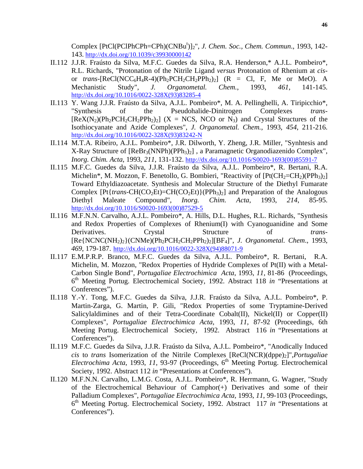Complex [PtCl(PClPhCPh=CPh)(CNBu<sup>t</sup>)]<sub>2</sub>", *J. Chem. Soc., Chem. Commun.*, 1993, 142-143. http://dx.doi.org/10.1039/c39930000142

- II.112 J.J.R. Fraústo da Silva, M.F.C. Guedes da Silva, R.A. Henderson,\* A.J.L. Pombeiro\*, R.L. Richards, "Protonation of the Nitrile Ligand *versus* Protonation of Rhenium at *cis*or *trans*-[ReCl(NCC<sub>6</sub>H<sub>4</sub>R-4)(Ph<sub>2</sub>PCH<sub>2</sub>CH<sub>2</sub>PPh<sub>2</sub>)<sub>2</sub>] (R = Cl, F, Me or MeO). A Mechanistic Study". *J. Organometal. Chem.*, 1993, 461, 141-145. Mechanistic Study", *J. Organometal. Chem.*, 1993, *461*, 141-145. http://dx.doi.org/10.1016/0022-328X(93)83285-4
- II.113 Y. Wang J.J.R. Fraústo da Silva, A.J.L. Pombeiro\*, M. A. Pellinghelli, A. Tiripicchio\*, "Synthesis of the Pseudohalide-Dinitrogen Complexes *trans*-  $[ReX(N_2)(Ph_2PCH_2CH_2PPh_2)_2]$  (X = NCS, NCO or N<sub>3</sub>) and Crystal Structures of the Isothiocyanate and Azide Complexes", *J. Organometal. Chem.*, 1993, *454*, 211-216. http://dx.doi.org/10.1016/0022-328X(93)83242-N
- II.114 M.T.A. Ribeiro, A.J.L. Pombeiro\*, J.R. Dilworth, Y. Zheng, J.R. Miller, "Synhtesis and X-Ray Structure of  $[ReBr_3(NNPh)(PPh_3)_2]$ , a Paramagnetic Organodiazenido Complex", *Inorg. Chim. Acta*, 1993, *211*, 131-132. http://dx.doi.org/10.1016/S0020-1693(00)85591-7
- II.115 M.F.C. Guedes da Silva, J.J.R. Fraústo da Silva, A.J.L. Pombeiro\*, R. Bertani, R.A. Michelin\*, M. Mozzon, F. Benetollo, G. Bombieri, "Reactivity of  $[Pt(CH_2=CH_2)(PPh_3)_2]$ Toward Ethyldiazoacetate. Synthesis and Molecular Structure of the Diethyl Fumarate Complex  $[Pt\{trans\text{-}CH(CO_2Et)\text{=CH(CO_2Et)}(PPh_3)_2]$  and Preparation of the Analogous Diethyl Maleate Compound", *Inorg. Chim. Acta*, 1993, *214*, 85-95. http://dx.doi.org/10.1016/S0020-1693(00)87529-5
- II.116 M.F.N.N. Carvalho, A.J.L. Pombeiro\*, A. Hills, D.L. Hughes, R.L. Richards, "Synthesis and Redox Properties of Complexes of Rhenium(I) with Cyanoguanidine and Some Derivatives. Crystal Structure of *trans*- [Re{NCNC(NH2)2}(CNMe)(Ph2PCH2CH2PPh2)2][BF4]", *J. Organometal. Chem*., 1993, *469*, 179-187. http://dx.doi.org/10.1016/0022-328X(94)88071-9
- II.117 E.M.P.R.P. Branco, M.F.C. Guedes da Silva, A.J.L. Pombeiro\*, R. Bertani, R.A. Michelin, M. Mozzon, "Redox Properties of Hydride Complexes of Pt(II) with a Metal-Carbon Single Bond", *Portugaliae Electrochimica Acta*, 1993, *11*, 81-86 (Proceedings, 6th Meeting Portug. Electrochemical Society, 1992. Abstract 118 *in* "Presentations at Conferences").
- II.118 Y.-Y. Tong, M.F.C. Guedes da Silva, J.J.R. Fraústo da Silva, A.J.L. Pombeiro\*, P. Martin-Zarga, G. Martin, P. Gili, "Redox Properties of some Tryptamine-Derived Salicylaldimines and of their Tetra-Coordinate Cobalt(II), Nickel(II) or Copper(II) Complexes", *Portugaliae Electrochimica Acta*, 1993, *11*, 87-92 (Proceedings, 6th Meeting Portug. Electrochemical Society, 1992. Abstract 116 *in* "Presentations at Conferences").
- II.119 M.F.C. Guedes da Silva, J.J.R. Fraústo da Silva, A.J.L. Pombeiro\*, "Anodically Induced *cis* to *trans* Isomerization of the Nitrile Complexes [ReCl(NCR)(dppe)<sub>2</sub>]",*Portugaliae Electrochima Acta*, 1993, *11*, 93-97 (Proceedings, 6<sup>th</sup> Meeting Portug. Electrochemical Society, 1992. Abstract 112 *in* "Presentations at Conferences").
- II.120 M.F.N.N. Carvalho, L.M.G. Costa, A.J.L. Pombeiro\*, R. Herrmann, G. Wagner, "Study of the Electrochemical Behaviour of Camphor(+) Derivatives and some of their Palladium Complexes", *Portugaliae Electrochimica Acta,* 1993, *11*, 99-103 (Proceedings, 6th Meeting Portug. Electrochemical Society, 1992. Abstract 117 *in* "Presentations at Conferences").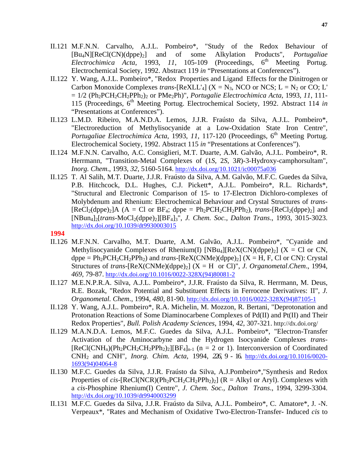- II.121 M.F.N.N. Carvalho, A.J.L. Pombeiro\*, "Study of the Redox Behaviour of [Bu4N][ReCl(CN)(dppe)2] and of some Alkylation Products", *Portugaliae Electrochimica Acta*, 1993, 11, 105-109 (Proceedings, 6<sup>th</sup> Meeting Portug. Electrochemical Society, 1992. Abstract 119 *in* "Presentations at Conferences").
- II.122 Y. Wang, A.J.L. Pombeiro\*, "Redox Properties and Ligand Effects for the Dinitrogen or Carbon Monoxide Complexes *trans*-[ReXLL'<sub>4</sub>] ( $X = N_3$ , NCO or NCS; L = N<sub>2</sub> or CO; L'  $= 1/2$  (Ph<sub>2</sub>PCH<sub>2</sub>CH<sub>2</sub>PPh<sub>2</sub>)<sub>2</sub> or PMe<sub>2</sub>Ph)", *Portugalie Electrochimica Acta*, 1993, 11, 111-115 (Proceedings, 6th Meeting Portug. Electrochemical Society, 1992. Abstract 114 *in* "Presentations at Conferences").
- II.123 L.M.D. Ribeiro, M.A.N.D.A. Lemos, J.J.R. Fraústo da Silva, A.J.L. Pombeiro\*, "Electroreduction of Methylisocyanide at a Low-Oxidation State Iron Centre", *Portugaliae Electrochimica Acta, 1993, 11, 117-120 (Proceedings, 6<sup>th</sup> Meeting Portug.* Electrochemical Society, 1992. Abstract 115 *in* "Presentations at Conferences").
- II.124 M.F.N.N. Carvalho, A.C. Consiglieri, M.T. Duarte, A.M. Galvão, A.J.L. Pombeiro\*, R. Herrmann, "Transition-Metal Complexes of (1*S*, 2*S*, 3*R*)-3-Hydroxy-camphorsultam", *Inorg. Chem*., 1993, *32*, 5160-5164. http://dx.doi.org/10.1021/ic00075a036
- II.125 T. Al Salih, M.T. Duarte, J.J.R. Fraústo da Silva, A.M. Galvão, M.F.C. Guedes da Silva, P.B. Hitchcock, D.L. Hughes, C.J. Pickett\*, A.J.L. Pombeiro\*, R.L. Richards\*, "Structural and Electronic Comparison of 15- to 17-Electron Dichloro-complexes of Molybdenum and Rhenium: Electrochemical Behaviour and Crystal Structures of *trans*-  $[ReCl<sub>2</sub>(dppe)<sub>2</sub>]A (A = Cl or BF<sub>4</sub>; dppe = Ph<sub>2</sub>PCH<sub>2</sub>CH<sub>2</sub>PPh<sub>2</sub>), trans- $[ReCl<sub>2</sub>(dppe)<sub>2</sub>]$  and$ [NBun4]2[*trans*-MoCl2(dppe)2][BF4]3", *J. Chem. Soc., Dalton Trans*., 1993, 3015-3023. http://dx.doi.org/10.1039/dt9930003015
- **1994**
- II.126 M.F.N.N. Carvalho, M.T. Duarte, A.M. Galvão, A.J.L. Pombeiro\*, "Cyanide and Methylisocyanide Complexes of Rhenium(I)  $[NBu_4][ReX(CN)(dppe)_2]$  (X = Cl or CN,  $\text{dppe} = \text{Ph}_2 \text{PCH}_2 \text{CH}_2 \text{PPh}_2$ ) and *trans*-[ReX(CNMe)( $\text{dppe}$ )<sub>2</sub>] (X = H, F, Cl or CN): Crystal Structures of *trans*-[ReX(CNMe)(dppe)<sub>2</sub>] (X = H or Cl)", *J. Organometal.Chem.*, 1994, *469*, 79-87. http://dx.doi.org/10.1016/0022-328X(94)80081-2
- II.127 M.E.N.P.R.A. Silva, A.J.L. Pombeiro\*, J.J.R. Fraústo da Silva, R. Herrmann, M. Deus, R.E. Bozak, "Redox Potential and Substituent Effects in Ferrocene Derivatives: II", *J. Organometal. Chem*., 1994, *480*, 81-90. http://dx.doi.org/10.1016/0022-328X(94)87105-1
- II.128 Y. Wang, A.J.L. Pombeiro\*, R.A. Michelin, M. Mozzon, R. Bertani, "Deprotonation and Protonation Reactions of Some Diaminocarbene Complexes of Pd(II) and Pt(II) and Their Redox Properties", *Bull. Polish Academy Sciences*, 1994, *42*, 307-321. http://dx.doi.org/
- II.129 M.A.N.D.A. Lemos, M.F.C. Guedes da Silva, A.J.L. Pombeiro\*, "Electron-Transfer Activation of the Aminocarbyne and the Hydrogen Isocyanide Complexes *trans*-  $[ReCl(CNH_n)(Ph_2PCH_2CH_2PPh_2)_2][BF_4]_{n-1}$  (n = 2 or 1). Interconversion of Coordinated CNH2 and CNH", *Inorg. Chim. Acta*, 1994, *226*, 9 - 16. http://dx.doi.org/10.1016/0020- 1693(94)04064-8
- II.130 M.F.C. Guedes da Silva, J.J.R. Fraústo da Silva, A.J.Pombeiro\*,"Synthesis and Redox Properties of *cis*-[ReCl(NCR)(Ph<sub>2</sub>PCH<sub>2</sub>CH<sub>2</sub>PPh<sub>2</sub>)<sub>2</sub>] (R = Alkyl or Aryl). Complexes with a *cis*-Phosphine Rhenium(I) Centre", *J. Chem. Soc., Dalton Trans*., 1994, 3299-3304. http://dx.doi.org/10.1039/dt9940003299
- II.131 M.F.C. Guedes da Silva, J.J.R. Fraústo da Silva, A.J.L. Pombeiro\*, C. Amatore\*, J. -N. Verpeaux\*, "Rates and Mechanism of Oxidative Two-Electron-Transfer- Induced *cis* to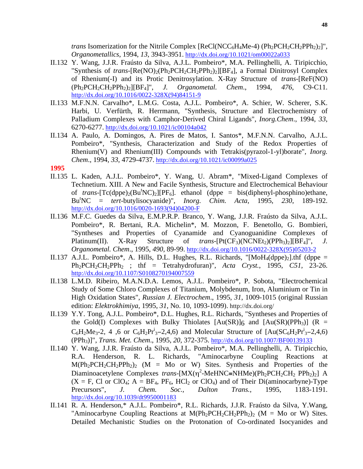*trans* Isomerization for the Nitrile Complex [ReCl(NCC<sub>6</sub>H<sub>4</sub>Me-4) (Ph<sub>2</sub>PCH<sub>2</sub>CH<sub>2</sub>PPh<sub>2</sub>)<sub>2</sub>]", *Organometallics*, 1994, *13*, 3943-3951. http://dx.doi.org/10.1021/om00022a033

- II.132 Y. Wang, J.J.R. Fraústo da Silva, A.J.L. Pombeiro\*, M.A. Pellinghelli, A. Tiripicchio, "Synthesis of *trans*-[Re(NO)<sub>2</sub>(Ph<sub>2</sub>PCH<sub>2</sub>CH<sub>2</sub>PPh<sub>2</sub>)<sub>2</sub>][BF<sub>4</sub>], a Formal Dinitrosyl Complex of Rhenium(-I) and its Protic Denitrosylation. X-Ray Structure of *trans*-[ReF(NO) (Ph2PCH2CH2PPh2)2][BF4]", *J. Organometal. Chem*., 1994, *476*, C9-C11. http://dx.doi.org/10.1016/0022-328X(94)84151-9
- II.133 M.F.N.N. Carvalho\*, L.M.G. Costa, A.J.L. Pombeiro\*, A. Schier, W. Scherer, S.K. Harbi, U. Verfürth, R. Herrmann, "Synthesis, Structure and Electrochemistry of Palladium Complexes with Camphor-Derived Chiral Ligands", *Inorg.Chem*., 1994, *33*, 6270-6277. http://dx.doi.org/10.1021/ic00104a042
- II.134 A. Paulo, A. Domingos, A. Pires de Matos, I. Santos\*, M.F.N.N. Carvalho, A.J.L. Pombeiro\*, "Synthesis, Characterization and Study of the Redox Properties of Rhenium(V) and Rhenium(III) Compounds with Tetrakis(pyrazol-1-yl)borate", *Inorg. Chem*., 1994, *33*, 4729-4737. http://dx.doi.org/10.1021/ic00099a025

- II.135 L. Kaden, A.J.L. Pombeiro\*, Y. Wang, U. Abram\*, "Mixed-Ligand Complexes of Technetium. XIII. A New and Facile Synthesis, Structure and Electrochemical Behaviour of *trans*-[Tc(dppe)<sub>2</sub>(Bu<sup>t</sup>NC)<sub>2</sub>][PF<sub>6</sub>]. ethanol (dppe = bis(diphenyl-phosphino)ethane,  $Bu^{t}$ NC = *tert*-butylisocyanide)", *Inorg. Chim. Acta*, 1995, *230*, 189-192. http://dx.doi.org/10.1016/0020-1693(94)04200-F
- II.136 M.F.C. Guedes da Silva, E.M.P.R.P. Branco, Y. Wang, J.J.R. Fraústo da Silva, A.J.L. Pombeiro\*, R. Bertani, R.A. Michelin\*, M. Mozzon, F. Benetollo, G. Bombieri, "Syntheses and Properties of Cyanamide and Cyanoguanidine Complexes of Platinum(II). X-Ray Structure of *trans*- $Pt(CF_3)(NCNEt_2)(PPh_3)_2[[BF_4]$ ", *J. Organometal. Chem*., 1995, *490*, 89-99. http://dx.doi.org/10.1016/0022-328X(95)05203-2
- II.137 A.J.L. Pombeiro\*, A. Hills, D.L. Hughes, R.L. Richards, "[MoH<sub>4</sub>(dppe)<sub>2</sub>].thf (dppe =  $Ph_2PCH_2CH_2PPh_2$  ; thf = Tetrahydrofuran)", *Acta Cryst.*, 1995, *C51*, 23-26. http://dx.doi.org/10.1107/S0108270194007559
- II.138 L.M.D. Ribeiro, M.A.N.D.A. Lemos, A.J.L. Pombeiro\*, P. Sobota, "Electrochemical Study of Some Chloro Complexes of Titanium, Molybdenum, Iron, Aluminium or Tin in High Oxidation States", *Russian J. Electrochem*., 1995, *31*, 1009-1015 (original Russian edition: *Elektrokhimiya*, 1995, *31*, No. 10, 1093-1099). http://dx.doi.org/
- II.139 Y.Y. Tong, A.J.L. Pombeiro\*, D.L. Hughes, R.L. Richards, "Syntheses and Properties of the Gold(I) Complexes with Bulky Thiolates  $[Au(SR)]_6$  and  $[Au(SR)(PPh_3)]$  (R =  $C_6H_2Me_3-2$ , 4,6 or  $C_6H_2Pr_3^3-2,4,6$  and Molecular Structure of [Au(SC<sub>6</sub>H<sub>2</sub>Pr<sup>i</sup><sub>3</sub>-2,4,6) (PPh3)]", *Trans. Met. Chem*., 1995, *20*, 372-375. http://dx.doi.org/10.1007/BF00139133
- II.140 Y. Wang, J.J.R. Fraústo da Silva, A.J.L. Pombeiro\*, M.A. Pellinghelli, A. Tiripicchio, R.A. Henderson, R. L. Richards, "Aminocarbyne Coupling Reactions at  $M(Ph_2PCH_2CH_2PPh_2)_2$  (M = Mo or W) Sites. Synthesis and Properties of the Diaminoacetylene Complexes *trans*-[MX(η<sup>2</sup>-MeHNC≡NHMe)(Ph<sub>2</sub>PCH<sub>2</sub>CH<sub>2</sub> PPh<sub>2</sub>)<sub>2</sub>] A  $(X = F, Cl \text{ or } ClO_4; A = BF_4, PF_6, HCl_2 \text{ or } ClO_4)$  and of Their Di(aminocarbyne)-Type Precursors", *J. Chem. Soc., Dalton Trans.*, 1995, 1183-1191. http://dx.doi.org/10.1039/dt9950001183
- II.141 R. A. Henderson,\* A.J.L. Pombeiro\*, R.L. Richards, J.J.R. Fraústo da Silva, Y.Wang, "Aminocarbyne Coupling Reactions at  $M(Ph_2PCH_2CH_2PPh_2)_2$  (M = Mo or W) Sites. Detailed Mechanistic Studies on the Protonation of Co-ordinated Isocyanides and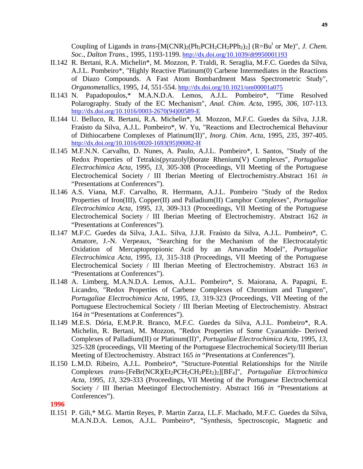Coupling of Ligands in *trans*- $[M(CNR)_2(Ph_2PCH_2CH_2PPh_2)_2]$  ( $R=Bu<sup>t</sup>$  or Me)", *J. Chem. Soc., Dalton Trans*., 1995, 1193-1199. http://dx.doi.org/10.1039/dt9950001193

- II.142 R. Bertani, R.A. Michelin\*, M. Mozzon, P. Traldi, R. Seraglia, M.F.C. Guedes da Silva, A.J.L. Pombeiro\*, "Highly Reactive Platinum(0) Carbene Intermediates in the Reactions of Diazo Compounds. A Fast Atom Bombardment Mass Spectrometric Study", *Organometallics*, 1995, *14*, 551-554. http://dx.doi.org/10.1021/om00001a075
- II.143 N. Papadopoulos,\* M.A.N.D.A. Lemos, A.J.L. Pombeiro\*, "Time Resolved Polarography. Study of the EC Mechanism", *Anal. Chim. Acta*, 1995, *306*, 107-113. http://dx.doi.org/10.1016/0003-2670(94)00589-E
- II.144 U. Belluco, R. Bertani, R.A. Michelin\*, M. Mozzon, M.F.C. Guedes da Silva, J.J.R. Fraústo da Silva, A.J.L. Pombeiro\*, W. Yu, "Reactions and Electrochemical Behaviour of Dithiocarbene Complexes of Platinum(II)", *Inorg. Chim. Acta*, 1995, *235*, 397-405. http://dx.doi.org/10.1016/0020-1693(95)90082-H
- II.145 M.F.N.N. Carvalho, D. Nunes, A. Paulo, A.J.L. Pombeiro\*, I. Santos, "Study of the Redox Properties of Tetrakis(pyrazolyl)borate Rhenium(V) Complexes", *Portugaliae Electrochimica Acta*, 1995, *13*, 305-308 (Proceedings, VII Meeting of the Portuguese Electrochemical Society / III Iberian Meeting of Electrochemistry.Abstract 161 *in* "Presentations at Conferences").
- II.146 A.S. Viana, M.F. Carvalho, R. Herrmann, A.J.L. Pombeiro "Study of the Redox Properties of Iron(III), Copper(II) and Palladium(II) Camphor Complexes", *Portugaliae Electrochimica Acta*, 1995, *13*, 309-313 (Proceedings, VII Meeting of the Portuguese Electrochemical Society / III Iberian Meeting of Electrochemistry. Abstract 162 *in* "Presentations at Conferences").
- II.147 M.F.C. Guedes da Silva, J.A.L. Silva, J.J.R. Fraústo da Silva, A.J.L. Pombeiro\*, C. Amatore, J.-N. Verpeaux, "Searching for the Mechanism of the Electrocatalytic Oxidation of Mercaptopropionic Acid by an Amavadin Model", *Portugaliae Electrochimica Acta*, 1995, *13*, 315-318 (Proceedings, VII Meeting of the Portuguese Electrochemical Society / III Iberian Meeting of Electrochemistry. Abstract 163 *in* "Presentations at Conferences").
- II.148 A. Limberg, M.A.N.D.A. Lemos, A.J.L. Pombeiro\*, S. Maiorana, A. Papagni, E. Licandro, "Redox Properties of Carbene Complexes of Chromium and Tungsten", *Portugaliae Electrochimica Acta*, 1995, *13*, 319-323 (Proceedings, VII Meeting of the Portuguese Electrochemical Society / III Iberian Meeting of Electrochemistry. Abstract 164 *in* "Presentations at Conferences").
- II.149 M.E.S. Dória, E.M.P.R. Branco, M.F.C. Guedes da Silva, A.J.L. Pombeiro\*, R.A. Michelin, R. Bertani, M. Mozzon, "Redox Properties of Some Cyanamide- Derived Complexes of Palladium(II) or Platinum(II)", *Portugaliae Electrochimica Acta*, 1995, *13*, 325-328 (proceedings, VII Meeting of the Portuguese Electrochemical Society/III Iberian Meeting of Electrochemistry. Abstract 165 *in* "Presentations at Conferences").
- II.150 L.M.D. Ribeiro, A.J.L. Pombeiro\*, "Structure-Potential Relationships for the Nitrile Complexes *trans*-[FeBr(NCR)(Et2PCH2CH2PEt2)2][BF4]", *Portugaliae Elctrochimica Acta*, 1995, *13*, 329-333 (Proceedings, VII Meeting of the Portuguese Electrochemical Society / III Iberian Meetingof Electrochemistry. Abstract 166 *in* "Presentations at Conferences").

## **1996**

II.151 P. Gili,\* M.G. Martin Reyes, P. Martin Zarza, I.L.F. Machado, M.F.C. Guedes da Silva, M.A.N.D.A. Lemos, A.J.L. Pombeiro\*, "Synthesis, Spectroscopic, Magnetic and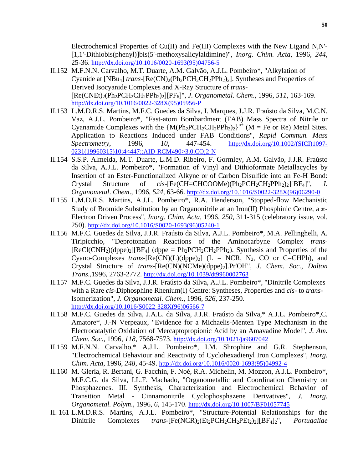Electrochemical Properties of Cu(II) and Fe(III) Complexes with the New Ligand N,N'- [1,1'-Dithiobis(phenyl)]bis(5'-methoxysalicylaldimine)", *Inorg. Chim. Acta*, 1996, *244*, 25-36. http://dx.doi.org/10.1016/0020-1693(95)04756-5

- II.152 M.F.N.N. Carvalho, M.T. Duarte, A.M. Galvão, A.J.L. Pombeiro\*, "Alkylation of Cyanide at  $[NBu_4]$  *trans*- $[Re(CN)_2(Ph_2PCH_2CH_2PPh_2)_2]$ . Syntheses and Properties of Derived Isocyanide Complexes and X-Ray Structure of *trans*- [Re(CNEt)2(Ph2PCH2CH2PPh2)2][PF6]", *J. Organometal. Chem*., 1996, *511*, 163-169. http://dx.doi.org/10.1016/0022-328X(95)05956-P
- II.153 L.M.D.R.S. Martins, M.F.C. Guedes da Silva, I. Marques, J.J.R. Fraústo da Silva, M.C.N. Vaz, A.J.L. Pombeiro\*, "Fast-atom Bombardment (FAB) Mass Spectra of Nitrile or Cyanamide Complexes with the  ${M(Ph_2PCH_2CH_2PPh_2)_2}^{n+}$  (M = Fe or Re) Metal Sites. Application to Reactions Induced under FAB Conditions", *Rapid Commun. Mass Spectrometry*, 1996, *10*, 447-454. http://dx.doi.org/10.1002/(SICI)1097- 0231(19960315)10:4<447::AID-RCM490>3.0.CO;2-N
- II.154 S.S.P. Almeida, M.T. Duarte, L.M.D. Ribeiro, F. Gormley, A.M. Galvão, J.J.R. Fraústo da Silva, A.J.L. Pombeiro\*, "Formation of Vinyl and Dithioformate Metallacycles by Insertion of an Ester-Functionalized Alkyne or of Carbon Disulfide into an Fe-H Bond: Crystal Structure of *cis*-[Fe(CH=CHCOOMe)(Ph<sub>2</sub>PCH<sub>2</sub>CH<sub>2</sub>PPh<sub>2</sub>)<sub>2</sub>][BF<sub>4</sub>]", *J. Organometal*. *Chem*., 1996, *524*, 63-66. http://dx.doi.org/10.1016/S0022-328X(96)06290-0
- II.155 L.M.D.R.S. Martins, A.J.L. Pombeiro\*, R.A. Henderson, "Stopped-flow Mechanistic Study of Bromide Substitution by an Organonitrile at an Iron(II) Phosphinic Centre, a π-Electron Driven Process", *Inorg. Chim. Acta,* 1996, *250*, 311-315 (celebratory issue, vol. 250). http://dx.doi.org/10.1016/S0020-1693(96)05240-1
- II.156 M.F.C. Guedes da Silva, J.J.R. Fraústo da Silva, A.J.L. Pombeiro\*, M.A. Pellinghelli, A. Tiripicchio, "Deprotonation Reactions of the Aminocarbyne Complex *trans*-  $[ReCl(CNH<sub>2</sub>)(dppe)<sub>2</sub>][BF<sub>4</sub>]$  (dppe = Ph<sub>2</sub>PCH<sub>2</sub>CH<sub>2</sub>PPh<sub>2</sub>). Synthesis and Properties of the Cyano-Complexes *trans*- $[Re(CN)(L)(dppe)_2]$  (L = NCR, N<sub>2</sub>, CO or C=CHPh), and Crystal Structure of *trans*-[Re(CN)(NCMe)(dppe)2].Pri OH", *J. Chem. Soc., Dalton Trans*.,1996, 2763-2772. http://dx.doi.org/10.1039/dt9960002763
- II.157 M.F.C. Guedes da Silva, J.J.R. Fraústo da Silva, A.J.L. Pombeiro\*, "Dinitrile Complexes with a Rare *cis*-Diphosphine Rhenium(I) Centre: Syntheses, Properties and *cis*- to *trans*-Isomerization", *J. Organometal. Chem*., 1996, *526*, 237-250. http://dx.doi.org/10.1016/S0022-328X(96)06566-7
- II.158 M.F.C. Guedes da Silva, J.A.L. da Silva, J.J.R. Fraústo da Silva,\* A.J.L. Pombeiro\*,C. Amatore\*, J.-N Verpeaux, "Evidence for a Michaelis-Menten Type Mechanism in the Electrocatalytic Oxidation of Mercaptopropionic Acid by an Amavadine Model", *J. Am. Chem. Soc.*, 1996, *118*, 7568-7573. http://dx.doi.org/10.1021/ja9607042
- II.159 M.F.N.N. Carvalho,\* A.J.L. Pombeiro\*, I.M. Shrophire and G.R. Stephenson, "Electrochemical Behaviour and Reactivity of Cyclohexadienyl Iron Complexes", *Inorg. Chim. Acta*, 1996, *248*, 45-49. http://dx.doi.org/10.1016/0020-1693(95)04992-4
- II.160 M. Gleria, R. Bertani, G. Facchin, F. Noé, R.A. Michelin, M. Mozzon, A.J.L. Pombeiro\*, M.F.C.G. da Silva, I.L.F. Machado, "Organometallic and Coordination Chemistry on Phosphazenes. III. Synthesis, Characterization and Electrochemical Behavior of Transition Metal - Cinnamonitrile Cyclophosphazene Derivatives", *J. Inorg. Organometal. Polym*., 1996, *6*, 145-170. http://dx.doi.org/10.1007/BF01057745
- II. 161 L.M.D.R.S. Martins, A.J.L. Pombeiro\*, "Structure-Potential Relationships for the Dinitrile Complexes *trans*-[Fe(NCR)<sub>2</sub>(Et<sub>2</sub>PCH<sub>2</sub>CH<sub>2</sub>PEt<sub>2</sub>)<sub>2</sub>][BF<sub>4</sub>]<sub>2</sub>", *Portugaliae*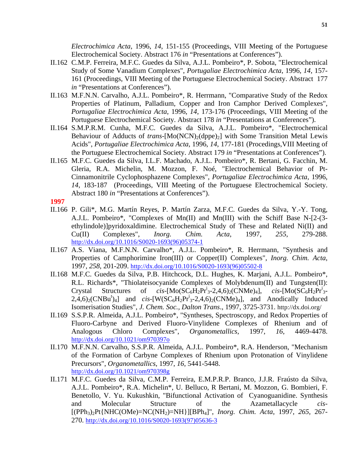*Electrochimica Acta*, 1996, *14*, 151-155 (Proceedings, VIII Meeting of the Portuguese Electrochemical Society. Abstract 176 *in* "Presentations at Conferences").

- II.162 C.M.P. Ferreira, M.F.C. Guedes da Silva, A.J.L. Pombeiro\*, P. Sobota, "Electrochemical Study of Some Vanadium Complexes", *Portugaliae Electrochimica Acta*, 1996, *14*, 157- 161 (Proceedings, VIII Meeting of the Portuguese Electrochemical Society. Abstract 177 *in* "Presentations at Conferences").
- II.163 M.F.N.N. Carvalho, A.J.L. Pombeiro\*, R. Herrmann, "Comparative Study of the Redox Properties of Platinum, Palladium, Copper and Iron Camphor Derived Complexes", *Portugaliae Electrochimica Acta*, 1996, *14*, 173-176 (Proceedings, VIII Meeting of the Portuguese Electrochemical Society. Abstract 178 *in* "Presentations at Conferences").
- II.164 S.M.P.R.M. Cunha, M.F.C. Guedes da Silva, A.J.L. Pombeiro\*, "Electrochemical Behaviour of Adducts of *trans*-[Mo(NCN)<sub>2</sub>(dppe)<sub>2</sub>] with Some Transition Metal Lewis Acids", *Portugaliae Electrochimica Acta*, 1996, *14*, 177-181 (Procedings,VIII Meeting of the Portuguese Electrochemical Society. Abstract 179 *in* "Presentations at Conferences").
- II.165 M.F.C. Guedes da Silva, I.L.F. Machado, A.J.L. Pombeiro\*, R. Bertani, G. Facchin, M. Gleria, R.A. Michelin, M. Mozzon, F. Noé, "Electrochemical Behavior of Pt-Cinnamonitrile Cyclophosphazene Complexes", *Portugaliae Electrochimica Acta*, 1996, *14*, 183-187 (Proceedings, VIII Meeting of the Portuguese Electrochemical Society. Abstract 180 *in* "Presentations at Conferences").
- **1997**
- II.166 P. Gili\*, M.G. Martín Reyes, P. Martín Zarza, M.F.C. Guedes da Silva, Y.-Y. Tong, A.J.L. Pombeiro\*, "Complexes of Mn(II) and Mn(III) with the Schiff Base N-[2-(3 ethylindole)]pyridoxaldimine. Electrochemical Study of These and Related Ni(II) and Cu(II) Complexes", *Inorg. Chim. Acta*, 1997, *255*, 279-288. http://dx.doi.org/10.1016/S0020-1693(96)05374-1
- II.167 A.S. Viana, M.F.N.N. Carvalho\*, A.J.L. Pombeiro\*, R. Herrmann, "Synthesis and Properties of Camphorimine Iron(III) or Copper(II) Complexes", *Inorg. Chim. Acta*, 1997, *258*, 201-209. http://dx.doi.org/10.1016/S0020-1693(96)05502-8
- II.168 M.F.C. Guedes da Silva, P.B. Hitchcock, D.L. Hughes, K. Marjani, A.J.L. Pombeiro\*, R.L. Richards\*, "Thiolateisocyanide Complexes of Molybdenum(II) and Tungsten(II):  $C$ rystal Structures of *cis*-[Mo( $SC_6H_2Pr^i_3-2,4,6$ )<sub>2</sub>(CNMe)<sub>4</sub>], *cis*-[Mo( $SC_6H_2Pr^i_3$  $cis$ - $[Mo(SC<sub>6</sub>H<sub>2</sub>Pr<sup>1</sup><sub>3</sub>$ - $2,4,6$ <sub>2</sub>(CNBu<sup>t</sup>)<sub>4</sub>] and *cis*-[W(SC<sub>6</sub>H<sub>2</sub>Pr<sup>i</sup><sub>3</sub>-2,4,6)<sub>2</sub>(CNMe)<sub>4</sub>], and Anodically Induced Isomerisation Studies", *J. Chem. Soc., Dalton Trans*., 1997, 3725-3731. http://dx.doi.org/
- II.169 S.S.P.R. Almeida, A.J.L. Pombeiro\*, "Syntheses, Spectroscopy, and Redox Properties of Fluoro-Carbyne and Derived Fluoro-Vinylidene Complexes of Rhenium and of Analogous Chloro Complexes", *Organometallics*, 1997, *16*, 4469-4478. http://dx.doi.org/10.1021/om970397o
- II.170 M.F.N.N. Carvalho, S.S.P.R. Almeida, A.J.L. Pombeiro\*, R.A. Henderson, "Mechanism of the Formation of Carbyne Complexes of Rhenium upon Protonation of Vinylidene Precursors", *Organometallics*, 1997, *16*, 5441-5448. http://dx.doi.org/10.1021/om970398g
- II.171 M.F.C. Guedes da Silva, C.M.P. Ferreira, E.M.P.R.P. Branco, J.J.R. Fraústo da Silva, A.J.L. Pombeiro\*, R.A. Michelin\*, U. Belluco, R Bertani, M. Mozzon, G. Bombieri, F. Benetollo, V. Yu. Kukushkin, "Bifunctional Activation of Cyanoguanidine. Synthesis and Molecular Structure of the Azametallacycle *cis*- [(PPh3)2Pt{NHC(OMe)=NC(NH2)=NH}][BPh4]", *Inorg. Chim. Acta*, 1997, *265*, 267- 270. http://dx.doi.org/10.1016/S0020-1693(97)05636-3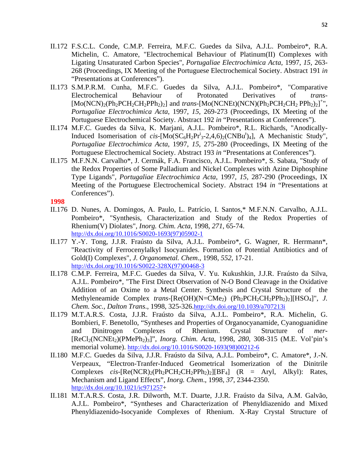- II.172 F.S.C.L. Conde, C.M.P. Ferreira, M.F.C. Guedes da Silva, A.J.L. Pombeiro\*, R.A. Michelin, C. Amatore, "Electrochemical Behaviour of Platinum(II) Complexes with Ligating Unsaturated Carbon Species", *Portugaliae Electrochimica Acta*, 1997, *15*, 263- 268 (Proceedings, IX Meeting of the Portuguese Electrochemical Society. Abstract 191 *in* "Presentations at Conferences").
- II.173 S.M.P.R.M. Cunha, M.F.C. Guedes da Silva, A.J.L. Pombeiro\*, "Comparative Electrochemical Behaviour of Protonated Derivatives of *trans*-  $[Mo(NCN)_2(Ph_2PCH_2CH_2PPh_2)_2]$  and *trans*- $[Mo(NCNEt)(NCN)(Ph_2PCH_2CH_2PPh_2)_2]$ <sup>+</sup>", *Portugaliae Electrochimica Acta*, 1997, *15*, 269-273 (Proceedings, IX Meeting of the Portuguese Electrochemical Society. Abstract 192 *in* "Presentations at Conferences").
- II.174 M.F.C. Guedes da Silva, K. Marjani, A.J.L. Pombeiro\*, R.L. Richards, "Anodically-Induced Isomerisation of  $cis$ -[Mo(SC<sub>6</sub>H<sub>2</sub>Pr<sup>i</sup><sub>3</sub>-2,4,6)<sub>2</sub>(CNBu<sup>t</sup>)<sub>4</sub>], A Mechanistic Study", *Portugaliae Electrochimica Acta*, 1997, *15*, 275-280 (Proceedings, IX Meeting of the Portuguese Electrochemical Society. Abstract 193 *in* "Presentations at Conferences").
- II.175 M.F.N.N. Carvalho\*, J. Cermák, F.A. Francisco, A.J.L. Pombeiro\*, S. Sabata, "Study of the Redox Properties of Some Palladium and Nickel Complexes with Azine Diphosphine Type Ligands", *Portugaliae Electrochimica Acta*, 1997, *15*, 287-290 (Proceedings, IX Meeting of the Portuguese Electrochemical Society. Abstract 194 *in* "Presentations at Conferences").

- II.176 D. Nunes, A. Domingos, A. Paulo, L. Patrício, I. Santos,\* M.F.N.N. Carvalho, A.J.L. Pombeiro\*, "Synthesis, Characterization and Study of the Redox Properties of Rhenium(V) Diolates", *Inorg. Chim. Acta*, 1998, *271*, 65-74. http://dx.doi.org/10.1016/S0020-1693(97)05902-1
- II.177 Y.-Y. Tong, J.J.R. Fraústo da Silva, A.J.L. Pombeiro\*, G. Wagner, R. Herrmann\*, "Reactivity of Ferrocenylalkyl Isocyanides. Formation of Potential Antibiotics and of Gold(I) Complexes", *J. Organometal. Chem*., 1998, *552*, 17-21. http://dx.doi.org/10.1016/S0022-328X(97)00468-3
- II.178 C.M.P. Ferreira, M.F.C. Guedes da Silva, V. Yu. Kukushkin, J.J.R. Fraústo da Silva, A.J.L. Pombeiro\*, "The First Direct Observation of N-O Bond Cleavage in the Oxidative Addition of an Oxime to a Metal Center. Synthesis and Crystal Structure of the Methyleneamide Complex *trans*-[Re(OH)(N=CMe<sub>2</sub>) (Ph<sub>2</sub>PCH<sub>2</sub>CH<sub>2</sub>PPh<sub>2</sub>)<sub>2</sub>][HSO<sub>4</sub>]", *J. Chem. Soc., Dalton Trans*., 1998, 325-326.http://dx.doi.org/10.1039/a707213i
- II.179 M.T.A.R.S. Costa, J.J.R. Fraústo da Silva, A.J.L. Pombeiro\*, R.A. Michelin, G. Bombieri, F. Benetollo, "Syntheses and Properties of Organocyanamide, Cyanoguanidine and Dinitrogen Complexes of Rhenium. Crystal Structure of *mer*- [ReCl2(NCNEt2)(PMePh2)3]", *Inorg. Chim. Acta*, 1998, *280*, 308-315 (M.E. Vol'pin's memorial volume). http://dx.doi.org/10.1016/S0020-1693(98)00212-6
- II.180 M.F.C. Guedes da Silva, J.J.R. Fraústo da Silva, A.J.L. Pombeiro\*, C. Amatore\*, J.-N. Verpeaux, "Electron-Tranfer-Induced Geometrical Isomerization of the Dinitrile Complexes *cis*- $[Re(NCR)_{2}(Ph_{2}PCH_{2}CH_{2}PPh_{2})_{2}][BF_{4}]$  (R = Aryl, Alkyl): Rates, Mechanism and Ligand Effects", *Inorg. Chem*., 1998, *37*, 2344-2350. http://dx.doi.org/10.1021/ic971257+
- II.181 M.T.A.R.S. Costa, J.R. Dilworth, M.T. Duarte, J.J.R. Fraústo da Silva, A.M. Galvão, A.J.L. Pombeiro\*, "Syntheses and Characterization of Phenyldiazenido and Mixed Phenyldiazenido-Isocyanide Complexes of Rhenium. X-Ray Crystal Structure of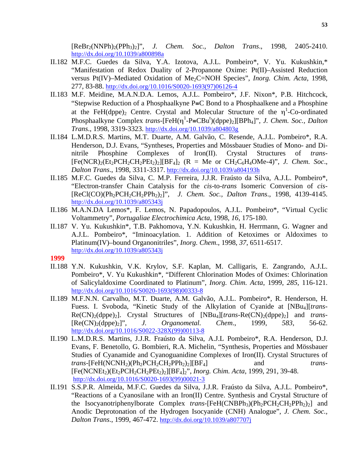[ReBr2(NNPh)2(PPh3)2]", *J. Chem. Soc., Dalton Trans*., 1998, 2405-2410. http://dx.doi.org/10.1039/a800898a

- II.182 M.F.C. Guedes da Silva, Y.A. Izotova, A.J.L. Pombeiro\*, V. Yu. Kukushkin,\* "Manifestation of Redox Duality of 2-Propanone Oxime: Pt(II)–Assisted Reduction versus Pt(IV)–Mediated Oxidation of Me2C=NOH Species", *Inorg. Chim. Acta*, 1998, 277, 83-88. http://dx.doi.org/10.1016/S0020-1693(97)06126-4
- II.183 M.F. Meidine, M.A.N.D.A. Lemos, A.J.L. Pombeiro\*, J.F. Nixon\*, P.B. Hitchcock, "Stepwise Reduction of a Phosphaalkyne P≡C Bond to a Phosphaalkene and a Phosphine at the FeH(dppe)<sub>2</sub> Centre. Crystal and Molecular Structure of the  $\eta^1$ -Co-ordinated Phosphaalkyne Complex *trans*-[FeH(η<sup>1</sup>-P≡CBu<sup>t</sup>)(dppe)<sub>2</sub>][BPh<sub>4</sub>]", *J. Chem. Soc., Dalton Trans*., 1998, 3319-3323. http://dx.doi.org/10.1039/a804803g
- II.184 L.M.D.R.S. Martins, M.T. Duarte, A.M. Galvão, C. Resende, A.J.L. Pombeiro\*, R.A. Henderson, D.J. Evans, "Syntheses, Properties and Mössbauer Studies of Mono- and Dinitrile Phosphine Complexes of Iron(II). Crystal Structures of *trans*-  $[Fe(NCR)_2(Et_2PCH_2CH_2PEt_2)_2][BF_4]$  (R = Me or  $CH_2C_6H_4OMe-4)$ ", *J. Chem. Soc.*, *Dalton Trans*., 1998, 3311-3317. http://dx.doi.org/10.1039/a804193h
- II.185 M.F.C. Guedes da Silva, C. M.P. Ferreira, J.J.R. Fraústo da Silva, A.J.L. Pombeiro\*, "Electron-transfer Chain Catalysis for the *cis*-to-*trans* Isomeric Conversion of *cis*- [ReCl(CO)(Ph2PCH2CH2PPh2)2]", *J. Chem. Soc., Dalton Trans*., 1998, 4139-4145. http://dx.doi.org/10.1039/a805343j
- II.186 M.A.N.DA Lemos\*, F. Lemos, N. Papadopoulos, A.J.L. Pombeiro\*, "Virtual Cyclic Voltammetry", *Portugaliae Electrochimica Acta*, 1998, *16*, 175-180.
- II.187 V. Yu. Kukushkin\*, T.B. Pakhomova, Y.N. Kukushkin, H. Herrmann, G. Wagner and A.J.L. Pombeiro\*, "Iminoacylation. 1. Addition of Ketoximes or Aldoximes to Platinum(IV)–bound Organonitriles", *Inorg. Chem*., 1998, *37*, 6511-6517. http://dx.doi.org/10.1039/a805343j
- **1999**
- II.188 Y.N. Kukushkin, V.K. Krylov, S.F. Kaplan, M. Calligaris, E. Zangrando, A.J.L. Pombeiro\*, V. Yu Kukushkin\*, "Different Chlorination Modes of Oximes: Chlorination of Salicylaldoxime Coordinated to Platinum", *Inorg. Chim. Acta*, 1999, *285*, 116-121. http://dx.doi.org/10.1016/S0020-1693(98)00333-8
- II.189 M.F.N.N. Carvalho, M.T. Duarte, A.M. Galvão, A.J.L. Pombeiro\*, R. Henderson, H. Fuess. I. Svoboda, "Kinetic Study of the Alkylation of Cyanide at [NBu<sub>4</sub>][*trans*-Re(CN)<sub>2</sub>(dppe)<sub>2</sub>]. Crystal Structures of [NBu<sub>4</sub>][*trans*-Re(CN)<sub>2</sub>(dppe)<sub>2</sub>] and *trans*-[Re(CN)2(dppe)2]", *J. Organometal. Chem*., 1999, *583*, 56-62. http://dx.doi.org/10.1016/S0022-328X(99)00113-8
- II.190 L.M.D.R.S. Martins, J.J.R. Fraústo da Silva, A.J.L Pombeiro\*, R.A. Henderson, D.J. Evans, F. Benetollo, G. Bombieri, R.A. Michelin, "Synthesis, Properties and Mössbauer Studies of Cyanamide and Cyanoguanidine Complexes of Iron(II). Crystal Structures of *trans*-[FeH(NCNH<sub>2</sub>)(Ph<sub>2</sub>PCH<sub>2</sub>CH<sub>2</sub>PPh<sub>2</sub>)<sub>2</sub>][BF<sub>4</sub>] and *trans-*[Fe(NCNEt2)(Et2PCH2CH2PEt2)2][BF4]2", *Inorg. Chim. Acta*, 1999, 291, 39-48. http://dx.doi.org/10.1016/S0020-1693(99)00021-3
- II.191 S.S.P.R. Almeida, M.F.C. Guedes da Silva, J.J.R. Fraústo da Silva, A.J.L. Pombeiro\*, "Reactions of a Cyanosilane with an Iron(II) Centre. Synthesis and Crystal Structure of the Isocyanotriphenylborate Complex *trans*-[FeH(CNBPh<sub>3</sub>)(Ph<sub>2</sub>PCH<sub>2</sub>CH<sub>2</sub>PPh<sub>2</sub>)<sub>2</sub>] and Anodic Deprotonation of the Hydrogen Isocyanide (CNH) Analogue", *J. Chem. Soc., Dalton Trans*., 1999, 467-472. http://dx.doi.org/10.1039/a807707j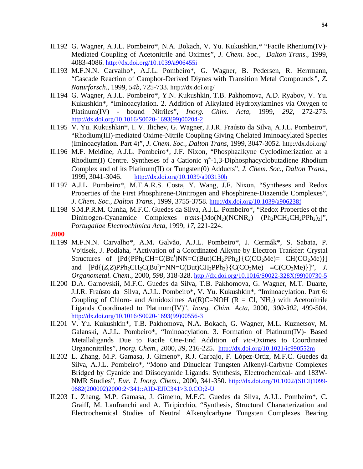- II.192 G. Wagner, A.J.L. Pombeiro\*, N.A. Bokach, V. Yu. Kukushkin,\* "Facile Rhenium(IV)- Mediated Coupling of Acetonitrile and Oximes", *J. Chem. Soc., Dalton Trans*., 1999, 4083-4086. http://dx.doi.org/10.1039/a906455i
- II.193 M.F.N.N. Carvalho\*, A.J.L. Pombeiro\*, G. Wagner, B. Pedersen, R. Herrmann, "Cascade Reaction of Camphor-Derived Diynes with Transition Metal Compounds*", Z. Naturforsch*., 1999, *54b*, 725-733. http://dx.doi.org/
- II.194 G. Wagner, A.J.L. Pombeiro\*, Y.N. Kukushkin, T.B. Pakhomova, A.D. Ryabov, V. Yu. Kukushkin\*, "Iminoacylation. 2. Addition of Alkylated Hydroxylamines via Oxygen to Platinum(IV) - bound Nitriles", *Inorg. Chim. Acta*, 1999, *292,* 272-275. http://dx.doi.org/10.1016/S0020-1693(99)00204-2
- II.195 V. Yu. Kukushkin\*, I. V. Ilichev, G. Wagner, J.J.R. Fraústo da Silva, A.J.L. Pombeiro\*, "Rhodium(III)-mediated Oxime-Nitrile Coupling Giving Chelated Iminoacylated Species (Iminoacylation. Part 4)", *J. Chem. Soc., Dalton Trans*, 1999, 3047-3052. http://dx.doi.org/
- II.196 M.F. Meidine, A.J.L. Pombeiro\*, J.F. Nixon, "Phosphaalkyne Cyclodimerization at a Rhodium(I) Centre. Syntheses of a Cationic  $\eta^4$ -1,3-Diphosphacyclobutadiene Rhodium Complex and of its Platinum(II) or Tungsten(0) Adducts", *J. Chem. Soc., Dalton Trans*., 1999, 3041-3046. http://dx.doi.org/10.1039/a903130h
- II.197 A.J.L. Pombeiro\*, M.T.A.R.S. Costa, Y. Wang, J.F. Nixon, "Syntheses and Redox Properties of the First Phosphirene-Dinitrogen and Phosphirene-Diazenide Complexes", *J*. *Chem. Soc., Dalton Trans*., 1999, 3755-3758. http://dx.doi.org/10.1039/a906238f
- II.198 S.M.P.R.M. Cunha, M.F.C. Guedes da Silva, A.J.L. Pombeiro\*, "Redox Properties of the Dinitrogen-Cyanamide Complexes *trans*-[Mo(N<sub>2</sub>)(NCNR<sub>2</sub>) (Ph<sub>2</sub>PCH<sub>2</sub>CH<sub>2</sub>PPh<sub>2</sub>)<sub>2</sub>]", *Portugaliae Electrochimica Acta*, 1999, *17*, 221-224.
- **2000**
- II.199 M.F.N.N. Carvalho\*, A.M. Galvão, A.J.L. Pombeiro\*, J. Cermák\*, S. Sabata, P. Vojtísek, J. Podlaha, "Activation of a Coordinated Alkyne by Electron Transfer: Crystal Structures of  $[Pd\{PPh_2CH=C(Bu^t)NN=C(But)CH_2PPh_2\}$  $\{C(CO_2Me)=CH(CO_2Me)\}$ and  $[Pd\{(Z,Z)PPh_2CH_2C(Bu^t)=NN=C(But)CH_2PPh_2\} \{C(CO_2Me) =C(CO_2Me)\}]$ ", *J. Organometal. Chem*., 2000, *598*, 318-328. http://dx.doi.org/10.1016/S0022-328X(99)00730-5
- II.200 D.A. Garnovskii, M.F.C. Guedes da Silva, T.B. Pakhomova, G. Wagner, M.T. Duarte, J.J.R. Fraústo da Silva, A.J.L. Pombeiro\*, V. Yu. Kukushkin\*, "Iminoacylation. Part 6: Coupling of Chloro- and Amidoximes Ar(R)C=NOH ( $R = C1$ , NH<sub>2</sub>) with Acetonitrile Ligands Coordinated to Platinum(IV)", *Inorg. Chim. Acta*, 2000, *300-302*, 499-504. http://dx.doi.org/10.1016/S0020-1693(99)00556-3
- II.201 V. Yu. Kukushkin\*, T.B. Pakhomova, N.A. Bokach, G. Wagner, M.L. Kuznetsov, M. Galanski, A.J.L. Pombeiro\*, "Iminoacylation. 3. Formation of Platinum(IV)- Based Metallaligands Due to Facile One-End Addition of *vic*-Oximes to Coordinated Organonitriles", *Inorg. Chem*., 2000, *39*, 216-225. http://dx.doi.org/10.1021/ic990552m
- II.202 L. Zhang, M.P. Gamasa, J. Gimeno\*, R.J. Carbajo, F. López-Ortiz, M.F.C. Guedes da Silva, A.J.L. Pombeiro\*, "Mono and Dinuclear Tungsten Alkenyl-Carbyne Complexes Bridged by Cyanide and Diisocyanide Ligands: Synthesis, Electrochemical- and 183W-NMR Studies", *Eur. J. Inorg. Chem*., 2000, 341-350. http://dx.doi.org/10.1002/(SICI)1099- 0682(200002)2000:2<341::AID-EJIC341>3.0.CO;2-U
- II.203 L. Zhang, M.P. Gamasa, J. Gimeno, M.F.C. Guedes da Silva, A.J.L. Pombeiro\*, C. Graiff, M. Lanfranchi and A. Tiripicchio, "Synthesis, Structural Characterization and Electrochemical Studies of Neutral Alkenylcarbyne Tungsten Complexes Bearing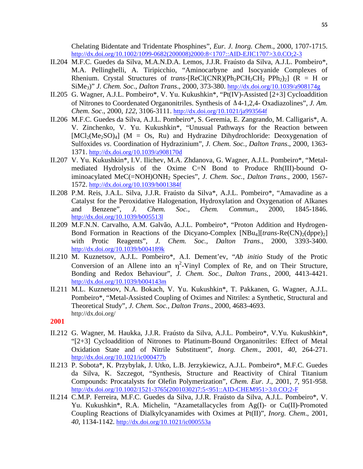Chelating Bidentate and Tridentate Phosphines", *Eur. J. Inorg. Chem*., 2000, 1707-1715. http://dx.doi.org/10.1002/1099-0682(200008)2000:8<1707::AID-EJIC1707>3.0.CO;2-3

- II.204 M.F.C. Guedes da Silva, M.A.N.D.A. Lemos, J.J.R. Fraústo da Silva, A.J.L. Pombeiro\*, M.A. Pellinghelli, A. Tiripicchio, "Aminocarbyne and Isocyanide Complexes of Rhenium. Crystal Structures of *trans*-[ReCl(CNR)(Ph<sub>2</sub>PCH<sub>2</sub>CH<sub>2</sub> PPh<sub>2</sub>)<sub>2</sub>] (R = H or SiMe3)" *J. Chem. Soc*., *Dalton Trans*., 2000, 373-380. http://dx.doi.org/10.1039/a908174g
- II.205 G. Wagner, A.J.L. Pombeiro\*, V. Yu. Kukushkin\*, "Pt(IV)-Assisted [2+3] Cycloaddition of Nitrones to Coordenated Organonitriles. Synthesis of Δ4-1,2,4- Oxadiazolines", *J. Am. Chem. Soc*., 2000, *122*, 3106-3111. http://dx.doi.org/10.1021/ja993564f
- II.206 M.F.C. Guedes da Silva, A.J.L. Pombeiro\*, S. Geremia, E. Zangrando, M. Calligaris\*, A. V. Zinchenko, V. Yu. Kukushkin\*, "Unusual Pathways for the Reaction between  $[MCl_2(Me_2SO)_4]$  (M = Os, Ru) and Hydrazine Dihydrochloride: Deoxygenation of Sulfoxides *vs*. Coordination of Hydrazinium", *J. Chem. Soc., Dalton Trans*., 2000, 1363- 1371. http://dx.doi.org/10.1039/a908170d
- II.207 V. Yu. Kukushkin\*, I.V. Ilichev, M.A. Zhdanova, G. Wagner, A.J.L. Pombeiro\*, "Metalmediated Hydrolysis of the Oxime C=N Bond to Produce Rh(III)-bound Oiminoacylated MeC(=NOH)ONH2 Species", *J. Chem. Soc., Dalton Trans*., 2000, 1567- 1572. http://dx.doi.org/10.1039/b001384f
- II.208 P.M. Reis, J.A.L. Silva, J.J.R. Fraústo da Silva\*, A.J.L. Pombeiro\*, "Amavadine as a Catalyst for the Peroxidative Halogenation, Hydroxylation and Oxygenation of Alkanes and Benzene", *J. Chem. Soc., Chem. Commun*., 2000, 1845-1846. http://dx.doi.org/10.1039/b005513l
- II.209 M.F.N.N. Carvalho, A.M. Galvão, A.J.L. Pombeiro\*, "Proton Addition and Hydrogen-Bond Formation in Reactions of the Dicyano-Complex [NBu<sub>4</sub>][*trans*-Re(CN)<sub>2</sub>(dppe)<sub>2</sub>] with Protic Reagents", *J. Chem. Soc., Dalton Trans*., 2000, 3393-3400. http://dx.doi.org/10.1039/b004189k
- II.210 M. Kuznetsov, A.J.L. Pombeiro\*, A.I. Dement'ev, "*Ab initio* Study of the Protic Conversion of an Allene into an  $\eta^2$ -Vinyl Complex of Re, and on Their Structure, Bonding and Redox Behaviour", *J. Chem. Soc., Dalton Trans.,* 2000, 4413-4421. http://dx.doi.org/10.1039/b004143m
- II.211 M.L. Kuznetsov, N.A. Bokach, V. Yu. Kukushkin\*, T. Pakkanen, G. Wagner, A.J.L. Pombeiro\*, "Metal-Assisted Coupling of Oximes and Nitriles: a Synthetic, Structural and Theoretical Study", *J. Chem. Soc., Dalton Trans*., 2000, 4683-4693. http://dx.doi.org/

- II.212 G. Wagner, M. Haukka, J.J.R. Fraústo da Silva, A.J.L. Pombeiro\*, V.Yu. Kukushkin\*, "[2+3] Cycloaddition of Nitrones to Platinum-Bound Organonitriles: Effect of Metal Oxidation State and of Nitrile Substituent", *Inorg. Chem*., 2001, *40*, 264-271. http://dx.doi.org/10.1021/ic000477b
- II.213 P. Sobota\*, K. Przybylak, J. Utko, L.B. Jerzykiewicz, A.J.L. Pombeiro\*, M.F.C. Guedes da Silva, K. Szczegot, "Synthesis, Structure and Reactivity of Chiral Titanium Compounds: Procatalysts for Olefin Polymerization", *Chem. Eur. J*., 2001, *7*, 951-958. http://dx.doi.org/10.1002/1521-3765(20010302)7:5<951::AID-CHEM951>3.0.CO;2-F
- II.214 C.M.P. Ferreira, M.F.C. Guedes da Silva, J.J.R. Fraústo da Silva, A.J.L. Pombeiro\*, V. Yu. Kukushkin\*, R.A. Michelin, "Azametallacycles from Ag(I)- or Cu(II)-Promoted Coupling Reactions of Dialkylcyanamides with Oximes at Pt(II)", *Inorg. Chem*., 2001, *40*, 1134-1142. http://dx.doi.org/10.1021/ic000553a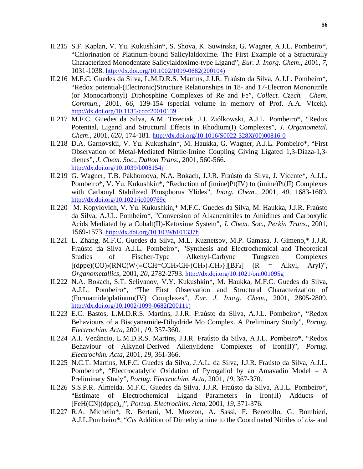- II.215 S.F. Kaplan, V. Yu. Kukushkin\*, S. Shova, K. Suwinska, G. Wagner, A.J.L. Pombeiro\*, "Chlorination of Platinum-bound Salicylaldoxime. The First Example of a Structurally Characterized Monodentate Salicylaldoxime-type Ligand", *Eur. J. Inorg*. *Chem*., 2001, *7*, 1031-1038. http://dx.doi.org/10.1002/1099-0682(200104)
- II.216 M.F.C. Guedes da Silva, L.M.D.R.S. Martins, J.J.R. Fraústo da Silva, A.J.L. Pombeiro\*, "Redox potential-(Electronic)Structure Relationships in 18- and 17-Electron Mononitrile (or Monocarbonyl) Diphosphine Complexes of Re and Fe", *Collect. Czech. Chem*. *Commun*., 2001, *66*, 139-154 (special volume in memory of Prof. A.A. Vlcek). http://dx.doi.org/10.1135/cccc20010139
- II.217 M.F.C. Guedes da Silva, A.M. Trzeciak, J.J. Ziólkowski, A.J.L. Pombeiro\*, "Redox Potential, Ligand and Structural Effects in Rhodium(I) Complexes", *J. Organometal. Chem*., 2001, *620*, 174-181. http://dx.doi.org/10.1016/S0022-328X(00)00816-0
- II.218 D.A. Garnovskii, V. Yu. Kukushkin\*, M. Haukka, G. Wagner, A.J.L. Pombeiro\*, "First Observation of Metal-Mediated Nitrile-Imine Coupling Giving Ligated 1,3-Diaza-1,3 dienes", *J. Chem. Soc., Dalton Trans*., 2001, 560-566. http://dx.doi.org/10.1039/b008154j
- II.219 G. Wagner, T.B. Pakhomova, N.A. Bokach, J.J.R. Fraústo da Silva, J. Vicente\*, A.J.L. Pombeiro\*, V. Yu. Kukushkin\*, "Reduction of (imine)Pt(IV) to (imine)Pt(II) Complexes with Carbonyl Stabilized Phosphorus Ylides", *Inorg. Chem*., 2001, *40*, 1683-1689. http://dx.doi.org/10.1021/ic000769c
- II.220 M. Kopylovich, V. Yu. Kukushkin,\* M.F.C. Guedes da Silva, M. Haukka, J.J.R. Fraústo da Silva, A.J.L. Pombeiro\*, "Conversion of Alkanenitriles to Amidines and Carboxylic Acids Mediated by a Cobalt(II)-Ketoxime System", *J. Chem. Soc., Perkin Trans.*, 2001, 1569-1573. http://dx.doi.org/10.1039/b101337h
- II.221 L. Zhang, M.F.C. Guedes da Silva, M.L. Kuznetsov, M.P. Gamasa, J. Gimeno,\* J.J.R. Fraústo da Silva A.J.L. Pombeiro\*, "Synthesis and Electrochemical and Theoretical Studies of Fischer-Type Alkenyl-Carbyne Tungsten Complexes  $[(\text{dppe})(CO)_2(\text{RNC})W$ {=CCH=CCH<sub>2</sub>CH<sub>2</sub>(CH<sub>2</sub>)<sub>n</sub>CH<sub>2</sub>}][BF<sub>4</sub>] (R = Alkyl, Aryl)", *Organometallics*, 2001, *20*, 2782-2793. http://dx.doi.org/10.1021/om001095g
- II.222 N.A. Bokach, S.T. Selivanov, V.Y. Kukushkin\*, M. Haukka, M.F.C. Guedes da Silva, A.J.L. Pombeiro\*, "The First Observation and Structural Characterization of (Formamide)platinum(IV) Complexes", *Eur. J. Inorg. Chem*., 2001, 2805-2809. http://dx.doi.org/10.1002/1099-0682(200111)
- II.223 E.C. Bastos, L.M.D.R.S. Martins, J.J.R. Fraústo da Silva, A.J.L. Pombeiro\*, "Redox Behaviours of a Biscyanamide-Dihydride Mo Complex. A Preliminary Study", *Portug. Electrochim. Acta*, 2001, *19*, 357-360.
- II.224 A.I. Venâncio, L.M.D.R.S. Martins, J.J.R. Fraústo da Silva, A.J.L. Pombeiro\*, "Redox Behaviour of Alkynol-Derived Allenylidene Complexes of Iron(II)", *Portug*. *Electrochim. Acta*, 2001, *19*, 361-366.
- II.225 N.C.T. Martins, M.F.C. Guedes da Silva, J.A.L. da Silva, J.J.R. Fraústo da Silva, A.J.L. Pombeiro\*, "Electrocatalytic Oxidation of Pyrogallol by an Amavadin Model – A Preliminary Study", *Portug. Electrochim. Acta*, 2001, *19*, 367-370.
- II.226 S.S.P.R. Almeida, M.F.C. Guedes da Silva, J.J.R. Fraústo da Silva, A.J.L. Pombeiro\*, "Estimate of Electrochemical Ligand Parameters in Iron(II) Adducts of [FeH(CN)(dppe)2]", *Portug. Electrochim. Acta*, 2001, *19*, 371-376.
- II.227 R.A. Michelin\*, R. Bertani, M. Mozzon, A. Sassi, F. Benetollo, G. Bombieri, A.J.L.Pombeiro\*, "*Cis* Addition of Dimethylamine to the Coordinated Nitriles of *cis*- and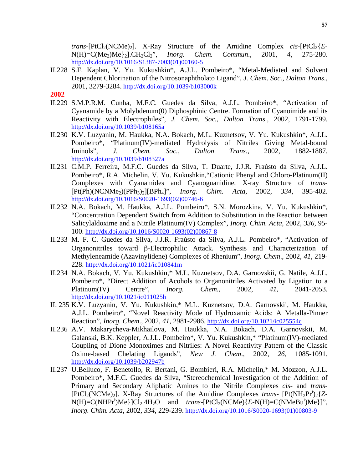*trans*- $[PtCl<sub>2</sub>(NCMe)<sub>2</sub>]$ . X-Ray Structure of the Amidine Complex *cis*- $[PtCl<sub>2</sub>{E<sub>2</sub>}$ N(H)=C(Me2)Me}2].CH2Cl2", *Inorg. Chem. Commun*., 2001, *4*, 275-280. http://dx.doi.org/10.1016/S1387-7003(01)00160-5

- II.228 S.F. Kaplan, V. Yu. Kukushkin\*, A.J.L. Pombeiro\*, "Metal-Mediated and Solvent Dependent Chlorination of the Nitrosonaphtholato Ligand", *J. Chem. Soc., Dalton Trans*., 2001, 3279-3284. http://dx.doi.org/10.1039/b103000k
- **2002**
- II.229 S.M.P.R.M. Cunha, M.F.C. Guedes da Silva, A.J.L. Pombeiro\*, "Activation of Cyanamide by a Molybdenum(0) Diphosphinic Centre. Formation of Cyanoimide and its Reactivity with Electrophiles", *J. Chem. Soc., Dalton Trans*., 2002, 1791-1799. http://dx.doi.org/10.1039/b108165a
- II.230 K.V. Luzyanin, M. Haukka, N.A. Bokach, M.L. Kuznetsov, V. Yu. Kukushkin\*, A.J.L. Pombeiro\*, "Platinum(IV)-mediated Hydrolysis of Nitriles Giving Metal-bound Iminols", *J. Chem. Soc., Dalton Trans*., 2002, 1882-1887. http://dx.doi.org/10.1039/b108327a
- II.231 C.M.P. Ferreira, M.F.C. Guedes da Silva, T. Duarte, J.J.R. Fraústo da Silva, A.J.L. Pombeiro\*, R.A. Michelin, V. Yu. Kukushkin,"Cationic Phenyl and Chloro-Platinum(II) Complexes with Cyanamides and Cyanoguanidine. X-ray Structure of *trans*- [Pt(Ph)(NCNMe2)(PPh3)2][BPh4]", *Inorg. Chim. Acta*, 2002, *334*, 395-402. http://dx.doi.org/10.1016/S0020-1693(02)00746-6
- II.232 N.A. Bokach, M. Haukka, A.J.L. Pombeiro\*, S.N. Morozkina, V. Yu. Kukushkin\*, "Concentration Dependent Switch from Addition to Substitution in the Reaction between Salicylaldoxime and a Nitrile Platinum(IV) Complex", *Inorg. Chim. Acta*, 2002, *336*, 95- 100. http://dx.doi.org/10.1016/S0020-1693(02)00867-8
- II.233 M. F. C. Guedes da Silva, J.J.R. Fraústo da Silva, A.J.L. Pombeiro\*, "Activation of Organonitriles toward β-Electrophilic Attack. Synthesis and Characterization of Methyleneamide (Azavinylidene) Complexes of Rhenium", *Inorg. Chem*., 2002, *41*, 219- 228. http://dx.doi.org/10.1021/ic010841m
- II.234 N.A. Bokach, V. Yu. Kukushkin,\* M.L. Kuznetsov, D.A. Garnovskii, G. Natile, A.J.L. Pombeiro\*, "Direct Addition of Acohols to Organonitriles Activated by Ligation to a Platinum(IV) Centre", *Inorg. Chem.,* 2002, *41*, 2041-2053. http://dx.doi.org/10.1021/ic011025h
- II. 235 K.V. Luzyanin, V. Yu. Kukushkin,\* M.L. Kuznetsov, D.A. Garnovskii, M. Haukka, A.J.L. Pombeiro\*, "Novel Reactivity Mode of Hydroxamic Acids: A Metalla-Pinner Reaction", *Inorg. Chem*., 2002, *41*, 2981-2986. http://dx.doi.org/10.1021/ic025554c
- II.236 A.V. Makarycheva-Mikhailova, M. Haukka, N.A. Bokach, D.A. Garnovskii, M. Galanski, B.K. Keppler, A.J.L. Pombeiro\*, V. Yu. Kukushkin,\* "Platinum(IV)-mediated Coupling of Dione Monoximes and Nitriles: A Novel Reactivity Pattern of the Classic Oxime-based Chelating Ligands", *New J. Chem*., 2002, *26*, 1085-1091. http://dx.doi.org/10.1039/b202947b
- II.237 U.Belluco, F. Benetollo, R. Bertani, G. Bombieri, R.A. Michelin,\* M. Mozzon, A.J.L. Pombeiro\*, M.F.C. Guedes da Silva, "Stereochemical Investigation of the Addition of Primary and Secondary Aliphatic Amines to the Nitrile Complexes *cis*- and *trans*- [PtCl<sub>2</sub>(NCMe)<sub>2</sub>]. X-Ray Structures of the Amidine Complexes *trans*- [Pt(NH<sub>2</sub>Pr<sup>i</sup>)<sub>2</sub>{*Z*- $N(H) = C(NHPr^i)Me$ } $|Cl_2.4H_2O$  and *trans*- $[PtCl_2(NCMe)$  $(E-N(H)=C(NMeBu^t)Me)$ ]", *Inorg. Chim. Acta*, 2002, *334*, 229-239. http://dx.doi.org/10.1016/S0020-1693(01)00803-9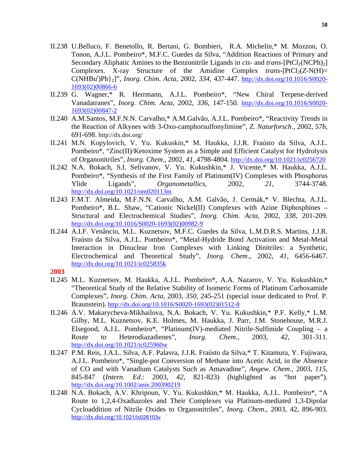- II.238 U.Belluco, F. Benetollo, R. Bertani, G. Bombieri, R.A. Michelin,\* M. Mozzon, O. Tonon, A.J.L. Pombeiro\*, M.F.C. Guedes da Silva, "Addition Reactions of Primary and Secondary Aliphatic Amines to the Benzonitrile Ligands in *cis*- and *trans*- $[PtCl<sub>2</sub>(NCPh)<sub>2</sub>]$ Complexes. X-ray Structure of the Amidine Complex *trans*- $[PtCl<sub>2</sub>(Z-N(H))=$ C(NHBut )Ph}2]", *Inorg. Chim. Acta,* 2002, *334*, 437-447. http://dx.doi.org/10.1016/S0020- 1693(02)00866-6
- II.239 G. Wagner,\* R. Herrmann, A.J.L. Pombeiro\*, "New Chiral Terpene-derived Vanadatranes", *Inorg. Chim. Acta*, 2002, *336*, 147-150. http://dx.doi.org/10.1016/S0020- 1693(02)00847-2
- II.240 A.M.Santos, M.F.N.N. Carvalho,\* A.M.Galvão, A.J.L. Pombeiro\*, "Reactivity Trends in the Reaction of Alkynes with 3-Oxo-camphorsulfonylimine", *Z. Naturforsch*., 2002, *57b*, 691-698. http://dx.doi.org/
- II.241 M.N. Kopylovich, V. Yu. Kukuskin,\* M. Haukka, J.J.R. Fraústo da Silva, A.J.L. Pombeiro\*, "Zinc(II)/Ketoxime System as a Simple and Efficient Catalyst for Hydrolysis of Organonitriles", *Inorg. Chem*., 2002, *41*, 4798-4804. http://dx.doi.org/10.1021/ic0256720
- II.242 N.A. Bokach, S.I. Selivanov, V. Yu. Kukushkin,\* J. Vicente,\* M. Haukka, A.J.L. Pombeiro\*, "Synthesis of the First Family of Platinum(IV) Complexes with Phosphorus Ylide Ligands", *Organometallics*, 2002, *21*, 3744-3748. http://dx.doi.org/10.1021/om020113m
- II.243 F.M.T. Almeida, M.F.N.N. Carvalho, A.M. Galvão, J. Cermák,\* V. Blechta, A.J.L. Pombeiro\*, B.L. Shaw, "Cationic Nickel(II) Complexes with Azine Diphosphines – Structural and Electrochemical Studies", *Inorg. Chim. Acta*, 2002, *338*, 201-209. http://dx.doi.org/10.1016/S0020-1693(02)00982-9
- II.244 A.I.F. Venâncio, M.L. Kuznetsov, M.F.C. Guedes da Silva, L.M.D.R.S. Martins, J.J.R. Fraústo da Silva, A.J.L. Pombeiro\*, "Metal-Hydride Bond Activation and Metal-Metal Interaction in Dinuclear Iron Complexes with Linking Dinitriles: a Synthetic, Electrochemical and Theoretical Study", *Inorg. Chem*., 2002, *41*, 6456-6467. http://dx.doi.org/10.1021/ic025835k
- **2003**
- II.245 M.L. Kuznetsov, M. Haukka, A.J.L. Pombeiro\*, A.A. Nazarov, V. Yu. Kukushkin,\* "Theoretical Study of the Relative Stability of Isomeric Forms of Platinum Carboxamide Complexes", *Inorg. Chim*. *Acta*, 2003, *350*, 245-251 (special issue dedicated to Prof. P. Braunstein). http://dx.doi.org/10.1016/S0020-1693(02)01512-8
- II.246 A.V. Makarycheva-Mikhailova, N.A. Bokach, V. Yu. Kukushkin,\* P.F. Kelly,\* L.M. Gilby, M.L. Kuznetsov, K.E. Holmes, M. Haukka, J. Parr, J.M. Stonehouse, M.R.J. Elsegood, A.J.L. Pombeiro\*, "Platinum(IV)-mediated Nitrile-Sulfimide Coupling – a Route to Heterodiazadienes", *Inorg. Chem*., 2003, *42*, 301-311. http://dx.doi.org/10.1021/ic025960w
- II.247 P.M. Reis, J.A.L. Silva, A.F. Palavra, J.J.R. Fraústo da Silva,\* T. Kitamura, Y. Fujiwara, A.J.L. Pombeiro\*, "Single-pot Conversion of Methane into Acetic Acid, in the Absence of CO and with Vanadium Catalysts Such as Amavadine", *Angew. Chem*., 2003, *115*, 845-847 (*Intern. Ed*.: 2003, *42*, 821-823) (highlighted as "hot paper"). http://dx.doi.org/10.1002/anie.200390219
- II.248 N.A. Bokach, A.V. Khripoun, V. Yu. Kukushkin,\* M. Haukka, A.J.L. Pombeiro\*, "A Route to 1,2,4-Oxadiazoles and Their Complexes via Platinum-mediated 1,3-Dipolar Cycloaddition of Nitrile Oxides to Organonitriles", *Inorg. Chem*., 2003, 42, 896-903. http://dx.doi.org/10.1021/ic026103v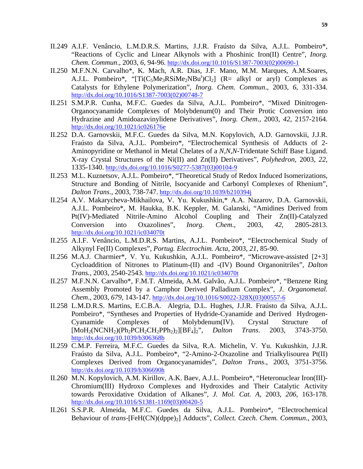- II.249 A.I.F. Venâncio, L.M.D.R.S. Martins, J.J.R. Fraústo da Silva, A.J.L. Pombeiro\*, "Reactions of Cyclic and Linear Alkynols with a Phoshinic Iron(II) Centre", *Inorg. Chem. Commun*., 2003, *6*, 94-96. http://dx.doi.org/10.1016/S1387-7003(02)00690-1
- II.250 M.F.N.N. Carvalho\*, K. Mach, A.R. Dias, J.F. Mano, M.M. Marques, A.M.Soares, A.J.L. Pombeiro\*, "[Ti(C<sub>5</sub>Me<sub>3</sub>RSiMe<sub>2</sub>NBu<sup>t</sup>)Cl<sub>2</sub>] (R= alkyl or aryl) Complexes as Catalysts for Ethylene Polymerization", *Inorg. Chem. Commun*., 2003, *6*, 331-334. http://dx.doi.org/10.1016/S1387-7003(02)00748-7
- II.251 S.M.P.R. Cunha, M.F.C. Guedes da Silva, A.J.L. Pombeiro\*, "Mixed Dinitrogen-Organocyanamide Complexes of Molybdenum(0) and Their Protic Conversion into Hydrazine and Amidoazavinylidene Derivatives", *Inorg. Chem*., 2003, *42*, 2157-2164. http://dx.doi.org/10.1021/ic026176e
- II.252 D.A. Garnovskii, M.F.C. Guedes da Silva, M.N. Kopylovich, A.D. Garnovskii, J.J.R. Fraústo da Silva, A.J.L. Pombeiro\*, "Electrochemical Synthesis of Adducts of 2- Aminopyridine or Methanol in Metal Chelates of a *N*,*N*,*N*-Tridentate Schiff Base Ligand. X-ray Crystal Structures of the Ni(II) and Zn(II) Derivatives", *Polyhedron*, 2003, *22*, 1335-1340. http://dx.doi.org/10.1016/S0277-5387(03)00104-9
- II.253 M.L. Kuznetsov, A.J.L. Pombeiro\*, "Theoretical Study of Redox Induced Isomerizations, Structure and Bonding of Nitrile, Isocyanide and Carbonyl Complexes of Rhenium", *Dalton Trans*., 2003, 738-747. http://dx.doi.org/10.1039/b210394j
- II.254 A.V. Makarycheva-Mikhailova, V. Yu. Kukushkin,\* A.A. Nazarov, D.A. Garnovskii, A.J.L. Pombeiro\*, M. Haukka, B.K. Keppler, M. Galanski, "Amidines Derived from Pt(IV)-Mediated Nitrile-Amino Alcohol Coupling and Their Zn(II)-Catalyzed Conversion into Oxazolines", *Inorg. Chem*., 2003, *42*, 2805-2813. http://dx.doi.org/10.1021/ic034070t
- II.255 A.I.F. Venâncio, L.M.D.R.S. Martins, A.J.L. Pombeiro\*, "Electrochemical Study of Alkynyl Fe(II) Complexes", *Portug. Electrochim. Acta*, 2003, *21*, 85-90.
- II.256 M.A.J. Charmier\*, V. Yu. Kukushkin, A.J.L. Pombeiro\*, "Microwave-assisted [2+3] Cycloaddition of Nitrones to Platinum-(II) and -(IV) Bound Organonitriles", *Dalton Trans.*, 2003, 2540-2543. http://dx.doi.org/10.1021/ic034070t
- II.257 M.F.N.N. Carvalho\*, F.M.T. Almeida, A.M. Galvão, A.J.L. Pombeiro\*, "Benzene Ring Assembly Promoted by a Camphor Derived Palladium Complex", *J*. *Organometal. Chem*., 2003, *679*, 143-147. http://dx.doi.org/10.1016/S0022-328X(03)00557-6
- II.258 L.M.D.R.S. Martins, E.C.B.A. Alegria, D.L. Hughes, J.J.R. Fraústo da Silva, A.J.L. Pombeiro\*, "Syntheses and Properties of Hydride-Cyanamide and Derived Hydrogen-Cyanamide Complexes of Molybdenum(IV). Crystal Structure of [MoH2(NCNH2)(Ph2PCH2CH2PPh2)2][BF4]2", *Dalton Trans*. 2003, 3743-3750. http://dx.doi.org/10.1039/b306368b
- II.259 C.M.P. Ferreira, M.F.C. Guedes da Silva, R.A. Michelin, V. Yu. Kukushkin, J.J.R. Fraústo da Silva, A.J.L. Pombeiro\*, "2-Amino-2-Oxazoline and Trialkylisourea Pt(II) Complexes Derived from Organocyanamides", *Dalton Trans*., 2003, 3751-3756. http://dx.doi.org/10.1039/b306690h
- II.260 M.N. Kopylovich, A.M. Kirillov, A.K. Baev, A.J.L. Pombeiro\*, "Heteronuclear Iron(III)- Chromium(III) Hydroxo Complexes and Hydroxides and Their Catalytic Activity towards Peroxidative Oxidation of Alkanes", *J. Mol. Cat. A*, 2003, *206*, 163-178. http://dx.doi.org/10.1016/S1381-1169(03)00420-5
- II.261 S.S.P.R. Almeida, M.F.C. Guedes da Silva, A.J.L. Pombeiro\*, "Electrochemical Behaviour of *trans*-[FeH(CN)(dppe)<sub>2</sub>] Adducts", *Collect. Czech. Chem. Commun.*, 2003,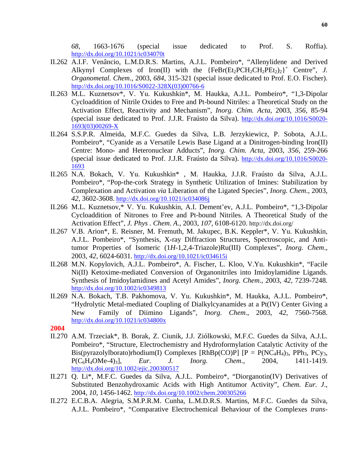*68*, 1663-1676 (special issue dedicated to Prof. S. Roffia). http://dx.doi.org/10.1021/ic034070t

- II.262 A.I.F. Venâncio, L.M.D.R.S. Martins, A.J.L. Pombeiro\*, "Allenylidene and Derived Alkynyl Complexes of Iron(II) with the  ${FeBr(Et_2PCH_2CH_2PEt_2)_2}^+$  Centre", *J. Organometal. Chem*., 2003, *684*, 315-321 (special issue dedicated to Prof. E.O. Fischer). http://dx.doi.org/10.1016/S0022-328X(03)00766-6
- II.263 M.L. Kuznetsov\*, V. Yu. Kukushkin\*, M. Haukka, A.J.L. Pombeiro\*, "1,3-Dipolar Cycloaddition of Nitrile Oxides to Free and Pt-bound Nitriles: a Theoretical Study on the Activation Effect, Reactivity and Mechanism", *Inorg. Chim. Acta*, 2003, *356*, 85-94 (special issue dedicated to Prof. J.J.R. Fraústo da Silva). http://dx.doi.org/10.1016/S0020- 1693(03)00269-X
- II.264 S.S.P.R. Almeida, M.F.C. Guedes da Silva, L.B. Jerzykiewicz, P. Sobota, A.J.L. Pombeiro\*, "Cyanide as a Versatile Lewis Base Ligand at a Dinitrogen-binding Iron(II) Centre: Mono- and Heteronuclear Adducts", *Inorg. Chim. Acta*, 2003, *356*, 259-266 (special issue dedicated to Prof. J.J.R. Fraústo da Silva). http://dx.doi.org/10.1016/S0020- 1693
- II.265 N.A. Bokach, V. Yu. Kukushkin\* , M. Haukka, J.J.R. Fraústo da Silva, A.J.L. Pombeiro\*, "Pop-the-cork Strategy in Synthetic Utilization of Imines: Stabilization by Complexation and Activation *via* Liberation of the Ligated Species", *Inorg. Chem*., 2003, *42*, 3602-3608. http://dx.doi.org/10.1021/ic034086j
- II.266 M.L. Kuznetsov,\* V. Yu. Kukushkin, A.I. Dement'ev, A.J.L. Pombeiro\*, "1,3-Dipolar Cycloaddition of Nitrones to Free and Pt-bound Nitriles. A Theoretical Study of the Activation Effect", *J. Phys . Chem*. *A*., 2003, *107*, 6108-6120. http://dx.doi.org/
- II.267 V.B. Arion\*, E. Reisner, M. Fremuth, M. Jakupec, B.K. Keppler\*, V. Yu. Kukushkin, A.J.L. Pombeiro\*, "Synthesis, X-ray Diffraction Structures, Spectroscopic, and Antitumor Properties of Isomeric (1*H*-1,2,4-Triazole)Ru(III) Complexes", *Inorg. Chem*., 2003, *42*, 6024-6031. http://dx.doi.org/10.1021/ic034615i
- II.268 M.N. Kopylovich, A.J.L. Pombeiro\*, A. Fischer, L. Kloo, V.Yu. Kukushkin\*, "Facile Ni(II) Ketoxime-mediated Conversion of Organonitriles into Imidoylamidine Ligands. Synthesis of Imidoylamidines and Acetyl Amides", *Inorg. Chem*., 2003, *42*, 7239-7248. http://dx.doi.org/10.1002/ic0349813
- II.269 N.A. Bokach, T.B. Pakhomova, V. Yu. Kukushkin\*, M. Haukka, A.J.L. Pombeiro\*, "Hydrolytic Metal-mediated Coupling of Dialkylcyanamides at a Pt(IV) Center Giving a New Family of Diimino Ligands", *Inorg. Chem*., 2003, *42*, 7560-7568. http://dx.doi.org/10.1021/ic034800x

- II.270 A.M. Trzeciak\*, B. Borak, Z. Ciunik, J.J. Ziólkowski, M.F.C. Guedes da Silva, A.J.L. Pombeiro\*, "Structure, Electrochemistry and Hydroformylation Catalytic Activity of the Bis(pyrazolylborato)rhodium(I) Complexes [RhBp(CO)P]  $[P = P(NC_4H_4)_3$ , PPh<sub>3</sub>, PCy<sub>3</sub>, P(C6H4OMe-4)3], *Eur. J. Inorg. Chem*., 2004, 1411-1419. http://dx.doi.org/10.1002/ejic.200300517
- II.271 Q. Li\*, M.F.C. Guedes da Silva, A.J.L. Pombeiro\*, "Diorganotin(IV) Derivatives of Substituted Benzohydroxamic Acids with High Antitumor Activity", *Chem. Eur. J*., 2004, *10*, 1456-1462. http://dx.doi.org/10.1002/chem.200305266
- II.272 E.C.B.A. Alegria, S.M.P.R.M. Cunha, L.M.D.R.S. Martins, M.F.C. Guedes da Silva, A.J.L. Pombeiro\*, "Comparative Electrochemical Behaviour of the Complexes *trans*-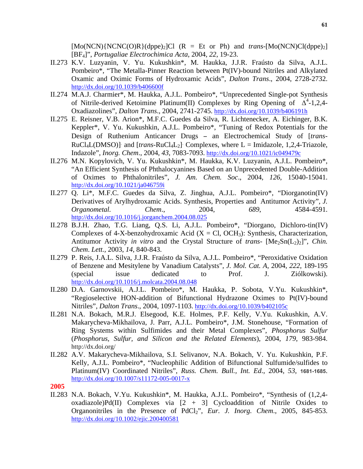$[Mo(NCN)(NCNC(O)R)(dppe)_2]Cl$  ( $R = Et$  or Ph) and *trans*-[Mo(NCN)Cl(dppe)<sub>2</sub>] [BF4]", *Portugaliae Electrochimica Acta*, 2004, *22*, 19-23.

- II.273 K.V. Luzyanin, V. Yu. Kukushkin\*, M. Haukka, J.J.R. Fraústo da Silva, A.J.L. Pombeiro\*, "The Metalla-Pinner Reaction between Pt(IV)-bound Nitriles and Alkylated Oxamic and Oximic Forms of Hydroxamic Acids", *Dalton Trans*., 2004, 2728-2732. http://dx.doi.org/10.1039/b406600f
- II.274 M.A.J. Charmier\*, M. Haukka, A.J.L. Pombeiro\*, "Unprecedented Single-pot Synthesis of Nitrile-derived Ketoimine Platinum(II) Complexes by Ring Opening of  $\Delta^4$ -1,2,4-Oxadiazolines", *Dalton Trans*., 2004, 2741-2745. http://dx.doi.org/10.1039/b406191h
- II.275 E. Reisner, V.B. Arion\*, M.F.C. Guedes da Silva, R. Lichtenecker, A. Eichinger, B.K. Keppler\*, V. Yu. Kukushkin, A.J.L. Pombeiro\*, "Tuning of Redox Potentials for the Design of Ruthenium Anticancer Drugs − an Electrochemical Study of [*trans*-RuCl4L(DMSO)]<sup>−</sup> and [*trans*-RuCl4L2]<sup>−</sup> Complexes, where L = Imidazole, 1,2,4-Triazole, Indazole", *Inorg. Chem*., 2004, *43*, 7083-7093. http://dx.doi.org/10.1021/ic049479c
- II.276 M.N. Kopylovich, V. Yu. Kukushkin\*, M. Haukka, K.V. Luzyanin, A.J.L. Pombeiro\*, "An Efficient Synthesis of Phthalocyanines Based on an Unprecedented Double-Addition of Oximes to Phthalonitriles", *J. Am. Chem. Soc*., 2004, *126*, 15040-15041. http://dx.doi.org/10.1021/ja046759i
- II.277 Q. Li\*, M.F.C. Guedes da Silva, Z. Jinghua, A.J.L. Pombeiro\*, "Diorganotin(IV) Derivatives of Arylhydroxamic Acids. Synthesis, Properties and Antitumor Activity", *J. Organometal. Chem*., 2004, *689*, 4584-4591. http://dx.doi.org/10.1016/j.jorganchem.2004.08.025
- II.278 B.J.H. Zhao, T.G. Liang, Q.S. Li, A.J.L. Pombeiro\*, "Diorgano, Dichloro-tin(IV) Complexes of 4-X-benzohydroxamic Acid  $(X = CI, OCH<sub>3</sub>)$ : Synthesis, Characterization, Antitumor Activity *in vitro* and the Crystal Structure of *trans*-  $[Me<sub>2</sub>Sn(L<sub>2</sub>)<sub>2</sub>]'', *Chin*.$ *Chem*. *Lett.,* 2003, *14*, 840-843.
- II.279 P. Reis, J.A.L. Silva, J.J.R. Fraústo da Silva, A.J.L. Pombeiro\*, "Peroxidative Oxidation of Benzene and Mesitylene by Vanadium Catalysts", *J. Mol. Cat. A*, 2004, *222*, 189-195 (special issue dedicated to Prof. J. Ziólkowski). http://dx.doi.org/10.1016/j.molcata.2004.08.048
- II.280 D.A. Garnovskii, A.J.L. Pombeiro\*, M. Haukka, P. Sobota, V.Yu. Kukushkin\*, "Regioselective HON-addition of Bifunctional Hydrazone Oximes to Pt(IV)-bound Nitriles", *Dalton Trans*., 2004, 1097-1103. http://dx.doi.org/10.1039/b402105c
- II.281 N.A. Bokach, M.R.J. Elsegood, K.E. Holmes, P.F. Kelly, V.Yu. Kukushkin, A.V. Makarycheva-Mikhailova, J. Parr, A.J.L. Pombeiro\*, J.M. Stonehouse, "Formation of Ring Systems within Sulfimides and their Metal Complexes", *Phosphorus Sulfur* (*Phosphorus, Sulfur, and Silicon and the Related Elements*), 2004, *179*, 983-984. http://dx.doi.org/
- II.282 A.V. Makarycheva-Mikhailova, S.I. Selivanov, N.A. Bokach, V. Yu. Kukushkin, P.F. Kelly, A.J.L. Pombeiro\*, "Nucleophilic Addition of Bifunctional Sulfumide/sulfides to Platinum(IV) Coordinated Nitriles", *Russ. Chem. Bull., Int. Ed*., 2004, *53*, **1681-1685**. http://dx.doi.org/10.1007/s11172-005-0017-x
- **2005**
- II.283 N.A. Bokach, V.Yu. Kukushkin\*, M. Haukka, A.J.L. Pombeiro\*, "Synthesis of (1,2,4 oxadiazole)Pd(II) Complexes via  $[2 + 3]$  Cycloaddition of Nitrile Oxides to Organonitriles in the Presence of PdCl<sub>2</sub>", *Eur. J. Inorg. Chem.*, 2005, 845-853. http://dx.doi.org/10.1002/ejic.200400581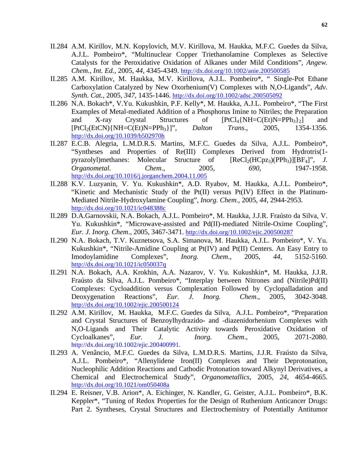- II.284 A.M. Kirillov, M.N. Kopylovich, M.V. Kirillova, M. Haukka, M.F.C. Guedes da Silva, A.J.L. Pombeiro\*, "Multinuclear Copper Triethanolamine Complexes as Selective Catalysts for the Peroxidative Oxidation of Alkanes under Mild Conditions", *Angew. Chem.*, *Int. Ed.,* 2005, *44*, 4345-4349. http://dx.doi.org/10.1002/anie.200500585
- II.285 A.M. Kirillov, M. Haukka, M.V. Kirillova, A.J.L. Pombeiro\*, " Single-Pot Ethane Carboxylation Catalyzed by New Oxorhenium(V) Complexes with N,O-Ligands", *Adv. Synth. Cat.*, 2005, *347*, 1435-1446. http://dx.doi.org/10.1002/adsc.200505092
- II.286 N.A. Bokach\*, V.Yu. Kukushkin, P.F. Kelly\*, M. Haukka, A.J.L. Pombeiro\*, "The First Examples of Metal-mediated Addition of a Phosphorus Imine to Nitriles; the Preparation and X-ray Crystal Structures of  $[PtCl_4\{NH=CCEt\}N=PPh_3\}$  and [PtCl2(EtCN){NH=C(Et)N=PPh3}]", *Dalton Trans*., 2005, 1354-1356. http://dx.doi.org/10.1039/b502970h
- II.287 E.C.B. Alegria, L.M.D.R.S. Martins, M.F.C. Guedes da Silva, A.J.L. Pombeiro\*, "Syntheses and Properties of Re(III) Complexes Derived from Hydrotris(1 pyrazolyl)methanes: Molecular Structure of  $[ReCl<sub>2</sub>(HCpz<sub>3</sub>)(PPh<sub>3</sub>)][BF<sub>4</sub>]<sup>n</sup>$ , *J. Organometal. Chem*., 2005, *690*, 1947-1958. http://dx.doi.org/10.1016/j.jorganchem.2004.11.005
- II.288 K.V. Luzyanin, V. Yu. Kukushkin\*, A.D. Ryabov, M. Haukka, A.J.L. Pombeiro\*, "Kinetic and Mechanistic Study of the Pt(II) versus Pt(IV) Effect in the Platinum-Mediated Nitrile-Hydroxylamine Coupling", *Inorg. Chem*., 2005, *44*, 2944-2953. http://dx.doi.org/10.1021/ic048388c
- II.289 D.A.Garnovskii, N.A. Bokach, A.J.L. Pombeiro\*, M. Haukka, J.J.R. Fraústo da Silva, V. Yu. Kukushkin\*, "Microwave-assisted and Pd(II)-mediated Nitrile-Oxime Coupling", *Eur. J. Inorg. Chem*., 2005, 3467-3471. http://dx.doi.org/10.1002/ejic.200500287
- II.290 N.A. Bokach, T.V. Kuznetsova, S.A. Simanova, M. Haukka, A.J.L. Pombeiro\*, V. Yu. Kukushkin\*, "Nitrile-Amidine Coupling at Pt(IV) and Pt(II) Centers. An Easy Entry to Imodoylamidine Complexes", *Inorg. Chem*., 2005, *44*, 5152-5160. http://dx.doi.org/10.1021/ic050037q
- II.291 N.A. Bokach, A.A. Krokhin, A.A. Nazarov, V. Yu. Kukushkin\*, M. Haukka, J.J.R. Fraústo da Silva, A.J.L. Pombeiro\*, "Interplay between Nitrones and (Nitrile)Pd(II) Complexes: Cycloaddition versus Complexation Followed by Cyclopalladation and Deoxygenation Reactions", *Eur. J. Inorg. Chem*., 2005, 3042-3048. http://dx.doi.org/10.1002/ejic.200500124
- II.292 A.M. Kirillov, M. Haukka, M.F.C. Guedes da Silva, A.J.L. Pombeiro\*, "Preparation and Crystal Structures of Benzoylhydrazido- and -diazenidorhenium Complexes with N,O-Ligands and Their Catalytic Activity towards Peroxidative Oxidation of Cycloalkanes", *Eur. J. Inorg. Chem*., 2005, 2071-2080. http://dx.doi.org/10.1002/ejic.200400991.
- II.293 A. Venâncio, M.F.C. Guedes da Silva, L.M.D.R.S. Martins, J.J.R. Fraústo da Silva, A.J.L. Pombeiro\*, "Allenylidene Iron(II) Complexes and Their Deprotonation, Nucleophilic Addition Reactions and Cathodic Protonation toward Alkynyl Derivatives, a Chemical and Electrochemical Study", *Organometallics*, 2005, *24*, 4654-4665. http://dx.doi.org/10.1021/om050408a
- II.294 E. Reisner, V.B. Arion\*, A. Eichinger, N. Kandler, G. Geister, A.J.L. Pombeiro\*, B.K. Keppler\*, "Tuning of Redox Properties for the Design of Ruthenium Anticancer Drugs: Part 2. Syntheses, Crystal Structures and Electrochemistry of Potentially Antitumor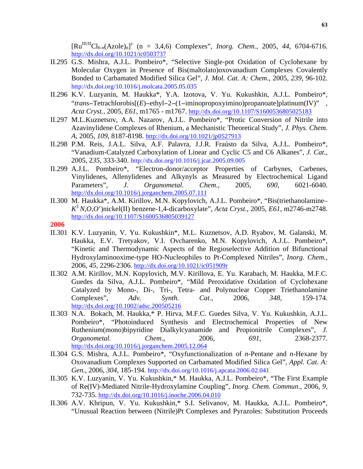$\left[\text{Ru}^{\text{III/II}}\text{Cl}_{6-n}(\text{Azole})_{n}\right]^{z}$  (n = 3,4,6) Complexes", *Inorg. Chem.*, 2005, 44, 6704-6716. http://dx.doi.org/10.1021/ic0503737

- II.295 G.S. Mishra, A.J.L. Pombeiro\*, "Selective Single-pot Oxidation of Cyclohexane by Molecular Oxygen in Presence of Bis(maltolato)oxovanadium Complexes Covalently Bonded to Carbamated Modified Silica Gel", *J. Mol. Cat. A: Chem*., 2005, *239*, 96-102. http://dx.doi.org/10.1016/j.molcata.2005.05.035
- II.296 K.V. Luzyanin, M. Haukka\*, Y.A. Izotova, V. Yu. Kukushkin, A.J.L. Pombeiro\*, "*trans*−Tetrachlorobis[(*E*)−ethyl−2−(1−iminopropoxyimino)propanoate]platinum(IV)" , *Acta Cryst.,* 2005, *E61*, m1765 - m1767. http://dx.doi.org/10.1107/S1600536805025183
- II.297 M.L.Kuznetsov, A.A. Nazarov, A.J.L. Pombeiro\*, "Protic Conversion of Nitrile into Azavinylidene Complexes of Rhenium, a Mechanistic Theoretical Study", *J. Phys. Chem*. *A*, 2005, *109*, 8187-8198. http://dx.doi.org/10.1021/jp0527913
- II.298 P.M. Reis, J.A.L. Silva, A.F. Palavra, J.J.R. Fraústo da Silva, A.J.L. Pombeiro\*, "Vanadium-Catalyzed Carboxylation of Linear and Cyclic C5 and C6 Alkanes", *J. Cat*., 2005, 2*35*, 333-340. http://dx.doi.org/10.1016/j.jcat.2005.09.005
- II.299 A.J.L. Pombeiro\*, "Electron-donor/acceptor Properties of Carbynes, Carbenes, Vinylidenes, Allenylidenes and Alkynyls as Measured by Electrochemical Ligand Parameters", *J. Organometal. Chem*., 2005, *690*, 6021-6040. http://dx.doi.org/10.1016/j.jorganchem.2005.07.111
- II.300 M. Haukka\*, A.M. Kirillov, M.N. Kopylovich, A.J.L. Pombeiro\*, "Bis(triethanolamine– *K*<sup>3</sup> *N*,*O*,*O*')nickel(II) benzene-1,4-dicarboxylate", *Acta Cryst.,* 2005, *E61*, m2746-m2748. http://dx.doi.org/10.1107/S1600536805039127
- **2006**
- II.301 K.V. Luzyanin, V. Yu. Kukushkin\*, M.L. Kuznetsov, A.D. Ryabov, M. Galanski, M. Haukka, E.V. Tretyakov, V.I. Ovcharenko, M.N. Kopylovich, A.J.L. Pombeiro\*, "Kinetic and Thermodynamic Aspects of the Regioselective Addition of Bifunctional Hydroxylaminooxime-type HO-Nucleophiles to Pt-Complexed Nitriles", *Inorg. Chem.,* 2006, *45*, 2296-2306. http://dx.doi.org/10.1021/ic051909r
- II.302 A.M. Kirillov, M.N. Kopylovich, M.V. Kirillova, E. Yu. Karabach, M. Haukka, M.F.C. Guedes da Silva, A.J.L. Pombeiro\*, "Mild Peroxidative Oxidation of Cyclohexane Catalyzed by Mono-, Di-, Tri-, Tetra- and Polynuclear Copper Triethanolamine Complexes", *Adv. Synth. Cat*., 2006, *348*, 159-174. http://dx.doi.org/10.1002/adsc.200505216
- II.303 N.A. Bokach, M. Haukka,\* P. Hirva, M.F.C. Guedes Silva, V. Yu. Kukushkin, A.J.L. Pombeiro\*, "Photoinduced Synthesis and Electrochemical Properties of New Ruthenium(mono)bipyridine Dialkylcyanamide and Propionitrile Complexes", *J. Organometal. Chem*., 2006, *691*, 2368-2377. http://dx.doi.org/10.1016/j.jorganchem.2005.12.064
- II.304 G.S. Mishra, A.J.L. Pombeiro\*, "Oxyfunctionalization of *n*-Pentane and *n*-Hexane by Oxovanadium Complexes Supported on Carbamated Modified Silica Gel", *Appl. Cat. A: Gen*., 2006, *304*, 185-194. http://dx.doi.org/10.1016/j.apcata.2006.02.041
- II.305 K.V. Luzyanin, V. Yu. Kukushkin,\* M. Haukka, A.J.L. Pombeiro\*, "The First Example of Re(IV)-Mediated Nitrile-Hydroxylamine Coupling", *Inorg. Chem. Commun*., 2006, *9*, 732-735. http://dx.doi.org/10.1016/j.inoche.2006.04.010
- II.306 A.V. Khripun, V. Yu. Kukushkin,\* S.I. Selivanov, M. Haukka, A.J.L. Pombeiro\*, "Unusual Reaction between (Nitrile)Pt Complexes and Pyrazoles: Substitution Proceeds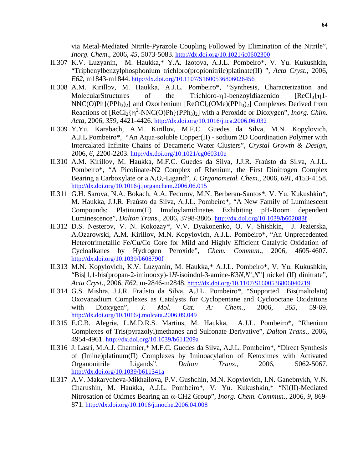via Metal-Mediated Nitrile-Pyrazole Coupling Followed by Elimination of the Nitrile", *Inorg. Chem*., 2006, *45*, 5073-5083. http://dx.doi.org/10.1021/ic0602300

- II.307 K.V. Luzyanin, M. Haukka,\* Y.A. Izotova, A.J.L. Pombeiro\*, V. Yu. Kukushkin, "Triphenylbenzylphosphonium trichloro(propionitrile)platinate(II) ", *Acta Cryst*., 2006, *E62*, m1843-m1844. http://dx.doi.org/10.1107/S1600536806026456
- II.308 A.M. Kirillov, M. Haukka, A.J.L. Pombeiro\*, "Synthesis, Characterization and MolecularStructures of the Trichloro-η1-benzoyldiazenido  $[ReCl_3{\eta_1}]$ - $NNC(O)Ph$ }(PPh<sub>3</sub>)<sub>2</sub>] and Oxorhenium [ReOCl<sub>2</sub>(OMe)(PPh<sub>3</sub>)<sub>2</sub>] Complexes Derived from Reactions of  $[ReCl_2{\eta^2-NNC(O)Ph}(PPh_3)_2]$  with a Peroxide or Dioxygen", *Inorg. Chim. Acta*, 2006, *359*, 4421-4426. http://dx.doi.org/10.1016/j.ica.2006.06.032
- II.309 Y.Yu. Karabach, A.M. Kirillov, M.F.C. Guedes da Silva, M.N. Kopylovich, A.J.L.Pombeiro\*, "An Aqua-soluble Copper(II) - sodium 2D Coordination Polymer with Intercalated Infinite Chains of Decameric Water Clusters", *Crystal Growth & Design*, 2006, *6*, 2200-2203. http://dx.doi.org/10.1021/cg060310e
- II.310 A.M. Kirillov, M. Haukka, M.F.C. Guedes da Silva, J.J.R. Fraústo da Silva, A.J.L. Pombeiro\*, "A Picolinate-N2 Complex of Rhenium, the First Dinitrogen Complex Bearing a Carboxylate or a *N*,*O*,-Ligand", *J. Organometal. Chem*., 2006, *691*, 4153-4158. http://dx.doi.org/10.1016/j.jorganchem.2006.06.015
- II.311 G.H. Sarova, N.A. Bokach, A.A. Fedorov, M.N. Berberan-Santos\*, V. Yu. Kukushkin\*, M. Haukka, J.J.R. Fraústo da Silva, A.J.L. Pombeiro\*, "A New Family of Luminescent Compounds: Platinum(II) Imidoylamidinates Exhibiting pH-Room dependent Luminescence", *Dalton Trans*., 2006, 3798-3805. http://dx.doi.org/10.1039/b602083f
- II.312 D.S. Nesterov, V. N. Kokozay\*, V.V. Dyakonenko, O. V. Shishkin, J. Jezierska, A.Ozarowski, A.M. Kirillov, M.N. Kopylovich, A.J.L. Pombeiro\*, "An Unprecedented Heterotrimetallic Fe/Cu/Co Core for Mild and Highly Efficient Catalytic Oxidation of Cycloalkanes by Hydrogen Peroxide", *Chem. Commun*., 2006, 4605-4607. http://dx.doi.org/10.1039/b608790f
- II.313 M.N. Kopylovich, K.V. Luzyanin, M. Haukka,\* A.J.L. Pombeiro\*, V. Yu. Kukushkin, "Bis[1,1-bis(propan-2-iminooxy)-1*H*-isoindol-3-amine-*K*3*N*,*N*',*N*"] nickel (II) dinitrate", *Acta Cryst*., 2006, *E62*, m-2846-m2848. http://dx.doi.org/10.1107/S1600536806040219
- II.314 G.S. Mishra, J.J.R. Fraústo da Silva, A.J.L. Pombeiro\*, "Supported Bis(maltolato) Oxovanadium Complexes as Catalysts for Cyclopentane and Cyclooctane Oxidations with Dioxygen", *J. Mol. Cat. A: Chem.,* 2006, *265*, 59-69. http://dx.doi.org/10.1016/j.molcata.2006.09.049
- II.315 E.C.B. Alegria, L.M.D.R.S. Martins, M. Haukka, A.J.L. Pombeiro\*, "Rhenium Complexes of Tris(pyrazolyl)methanes and Sulfonate Derivative", *Dalton Trans*., 2006, 4954-4961. http://dx.doi.org/10.1039/b611209a
- II.316 J. Lasri, M.A.J. Charmier,\* M.F.C. Guedes da Silva, A.J.L. Pombeiro\*, "Direct Synthesis of (Imine)platinum(II) Complexes by Iminoacylation of Ketoximes with Activated Organonitrile Ligands", *Dalton Trans*., 2006, 5062-5067. http://dx.doi.org/10.1039/b611341a
- II.317 A.V. Makarycheva-Mikhailova, P.V. Gushchin, M.N. Kopylovich, I.N. Ganebnykh, V.N. Charushin, M. Haukka, A.J.L. Pombeiro\*, V. Yu. Kukushkin,\* "Ni(II)-Mediated Nitrosation of Oximes Bearing an α-CH2 Group", *Inorg. Chem. Commun*., 2006, *9*, 869- 871. http://dx.doi.org/10.1016/j.inoche.2006.04.008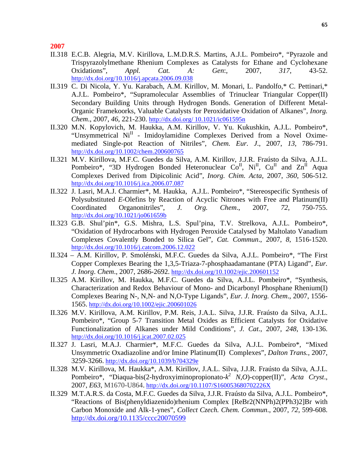- II.318 E.C.B. Alegria, M.V. Kirillova, L.M.D.R.S. Martins, A.J.L. Pombeiro\*, "Pyrazole and Trispyrazolylmethane Rhenium Complexes as Catalysts for Ethane and Cyclohexane Oxidations", *Appl. Cat. A: Gen*:, 2007, *317*, 43-52. http://dx.doi.org/10.1016/j.apcata.2006.09.038
- II.319 C. Di Nicola, Y. Yu. Karabach, A.M. Kirillov, M. Monari, L. Pandolfo,\* C. Pettinari,\* A.J.L. Pombeiro\*, "Supramolecular Assemblies of Trinuclear Triangular Copper(II) Secondary Building Units through Hydrogen Bonds. Generation of Different Metal-Organic Framekoorks, Valuable Catalysts for Peroxidative Oxidation of Alkanes", *Inorg. Chem*., 2007, *46*, 221-230. http://dx.doi.org/ 10.1021/ic061595n
- II.320 M.N. Kopylovich, M. Haukka, A.M. Kirillov, V. Yu. Kukushkin, A.J.L. Pombeiro\*, "Unsymmetrical Ni<sup>II</sup> - Imidoylamidine Complexes Derived from a Novel Oximemediated Single-pot Reaction of Nitriles", *Chem. Eur. J*., 2007, *13*, 786-791. http://dx.doi.org/10.1002/chem.200600765
- II.321 M.V. Kirillova, M.F.C. Guedes da Silva, A.M. Kirillov, J.J.R. Fraústo da Silva, A.J.L. Pombeiro\*, "3D Hydrogen Bonded Heteronuclear  $Co<sup>H</sup>$ , Ni<sup>II</sup>, Cu<sup>II</sup> and  $Zn<sup>II</sup>$  Aqua Complexes Derived from Dipicolinic Acid", *Inorg. Chim. Acta*, 2007, *360*, 506-512. http://dx.doi.org/10.1016/j.ica.2006.07.087
- II.322 J. Lasri, M.A.J. Charmier\*, M. Haukka, A.J.L. Pombeiro\*, "Stereospecific Synthesis of Polysubstituted *E*-Olefins by Reaction of Acyclic Nitrones with Free and Platinum(II) Coordinated Organonitriles", *J. Org. Chem*., 2007, *72*, 750-755. http://dx.doi.org/10.1021/jo061659b
- II.323 G.B. Shul'pin\*, G.S. Mishra, L.S. Spul'pina, T.V. Strelkova, A.J.L. Pombeiro\*, "Oxidation of Hydrocarbons with Hydrogen Peroxide Catalysed by Maltolato Vanadium Complexes Covalently Bonded to Silica Gel", *Cat. Commun*., 2007, *8*, 1516-1520. http://dx.doi.org/10.1016/j.catcom.2006.12.022
- II.324 A.M. Kirillov, P. Smolénski, M.F.C. Guedes da Silva, A.J.L. Pombeiro\*, "The First Copper Complexes Bearing the 1,3,5-Triaza-7-phosphaadamantane (PTA) Ligand", *Eur. J. Inorg*. *Chem*., 2007, 2686-2692. http://dx.doi.org/10.1002/ejic.200601152
- II.325 A.M. Kirillov, M. Haukka, M.F.C. Guedes da Silva, A.J.L. Pombeiro\*, "Synthesis, Characterization and Redox Behaviour of Mono- and Dicarbonyl Phosphane Rhenium(I) Complexes Bearing N-, N,N- and N,O-Type Ligands", *Eur. J. Inorg. Chem*., 2007, 1556- 1565. http://dx.doi.org/10.1002/ejic.200601026
- II.326 M.V. Kirillova, A.M. Kirillov, P.M. Reis, J.A.L. Silva, J.J.R. Fraústo da Silva, A.J.L. Pombeiro\*, "Group 5-7 Transition Metal Oxides as Efficient Catalysts for Oxidative Functionalization of Alkanes under Mild Conditions", *J. Cat*., 2007, *248*, 130-136. http://dx.doi.org/10.1016/j.jcat.2007.02.025
- II.327 J. Lasri, M.A.J. Charmier\*, M.F.C. Guedes da Silva, A.J.L. Pombeiro\*, "Mixed Unsymmetric Oxadiazoline and/or Imine Platinum(II) Complexes", *Dalton Trans.,* 2007, 3259-3266. http://dx.doi.org/10.1039/b704329e
- II.328 M.V. Kirillova, M. Haukka\*, A.M. Kirillov, J.A.L. Silva, J.J.R. Fraústo da Silva, A.J.L. Pombeiro\*, "Diaqua-bis(2-hydroxyiminopropionato-*k* <sup>2</sup> *N*,*O*)-copper(II)", *Acta Cryst*., 2007, *E63*, M1670-U864. http://dx.doi.org/10.1107/S160053680702226X
- II.329 M.T.A.R.S. da Costa, M.F.C. Guedes da Silva, J.J.R. Fraústo da Silva, A.J.L. Pombeiro\*, "Reactions of Bis(phenyldiazenido)rhenium Complex [ReBr2(NNPh)2(PPh3)2]Br with Carbon Monoxide and Alk-1-ynes", *Collect Czech. Chem. Commun*., 2007, *72*, 599-608. http://dx.doi.org/10.1135/cccc20070599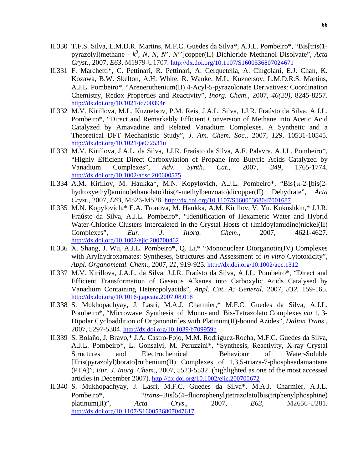- II.330 T.F.S. Silva, L.M.D.R. Martins, M.F.C. Guedes da Silva\*, A.J.L. Pombeiro\*, "Bis[tris(1 pyrazolyl)methane - *k* 3 , *N*, *N*, *N*', *N*'']copper(II) Dichloride Methanol Disolvate", *Acta Cryst*., 2007, *E63*, M1979-U1707. http://dx.doi.org/10.1107/S1600536807024671
- II.331 F. Marchetti\*, C. Pettinari, R. Pettinari, A. Cerquetella, A. Cingolani, E.J. Chan, K. Kozawa, B.W. Skelton, A.H. White, R. Wanke, M.L. Kuznetsov, L.M.D.R.S. Martins, A.J.L. Pombeiro\*, "Areneruthenium(II) 4-Acyl-5-pyrazolonate Derivatives: Coordination Chemistry, Redox Properties and Reactivity", *Inorg. Chem*., 2007, *46(20),* 8245-8257. http://dx.doi.org/10.1021/ic700394r
- II.332 M.V. Kirillova, M.L. Kuznetsov, P.M. Reis, J.A.L. Silva, J.J.R. Fraústo da Silva, A.J.L. Pombeiro\*, "Direct and Remarkably Efficient Conversion of Methane into Acetic Acid Catalyzed by Amavadine and Related Vanadium Complexes. A Synthetic and a Theoretical DFT Mechanistic Study", *J. Am. Chem. Soc*., 2007, *129*, 10531-10545. http://dx.doi.org/10.1021/ja072531u
- II.333 M.V. Kirillova, J.A.L. da Silva, J.J.R. Fraústo da Silva, A.F. Palavra, A.J.L. Pombeiro\*, "Highly Efficient Direct Carboxylation of Propane into Butyric Acids Catalyzed by Vanadium Complexes", *Adv. Synth. Cat*., 2007, *349*, 1765-1774. http://dx.doi.org/10.1002/adsc.200600575
- II.334 A.M. Kirillov, M. Haukka\*, M.N. Kopylovich, A.J.L. Pombeiro\*, "Bis{µ-2-[bis(2 hydroxyethyl)amino]ethanolato}bis(4-methylbenzoato)dicopper(II) Dehydrate", *Acta Cryst*., 2007, *E63*, M526-M528. http://dx.doi.org/10.1107/S16005368047001687
- II.335 M.N. Kopylovich,\* E.A. Tronova, M. Haukka, A.M. Kirillov, V. Yu. Kukushkin,\* J.J.R. Fraústo da Silva, A.J.L. Pombeiro\*, "Identification of Hexameric Water and Hybrid Water-Chloride Clusters Intercaleted in the Crystal Hosts of (Imidoylamidine)nickel(II) Complexes", *Eur. J. Inorg. Chem*., 2007, 4621-4627. http://dx.doi.org/10.1002/ejic.200700462
- II.336 X. Shang, J. Wu, A.J.L. Pombeiro\*, Q. Li,\* "Mononuclear Diorganotin(IV) Complexes with Arylhydroxamates: Syntheses, Structures and Assessment of *in vitro* Cytotoxicity", *Appl. Organometal. Chem*., 2007, *21*, 919-925. http://dx.doi.org/10.1002/aoc.1312
- II.337 M.V. Kirillova, J.A.L. da Silva, J.J.R. Fraústo da Silva, A.J.L. Pombeiro\*, "Direct and Efficient Transformation of Gaseous Alkanes into Carboxylic Acids Catalysed by Vanadium Containing Heteropolyacids", *Appl. Cat. A: General,* 2007, *332*, 159-165. http://dx.doi.org/10.1016/j.apcata.2007.08.018
- II.338 S. Mukhopadhyay, J. Lasri, M.A.J. Charmier,\* M.F.C. Guedes da Silva, A.J.L. Pombeiro\*, "Microwave Synthesis of Mono- and Bis-Tetrazolato Complexes *via* 1, 3- Dipolar Cycloaddition of Organonitriles with Platinum(II)-bound Azides", *Dalton Trans*., 2007, 5297-5304. http://dx.doi.org/10.1039/b709959b
- II.339 S. Bolaño, J. Bravo,\* J.A. Castro-Fojo, M.M. Rodríguez-Rocha, M.F.C. Guedes da Silva, A.J.L. Pombeiro\*, L. Gonsalvi, M. Peruzzini\*, "Synthesis, Reactivity, X-ray Crystal Structures and Electrochemical Behaviour of Water-Soluble [Tris(pyrazolyl)borato]ruthenium(II) Complexes of 1,3,5-triaza-7-phosphaadamantane (PTA)", *Eur. J. Inorg. Chem*., 2007, 5523-5532 (highlighted as one of the most accessed articles in December 2007). http://dx.doi.org/10.1002/ejic.200700672
- II.340 S. Mukhopadhyay, J. Lasri, M.F.C. Guedes da Silva\*, M.A.J. Charmier, A.J.L. Pombeiro\*, "*trans*−Bis[5(4−fluorophenyl)tetrazolato]bis(triphenylphosphine) platinum(II)", *Acta Crys*., 2007, *E63*, M2656-U281. http://dx.doi.org/10.1107/S1600536807047617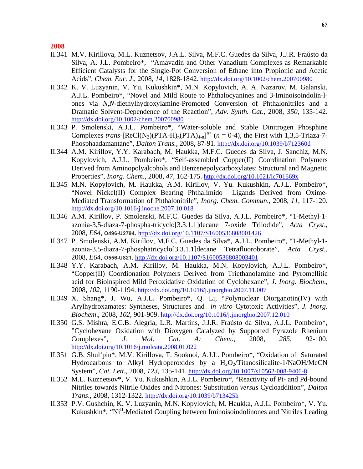- II.341 M.V. Kirillova, M.L. Kuznetsov, J.A.L. Silva, M.F.C. Guedes da Silva, J.J.R. Fraústo da Silva, A. J.L. Pombeiro\*, "Amavadin and Other Vanadium Complexes as Remarkable Efficient Catalysts for the Single-Pot Conversion of Ethane into Propionic and Acetic Acids", *Chem. Eur. J*., 2008, *14*, 1828-1842. http://dx.doi.org/10.1002/chem.200700980
- II.342 K. V. Luzyanin, V. Yu. Kukushkin\*, M.N. Kopylovich, A. A. Nazarov, M. Galanski, A.J.L. Pombeiro\*, "Novel and Mild Route to Phthalocyanines and 3-Iminoisoindolin-lones via *N,N*-diethylhydroxylamine-Promoted Conversion of Phthalonitriles and a Dramatic Solvent-Dependence of the Reaction", *Adv. Synth. Cat*., 2008, *350*, 135-142. http://dx.doi.org/10.1002/chem.200700980
- II.343 P. Smolenski, A.J.L. Pombeiro\*, "Water-soluble and Stable Dinitrogen Phosphine Complexes *trans*-[ReCl(N<sub>2</sub>)(PTA-H)<sub>n</sub>(PTA)<sub>4-n</sub>]<sup>n+</sup> ( $n = 0$ -4), the First with 1,3,5-Triaza-7-Phosphaadamantane", *Dalton Trans.,* 2008, 87-91. http://dx.doi.org/10.1039/b712360d
- II.344 A.M. Kirillov, Y.Y. Karabach, M. Haukka, M.F.C. Guedes da Silva, J. Sanchiz, M.N. Kopylovich, A.J.L. Pombeiro\*, "Self-assembled Copper(II) Coordination Polymers Derived from Aminopolyalcohols and Benzenepolycarboxylates: Structural and Magnetic Properties", *Inorg. Chem*., 2008, *47*, 162-175. http://dx.doi.org/10.1021/ic701669x
- II.345 M.N. Kopylovich, M. Haukka, A.M. Kirillov, V. Yu. Kukushkin, A.J.L. Pombeiro\*, "Novel Nickel(II) Complex Bearing Phthalimido Ligands Derived from Oxime-Mediated Transformation of Phthalonitrile", *Inorg. Chem. Commun*., 2008, *11*, 117-120. http://dx.doi.org/10.1016/j.inoche.2007.10.018
- II.346 A.M. Kirillov, P. Smolenski, M.F.C. Guedes da Silva, A.J.L. Pombeiro\*, "1-Methyl-1 azonia-3,5-diaza-7-phospha-tricyclo[3.3.1.1]decane 7-oxide Triiodide", *Acta Cryst*., 2008, *E64*, **O496-U2794**. http://dx.doi.org/10.1107/S1600536808001426
- II.347 P. Smolenski, A.M. Kirillov, M.F.C. Guedes da Silva\*, A.J.L. Pombeiro\*, "1-Methyl-1 azonia-3,5-diaza-7-phosphatricyclo[3.3.1.1]decane Tetrafluoroborate", *Acta Cryst.,*  2008*, E64*, **O556-U821**. http://dx.doi.org/10.1107/S1600536808003401
- II.348 Y.Y. Karabach, A.M. Kirillov, M. Haukka, M.N. Kopylovich, A.J.L. Pombeiro\*, "Copper(II) Coordionation Polymers Derived from Triethanolamine and Pyromellitic acid for Bioinspired Mild Peroxidative Oxidation of Cyclohexane", *J. Inorg. Biochem*., 2008, *102*, 1190-1194. http://dx.doi.org/10.1016/j.jinorgbio.2007.11.007
- II.349 X. Shang\*, J. Wu, A.J.L. Pombeiro\*, Q. Li, "Polynuclear Diorganotin(IV) with Arylhydroxamates: Syntheses, Structures and *in vitro* Cytotoxic Activities", *J. Inorg. Biochem*., 2008, *102*, 901-909. http://dx.doi.org/10.1016/j.jinorgbio.2007.12.010
- II.350 G.S. Mishra, E.C.B. Alegria, L.R. Martins, J.J.R. Fraústo da Silva, A.J.L. Pombeiro\*, "Cyclohexane Oxidation with Dioxygen Catalyzed by Supported Pyrazole Rhenium Complexes", *J. Mol. Cat. A: Chem.,* 2008, *285*, 92-100. http://dx.doi.org/10.1016/j.molcata.2008.01.022
- II.351 G.B. Shul'pin\*, M.V. Kirillova, T. Sooknoi, A.J.L. Pombeiro\*, "Oxidation of Saturated Hydrocarbons to Alkyl Hydroperoxides by a  $H_2O_2/T$ itanosilicalite-1/NaOH/MeCN System", *Cat. Lett.,* 2008, *123*, 135-141. http://dx.doi.org/10.1007/s10562-008-9406-8
- II.352 M.L. Kuznetsov\*, V. Yu. Kukushkin, A.J.L. Pombeiro\*, "Reactivity of Pt- and Pd-bound Nitriles towards Nitrile Oxides and Nitrones: Substitution *versus* Cycloaddition", *Dalton Trans*., 2008, 1312-1322. http://dx.doi.org/10.1039/b713425h
- II.353 P.V. Gushchin, K. V. Luzyanin, M.N. Kopylovich, M. Haukka, A.J.L. Pombeiro\*, V. Yu. Kukushkin\*, "Ni<sup>II</sup>-Mediated Coupling between Iminoisoindolinones and Nitriles Leading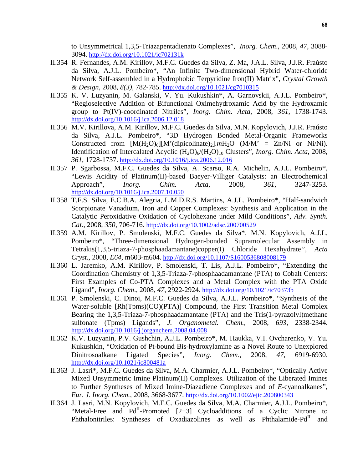to Unsymmetrical 1,3,5-Triazapentadienato Complexes", *Inorg. Chem*., 2008, *47*, 3088- 3094. http://dx.doi.org/10.1021/ic702131k

- II.354 R. Fernandes, A.M. Kirillov, M.F.C. Guedes da Silva, Z. Ma, J.A.L. Silva, J.J.R. Fraústo da Silva, A.J.L. Pombeiro\*, "An Infinite Two-dimensional Hybrid Water-chloride Network Self-assembled in a Hydrophobic Terpyridine Iron(II) Matrix", *Crystal Growth & Design*, 2008, *8(3),* 782-785. http://dx.doi.org/10.1021/cg7010315
- II.355 K. V. Luzyanin, M. Galanski, V. Yu. Kukushkin\*, A. Garnovskii, A.J.L. Pombeiro\*, "Regioselective Addition of Bifunctional Oximehydroxamic Acid by the Hydroxamic group to Pt(IV)-coordinated Nitriles", *Inorg. Chim. Acta*, 2008, *361*, 1738-1743. http://dx.doi.org/10.1016/j.ica.2006.12.018
- II.356 M.V. Kirillova, A.M. Kirillov, M.F.C. Guedes da Silva, M.N. Kopylovich, J.J.R. Fraústo da Silva, A.J.L. Pombeiro\*, "3D Hydrogen Bonded Metal-Organic Frameworks Constructed from  $[M(H_2O)_6][M'(dipicolinate)_2]$ .*m*H<sub>2</sub>O (M/M' = Zn/Ni or Ni/Ni). Identification of Intercalated Acyclic (H<sub>2</sub>O)<sub>6</sub>/(H<sub>2</sub>O)<sub>10</sub> Clusters", *Inorg. Chim. Acta*, 2008, *361*, 1728-1737. http://dx.doi.org/10.1016/j.ica.2006.12.016
- II.357 P. Sgarbossa, M.F.C. Guedes da Silva, A. Scarso, R.A. Michelin, A.J.L. Pombeiro\*, "Lewis Acidity of Platinum(II)-based Baeyer-Villiger Catalysts: an Electrochemical Approach", *Inorg. Chim. Acta*, 2008, *361*, 3247-3253. http://dx.doi.org/10.1016/j.ica.2007.10.050
- II.358 T.F.S. Silva, E.C.B.A. Alegria, L.M.D.R.S. Martins, A.J.L. Pombeiro\*, "Half-sandwich Scorpionate Vanadium, Iron and Copper Complexes: Synthesis and Application in the Catalytic Peroxidative Oxidation of Cyclohexane under Mild Conditions", *Adv. Synth. Cat*., 2008, *350*, 706-716. http://dx.doi.org/10.1002/adsc.200700529
- II.359 A.M. Kirillov, P. Smolenski, M.F.C. Guedes da Silva\*, M.N. Kopylovich, A.J.L. Pombeiro\*, "Three-dimensional Hydrogen-bonded Supramolecular Assembly in Tetrakis(1,3,5-triaza-7-phosphaadamantane)copper(I) Chloride Hexahydrate*", Acta Cryst.,* 2008, *E64*, m603-m604. http://dx.doi.org/10.1107/S1600536808008179
- II.360 L. Jaremko, A.M. Kirillov, P. Smolenski, T. Lis, A.J.L. Pombeiro\*, "Extending the Coordination Chemistry of 1,3,5-Triaza-7-phosphaadamantane (PTA) to Cobalt Centers: First Examples of Co-PTA Complexes and a Metal Complex with the PTA Oxide Ligand", *Inorg. Chem*., 2008, *47*, 2922-2924. http://dx.doi.org/10.1021/ic70373b
- II.361 P. Smolenski, C. Dinoi, M.F.C. Guedes da Silva, A.J.L. Pombeiro\*, "Synthesis of the Water-soluble [Rh(Tpms)(CO)(PTA)] Compound, the First Transition Metal Complex Bearing the 1,3,5-Triaza-7-phosphaadamantane (PTA) and the Tris(1-pyrazolyl)methane sulfonate (Tpms) Ligands", *J. Organometal. Chem.*, 2008, *693*, 2338-2344. http://dx.doi.org/10.1016/j.jorganchem.2008.04.008
- II.362 K.V. Luzyanin, P.V. Gushchin, A.J.L. Pombeiro\*, M. Haukka, V.I. Ovcharenko, V. Yu. Kukushkin, "Oxidation of Pt-bound Bis-hydroxylamine as a Novel Route to Unexplored Dinitrosoalkane Ligated Species", *Inorg. Chem*., 2008, *47*, 6919-6930. http://dx.doi.org/10.1021/ic800481a
- II.363 J. Lasri\*, M.F.C. Guedes da Silva, M.A. Charmier, A.J.L. Pombeiro\*, "Optically Active Mixed Unsymmetric Imine Platinum(II) Complexes. Utilization of the Liberated Imines to Further Syntheses of Mixed Imine-Diazadiene Complexes and of *E*-cyanoalkanes", *Eur. J. Inorg. Chem.*, 2008, 3668-3677. http://dx.doi.org/10.1002/ejic.200800343
- II.364 J. Lasri, M.N. Kopylovich, M.F.C. Guedes da Silva, M.A. Charmier, A.J.L. Pombeiro\*, "Metal-Free and Pd<sup>II</sup>-Promoted [2+3] Cycloadditions of a Cyclic Nitrone to Phthalonitriles: Syntheses of Oxadiazolines as well as Phthalamide-Pd<sup>II</sup> and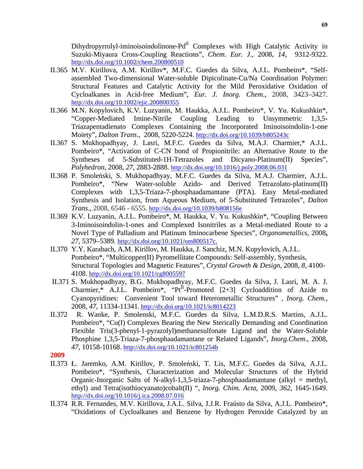$Dihydropyrrolyl-iminoisoindolinone-Pd<sup>II</sup> Complexes with High Catalytic Activity in$ Suzuki-Miyaura Cross-Coupling Reactions", *Chem. Eur. J.*, 2008, *14*, 9312-9322. http://dx.doi.org/10.1002/chem.200800510

- II.365 M.V. Kirillova, A.M. Kirillov\*, M.F.C. Guedes da Silva, A.J.L. Pombeiro\*, "Selfassembled Two-dimensional Water-soluble Dipicolinate-Cu/Na Coordination Polymer: Structural Features and Catalytic Activity for the Mild Peroxidative Oxidation of Cycloalkanes in Acid-free Medium", *Eur. J. Inorg. Chem.*, 2008, 3423–3427. http://dx.doi.org/10.1002/ejic.200800355
- II.366 M.N. Kopylovich, K.V. Luzyanin, M. Haukka, A.J.L. Pombeiro\*, V. Yu. Kukushkin\*, "Copper-Mediated Imine-Nitrile Coupling Leading to Unsymmetric 1,3,5- Triazapentadienato Complexes Containing the Incorporated Iminoisoindolin-1-one Moiety", *Dalton Trans*., 2008, 5220-5224. http://dx.doi.org/10.1039/b805243c
- II.367 S. Mukhopadhyay, J. Lasri, M.F.C. Guedes da Silva, M.A.J. Charmier,\* A.J.L. Pombeiro\*, "Activation of C-CN bond of Propionitrile: an Alternative Route to the Syntheses of 5-Substituted-1H-Tetrazoles and Dicyano-Platinum(II) Species", *Polyhedron*, 2008, *27,* 2883-2888. http://dx.doi.org/10.1016/j.poly.2008.06.031
- II.368 P. Smoleński, S. Mukhopadhyay, M.F.C. Guedes da Silva, M.A.J. Charmier, A.J.L. Pombeiro\*, "New Water-soluble Azido- and Derived Tetrazolato-platinum(II) Complexes with 1,3,5-Triaza-7-phosphaadamantane (PTA). Easy Metal-mediated Synthesis and Isolation, from Aqueous Medium, of 5-Substituted Tetrazoles", *Dalton Trans*., 2008, 6546 - 6555. http://dx.doi.org/10.1039/b808156e
- II.369 K.V. Luzyanin, A.J.L. Pombeiro\*, M. Haukka, V. Yu. Kukushkin\*, "Coupling Between 3-Iminoisoindolin-1-ones and Complexed Isonitriles as a Metal-mediated Route to a Novel Type of Palladium and Platinum Iminocarbene Species", *Organometallics*, 2008**,**  *27,* 5379–5389. http://dx.doi.org/10.1021/om800517c.
- II.370 Y.Y. Karabach, A.M. Kirillov, M. Haukka, J. Sanchiz, M.N. Kopylovich, A.J.L. Pombeiro\*, "Multicopper(II) Pyromellitate Compounds: Self-assembly, Synthesis, Structural Topologies and Magnetic Features", *Crystal Growth & Design*, 2008, *8*, 4100- 4108. http://dx.doi.org/10.1021/cg8005597
- II.371 S. Mukhopadhyay, B.G. Mukhopadhyay, M.F.C. Guedes da Silva, J. Lasri, M. A. J. Charmier,\* A.J.L. Pombeiro\*, " $Pt^{II}$ -Promoted [2+3] Cycloaddition of Azide to Cyanopyridines: Convenient Tool toward Heterometallic Structures" , *Inorg. Chem.*, 2008, *47*, 11334-11341. http://dx.doi.org/10.1021/ic8014223
- II.372 R. Wanke, P. Smolenski, M.F.C. Guedes da Silva, L.M.D.R.S. Martins, A.J.L. Pombeiro\*, "Cu(I) Complexes Bearing the New Sterically Demanding and Coordination Flexible Tris(3-phenyl-1-pyrazolyl)methanesulfonate Ligand and the Water-Soluble Phosphine 1,3,5-Triaza-7-phosphaadamantane or Related Ligands", *Inorg.Chem*., 2008, *47*, 10158-10168. http://dx.doi.org/10.1021/ic801254b

- II.373 Ł. Jaremko, A.M. Kirillov, P. Smoleński, T. Lis, M.F.C. Guedes da Silva, A.J.L. Pombeiro\*, "Synthesis, Characterization and Molecular Structures of the Hybrid Organic-Inorganic Salts of N-alkyl-1,3,5-triaza-7-phosphaadamantane (alkyl = methyl, ethyl) and Tetra(isothiocyanato)cobalt(II) ", *Inorg. Chim. Acta*, 2009, *362*, 1645-1649. http://dx.doi.org/10.1016/j.ica.2008.07.016
- II.374 R.R. Fernandes, M.V. Kirillova, J.A.L. Silva, J.J.R. Fraústo da Silva, A.J.L. Pombeiro\*, "Oxidations of Cycloalkanes and Benzene by Hydrogen Peroxide Catalyzed by an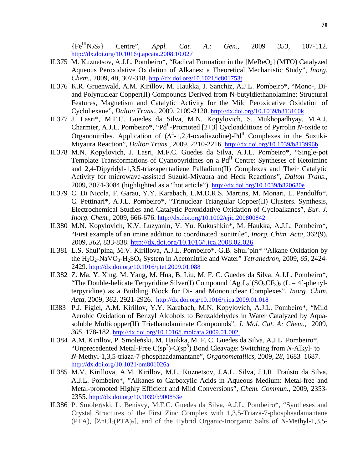{FeIIIN2S2} Centre", *Appl. Cat. A.: Gen.*, 2009 *353,* 107-112. http://dx.doi.org/10.1016/j.apcata.2008.10.027

- II.375 M. Kuznetsov, A.J.L. Pombeiro\*, "Radical Formation in the [MeReO<sub>3</sub>] (MTO) Catalyzed Aqueous Peroxidative Oxidation of Alkanes: a Theoretical Mechanistic Study", *Inorg. Chem.*, 2009, *48*, 307-318. http://dx.doi.org/10.1021/ic801753t
- II.376 K.R. Gruenwald, A.M. Kirillov, M. Haukka, J. Sanchiz, A.J.L. Pombeiro\*, "Mono-, Diand Polynuclear Copper(II) Compounds Derived from N-butyldiethanolamine: Structural Features, Magnetism and Catalytic Activity for the Mild Peroxidative Oxidation of Cyclohexane", *Dalton Trans*., 2009, 2109-2120. http://dx.doi.org/10.1039/b813160k
- II.377 J. Lasri\*, M.F.C. Guedes da Silva, M.N. Kopylovich, S. Mukhopadhyay, M.A.J. Charmier, A.J.L. Pombeiro\*, "Pd<sup>II</sup>-Promoted [2+3] Cycloadditions of Pyrrolin *N*-oxide to Organonitriles. Application of  $(\Delta^4$ -1,2,4-oxadiazoline)-Pd<sup>II</sup> Complexes in the Suzuki-Miyaura Reaction", *Dalton Trans.*, 2009, 2210-2216. http://dx.doi.org/10.1039/b813996b
- II.378 M.N. Kopylovich, J. Lasri, M.F.C. Guedes da Silva, A.J.L. Pombeiro\*, "Single-pot Template Transformations of Cyanopyridines on a Pd<sup>II</sup> Centre: Syntheses of Ketoimine and 2,4-Dipyridyl-1,3,5-triazapentadiene Palladium(II) Complexes and Their Catalytic Activity for microwave-assisted Suzuki-Miyaura and Heck Reactions", *Dalton Trans*., 2009, 3074-3084 (highlighted as a "hot article"). http://dx.doi.org/10.1039/b820680e
- II.379 C. Di Nicola, F. Garau, Y.Y. Karabach, L.M.D.R.S. Martins, M. Monari, L. Pandolfo\*, C. Pettinari\*, A.J.L. Pombeiro\*, "Trinuclear Triangular Copper(II) Clusters. Synthesis, Electrochemical Studies and Catalytic Peroxidative Oxidation of Cycloalkanes", *Eur. J. Inorg. Chem.*, 2009, 666-676. http://dx.doi.org/10.1002/ejic.200800842
- II.380 M.N. Kopylovich, K.V. Luzyanin, V. Yu. Kukushkin\*, M. Haukka, A.J.L. Pombeiro\*, "First example of an imine addition to coordinated isonitrile", *Inorg. Chim. Acta,* 362(9), 2009, *362***,** 833-838. http://dx.doi.org/10.1016/j.ica.2008.02.026
- II.381 L.S. Shul'pina, M.V. Kirillova, A.J.L. Pombeiro\*, G.B. Shul'pin\* "Alkane Oxidation by the H2O2-NaVO3-H2SO4 System in Acetonitrile and Water" *Tetrahedron,* 2009, *65*, 2424- 2429. http://dx.doi.org/10.1016/j.tet.2009.01.088
- II.382 Z. Ma, Y. Xing, M. Yang, M. Hua, B. Liu, M. F. C. Guedes da Silva, A.J.L. Pombeiro\*, "The Double-helicate Terpyridine Silver(I) Compound  $[Ag_2L_2](SO_3CF_3)_2$  (L = 4'-phenylterpyridine) as a Building Block for Di- and Mononuclear Complexes", *Inorg. Chim. Acta*, 2009, *362*, 2921-2926. http://dx.doi.org/10.1016/j.ica.2009.01.018
- II383 P.J. Figiel, A.M. Kirillov, Y.Y. Karabach, M.N. Kopylovich, A.J.L. Pombeiro\*, "Mild Aerobic Oxidation of Benzyl Alcohols to Benzaldehydes in Water Catalyzed by Aquasoluble Multicopper(II) Triethanolaminate Compounds", *J. Mol. Cat. A: Chem.*, 2009, *305*, 178-182. http://dx.doi.org/10.1016/j.molcata.2009.01.002.
- II.384 A.M. Kirillov, P. Smoleński, M. Haukka, M. F. C. Guedes da Silva, A.J.L. Pombeiro\*, "Unprecedented Metal-Free  $C(sp^3)$ - $C(sp^3)$  Bond Cleavage: Switching from *N*-Alkyl- to *N*-Methyl-1,3,5-triaza-7-phosphaadamantane", *Organometallics,* 2009*, 28,* 1683–1687. http://dx.doi.org/10.1021/om801026a
- II.385 M.V. Kirillova, A.M. Kirillov, M.L. Kuznetsov, J.A.L. Silva, J.J.R. Fraústo da Silva, A.J.L. Pombeiro\*, "Alkanes to Carboxylic Acids in Aqueous Medium: Metal-free and Metal-promoted Highly Efficient and Mild Conversions", *Chem. Commun.,* 2009, 2353- 2355. http://dx.doi.org/10.1039/b900853e
- II.386 P. Smole nski, L. Benisvy, M.F.C. Guedes da Silva, A.J.L. Pombeiro\*, "Syntheses and Crystal Structures of the First Zinc Complex with 1,3,5-Triaza-7-phosphaadamantane (PTA), [ZnCl2(PTA)2], and of the Hybrid Organic-Inorganic Salts of *N*-Methyl-1,3,5-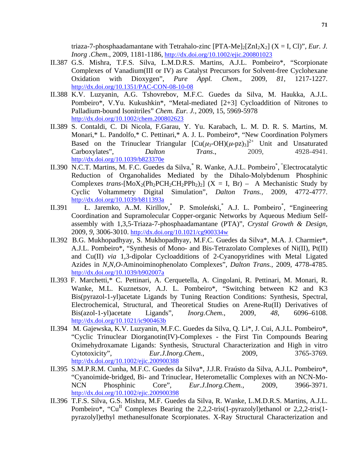triaza-7-phosphaadamantane with Tetrahalo-zinc  $[PTA-Me]_{2}[ZnI_{2}X_{2}]$  ( $X = I$ , Cl)", *Eur. J. Inorg .Chem*., 2009, 1181-1186, http://dx.doi.org/10.1002/ejic.200801023

- II.387 G.S. Mishra, T.F.S. Silva, L.M.D.R.S. Martins, A.J.L. Pombeiro\*, "Scorpionate Complexes of Vanadium(III or IV) as Catalyst Precursors for Solvent-free Cyclohexane Oxidation with Dioxygen", *Pure Appl. Chem*., 2009, *81*, 1217-1227. http://dx.doi.org/10.1351/PAC-CON-08-10-08
- II.388 K.V. Luzyanin, A.G. Tshovrebov, M.F.C. Guedes da Silva, M. Haukka, A.J.L. Pombeiro\*, V.Yu. Kukushkin\*, "Metal-mediated [2+3] Cycloaddition of Nitrones to Palladium-bound Isonitriles" *Chem. Eur. J.,* 2009, 15, 5969-5978 http://dx.doi.org/10.1002/chem.200802623
- II.389 S. Contaldi, C. Di Nicola, F.Garau, Y. Yu. Karabach, L. M. D. R. S. Martins, M. Monari,\* L. Pandolfo,\* C. Pettinari,\* A. J. L. Pombeiro\*, "New Coordination Polymers Based on the Trinuclear Triangular  $[Cu(\mu_3-OH)(\mu-pz)_3]^{2+}$  Unit and Unsaturated Carboxylates", *Dalton Trans*., 2009, 4928-4941. http://dx.doi.org/10.1039/b823370e
- II.390 N.C.T. Martins, M. F.C. Guedes da Silva, R. Wanke, A.J.L. Pombeiro\*, "Electrocatalytic Reduction of Organohalides Mediated by the Dihalo-Molybdenum Phosphinic Complexes *trans*- $[MoX_2(Ph_2PCH_2CH_2PPh_2)_2]$  (X = I, Br) – A Mechanistic Study by Cyclic Voltammetry Digital Simulation", *Dalton Trans.*, 2009, 4772-4777. http://dx.doi.org/10.1039/b811393a
- II.391 Ł. Jaremko, A..M. Kirillov,\* P. Smoleński,\* A.J. L. Pombeiro\* , "Engineering Coordination and Supramolecular Copper-organic Networks by Aqueous Medium Selfassembly with 1,3,5-Triaza-7-phosphaadamantane (PTA)", *Crystal Growth & Design*, 2009, *9*, 3006-3010. http://dx.doi.org/10.1021/cg900334w
- II.392 B.G. Mukhopadhyay, S. Mukhopadhyay, M.F.C. Guedes da Silva\*, M.A. J. Charmier\*, A.J.L. Pombeiro\*, "Synthesis of Mono- and Bis-Tetrazolato Complexes of Ni(II), Pt(II) and Cu(II) *via* 1,3-dipolar Cycloadditions of 2-Cyanopyridines with Metal Ligated Azides in *N,N,O*-Aminoiminophenolato Complexes", *Dalton Trans.*, 2009, 4778-4785. http://dx.doi.org/10.1039/b902007a
- II.393 F. Marchetti,\* C. Pettinari, A. Cerquetella, A. Cingolani, R. Pettinari, M. Monari, R. Wanke, M.L. Kuznetsov, A.J. L. Pombeiro\*, "Switching between K2 and K3 Bis(pyrazol-1-yl)acetate Ligands by Tuning Reaction Conditions: Synthesis, Spectral, Electrochemical, Structural, and Theoretical Studies on Arene-Ru(II) Derivatives of Bis(azol-1-yl)acetate Ligands", *Inorg.Chem.*, 2009, *48*, 6096–6108. http://dx.doi.org/10.1021/ic900463b
- II.394 M. Gajewska, K.V. Luzyanin, M.F.C. Guedes da Silva, Q. Li\*, J. Cui, A.J.L. Pombeiro\*, "Cyclic Trinuclear Diorganotin(IV)-Complexes - the First Tin Compounds Bearing Oximehydroxamate Ligands: Synthesis, Structural Characterization and High in vitro<br>Cytotoxicity". *Eur.J.Inorg.Chem.*, 2009, 3765-3769. Eur.J.Inorg.Chem.. 2009, 3765-3769. http://dx.doi.org/10.1002/ejic.200900388
- II.395 S.M.P.R.M. Cunha, M.F.C. Guedes da Silva\*, J.J.R. Fraústo da Silva, A.J.L. Pombeiro\*, "Cyanoimide-bridged, Bi- and Trinuclear, Heterometallic Complexes with an NCN-Mo-NCN Phosphinic Core", *Eur.J.Inorg.Chem.*, 2009, 3966-3971. http://dx.doi.org/10.1002/ejic.200900398
- II.396 T.F.S. Silva, G.S. Mishra, M.F. Guedes da Silva, R. Wanke, L.M.D.R.S. Martins, A.J.L. Pombeiro\*, "Cu<sup>II</sup> Complexes Bearing the 2,2,2-tris(1-pyrazolyl)ethanol or 2,2,2-tris(1pyrazolyl)ethyl methanesulfonate Scorpionates. X-Ray Structural Characterization and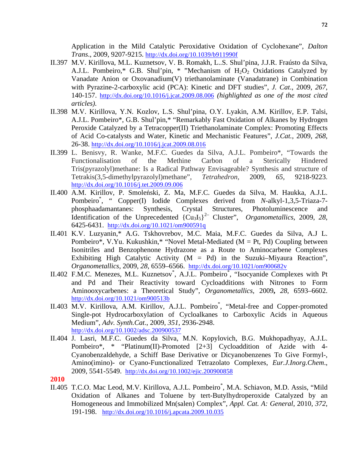Application in the Mild Catalytic Peroxidative Oxidation of Cyclohexane", *Dalton Trans*., 2009, 9207-9215. http://dx.doi.org/10.1039/b911990f

- II.397 M.V. Kirillova, M.L. Kuznetsov, V. B. Romakh, L..S. Shul'pina, J.J.R. Fraústo da Silva, A.J.L. Pombeiro,\* G.B. Shul'pin, \* "Mechanism of  $H_2O_2$  Oxidations Catalyzed by Vanadate Anion or Oxovanadium(V) triethanolaminate (Vanadatrane) in Combination with Pyrazine-2-carboxylic acid (PCA): Kinetic and DFT studies", *J. Cat*., 2009, *267*, 140-157. http://dx.doi.org/10.1016/j.jcat.2009.08.006 *(highlighted as one of the most cited articles).*
- II.398 M.V. Kirillova, Y.N. Kozlov, L.S. Shul'pina, O.Y. Lyakin, A.M. Kirillov, E.P. Talsi, A.J.L. Pombeiro\*, G.B. Shul'pin,\* "Remarkably Fast Oxidation of Alkanes by Hydrogen Peroxide Catalyzed by a Tetracopper(II) Triethanolaminate Complex: Promoting Effects of Acid Co-catalysts and Water, Kinetic and Mechanistic Features", *J.Cat.*, 2009, *268*, 26-38. http://dx.doi.org/10.1016/j.jcat.2009.08.016
- II.399 L. Benisvy, R. Wanke, M.F.C. Guedes da Silva, A.J.L. Pombeiro\*, "Towards the Functionalisation of the Methine Carbon of a Sterically Hindered Tris(pyrazolyl)methane: Is a Radical Pathway Envisageable? Synthesis and structure of Tetrakis(3,5-dimethylpyrazolyl)methane", *Tetrahedron*, 2009, *65,* 9218-9223. http://dx.doi.org/10.1016/j.tet.2009.09.006
- II.400 A.M. Kirillov, P. Smoleński, Z. Ma, M.F.C. Guedes da Silva, M. Haukka, A.J.L. Pombeiro<sup>\*</sup>, " Copper(I) Iodide Complexes derived from *N*-alkyl-1,3,5-Triaza-7phosphaadamantanes: Synthesis, Crystal Structures, Photoluminescence and Identification of the Unprecedented  ${Cu<sub>3</sub>I<sub>5</sub>}<sup>2–</sup>$  Cluster", *Organometallics*, 2009, 28, 6425-6431. http://dx.doi.org/10.1021/om900591q
- II.401 K.V. Luzyanin,\* A.G. Tskhovrebov, M.C. Maia, M.F.C. Guedes da Silva, A.J L. Pombeiro\*, V.Yu. Kukushkin,\* "Novel Metal-Mediated ( $M = Pt$ , Pd) Coupling between Isonitriles and Benzophenone Hydrazone as a Route to Aminocarbene Complexes Exhibiting High Catalytic Activity ( $M = Pd$ ) in the Suzuki–Miyaura Reaction", *Organometallics*, 2009, *28*, 6559–6566. http://dx.doi.org/10.1021/om900682v
- II.402 F.M.C. Menezes, M.L. Kuznetsov<sup>\*</sup>, A.J.L. Pombeiro<sup>\*</sup>, "Isocyanide Complexes with Pt and Pd and Their Reactivity toward Cycloadditions with Nitrones to Form Aminooxycarbenes: a Theoretical Study", *Organometallics*, 2009**,** *28*, 6593–6602. http://dx.doi.org/10.1021/om900513b
- II.403 M.V. Kirillova, A.M. Kirillov, A.J.L. Pombeiro<sup>\*</sup>, "Metal-free and Copper-promoted Single-pot Hydrocarboxylation of Cycloalkanes to Carboxylic Acids in Aqueous Medium", *Adv. Synth.Cat*., 2009, *351*, 2936-2948. http://dx.doi.org/10.1002/adsc.200900537
- II.404 J. Lasri, M.F.C. Guedes da Silva, M.N. Kopylovich, B.G. Mukhopadhyay, A.J.L. Pombeiro\*, \* "Platinum(II)-Promoted [2+3] Cycloaddition of Azide with 4- Cyanobenzaldehyde, a Schiff Base Derivative or Dicyanobenzenes To Give Formyl-, Amino(imino)- or Cyano-Functionalized Tetrazolato Complexes, *Eur.J.Inorg.Chem*., 2009, 5541-5549. http://dx.doi.org/10.1002/ejic.200900858
- **2010**
- II.405 T.C.O. Mac Leod, M.V. Kirillova, A.J.L. Pombeiro<sup>\*</sup>, M.A. Schiavon, M.D. Assis, "Mild Oxidation of Alkanes and Toluene by tert-Butylhydroperoxide Catalyzed by an Homogeneous and Immobilized Mn(salen) Complex", *Appl. Cat. A: General*, 2010, *372*, 191-198. http://dx.doi.org/10.1016/j.apcata.2009.10.035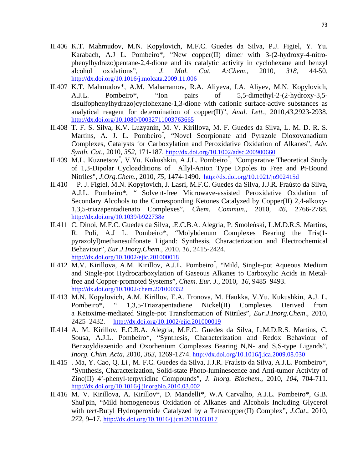- II.406 K.T. Mahmudov, M.N. Kopylovich, M.F.C. Guedes da Silva, P.J. Figiel, Y. Yu. Karabach, A.J L. Pombeiro\*, "New copper(II) dimer with 3-(2-hydroxy-4-nitrophenylhydrazo)pentane-2,4-dione and its catalytic activity in cyclohexane and benzyl alcohol oxidations", *J. Mol. Cat. A:Chem*., 2010, *318,* 44-50. http://dx.doi.org/10.1016/j.molcata.2009.11.006
- II.407 K.T. Mahmudov\*, A.M. Maharramov, R.A. Aliyeva, I.A. Aliyev, M.N. Kopylovich, A.J.L. Pombeiro\*, "Ion pairs of 5,5-dimethyl-2-(2-hydroxy-3,5 disulfophenylhydrazo)cyclohexane-1,3-dione with cationic surface-active substances as analytical reagent for determination of copper(II)", *Anal. Lett.,* 2010,*43*,2923-2938. http://dx.doi.org/10.1080/00032711003763665
- II.408 T. F. S. Silva, K.V. Luzyanin, M. V. Kirillova, M. F. Guedes da Silva, L. M. D. R. S. Martins, A. J. L. Pombeiro*\** , "Novel Scorpionate and Pyrazole Dioxovanadium Complexes, Catalysts for Carboxylation and Peroxidative Oxidation of Alkanes", *Adv. Synth. Cat*., 2010, *352*, 171-187. http://dx.doi.org/10.1002/adsc.200900660
- II.409 M.L. Kuznetsov<sup>\*</sup>, V.Yu. Kukushkin, A.J.L. Pombeiro<sup>\*</sup>, "Comparative Theoretical Study of 1,3-Dipolar Cycloadditions of Allyl-Anion Type Dipoles to Free and Pt-Bound Nitriles", *J.Org.Chem*., 2010, *75*, 1474-1490. http://dx.doi.org/10.1021/jo902415d
- II.410 P. J. Figiel, M.N. Kopylovich, J. Lasri, M.F.C. Guedes da Silva, J.J.R. Fraústo da Silva, A.J.L. Pombeiro*\**, " Solvent-free Microwave-assisted Peroxidative Oxidation of Secondary Alcohols to the Corresponding Ketones Catalyzed by Copper(II) 2,4-alkoxy-1,3,5-triazapentadienato Complexes", *Chem. Commun*., 2010, *46*, 2766-2768. http://dx.doi.org/10.1039/b922738e
- II.411 C. Dinoi, M.F.C. Guedes da Silva, .E.C.B.A. Alegria, P. Smoleński, L.M.D.R.S. Martins, R. Poli, A.J L. Pombeiro*\**, "Molybdenum Complexes Bearing the Tris(1 pyrazolyl)methanesulfonate Ligand: Synthesis, Characterization and Electrochemical Behaviour", *Eur.J.Inorg.Chem*., 2010, *16*, 2415-2424. http://dx.doi.org/10.1002/ejic.201000018
- II.412 M.V. Kirillova, A.M. Kirillov, A.J.L. Pombeiro*\** , "Mild, Single-pot Aqueous Medium and Single-pot Hydrocarboxylation of Gaseous Alkanes to Carboxylic Acids in Metalfree and Copper-promoted Systems", *Chem. Eur. J.*, 2010, *16*, 9485–9493. http://dx.doi.org/10.1002/chem.201000352
- II.413 M.N. Kopylovich, A.M. Kirillov, E.A. Tronova, M. Haukka, V.Yu. Kukushkin, A.J. L. Pombeiro\*, " 1,3,5-Triazapentadiene Nickel(II) Complexes Derived from a Ketoxime-mediated Single-pot Transformation of Nitriles", *Eur.J.Inorg.Chem*., 2010, 2425–2432. http://dx.doi.org/10.1002/ejic.201000019
- II.414 A. M. Kirillov, E.C.B.A. Alegria, M.F.C. Guedes da Silva, L.M.D.R.S. Martins, C. Sousa, A.J.L. Pombeiro\*, "Synthesis, Characterization and Redox Behaviour of Benzoyldiazenido and Oxorhenium Complexes Bearing N,N- and S,S-type Ligands", *Inorg. Chim. Acta*, 2010, *363*, 1269-1274. http://dx.doi.org/10.1016/j.ica.2009.08.030
- II.415 . Ma, Y. Cao, Q. Li , M. F.C. Guedes da Silva, J.J.R. Fraústo da Silva, A.J.L. Pombeiro\*, "Synthesis, Characterization, Solid-state Photo-luminescence and Anti-tumor Activity of Zinc(II) 4'-phenyl-terpyridine Compounds", *J. Inorg. Biochem.*, 2010, *104*, 704-711. http://dx.doi.org/10.1016/j.jinorgbio.2010.03.002
- II.416 M. V. Kirillova, A. Kirillov\*, D. Mandelli\*, W.A Carvalho, A.J.L. Pombeiro\*, G.B. Shul'pin, "Mild homogeneous Oxidation of Alkanes and Alcohols Including Glycerol with *tert-*Butyl Hydroperoxide Catalyzed by a Tetracopper(II) Complex", *J.Cat*., 2010, *272*, 9–17. http://dx.doi.org/10.1016/j.jcat.2010.03.017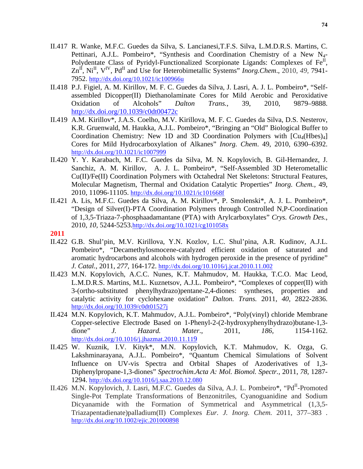- II.417 R. Wanke, M.F.C. Guedes da Silva, S. Lancianesi,T.F.S. Silva, L.M.D.R.S. Martins, C. Pettinari, A.J.L. Pombeiro\*, "Synthesis and Coordination Chemistry of a New N<sub>4</sub>-Polydentate Class of Pyridyl-Functionalized Scorpionate Ligands: Complexes of Fe<sup>II</sup>, Zn<sup>II</sup>, Ni<sup>II</sup>, V<sup>IV</sup>, Pd<sup>II</sup> and Use for Heterobimetallic Systems" *Inorg.Chem.*, 2010, 49, 7941-7952. http://dx.doi.org/10.1021/ic100966u
- II.418 P.J. Figiel, A. M. Kirillov, M. F. C. Guedes da Silva, J. Lasri*,* A. J. L. Pombeiro\*, "Selfassembled Dicopper(II) Diethanolaminate Cores for Mild Aerobic and Peroxidative Oxidation of Alcohols" *Dalton Trans.*, 39, 2010, 9879–9888. http://dx.doi.org/10.1039/c0dt00472c
- II.419 A.M. Kirillov\*, J.A.S. Coelho, M.V. Kirillova, M. F. C. Guedes da Silva, D.S. Nesterov, K.R. Gruenwald, M. Haukka, A.J.L. Pombeiro\*, "Bringing an "Old" Biological Buffer to Coordination Chemistry: New 1D and 3D Coordination Polymers with  $\lbrack Cu_4(Hbes)_4 \rbrack$ Cores for Mild Hydrocarboxylation of Alkanes" *Inorg. Chem*. 49, 2010, 6390–6392. http://dx.doi.org/10.1021/ic1007999
- II.420 Y. Y. Karabach, M. F.C. Guedes da Silva, M. N. Kopylovich, B. Gil-Hernandez, J. Sanchiz, A. M. Kirillov, A. J. L. Pombeiro\*, "Self-Assembled 3D Heterometallic Cu(II)/Fe(II) Coordination Polymers with Octahedral Net Skeletons: Structural Features, Molecular Magnetism, Thermal and Oxidation Catalytic Properties" *Inorg. Chem.,* 49, 2010, 11096-11105. http://dx.doi.org/10.1021/ic101668f
- II.421 A. Lis, M.F.C. Guedes da Silva, A. M. Kirillov\*, P. Smolenski\*, A. J. L. Pombeiro\*, "Design of Silver(I)-PTA Coordination Polymers through Controlled N,P-Coordination of 1,3,5-Triaza-7-phosphaadamantane (PTA) with Arylcarboxylates" *Crys. Growth Des.*, 2010, *10,* 5244-5253.http://dx.doi.org/10.1021/cg101058x
- **2011**
- II.422 G.B. Shul'pin, M.V. Kirillova, Y.N. Kozlov, L.C. Shul'pina, A.R. Kudinov, A.J.L. Pombeiro\*, "Decamethylosmocene-catalyzed efficient oxidation of saturated and aromatic hydrocarbons and alcohols with hydrogen peroxide in the presence of pyridine" *J. Catal.*, 2011, *277,* 164-172. http://dx.doi.org/10.1016/j.jcat.2010.11.002
- II.423 M.N. Kopylovich, A.C.C. Nunes, K.T. Mahmudov, M. Haukka, T.C.O. Mac Leod, L.M.D.R.S. Martins, M.L. Kuznetsov, A.J.L. Pombeiro\*, "Complexes of copper(II) with 3-(ortho-substituted phenylhydrazo)pentane-2,4-diones: syntheses, properties and catalytic activity for cyclohexane oxidation" *Dalton. Trans.* 2011, *40,* 2822-2836. http://dx.doi.org/10.1039/c0dt01527j
- II.424 M.N. Kopylovich, K.T. Mahmudov, A.J.L. Pombeiro\*, "Poly(vinyl) chloride Membrane Copper-selective Electrode Based on 1-Phenyl-2-(2-hydroxyphenylhydrazo)butane-1,3 dione" *J. Hazard. Mater*., 2011, *186,* 1154-1162. http://dx.doi.org/10.1016/j.jhazmat.2010.11.119
- II.425 W. Kuznik, I.V. Kityk\*, M.N. Kopylovich, K.T. Mahmudov, K. Ozga, G. Lakshminarayana, A.J.L. Pombeiro\*, "Quantum Chemical Simulations of Solvent Influence on UV-vis Spectra and Orbital Shapes of Azoderivatives of 1,3- Diphenylpropane-1,3-diones" *Spectrochim.Acta A: Mol. Biomol. Spectr.,* 2011, *78,* 1287- 1294. http://dx.doi.org/10.1016/j.saa.2010.12.080
- II.426 M.N. Kopylovich, J. Lasri, M.F.C. Guedes da Silva, A.J. L. Pombeiro\*, "Pd<sup>II</sup>-Promoted Single-Pot Template Transformations of Benzonitriles, Cyanoguanidine and Sodium Dicyanamide with the Formation of Symmetrical and Asymmetrical (1,3,5-Triazapentadienate)palladium(II) Complexes *Eur. J. Inorg. Chem.* 2011, 377–383 . http://dx.doi.org/10.1002/ejic.201000898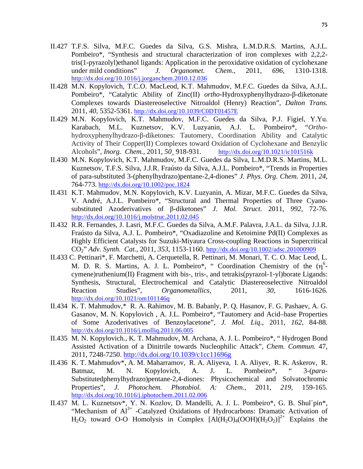- II.427 T.F.S. Silva, M.F.C. Guedes da Silva, G.S. Mishra, L.M.D.R.S. Martins, A.J.L. Pombeiro\*, "Synthesis and structural characterization of iron complexes with 2,2,2 tris(1-pyrazolyl)ethanol ligands: Application in the peroxidative oxidation of cyclohexane under mild conditions" *J. Organomet. Chem*., 2011, *696,* 1310-1318. http://dx.doi.org/10.1016/j.jorganchem.2010.12.036
- II.428 M.N. Kopylovich, T.C.O. MacLeod, K.T. Mahmudov, M.F.C. Guedes da Silva, A.J.L. Pombeiro\*, "Catalytic Ability of Zinc(II) *ortho*-Hydroxyphenylhydrazo-β-diketonate Complexes towards Diastereoselective Nitroaldol (Henry) Reaction", *Dalton Trans.* 2011, *40,* 5352-5361. http://dx.doi.org/10.1039/C0DT01457E
- II.429 M.N. Kopylovich, K.T. Mahmudov, M.F.C. Guedes da Silva, P.J. Figiel, Y.Yu. Karabach, M.L. Kuznetsov, K.V. Luzyanin, A.J. L. Pombeiro\*, "*Ortho*hydroxyphenylhydrazo-β-diketones: Tautomery, Coordination Ability and Catalytic Activity of Their Copper(II) Complexes toward Oxidation of Cyclohexane and Benzylic Alcohols", *Inorg. Chem.*, 2011, *50¸* 918-931. http://dx.doi.org/10.1021/ic101516k
- II.430 M.N. Kopylovich, K.T. Mahmudov, M.F.C. Guedes da Silva, L.M.D.R.S. Martins, M.L. Kuznetsov, T.F.S. Silva, J.J.R. Fraústo da Silva, A.J.L. Pombeiro\*, "Trends in Properties of para-substituted 3-(phenylhydrazo)pentane-2,4-diones" *J. Phys. Org. Chem.* 2011, *24,*  764-773. http://dx.doi.org/10.1002/poc.1824
- II.431 K.T. Mahmudov, M.N. Kopylovich, K.V. Luzyanin, A. Mizar, M.F.C. Guedes da Silva, V. André, A.J.L. Pombeiro\*, "Structural and Thermal Properties of Three Cyanosubstituted Azoderivatives of β-diketones" *J. Mol. Struct*. 2011, *992,* 72-76. http://dx.doi.org/10.1016/j.molstruc.2011.02.045
- II.432 R.R. Fernandes, J. Lasri, M.F.C. Guedes da Silva, A.M.F. Palavra, J.A.L. da Silva, J.J.R. Fraústo da Silva, A.J. L. Pombeiro\*, "Oxadiazoline and Ketoimine Pd(II) Complexes as Highly Efficient Catalysts for Suzuki-Miyaura Cross-coupling Reactions in Supercritical CO2" *Adv. Synth. Cat.*, 2011, *353*, 1153-1160. http://dx.doi.org/10.1002/adsc.201000909
- II.433 C. Pettinari\*, F. Marchetti, A. Cerquetella, R. Pettinari, M. Monari, T. C. O. Mac Leod, L. M. D. R. S. Martins, A. J. L. Pombeiro\*, " Coordination Chemistry of the  $(\eta^6$ cymene)ruthenium(II) Fragment with bis-, tris-, and tetrakis(pyrazol-1-yl)borate Ligands: Synthesis, Structural, Electrochemical and Catalytic Diastereoselective Nitroaldol Reaction Studies", *Organometallics*, 2011, *30*, 1616-1626. http://dx.doi.org/10.1021/om101146q
- II.434 K. T. Mahmudov,\* R. A. Rahimov, M. B. Babanly, P. Q. Hasanov, F. G. Pashaev, A. G. Gasanov, M. N. Kopylovich , A. J.L. Pombeiro\*, "Tautomery and Acid–base Properties of Some Azoderivatives of Benzoylacetone", *J. Mol. Liq*., 2011, *162,* 84-88. http://dx.doi.org/10.1016/j.molliq.2011.06.005
- II.435 M. N. Kopylovich., K. T. Mahmudov, M. Archana, A. J. L. Pombeiro\*, " Hydrogen Bond Assisted Activation of a Dinitrile towards Nucleophilic Attack", *Chem. Commun.* 47, 2011, 7248-7250. http://dx.doi.org/10.1039/c1cc11696g
- II.436 K. T. Mahmudov\*, A. M. Maharramov, R. A. Aliyeva, I. A. Aliyev, R. K. Askerov, R. Batmaz, M. N. Kopylovich, A. J. L. Pombeiro\*, " 3-(*para*-Substitutedphenylhydrazo)pentane-2,4-diones: Physicochemical and Solvatochromiс Properties", *J. Photochem. Photobiol. A: Chem.,* 2011, *219,* 159-165. http://dx.doi.org/10.1016/j.jphotochem.2011.02.006
- II.437 M. L. Kuznetsov\*, Y. N. Kozlov, D. Mandelli, A. J. L. Pombeiro\*, G. B. Shul´pin\*, "Mechanism of  $Al^{3+}$  -Catalyzed Oxidations of Hydrocarbons: Dramatic Activation of  $H_2O_2$  toward O-O Homolysis in Complex  $[A](H_2O)_4(OOH)(H_2O_2)]^{2+}$  Explains the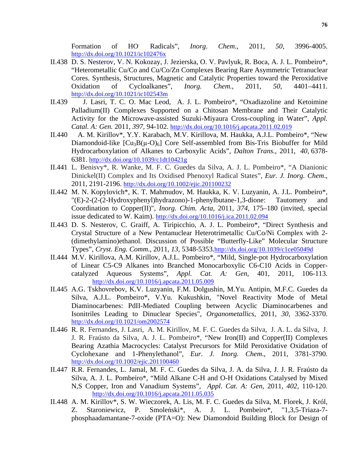Formation of HO. Radicals", *Inorg*. *Chem*., 2011, *50,* 3996-4005. http://dx.doi.org/10.1021/ic102476x

- II.438 D. S. Nesterov, V. N. Kokozay, J. Jezierska, O. V. Pavlyuk, R. Boca, A. J. L. Pombeiro\*, "Heterometallic Cu/Co and Cu/Co/Zn Complexes Bearing Rare Asymmetric Tetranuclear Cores. Synthesis, Structures, Magnetic and Catalytic Properties toward the Peroxidative Oxidation of Cycloalkanes", *Inorg. Chem.*, 2011, *50,* 4401–4411. http://dx.doi.org/10.1021/ic102543m
- II.439 J. Lasri, T. C. O. Mac Leod, A. J. L. Pombeiro\*, "Oxadiazoline and Ketoimine Palladium(II) Complexes Supported on a Chitosan Membrane and Their Catalytic Activity for the Microwave-assisted Suzuki-Miyaura Cross-coupling in Water", *Appl. Catal. A: Gen.* 2011, *397,* 94-102. http://dx.doi.org/10.1016/j.apcata.2011.02.019
- II.440 A. M. Kirillov\*, Y.Y. Karabach, M.V. Kirillova, M. Haukka, A.J.L. Pombeiro\*, "New Diamondoid-like  $[Cu_3B(\mu-O)_6]$  Core Self-assembled from Bis-Tris Biobuffer for Mild Hydrocarboxylation of Alkanes to Carboxylic Acids", *Dalton Trans.*, 2011, *40,* 6378- 6381. http://dx.doi.org/10.1039/c1dt10421g
- II.441 L. Benisvy\*, R. Wanke, M. F. C. Guedes da Silva, A. J. L. Pombeiro\*, "A Dianionic Dinickel(II) Complex and Its Oxidised Phenoxyl Radical States", *Eur. J. Inorg. Chem*., 2011, 2191-2196. http://dx.doi.org/10.1002/ejic.201100232
- II.442 M. N. Kopylovich\*, K. T. Mahmudov, M. Haukka, K. V. Luzyanin, A. J.L. Pombeiro\*, "(E)-2-(2-(2-Hydroxyphenyl)hydrazono)-1-phenylbutane-1,3-dione: Tautomery and Coordination to Copper(II)", *Inorg. Chim. Acta,* 2011*, 374,* 175–180 (invited, special issue dedicated to W. Kaim). http://dx.doi.org/10.1016/j.ica.2011.02.094
- II.443 D. S. Nesterov, C. Graiff, A. Tiripicchio, A. J. L. Pombeiro\*, "Direct Synthesis and Crystal Structure of a New Pentanuclear Heterotrimetallic Cu/Co/Ni Complex with 2- (dimethylamino)ethanol. Discussion of Possible "Butterfly-Like" Molecular Structure Types", *Cryst. Eng. Comm*., 2011, *13,* 5348-5353.http://dx.doi.org/10.1039/c1ce05049d
- II.444 M.V. Kirillova, A.M. Kirillov, A.J.L. Pombeiro\*, "Mild, Single-pot Hydrocarboxylation of Linear C5-C9 Alkanes into Branched Monocarboxylic C6-C10 Acids in Coppercatalyzed Aqueous Systems", *Appl. Cat. A: Gen*, 401, 2011, 106-113. http://dx.doi.org/10.1016/j.apcata.2011.05.009
- II.445 A.G. Tskhovrebov, K.V. Luzyanin, F.M. Dolgushin, M.Yu. Antipin, M.F.C. Guedes da Silva, A.J.L. Pombeiro\*, V.Yu. Kukushkin, "Novel Reactivity Mode of Metal Diaminocarbenes: PdII-Mediated Coupling between Acyclic Diaminocarbenes and Isonitriles Leading to Dinuclear Species", *Organometallics,* 2011, *30,* 3362-3370. http://dx.doi.org/10.1021/om2002574
- II.446 R. R. Fernandes, J. Lasri, A. M. Kirillov, M. F. C. Guedes da Silva, J. A. L. da Silva, J. J. R. Fraústo da Silva, A. J. L. Pombeiro\*, "New Iron(II) and Copper(II) Complexes Bearing Azathia Macrocycles: Catalyst Precursors for Mild Peroxidative Oxidation of Cyclohexane and 1-Phenylethanol", *Eur. J. Inorg. Chem*., 2011, 3781-3790. http://dx.doi.org/10.1002/ejic.201100460
- II.447 R.R. Fernandes, L. Jamal, M. F. C. Guedes da Silva, J. A. da Silva, J. J. R. Fraústo da Silva, A. J. L. Pombeiro\*, "Mild Alkane C-H and O-H Oxidations Catalysed by Mixed N,S Copper, Iron and Vanadium Systems", *Appl. Cat. A: Gen*, 2011, *402,* 110-120. http://dx.doi.org/10.1016/j.apcata.2011.05.035
- II.448 A. M. Kirillov\*, S. W. Wieczorek, A. Lis, M. F. C. Guedes da Silva, M. Florek, J. Król, Z. Staroniewicz, P. Smoleński\*, A. J. L. Pombeiro\*, "1,3,5-Triaza-7 phosphaadamantane-7-oxide (PTA=O): New Diamondoid Building Block for Design of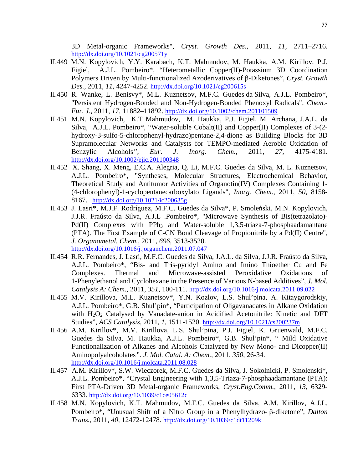3D Metal-organic Frameworks", *Cryst. Growth Des.,* 2011, *11,* 2711–2716. http://dx.doi.org/10.1021/cg200571y

- II.449 M.N. Kopylovich, Y.Y. Karabach, K.T. Mahmudov, M. Haukka, A.M. Kirillov, P.J. Figiel, A.J.L. Pombeiro\*, "Heterometallic Copper(II)-Potassium 3D Coordination Polymers Driven by Multi-functionalized Azoderivatives of β-Diketones", *Cryst. Growth Des.,* 2011, *11,* 4247-4252. http://dx.doi.org/10.1021/cg200615s
- II.450 R. Wanke, L. Benisvy\*, M.L. Kuznetsov, M.F.C. Guedes da Silva, A.J.L. Pombeiro\*, "Persistent Hydrogen-Bonded and Non-Hydrogen-Bonded Phenoxyl Radicals", *Chem.- Eur. J.,* 2011, *17,* 11882–11892. http://dx.doi.org/10.1002/chem.201101509
- II.451 M.N. Kopylovich, K.T Mahmudov, M. Haukka, P.J. Figiel, M. Archana, J.A.L. da Silva, A.J.L. Pombeiro\*, "Water-soluble Cobalt(II) and Copper(II) Complexes of 3-(2 hydroxy-3-sulfo-5-chlorophenyl-hydrazo)pentane-2,4-dione as Building Blocks for 3D Supramolecular Networks and Catalysts for TEMPO-mediated Aerobic Oxidation of Benzylic Alcohols*", Eur*. *J*. *Inorg. Chem.,* 2011, *27,* 4175-4181. http://dx.doi.org/10.1002/ejic.201100348
- II.452 X. Shang, X. Meng, E.C.A. Alegria, Q. Li, M.F.C. Guedes da Silva, M. L. Kuznetsov, A.J.L. Pombeiro\*, "Syntheses, Molecular Structures, Electrochemical Behavior, Theoretical Study and Antitumor Activities of Organotin(IV) Complexes Containing 1- (4-chlorophenyl)-1-cyclopentanecarboxylato Ligands", *Inorg. Chem*., 2011, *50,* 8158- 8167. http://dx.doi.org/10.1021/ic200635g
- II.453 J. Lasri\*, M.J.F. Rodríguez, M.F.C. Guedes da Silva\*, P. Smoleński, M.N. Kopylovich, J.J.R. Fraústo da Silva, A.J.L .Pombeiro\*, "Microwave Synthesis of Bis(tetrazolato)- Pd(II) Complexes with  $PPh_3$  and Water-soluble 1,3,5-triaza-7-phosphaadamantane (PTA). The First Example of C-CN Bond Cleavage of Propionitrile by a Pd(II) Centre", *J. Organometal. Chem.*, 2011, *696,* 3513-3520. http://dx.doi.org/10.1016/j.jorganchem.2011.07.047
- II.454 R.R. Fernandes, J. Lasri, M.F.C. Guedes da Silva, J.A.L. da Silva, J.J.R. Fraústo da Silva, A.J.L. Pombeiro\*, "Bis- and Tris-pyridyl Amino and Imino Thioether Cu and Fe Complexes. Thermal and Microwave-assisted Peroxidative Oxidations of 1-Phenylethanol and Cyclohexane in the Presence of Various N-based Additives", *J. Mol. Catalysis A: Chem*., 2011, *351,* 100-111. http://dx.doi.org/10.1016/j.molcata.2011.09.022
- II.455 M.V. Kirillova, M.L. Kuznetsov\*, Y.N. Kozlov, L.S. Shul'pina, A. Kitaygorodskiy, A.J.L. Pombeiro\*, G.B. Shul'pin\*, "Participation of Oligavanadates in Alkane Oxidation with  $H_2O_2$  Catalysed by Vanadate-anion in Acidified Acetonitrile: Kinetic and DFT Studies", *ACS Catalysis,* 2011, *1,* 1511-1520. http://dx.doi.org/10.1021/cs200237m
- II.456 A.M. Kirillov\*, M.V. Kirillova, L.S. Shul'pina, P.J. Figiel, K. Gruenwald, M.F.C. Guedes da Silva, M. Haukka, A.J.L. Pombeiro\*, G.B. Shul'pin\*, " Mild Oxidative Functionalization of Alkanes and Alcohols Catalyzed by New Mono- and Dicopper(II) Aminopolyalcoholates*". J. Mol. Catal. A: Chem.,* 2011, *350,* 26-34. http://dx.doi.org/10.1016/j.molcata.2011.08.028
- II.457 A.M. Kirillov\*, S.W. Wieczorek, M.F.C. Guedes da Silva, J. Sokolnicki, P. Smolenski\*, A.J.L. Pombeiro\*, "Crystal Engineering with 1,3,5-Triaza-7-phosphaadamantane (PTA): First PTA-Driven 3D Metal-organic Frameworks, *Cryst.Eng.Comm.,* 2011, *13,* 6329- 6333. http://dx.doi.org/10.1039/c1ce05612c
- II.458 M.N. Kopylovich, K.T. Mahmudov, M.F.C. Guedes da Silva, A.M. Kirillov, A.J.L. Pombeiro\*, "Unusual Shift of a Nitro Group in a Phenylhydrazo- β-diketone", *Dalton Trans.,* 2011, *40,* 12472-12478. http://dx.doi.org/10.1039/c1dt11209k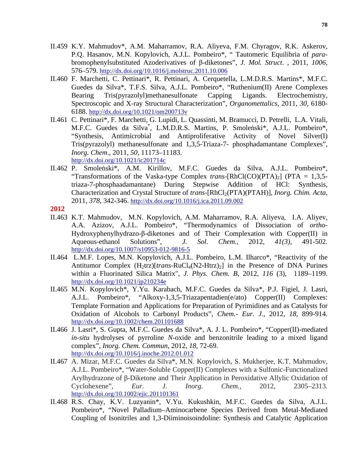- II.459 K.Y. Mahmudov\*, A.M. Maharramov, R.A. Aliyeva, F.M. Chyragov, R.K. Askerov, P.Q. Hasanov, M.N. Kopylovich, A.J.L. Pombeiro\*, " Tautomeric Equilibria of *para*bromophenylsubstituted Azoderivatives of β-diketones", *J. Mol. Struct*. , 2011, *1006,*  576–579. http://dx.doi.org/10.1016/j.molstruc.2011.10.006
- II.460 F. Marchetti, C. Pettinari\*, R. Pettinari, A. Cerquetella, L.M.D.R.S. Martins\*, M.F.C. Guedes da Silva\*, T.F.S. Silva, A.J.L. Pombeiro\*, "Ruthenium(II) Arene Complexes Bearing Tris(pyrazolyl)methanesulfonate Capping Ligands. Electrochemistry, Spectroscopic and X-ray Structural Characterization", *Organomettalics*, 2011, *30,* 6180- 6188. http://dx.doi.org/10.1021/om200713v
- II.461 C. Pettinari\*, F. Marchetti, G. Lupidi, L. Quassinti, M. Bramucci, D. Petrelli, L.A. Vitali, M.F.C. Guedes da Silva\* , L.M.D.R.S. Martins, P. Smoleński\*, A.J.L. Pombeiro\*, "Synthesis, Antimicrobial and Antiproliferative Activity of Novel Silver(I) Tris(pyrazolyl) methanesulfonate and 1,3,5-Triaza-7- phosphadamantane Complexes", *Inorg. Chem*., 2011, *50,* 11173–11183. http://dx.doi.org/10.1021/ic201714c
- II.462 P. Smoleński\*, A.M. Kirillov, M.F.C. Guedes da Silva, A.J.L. Pombeiro\*, "Transformations of the Vaska-type Complex *trans*-[RhCl(CO)(PTA)<sub>2</sub>] (PTA = 1,3,5triaza-7-phosphaadamantane) During Stepwise Addition of HCl: Synthesis, Characterization and Crystal Structure of *trans*-[RhCl<sub>2</sub>(PTA)(PTAH)], *Inorg. Chim. Acta*, 2011, *378,* 342-346. http://dx.doi.org/10.1016/j.ica.2011.09.002
- **2012**
- II.463 K.T. Mahmudov, M.N. Kopylovich, A.M. Maharramov, R.A. Aliyeva, I.A. Aliyev, A.A. Azizov, A.J.L. Pombeiro\*, "Thermodynamics of Dissociation of *ortho*-Hydroxyphenylhydrazo-β-diketones and of Their Complexation with Copper(II) in Aqueous-ethanol Solutions", *J. Sol. Chem.,* 2012, *41(3)*, 491-502. http://dx.doi.org/10.1007/s10953-012-9816-5
- II.464 L.M.F. Lopes, M.N. Kopylovich, A.J.L. Pombeiro, L.M. Ilharco\*, "Reactivity of the Antitumor Complex  $(H_2trz)[trans-RuCl_4(N2-Htrz)_2]$  in the Presence of DNA Purines within a Fluorinated Silica Matrix", *J. Phys. Chem. B*, 2012, *116* (3), 1189–1199. http://dx.doi.org/10.1021/jp210234e
- II.465 M.N. Kopylovich\*, Y.Yu. Karabach, M.F.C. Guedes da Silva\*, P.J. Figiel, J. Lasri, A.J.L. Pombeiro\*, "Alkoxy-1,3,5-Triazapentadien(e/ato) Copper(II) Complexes: Template Formation and Applications for Preparation of Pyrimidines and as Catalysts for Oxidation of Alcohols to Carbonyl Products", *Chem.- Eur. J.,* 2012, *18,* 899-914. http://dx.doi.org/10.1002/chem.201101688
- II.466 J. Lasri\*, S. Gupta, M.F.C. Guedes da Silva\*, A. J. L. Pombeiro\*, "Copper(II)-mediated *in-situ* hydrolyses of pyrroline *N*-oxide and benzonitrile leading to a mixed ligand complex", *Inorg. Chem. Commun*, 2012, *18*, 72-69. http://dx.doi.org/10.1016/j.inoche.2012.01.012
- II.467 A. Mizar, M.F.C. Guedes da Silva\*, M.N. Kopylovich, S. Mukherjee, K.T. Mahmudov, A.J.L. Pombeiro\*, "Water-Soluble Copper(II) Complexes with a Sulfonic-Functionalized Arylhydrazone of β-Diketone and Their Application in Peroxidative Allylic Oxidation of Cyclohexene", *Eur. J. Inorg. Chem.,* 2012, 2305–2313. http://dx.doi.org/10.1002/ejic.201101361
- II.468 R.S. Chay, K.V. Luzyanin\*, V.Yu. Kukushkin, M.F.C. Guedes da Silva, A.J.L. Pombeiro\*, "Novel Palladium–Aminocarbene Species Derived from Metal-Mediated Coupling of Isonitriles and 1,3-Diiminoisoindoline: Synthesis and Catalytic Application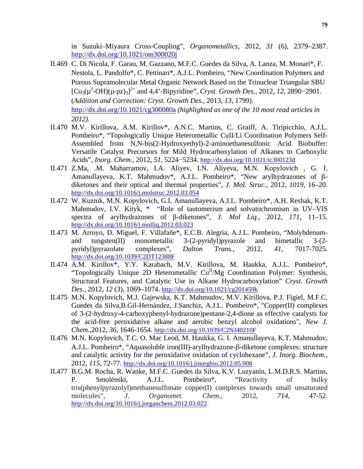in Suzuki–Miyaura Cross-Coupling", *Organometallics*, 2012, *31* (6), 2379–2387. http://dx.doi.org/10.1021/om300020j

- II.469 C. Di Nicola, F. Garau, M. Gazzano, M.F.C. Guedes da Silva, A. Lanza, M. Monari\*, F. Nestola, L. Pandolfo\*, C. Pettinari\*, A.J.L. Pombeiro, "New Coordination Polymers and Porous Supramolecular Metal Organic Network Based on the Trinuclear Triangular SBU  $[Cu_3(\mu^3-OH)(\mu-pz)_3]^{2+}$  and 4,4'-Bipyridine", *Cryst. Growth Des.*, 2012, 12, 2890–2901. (*Addition and Correction: Cryst. Growth Des.*, 2013, *13*, 1799). http://dx.doi.org/10.1021/cg300080a *(highlighted as one of the 10 most read articles in 2012).*
- II.470 M.V. Kirillova, A.M. Kirillov\*, A.N.C. Martins, C. Graiff, A. Tiripicchio, A.J.L. Pombeiro\*, "Topologically Unique Heterometallic CuII/Li Coordination Polymers Self-Assembled from N,N-bis(2-Hydroxyethyl)-2-aminoethanesulfonic Acid Biobuffer: Versatile Catalyst Precursors for Mild Hydrocarboxylation of Alkanes to Carboxylic Acids", *Inorg. Chem*., 2012, *51*, 5224−5234. http://dx.doi.org/10.1021/ic300123d
- II.471 Z.Ma, .M. Maharramov, I.A. Aliyev, I.N. Aliyeva, M.N. Kopylovich , G. I. Amanullayeva, K.T. Mahmudov\*, A.J.L. Pombeiro\*, "New arylhydrazones of βdiketones and their optical and thermal properties", *J. Mol. Struc*., 2012, *1019,* 16–20. http://dx.doi.org/10.1016/j.molstruc.2012.03.054
- II.472 W. Kuznik, M.N. Kopylovich, G.I. Amanullayeva, A.J.L. Pombeiro\*, A.H. Reshak, K.T. Mahmudov, I.V. Kityk, \* "Role of tautomerism and solvatochromism in UV–VIS spectra of arylhydrazones of β-diketones", *J. Mol Liq.*, 2012, *171,* 11–15. http://dx.doi.org/10.1016/j.molliq.2012.03.023
- II.473 M. Arroyo, D. Miguel, F. Villafañe\*, E.C.B. Alegria, A.J.L. Pombeiro, "Molybdenumand tungsten(II) monometallic 3-(2-pyridyl)pyrazole and bimetallic 3-(2 pyridyl)pyrazolate complexes", *Dalton Trans.*, 2012, *41*, 7017-7025. http://dx.doi.org/10.1039/C2DT12388F
- II.474 A.M. Kirillov\*, Y.Y. Karabach, M.V. Kirillova, M. Haukka, A.J.L. Pombeiro\*, "Topologically Unique 2D Heterometallic  $Cu<sup>H</sup>/Mg$  Coordination Polymer: Synthesis, Structural Features, and Catalytic Use in Alkane Hydrocarboxylation" *Cryst. Growth Des.*, 2012, *12* (3), 1069–1074. http://dx.doi.org/10.1021/cg201459k
- II.475 M.N. Kopylovich, M.J. Gajewska, K.T. Mahmudov, M.V. Kirillova, P.J. Figiel, M.F.C. Guedes da Silva,B.Gil-Hernández, J.Sanchiz, A.J.L. Pombeiro\*, "Copper(II) complexes of 3-(2-hydroxy-4-carboxyphenyl-hydrazone)pentane-2,4-dione as effective catalysts for the acid-free peroxidative alkane and aerobic benzyl alcohol oxidations", *New J. Chem.*,2012, *36*, 1646-1654. http://dx.doi.org/10.1039/C2NJ40210F
- II.476 M.N. Kopylovich, T.C. O. Mac Leod, M. Haukka, G. I. Amanullayeva, K.T. Mahmudov, A.J.L. Pombeiro\*, "Aquasoluble iron(III)-arylhydrazone-β-diketone complexes: structure and catalytic activity for the peroxidative oxidation of cyclohexane", *J. Inorg. Biochem*., 2012, *115*, 72-77. http://dx.doi.org/10.1016/j.jinorgbio.2012.05.008
- II.477 B.G.M. Rocha, R. Wanke, M.F.C. Guedes da Silva, K.V. Luzyanin, L.M.D.R.S. Martins, P. Smolénski, A.J.L. Pombeiro\*, "Reactivity of bulky tris(phenylpyrazolyl)methanesulfonate copper(I) complexes towards small unsaturated molecules", *J. Organomet. Chem.*, 2012, *714*, 47-52. http://dx.doi.org/10.1016/j.jorganchem.2012.03.022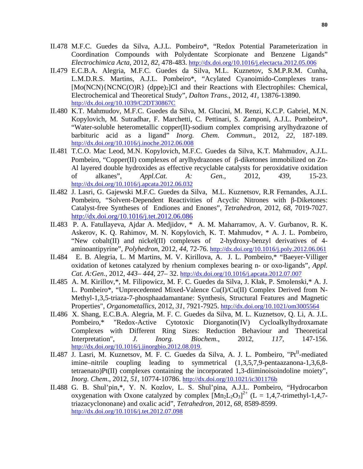- II.478 M.F.C. Guedes da Silva, A.J.L. Pombeiro\*, "Redox Potential Parameterization in Coordination Compounds with Polydentate Scorpionate and Benzene Ligands" *Electrochimica Acta*, 2012, *82*, 478-483. http://dx.doi.org/10.1016/j.electacta.2012.05.006
- II.479 E.C.B.A. Alegria, M.F.C. Guedes da Silva, M.L. Kuznetov, S.M.P.R.M. Cunha, L.M.D.R.S. Martins, A.J.L. Pombeiro\*, "Acylated Cyanoimido-Complexes trans-  $[Mo(NCN)(NCNC(O)R)$  (dppe)<sub>2</sub>]Cl and their Reactions with Electrophiles: Chemical, Electrochemical and Theoretical Study", *Dalton Trans*., 2012, *41*, 13876-13890. http://dx.doi.org/10.1039/C2DT30867C
- II.480 K.T. Mahmudov, M.F.C. Guedes da Silva, M. Glucini, M. Renzi, K.C.P. Gabriel, M.N. Kopylovich, M. Sutradhar, F. Marchetti, C. Pettinari, S. Zamponi, A.J.L. Pombeiro\*, "Water-soluble heterometallic copper(II)-sodium complex comprising arylhydrazone of barbituric acid as a ligand" *Inorg. Chem. Commun*., 2012, *22*, 187-189. http://dx.doi.org/10.1016/j.inoche.2012.06.008
- II.481 T.C.O. Mac Leod, M.N. Kopylovich, M.F.C. Guedes da Silva, K.T. Mahmudov, A.J.L. Pombeiro, "Copper(II) complexes of arylhydrazones of β-diketones immobilized on Zn-Al layered double hydroxides as effective recyclable catalysts for peroxidative oxidation of alkanes", *Appl.Cat. A: Gen.,* 2012, *439*, 15-23. http://dx.doi.org/10.1016/j.apcata.2012.06.032
- II.482 J. Lasri, G. Gajewski M.F.C. Guedes da Silva, M.L. Kuznetsov, R.R Fernandes, A.J.L. Pombeiro, "Solvent-Dependent Reactivities of Acyclic Nitrones with β-Diketones: Catalyst-free Syntheses of Endiones and Enones", *Tetrahedron,* 2012, *68*, 7019-7027. http://dx.doi.org/10.1016/j.tet.2012.06.086
- II.483 P. A. Fatullayeva, Ajdar A. Medjidov, \* A. M. Maharramov, A. V. Gurbanov, R. K. Askerov, K. Q. Rahimov, M. N. Kopylovich, K. T. Mahmudov, \* A. J. L. Pombeiro, "New cobalt(II) and nickel(II) complexes of 2-hydroxy-benzyl derivatives of 4 aminoantipyrine", *Polyhedron,* 2012, *44*, 72-76. http://dx.doi.org/10.1016/j.poly.2012.06.061
- II.484 E. B. Alegria, L. M Martins, M. V. Kirillova, A. J. L. Pombeiro,\* "Baeyer-Villiger oxidation of ketones catalyzed by rhenium complexes bearing n- or oxo-ligands", *Appl. Cat. A:Gen.*, 2012, *443– 444*, 27– 32. http://dx.doi.org/10.1016/j.apcata.2012.07.007
- II.485 A. M. Kirillov,\*, M. Filipowicz, M. F. C. Guedes da Silva, J. Kłak, P. Smolenski,\* A. J. L. Pombeiro\*, "Unprecedented Mixed-Valence Cu(I)/Cu(II) Complex Derived from N-Methyl-1,3,5-triaza-7-phosphaadamantane: Synthesis, Structural Features and Magnetic Properties", *Organometallics*, 2012, *31*, 7921-7925. http://dx.doi.org/10.1021/om3005564
- II.486 X. Shang, E.C.B.A. Alegria, M. F. C. Guedes da Silva, M. L. Kuznetsov, Q. Li, A. J.L. Pombeiro,\* "Redox-Active Cytotoxic Diorganotin(IV) Cycloalkylhydroxamate Complexes with Different Ring Sizes: Reduction Behaviour and Theoretical Interpretation", *J. Inorg. Biochem*., 2012, *117*, 147-156. http://dx.doi.org/10.1016/j.jinorgbio.2012.08.019,
- II.487 J. Lasri, M. Kuznetsov, M. F. C. Guedes da Silva, A. J. L. Pombeiro, "Pt<sup>II</sup>-mediated imine–nitrile coupling leading to symmetrical (1,3,5,7,9-pentaazanona-1,3,6,8 tetraenato)Pt(II) complexes containing the incorporated 1,3-diiminoisoindoline moiety", *Inorg. Chem*., 2012, *51*, 10774-10786. http://dx.doi.org/10.1021/ic301176b
- II.488 G. B. Shul'pin,\*, Y. N. Kozlov, L. S. Shul'pina, A.J.L. Pombeiro, "Hydrocarbon oxygenation with Oxone catalyzed by complex  $[Mn_2L_2O_3]^{2+}$  (L = 1,4,7-trimethyl-1,4,7triazacyclononane) and oxalic acid", *Tetrahedron*, 2012, *68,* 8589-8599. http://dx.doi.org/10.1016/j.tet.2012.07.098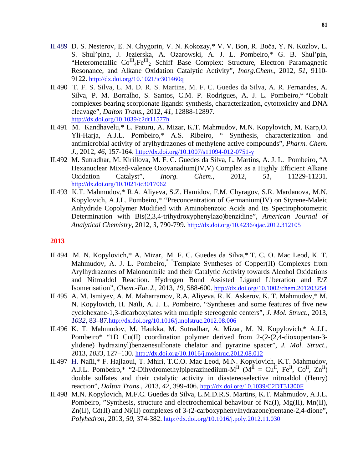- II.489 D. S. Nesterov, E. N. Chygorin, V. N. Kokozay,\* V. V. Bon, R. Boča, Y. N. Kozlov, L. S. Shul'pina, J. Jezierska, A. Ozarowski, A. J. L. Pombeiro,\* G. B. Shul'pin, "Heterometallic Co<sup>III</sup><sub>4</sub>Fe<sup>III</sup><sub>2</sub> Schiff Base Complex: Structure, Electron Paramagnetic Resonance, and Alkane Oxidation Catalytic Activity", *Inorg.Chem*., 2012, *51*, 9110- 9122. http://dx.doi.org/10.1021/ic301460q
- II.490 T. F. S. Silva, L. M. D. R. S. Martins, M. F. C. Guedes da Silva, A. R. Fernandes, A. Silva, P. M. Borralho, S. Santos, C.M. P. Rodrigues, A. J. L. Pombeiro,\* "Cobalt complexes bearing scorpionate ligands: synthesis, characterization, cytotoxicity and DNA cleavage", *Dalton Trans.*, 2012, *41*, 12888-12897. http://dx.doi.org/10.1039/c2dt11577h
- II.491 M. Kandhavelu,\* L. Paturu, A. Mizar, K.T. Mahmudov, M.N. Kopylovich, M. Karp,O. Yli-Harja, A.J.L. Pombeiro,\* A.S. Ribeiro, " Synthesis, characterization and antimicrobial activity of arylhydrazones of methylene active compounds", *Pharm. Chem. J*., 2012, *46*, 157-164. http://dx.doi.org/10.1007/s11094-012-0751-y
- II.492 M. Sutradhar, M. Kirillova, M. F. C. Guedes da Silva, L. Martins, A. J. L. Pombeiro, "A Hexanuclear Mixed-valence Oxovanadium(IV,V) Complex as a Highly Efficient Alkane Oxidation Catalyst", *Inorg. Chem.*, 2012, *51*, 11229-11231. http://dx.doi.org/10.1021/ic3017062
- II.493 K.T. Mahmudov,\* R.A. Aliyeva, S.Z. Hamidov, F.M. Chyragov, S.R. Mardanova, M.N. Kopylovich, A.J.L. Pombeiro,\* "Preconcentration of Germanium(IV) on Styrene-Maleic Anhydride Copolymer Modified with Aminobenzoic Acids and Its Spectrophotometric Determination with Bis(2,3,4-trihydroxyphenylazo)benzidine", *American Journal of Analytical Chemistry*, 2012, *3*, 790-799. http://dx.doi.org/10.4236/ajac.2012.312105

#### **2013**

- II.494 M. N. Kopylovich,\* A. Mizar, M. F. C. Guedes da Silva,\* T. C. O. Mac Leod, K. T. Mahmudov, A. J. L. Pombeiro, Template Syntheses of Copper(II) Complexes from Arylhydrazones of Malononitrile and their Catalytic Activity towards Alcohol Oxidations and Nitroaldol Reaction. Hydrogen Bond Assisted Ligand Liberation and E/Z Isomerisation", *Chem.-Eur.J.,* 2013, *19*, 588-600. http://dx.doi.org/10.1002/chem.201203254
- II.495 A. M. Ismiyev, A. M. Maharramov, R.A. Aliyeva, R. K. Askerov, K. T. Mahmudov,\* M. N. Kopylovich, H. Naïli, A. J. L. Pombeiro, "Syntheses and some features of five new cyclohexane-1,3-dicarboxylates with multiple stereogenic centers", *J. Mol. Struct*., 2013, *1032*, 83–87.http://dx.doi.org/10.1016/j.molstruc.2012.08.006
- II.496 K. T. Mahmudov, M. Haukka, M. Sutradhar, A. Mizar, M. N. Kopylovich,\* A.J.L. Pombeiro\* "1D Cu(II) coordination polymer derived from 2-(2-(2,4-dioxopentan-3 ylidene) hydrazinyl)benzenesulfonate chelator and pyrazine spacer", *J. Mol. Struct*., 2013, *1033,* 127–130. http://dx.doi.org/10.1016/j.molstruc.2012.08.012
- II.497 H. Naïli,\* F. Hajlaoui, T. Mhiri, T.C.O. Mac Leod, M.N. Kopylovich, K.T. Mahmudov, A.J.L. Pombeiro,\* "2-Dihydromethylpiperazinediium- $M<sup>II</sup>$  ( $M<sup>II</sup> = Cu<sup>II</sup>$ , Fe<sup>II</sup>, Co<sup>II</sup>, Zn<sup>II</sup>) double sulfates and their catalytic activity in diastereoselective nitroaldol (Henry) reaction", *Dalton Trans*., 2013, *42*, 399-406. http://dx.doi.org/10.1039/C2DT31300F
- II.498 M.N. Kopylovich, M.F.C. Guedes da Silva, L.M.D.R.S. Martins, K.T. Mahmudov, A.J.L. Pombeiro, "Synthesis, structure and electrochemical behaviour of Na(I), Mg(II), Mn(II), Zn(II), Cd(II) and Ni(II) complexes of 3-(2-carboxyphenylhydrazone)pentane-2,4-dione", *Polyhedron*, 2013, *50*, 374-382. http://dx.doi.org/10.1016/j.poly.2012.11.030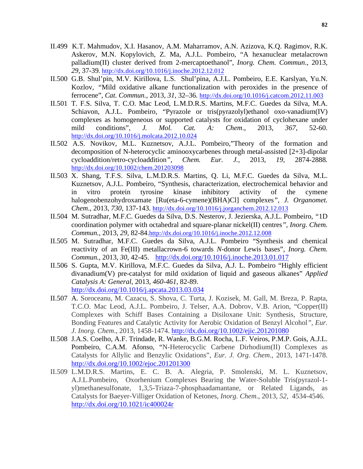- II.499 K.T. Mahmudov, X.I. Hasanov, A.M. Maharramov, A.N. Azizova, K.Q. Ragimov, R.K. Askerov, M.N. Kopylovich, Z. Ma, A.J.L. Pombeiro, "A hexanuclear metalacrown palladium(II) cluster derived from 2-mercaptoethanol", *Inorg. Chem. Commun*., 2013, *29*, 37-39. http://dx.doi.org/10.1016/j.inoche.2012.12.012
- II.500 G.B. Shul'pin, M.V. Kirillova, L.S. Shul'pina, A.J.L. Pombeiro, E.E. Karslyan, Yu.N. Kozlov*, "*Mild oxidative alkane functionalization with peroxides in the presence of ferrocene", *Cat. Commun.,* 2013*, 31,* 32–36*.* http://dx.doi.org/10.1016/j.catcom.2012.11.003
- II.501 T. F.S. Silva, T. C.O. Mac Leod, L.M.D.R.S. Martins, M.F.C. Guedes da Silva, M.A. Schiavon, A.J.L. Pombeiro, "Pyrazole or tris(pyrazolyl)ethanol oxo-vanadium(IV) complexes as homogeneous or supported catalysts for oxidation of cyclohexane under mild conditions", *J. Mol. Cat. A: Chem*., 2013, *367*, 52-60. http://dx.doi.org/10.1016/j.molcata.2012.10.024
- II.502 A.S. Novikov, M.L. Kuznetsov, A.J.L. Pombeiro,"Theory of the formation and decomposition of N-heterocyclic aminooxycarbenes through metal-assisted [2+3]-dipolar cycloaddition/retro-cycloaddition*", Chem. Eur. J.,* 2013, *19,* 2874-2888*.* http://dx.doi.org/10.1002/chem.201203098
- II.503 X. Shang, T.F.S. Silva, L.M.D.R.S. Martins, Q. Li, M.F.C. Guedes da Silva, M.L. Kuznetsov, A.J.L. Pombeiro, "Synthesis, characterization, electrochemical behavior and in vitro protein tyrosine kinase inhibitory activity of the cymene halogenobenzohydroxamate [Ru(eta-6-cymene)(BHA)Cl] complexes*", J. Organomet. Chem*., 2013, *730*, 137-143. http://dx.doi.org/10.1016/j.jorganchem.2012.12.013
- II.504 M. Sutradhar, M.F.C. Guedes da Silva, D.S. Nesterov, J. Jezierska, A.J.L. Pombeiro, *"*1D coordination polymer with octahedral and square-planar nickel(II) centres*"*, *Inorg. Chem. Commun.,* 2013*, 29*, 82-84.http://dx.doi.org/10.1016/j.inoche.2012.12.008
- II.505 M. Sutradhar, M.F.C. Guedes da Silva, A.J.L. Pombeiro "Synthesis and chemical reactivity of an Fe(III) metallacrown-6 towards *N*-donor Lewis bases", *Inorg. Chem. Commun.*, 2013, *30*, 42-45. http://dx.doi.org/10.1016/j.inoche.2013.01.017
- II.506 S. Gupta, M.V. Kirillova, M.F.C. Guedes da Silva, A.J. L. Pombeiro "Highly efficient divanadium(V) pre-catalyst for mild oxidation of liquid and gaseous alkanes" *Applied Catalysis A: General,* 2013, *460-461,* 82-89. http://dx.doi.org/10.1016/j.apcata.2013.03.034
- II.507 A. Soroceanu, M. Cazacu, S. Shova, C. Turta, J. Kozisek, M. Gall, M. Breza, P. Rapta, T.C.O. Mac Leod, A.J.L. Pombeiro, J. Telser, A.A. Dobrov, V.B. Arion, "Copper(II) Complexes with Schiff Bases Containing a Disiloxane Unit: Synthesis, Structure, Bonding Features and Catalytic Activity for Aerobic Oxidation of Benzyl Alcohol*", Eur. J. Inorg. Chem*., 2013, 1458-1474. http://dx.doi.org/10.1002/ejic.201201080
- II.508 J.A.S. Coelho, A.F. Trindade, R. Wanke, B.G.M. Rocha, L.F. Veiros, P.M.P. Gois, A.J.L. Pombeiro, C.A.M. Afonso, "N-Heterocyclic Carbene Dirhodium(II) Complexes as Catalysts for Allylic and Benzylic Oxidations", *Eur. J. Org. Chem*., 2013, 1471-1478. http://dx.doi.org/10.1002/ejoc.201201300
- II.509 L.M.D.R.S. Martins, E. C. B. A. Alegria, P. Smolenski, M. L. Kuznetsov, A.J.L.Pombeiro, Oxorhenium Complexes Bearing the Water-Soluble Tris(pyrazol-1 yl)methanesulfonate, 1,3,5-Triaza-7-phosphaadamantane, or Related Ligands, as Catalysts for Baeyer-Villiger Oxidation of Ketones, *Inorg. Chem*., 2013, *52,* 4534-4546. http://dx.doi.org/10.1021/ic400024r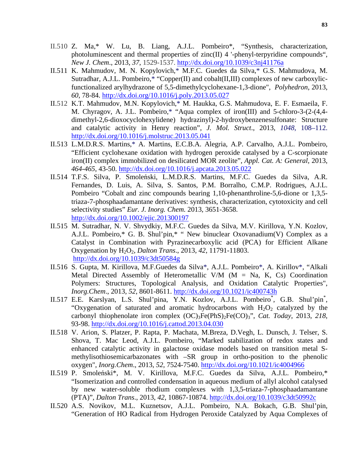- II.510 Z. Ma,\* W. Lu, B. Liang, A.J.L. Pombeiro\*, "Synthesis, characterization, photoluminescent and thermal properties of zinc(II) 4 '-phenyl-terpyridine compounds", *New J. Chem*., 2013, *37*, 1529-1537. http://dx.doi.org/10.1039/c3nj41176a
- II.511 K. Mahmudov, M. N. Kopylovich,\* M.F.C. Guedes da Silva,\* G.S. Mahmudova, M. Sutradhar, A.J.L. Pombeiro,\* "Copper(II) and cobalt(II,III) complexes of new carboxylicfunctionalized arylhydrazone of 5,5-dimethylcyclohexane-1,3-dione", *Polyhedron*, 2013, *60*, 78-84. http://dx.doi.org/10.1016/j.poly.2013.05.027
- II.512 K.T. Mahmudov, M.N. Kopylovich,\* M. Haukka, G.S. Mahmudova, E. F. Esmaeila, F. M. Chyragov, A. J.L. Pombeiro,\* "Aqua complex of iron(III) and 5-chloro-3-(2-(4,4 dimethyl-2,6-dioxocyclohexylidene) hydrazinyl)-2-hydroxybenzenesulfonate: Structure and catalytic activity in Henry reaction", *J. Mol. Struct*., 2013, *1048*, 108–112. http://dx.doi.org/10.1016/j.molstruc.2013.05.041
- II.513 L.M.D.R.S. Martins,\* A. Martins, E.C.B.A. Alegria, A.P. Carvalho, A.J.L. Pombeiro, "Efficient cyclohexane oxidation with hydrogen peroxide catalysed by a C-scorpionate iron(II) complex immobilized on desilicated MOR zeolite", *Appl. Cat. A: General*, 2013, *464-465*, 43-50. http://dx.doi.org/10.1016/j.apcata.2013.05.022
- II.514 T.F.S. Silva*,* P. Smoleński, L.M.D.R.S. Martins, M.F.C. Guedes da Silva, A.R. Fernandes, D. Luis, A. Silva, S. Santos, P.M. Borralho, C.M.P. Rodrigues, A.J.L. Pombeiro "Cobalt and zinc compounds bearing 1,10-phenanthroline-5,6-dione or 1,3,5 triaza-7-phosphaadamantane derivatives: synthesis, characterization, cytotoxicity and cell selectivity studies" *Eur. J. Inorg. Chem.* 2013, 3651-3658. http://dx.doi.org/10.1002/ejic.201300197
- II.515 M. Sutradhar, N. V. Shvydkiy, M.F.C. Guedes da Silva, M.V. Kirillova, Y.N. Kozlov, A.J.L. Pombeiro,\* G. B. Shul'pin,\* " New binuclear Oxovanadium(V) Complex as a Catalyst in Combination with Pyrazinecarboxylic acid (PCA) for Efficient Alkane Oxygenation by H2O2, *Dalton Trans*., 2013, *42*, 11791-11803. http://dx.doi.org/10.1039/c3dt50584g
- II.516 S. Gupta, M. Kirillova, M.F.Guedes da Silva\*, A.J.L. Pombeiro\*, A. Kirillov\*, "Alkali Metal Directed Assembly of Heterometallic V/M ( $M = Na$ , K, Cs) Coordination Polymers: Structures, Topological Analysis, and Oxidation Catalytic Properties", *Inorg.Chem*., 2013, *52*, 8601-8611. http://dx.doi.org/10.1021/ic400743h
- II.517 E.E. Karslyan, L.S. Shul'pina, Y.N. Kozlov, A.J.L. Pombeiro<sup>\*</sup>, G.B. Shul'pin<sup>\*</sup>, "Oxygenation of saturated and aromatic hydrocarbons with  $H_2O_2$  catalyzed by the carbonyl thiophenolate iron complex (OC)3Fe(PhS)2Fe(CO)3", *Cat. Today*, 2013, *218*, 93-98. http://dx.doi.org/10.1016/j.cattod.2013.04.030
- II.518 V. Arion, S. Platzer, P. Rapta, P. Machata, M.Breza, D.Vegh, L. Dunsch, J. Telser, S. Shova, T. Mac Leod, A.J.L. Pombeiro, "Marked stabilization of redox states and enhanced catalytic activity in galactose oxidase models based on transition metal Smethylisothiosemicarbazonates with –SR group in ortho-position to the phenolic oxygen", *Inorg.Chem*., 2013, *52*, 7524-7540. http://dx.doi.org/10.1021/ic4004966
- II.519 P. Smoleński\*, M. V. Kirillova, M.F.C. Guedes da Silva, A.J.L. Pombeiro,\* "Isomerization and controlled condensation in aqueous medium of allyl alcohol catalysed by new water-soluble rhodium complexes with 1,3,5-triaza-7-phosphaadamantane (PTA)", *Dalton Trans*., 2013, *42*, 10867-10874. http://dx.doi.org/10.1039/c3dt50992c
- II.520 A.S. Novikov, M.L. Kuznetsov, A.J.L. Pombeiro, N.A. Bokach, G.B. Shul'pin, "Generation of HO Radical from Hydrogen Peroxide Catalyzed by Aqua Complexes of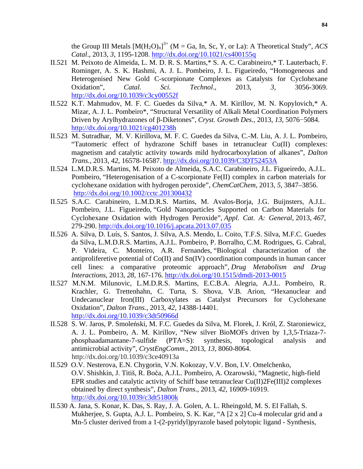the Group III Metals  $[M(H_2O)_n]^3$ <sup>+</sup> (M = Ga, In, Sc, Y, or La): A Theoretical Study", *ACS Catal*., 2013, *3*, 1195-1208. http://dx.doi.org/10.1021/cs400155q

- II.521 M. Peixoto de Almeida, L. M. D. R. S. Martins,\* S. A. C. Carabineiro,\* T. Lauterbach, F. Rominger, A. S. K. Hashmi, A. J. L. Pombeiro, J. L. Figueiredo, "Homogeneous and Heterogenised New Gold C-scorpionate Complexes as Catalysts for Cyclohexane Oxidation", *Catal. Sci. Technol*., 2013, *3*, 3056-3069. http://dx.doi.org/10.1039/c3cy00552f
- II.522 K.T. Mahmudov, M. F. C. Guedes da Silva,\* A. M. Kirillov, M. N. Kopylovich,\* A. Mizar, A. J. L. Pombeiro\*, "Structural Versatility of Alkali Metal Coordination Polymers Driven by Arylhydrazones of β-Diketones", *Cryst. Growth Des.*, 2013, *13*, 5076−5084. http://dx.doi.org/10.1021/cg401238h
- II.523 M. Sutradhar, M. V. Kirillova, M. F. C. Guedes da Silva, C.-M. Liu, A. J. L. Pombeiro, "Tautomeric effect of hydrazone Schiff bases in tetranuclear Cu(II) complexes: magnetism and catalytic activity towards mild hydrocarboxylation of alkanes", *Dalton Trans.*, 2013, *42*, 16578-16587. http://dx.doi.org/10.1039/C3DT52453A
- II.524 L.M.D.R.S. Martins, M. Peixoto de Almeida, S.A.C. Carabineiro, J.L. Figueiredo, A.J.L. Pombeiro, "Heterogenisation of a C-scorpionate Fe(II) complex in carbon materials for cyclohexane oxidation with hydrogen peroxide", *ChemCatChem,* 2013*, 5,* 3847–3856. http://dx.doi.org/10.1002/cctc.201300432
- II.525 S.A.C. Carabineiro, L.M.D.R.S. Martins, M. Avalos-Borja, J.G. Buijnsters, A.J.L. Pombeiro, J.L. Figueiredo, "Gold Nanoparticles Supported on Carbon Materials for Cyclohexane Oxidation with Hydrogen Peroxide", *Appl. Cat. A: General,* 2013, *467,*  279-290. http://dx.doi.org/10.1016/j.apcata.2013.07.035
- II.526 A. Silva, D. Luís, S. Santos, J. Silva, A.S. Mendo, L. Coito, T.F.S. Silva, M.F.C. Guedes da Silva, L.M.D.R.S. Martins, A.J.L. Pombeiro, P. Borralho, C.M. Rodrigues, G. Cabral, P. Videira, C. Monteiro, A.R. Fernandes, "Biological characterization of the antiproliferetive potential of  $Co(II)$  and  $Sn(IV)$  coordination compounds in human cancer cell lines: a comparative proteomic approach"*, Drug Metabolism and Drug Interactions*, 2013, *28*, 167-176. http://dx.doi.org/10.1515/dmdi-2013-0015
- II.527 M.N.M. Milunovic, L.M.D.R.S. Martins, E.C.B.A. Alegria, A.J.L. Pombeiro, R. Krachler, G. Trettenhahn, C. Turta, S. Shova, V.B. Arion, "Hexanuclear and Undecanuclear Iron(III) Carboxylates as Catalyst Precursors for Cyclohexane Oxidation"*, Dalton Trans.,* 2013, *42*, 14388-14401. http://dx.doi.org/10.1039/c3dt50966d
- II.528 S. W. Jaros, P. Smoleński, M. F.C. Guedes da Silva, M. Florek, J. Król, Z. Staroniewicz, A. J. L. Pombeiro, A. M. Kirillov, "New silver BioMOFs driven by 1,3,5-Triaza-7 phosphaadamantane-7-sulfide (PTA=S): synthesis, topological analysis and antimicrobial activity", *CrystEngComm*., 2013, *13*, 8060-8064. http://dx.doi.org/10.1039/c3ce40913a
- II.529 O.V. Nesterova, E.N. Chygorin, V.N. Kokozay, V.V. Bon, I.V. Omelchenko, O.V. Shishkin, J. Titiš, R. Boča, A.J.L. Pombeiro, A. Ozarowski, "Magnetic, high-field EPR studies and catalytic activity of Schiff base tetranuclear Cu(II)2Fe(III)2 complexes obtained by direct synthesis", *Dalton Trans*., 2013, *42*, 16909-16919. http://dx.doi.org/10.1039/c3dt51800k
- II.530 A. Jana, S. Konar, K. Das, S. Ray, J. A. Golen, A. L. Rheingold, M. S. El Fallah, S. Mukherjee, S. Gupta, A.J. L. Pombeiro, S. K. Kar, "A [2 x 2] Cu-4 molecular grid and a Mn-5 cluster derived from a 1-(2-pyridyl)pyrazole based polytopic ligand - Synthesis,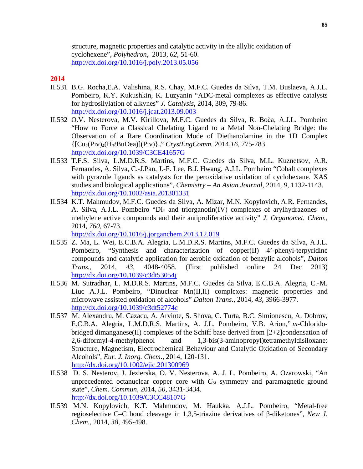structure, magnetic properties and catalytic activity in the allylic oxidation of cyclohexene", *Polyhedron*, 2013, *62*, 51-60. http://dx.doi.org/10.1016/j.poly.2013.05.056

## **2014**

- II.531 B.G. Rocha,E.A. Valishina, R.S. Chay, M.F.C. Guedes da Silva, T.M. Buslaeva, A.J.L. Pombeiro, K.Y. Kukushkin, K. Luzyanin "ADC-metal complexes as effective catalysts for hydrosilylation of alkynes" *J. Catalysis*, 2014, 309, 79-86. http://dx.doi.org/10.1016/j.jcat.2013.09.003
- II.532 O.V. Nesterova, M.V. Kirillova, M.F.C. Guedes da Silva, R. Boča, A.J.L. Pombeiro "How to Force a Classical Chelating Ligand to a Metal Non-Chelating Bridge: the Observation of a Rare Coordination Mode of Diethanolamine in the 1D Complex {[Cu2(Piv)4(H3*t*BuDea)](Piv)}n" *CrystEngComm.* 2014,*16*, 775-783. http://dx.doi.org/10.1039/C3CE41657G
- II.533 T.F.S. Silva*,* L.M.D.R.S. Martins, M.F.C. Guedes da Silva, M.L. Kuznetsov, A.R. Fernandes, A. Silva, C.-J.Pan, J.-F. Lee, B.J. Hwang, A.J.L. Pombeiro "Cobalt complexes with pyrazole ligands as catalysts for the peroxidative oxidation of cyclohexane. XAS studies and biological applications", *Chemistry – An Asian Journal*, 2014, *9*, 1132-1143. http://dx.doi.org/10.1002/asia.201301331
- II.534 K.T. Mahmudov, M.F.C. Guedes da Silva, A. Mizar, M.N. Kopylovich, A.R. Fernandes, A. Silva, A.J.L. Pombeiro "Di- and triorganotin(IV) complexes of arylhydrazones of methylene active compounds and their antiproliferative activity" *J. Organomet. Chem.*, 2014, *760*, 67-73.

http://dx.doi.org/10.1016/j.jorganchem.2013.12.019

- II.535 Z. Ma, L. Wei, E.C.B.A. Alegria, L.M.D.R.S. Martins, M.F.C. Guedes da Silva, A.J.L. Pombeiro, "Synthesis and characterization of copper(II) 4'-phenyl-terpyridine compounds and catalytic application for aerobic oxidation of benzylic alcohols", *Dalton Trans.,* 2014, *43*, 4048-4058. (First published online 24 Dec 2013) http://dx.doi.org/10.1039/c3dt53054j
- II.536 M. Sutradhar, L. M.D.R.S. Martins, M.F.C. Guedes da Silva, E.C.B.A. Alegria, C.-M. Liuc A.J.L. Pombeiro, "Dinuclear Mn(II,II) complexes: magnetic properties and microwave assisted oxidation of alcohols" *Dalton Trans.,* 2014, *43*, 3966-3977. http://dx.doi.org/10.1039/c3dt52774c
- II.537 M. Alexandru, M. Cazacu, A. Arvinte, S. Shova, C. Turta, B.C. Simionescu, A. Dobrov, E.C.B.A. Alegria, L.M.D.R.S. Martins, A. J.L. Pombeiro, V.B. Arion," *m*-Chloridobridged dimanganese(II) complexes of the Schiff base derived from [2+2]condensation of 2,6-diformyl-4-methylphenol and 1,3-bis(3-aminopropyl)tetramethyldisiloxane: Structure, Magnetism, Electrochemical Behaviour and Catalytic Oxidation of Secondary Alcohols"*, Eur. J. Inorg. Chem*., 2014, 120-131. http://dx.doi.org/10.1002/ejic.201300969
- II.538 D. S. Nesterov, J. Jezierska, O. V. Nesterova, A. J. L. Pombeiro, A. Ozarowski, "An unprecedented octanuclear copper core with  $C_{3i}$  symmetry and paramagnetic ground state", *Chem. Commun*, 2014, *50*, 3431-3434. http://dx.doi.org/10.1039/C3CC48107G
- II.539 M.N. Kopylovich, K.T. Mahmudov, M. Haukka, A.J.L. Pombeiro, "Metal-free regioselective C–C bond cleavage in 1,3,5-triazine derivatives of β-diketones", *New J. Chem.*, 2014, *38*, 495-498.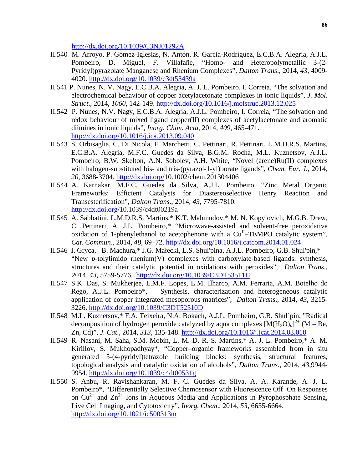http://dx.doi.org/10.1039/C3NJ01292A

- II.540 M. Arroyo, P. Gómez-Iglesias, N. Antón, R. García-Rodríguez, E.C.B.A. Alegria, A.J.L. Pombeiro, D. Miguel, F. Villafañe, "Homo- and Heteropolymetallic 3-(2- Pyridyl)pyrazolate Manganese and Rhenium Complexes", *Dalton Trans*., 2014, *43*, 4009- 4020. http://dx.doi.org/10.1039/c3dt53439a
- II.541 P. Nunes, N. V. Nagy, E.C.B.A. Alegria, A. J. L. Pombeiro, I. Correia, "The solvation and electrochemical behaviour of copper acetylacetonate complexes in ionic liquids", *J. Mol. Struct*., 2014, *1060*, 142-149. http://dx.doi.org/10.1016/j.molstruc.2013.12.025
- II.542 P. Nunes, N.V. Nagy, E.C.B.A. Alegria, A.J.L. Pombeiro, I. Correia, "The solvation and redox behaviour of mixed ligand copper(II) complexes of acetylacetonate and aromatic diimines in ionic liquids", *Inorg. Chim. Acta*, 2014, *409*, 465-471. http://dx.doi.org/10.1016/j.ica.2013.09.040
- II.543 S. Orbisaglia, C. Di Nicola, F. Marchetti, C. Pettinari, R. Pettinari, L.M.D.R.S. Martins, E.C.B.A. Alegria, M.F.C. Guedes da Silva, B.G.M. Rocha, M.L. Kuznetsov, A.J.L. Pombeiro, B.W. Skelton, A.N. Sobolev, A.H. White, "Novel (arene)Ru(II) complexes with halogen-substituted bis- and tris-(pyrazol-1-yl)borate ligands", *Chem. Eur. J.*, 2014, *20,* 3688-3704. http://dx.doi.org/10.1002/chem.201304406
- II.544 A. Karnakar, M.F.C. Guedes da Silva, A.J.L. Pombeiro, "Zinc Metal Organic Frameworks: Efficient Catalysts for Diastereoselective Henry Reaction and Transesterification", *Dalton Trans*., 2014, *43*, 7795-7810. http://dx.doi.org/10.1039/c4dt00219a
- II.545 A. Sabbatini, L.M.D.R.S. Martins,\* K.T. Mahmudov,\* M. N. Kopylovich, M.G.B. Drew, C. Pettinari, A. J.L. Pombeiro,\* "Microwave-assisted and solvent-free peroxidative oxidation of 1-phenylethanol to acetophenone with a  $Cu<sup>II</sup>-TEMPO$  catalytic system", *Cat. Commun*., 2014, *48*, 69–72. http://dx.doi.org/10.1016/j.catcom.2014.01.024
- II.546 I. Gryca, B. Machura,\* J.G. Małecki, L.S. Shul'pina, A.J.L. Pombeiro, G.B. Shul'pin,\* "New *p*-tolylimido rhenium(V) complexes with carboxylate-based ligands: synthesis, structures and their catalytic potential in oxidations with peroxides", *Dalton Trans*., 2014, *43*, 5759-5776.http://dx.doi.org/10.1039/C3DT53511H
- II.547 S.K. Das, S. Mukherjee, L.M.F. Lopes, L.M. Ilharco, A.M. Ferraria, A.M. Botelho do Rego, A.J.L. Pombeiro\*, Synthesis, characterization and heterogeneous catalytic application of copper integrated mesoporous matrices", *Dalton Trans*., 2014, *43*, 3215- 3226. http://dx.doi.org/10.1039/C3DT52510D
- II.548 M.L. Kuznetsov,\* F.A. Teixeira, N.A. Bokach, A.J.L. Pombeiro, G.B. Shul´pin, "Radical decomposition of hydrogen peroxide catalyzed by aqua complexes  $[M(H_2O)_n]^2$ <sup>+</sup> (M = Be, Zn, Cd)", *J. Cat*., 2014, *313*, 135-148. http://dx.doi.org/10.1016/j.jcat.2014.03.010
- II.549 R. Nasani, M. Saha, S.M. Mobin, L. M. D. R. S. Martins,\* A. J. L. Pombeiro,\* A. M. Kirillov, S. Mukhopadhyay\*, "Copper–organic frameworks assembled from in situ generated 5-(4-pyridyl)tetrazole building blocks: synthesis, structural features, topological analysis and catalytic oxidation of alcohols", *Dalton Trans*., 2014, *43*,9944- 9954. http://dx.doi.org/10.1039/c4dt00531g
- II.550 S. Anbu, R. Ravishankaran, M. F. C. Guedes da Silva, A. A. Karande, A. J. L. Pombeiro\*, "Differentially Selective Chemosensor with Fluorescence Off−On Responses on  $Cu^{2+}$  and  $Zn^{2+}$  Ions in Aqueous Media and Applications in Pyrophosphate Sensing, Live Cell Imaging, and Cytotoxicity", *Inorg. Chem*., 2014, *53*, 6655-6664. http://dx.doi.org/10.1021/ic500313m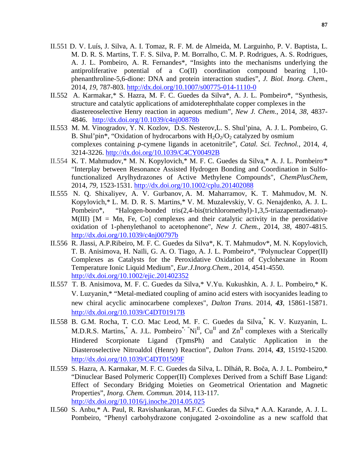- II.551 D. V. Luís, J. Silva, A. I. Tomaz, R. F. M. de Almeida, M. Larguinho, P. V. Baptista, L. M. D. R. S. Martins, T. F. S. Silva, P. M. Borralho, C. M. P. Rodrigues, A. S. Rodrigues, A. J. L. Pombeiro, A. R. Fernandes\*, "Insights into the mechanisms underlying the antiproliferative potential of a Co(II) coordination compound bearing 1,10 phenanthroline-5,6-dione: DNA and protein interaction studies", *J. Biol. Inorg. Chem*., 2014, *19*, 787-803. http://dx.doi.org/10.1007/s00775-014-1110-0
- II.552 A. Karmakar,\* S. Hazra, M. F. C. Guedes da Silva\*, A. J. L. Pombeiro\*, "Synthesis, structure and catalytic applications of amidoterephthalate copper complexes in the diastereoselective Henry reaction in aqueous medium", *New J. Chem*., 2014, *38*, 4837- 4846. http://dx.doi.org/10.1039/c4nj00878b
- II.553 M. M. Vinogradov, Y. N. Kozlov, D.S. Nesterov,L. S. Shul'pina, A. J. L. Pombeiro, G. B. Shul'pin<sup>\*</sup>, "Oxidation of hydrocarbons with  $H_2O_2O_2$  catalyzed by osmium complexes containing *p*-cymene ligands in acetonitrile", *Catal. Sci. Technol.,* 2014, *4*, 3214-3226. http://dx.doi.org/10.1039/C4CY00492B
- II.554 K. T. Mahmudov,\* M. N. Kopylovich,\* M. F. C. Guedes da Silva,\* A. J. L. Pombeiro\* "Interplay between Resonance Assisted Hydrogen Bonding and Coordination in Sulfofunctionalized Arylhydrazones of Active Methylene Compounds", *ChemPlusChem,* 2014, *79*, 1523-1531. http://dx.doi.org/10.1002/cplu.201402088
- II.555 N. Q. Shixaliyev, A. V. Gurbanov, A. M. Maharramov, K. T. Mahmudov, M. N. Kopylovich,\* L. M. D. R. S. Martins,\* V. M. Muzalevskiy, V. G. Nenajdenko, A. J. L. Pombeiro\*, "Halogen-bonded tris(2,4-bis(trichloromethyl)-1,3,5-triazapentadienato)-  $M(III)$   $[M = Mn, Fe, Co]$  complexes and their catalytic activity in the peroxidative oxidation of 1-phenylethanol to acetophenone", *New J. Chem.,* 2014, *38*, 4807-4815. http://dx.doi.org/10.1039/c4nj00797b
- II.556 R. Jlassi, A.P.Ribeiro, M. F. C. Guedes da Silva\*, K. T. Mahmudov\*, M. N. Kopylovich, T. B. Anisimova, H. Naïli, G. A. O. Tiago, A. J. L. Pombeiro\*, "Polynuclear Copper(II) Complexes as Catalysts for the Peroxidative Oxidation of Cyclohexane in Room Temperature Ionic Liquid Medium", *Eur.J.Inorg.Chem.*, 2014, 4541-4550**.** http://dx.doi.org/10.1002/ejic.201402352
- II.557 T. B. Anisimova, M. F. C. Guedes da Silva,\* V.Yu. Kukushkin, A. J. L. Pombeiro,\* K. V. Luzyanin,\* "Metal-mediated coupling of amino acid esters with isocyanides leading to new chiral acyclic aminocarbene complexes", *Dalton Trans*. 2014, *43*, 15861-15871. http://dx.doi.org/10.1039/C4DT01917B
- II.558 B. G.M. Rocha, T. C.O. Mac Leod, M. F. C. Guedes da Silva,\* K. V. Kuzyanin, L. M.D.R.S. Martins, A. J.L. Pombeiro<sup>\*, "Ni<sup>II</sup>, Cu<sup>II</sup> and  $\text{Zn}^{\text{II}}$  complexes with a Sterically</sup> Hindered Scorpionate Ligand (TpmsPh) and Catalytic Application in the Diasteroselective Nitroaldol (Henry) Reaction", *Dalton Trans.* 2014, *43*, 15192-15200. http://dx.doi.org/10.1039/C4DT01509F
- II.559 S. Hazra, A. Karmakar, M. F. C. Guedes da Silva, L. Dlháň, R. Boča, A. J. L. Pombeiro,\* "Dinuclear Based Polymeric Copper(II) Complexes Derived from a Schiff Base Ligand: Effect of Secondary Bridging Moieties on Geometrical Orientation and Magnetic Properties", *Inorg. Chem. Commun.* 2014, 113-117**.**  http://dx.doi.org/10.1016/j.inoche.2014.05.025
- II.560 S. Anbu,\* A. Paul, R. Ravishankaran, M.F.C. Guedes da Silva,\* A.A. Karande, A. J. L. Pombeiro, "Phenyl carbohydrazone conjugated 2-oxoindoline as a new scaffold that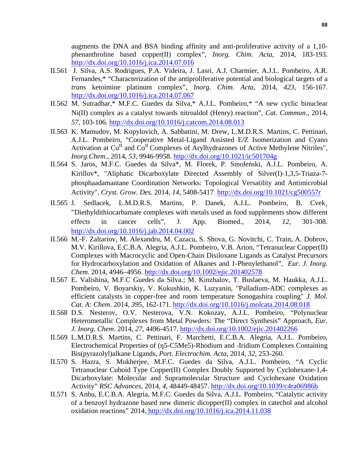augments the DNA and BSA binding affinity and anti-proliferative activity of a 1,10 phenanthroline based copper(II) complex", *Inorg. Chim. Acta,* 2014, 183-193. http://dx.doi.org/10.1016/j.ica.2014.07.016

- II.561 J. Silva, A.S. Rodrigues, P.A. Videira, J. Lasri, A.J. Charmier, A.J.L. Pombeiro, A.R. Fernandes,\* "Characterization of the antiproliferative potential and biological targets of a *trans* ketoimine platinum complex", *Inorg. Chim. Acta,* 2014, *423,* 156-167*.*  http://dx.doi.org/10.1016/j.ica.2014.07.067
- II.562 M. Sutradhar,\* M.F.C. Guedes da Silva,\* A.J.L. Pombeiro,\* "A new cyclic binuclear Ni(II) complex as a catalyst towards nitroaldol (Henry) reaction", *Cat. Commun*., 2014, *57*, 103-106. http://dx.doi.org/10.1016/j.catcom.2014.08.013
- II.563 K. Mamudov, M. Kopylovich, A. Sabbatini, M. Drew, L.M.D.R.S. Martins, C. Pettinari, A.J.L. Pombeiro, "Cooperative Metal-Ligand Assisted E/Z Isomerization and Cyano Activation at  $Cu^{II}$  and  $Co^{II}$  Complexes of Arylhydrazones of Active Methylene Nitriles", *Inorg.Chem*., 2014, *53*, 9946-9958. http://dx.doi.org/10.1021/ic501704g
- II.564 S. Jaros, M.F.C. Guedes da Silva\*, M. Florek, P. Smoleński, A.J.L. Pombeiro, A. Kirillov\*, "Aliphatic Dicarboxylate Directed Assembly of Silver(I)-1,3,5-Triaza-7 phosphaadamantane Coordination Networks: Topological Versatility and Antimicrobial Activity". *Cryst. Grow. Des.* 2014, *14*, 5408-5417. http://dx.doi.org/10.1021/cg500557r
- II.565 J. Sedlacek, L.M.D.R.S. Martins, P. Danek, A.J.L. Pombeiro, B. Cvek¸ "Diethyldithiocarbamate complexes with metals used as food supplements show different effects in cancer cells", J. App. Biomed., 2014, *12*, 301-308. http://dx.doi.org/10.1016/j.jab.2014.04.002
- II.566 M.-F. Zaltariov, M. Alexandru, M. Cazacu, S. Shova, G. Novitchi, C. Train, A. Dobrov, M.V. Kirillova, E.C.B.A. Alegria, A.J.L. Pombeiro, V.B. Arion, "Tetranuclear Copper(II) Complexes with Macrocyclic and Open-Chain Disiloxane Ligands as Catalyst Precursors for Hydrocarboxylation and Oxidation of Alkanes and 1-Phenylethanol", *Eur. J. Inorg. Chem.* 2014, 4946–4956. http://dx.doi.org/10.1002/ejic.201402578
- II.567 E. Valishina, M.F.C Guedes da Silva.; M. Kinzhalov, T. Buslaeva, M. Haukka, A.J.L. Pombeiro, V. Boyarskiy, V. Kukushkin, K. Luzyanin, "Palladium-ADC complexes as efficient catalysts in copper-free and room temperature Sonogashira coupling" *J. Mol. Cat. A: Chem*. 2014, *395*, 162-171. http://dx.doi.org/10.1016/j.molcata.2014.08.018
- II.568 D.S. Nesterov, O.V. Nesterova, V.N. Kokozay, A.J.L. Pombeiro, "Polynuclear Heterometallic Complexes from Metal Powders: The "Direct Synthesis" Approach, *Eur. J. Inorg. Chem*. 2014, *27*, 4496-4517. http://dx.doi.org/10.1002/ejic.201402266
- II.569 L.M.D.R.S. Martins, C. Pettinari, F. Marchetti, E.C.B.A. Alegria, A.J.L. Pombeiro, Electrochemical Properties of (n5-C5Me5)-Rhodium and -Iridium Complexes Containing Bis(pyrazolyl)alkane Ligands, *Port. Electrochim. Acta*, 2014, *32*, 253-260.
- II.570 S. Hazra, S. Mukherjee, M.F.C. Guedes da Silva, A.J.L. Pombeiro, "A Cyclic Tetranuclear Cuboid Type Copper(II) Complex Doubly Supported by Cyclohexane-1,4- Dicarboxylate: Molecular and Supramolecular Structure and Cyclohexane Oxidation Activity" *RSC Advances*, 2014, *4*, 48449-48457. http://dx.doi.org/10.1039/c4ra06986b
- II.571 S. Anbu, E.C.B.A. Alegria, M.F.C. Guedes da Silva, A.J.L. Pombeiro, "Catalytic activity of a benzoyl hydrazone based new dimeric dicopper(II) complex in catechol and alcohol oxidation reactions" 2014, http://dx.doi.org/10.1016/j.ica.2014.11.038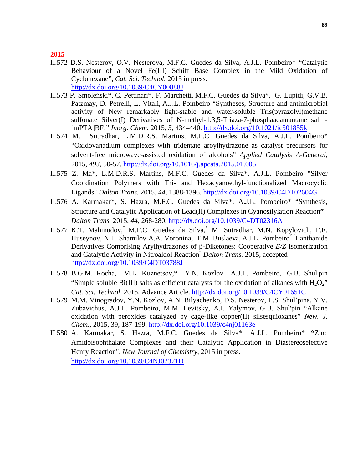### **2015**

- II.572 D.S. Nesterov, O.V. Nesterova, M.F.C. Guedes da Silva, A.J.L. Pombeiro\* "Catalytic Behaviour of a Novel Fe(III) Schiff Base Complex in the Mild Oxidation of Cyclohexane", *Cat. Sci. Technol.* 2015 in press. http://dx.doi.org/10.1039/C4CY00888J
- II.573 P. Smoleński\*, C. Pettinari\*, F. Marchetti, M.F.C. Guedes da Silva\*, G. Lupidi, G.V.B. Patzmay, D. Petrelli, L. Vitali, A.J.L. Pombeiro "Syntheses, Structure and antimicrobial activity of New remarkably light-stable and water-soluble Tris(pyrazolyl)methane sulfonate Silver(I) Derivatives of N-methyl-1,3,5-Triaza-7-phosphaadamantane salt - [mPTA]BF4" *Inorg. Chem.* 2015, *5,* 434–440. http://dx.doi.org/10.1021/ic501855k
- II.574 M. Sutradhar, L.M.D.R.S. Martins, M.F.C. Guedes da Silva, A.J.L. Pombeiro\* "Oxidovanadium complexes with tridentate aroylhydrazone as catalyst precursors for solvent-free microwave-assisted oxidation of alcohols" *Applied Catalysis A-General*, 2015, *493*, 50-57. http://dx.doi.org/10.1016/j.apcata.2015.01.005
- II.575 Z. Ma\*, L.M.D.R.S. Martins, M.F.C. Guedes da Silva\*, A.J.L. Pombeiro "Silver Coordination Polymers with Tri- and Hexacyanoethyl-functionalized Macrocyclic Ligands" *Dalton Trans.* 2015, *44*, 1388-1396. http://dx.doi.org/10.1039/C4DT02604G
- II.576 A. Karmakar\*, S. Hazra, M.F.C. Guedes da Silva\*, A.J.L. Pombeiro\* "Synthesis, Structure and Catalytic Application of Lead(II) Complexes in Cyanosilylation Reaction**"** *Dalton Trans.* 2015, *44*, 268-280. http://dx.doi.org/10.1039/C4DT02316A
- II.577 K.T. Mahmudov,\* M.F.C. Guedes da Silva,\* M. Sutradhar, M.N. Kopylovich, F.E. Huseynov, N.T. Shamilov A.A. Voronina, T.M. Buslaeva, A.J.L. Pombeiro<sup>\*</sup> Lanthanide Derivatives Comprising Arylhydrazones of β-Diketones: Cooperative *E/Z* Isomerization and Catalytic Activity in Nitroaldol Reaction" *Dalton Trans.* 2015, accepted http://dx.doi.org/10.1039/C4DT03788J
- II.578 B.G.M. Rocha, M.L. Kuznetsov,\* Y.N. Kozlov A.J.L. Pombeiro, G.B. Shul'pin "Simple soluble Bi(III) salts as efficient catalysts for the oxidation of alkanes with  $H_2O_2$ " *Cat. Sci. Technol*. 2015, Advance Article. http://dx.doi.org/10.1039/C4CY01651C
- II.579 M.M. Vinogradov, Y.N. Kozlov, A.N. Bilyachenko, D.S. Nesterov, L.S. Shul'pina, Y.V. Zubavichus, A.J.L. Pombeiro, M.M. Levitsky, A.I. Yalymov, G.B. Shul'pin "Alkane oxidation with peroxides catalyzed by cage-like copper(II) silsesquioxanes" *New. J. Chem.*, 2015, 39, 187-199. http://dx.doi.org/10.1039/c4nj01163e
- II.580 A. Karmakar, S. Hazra, M.F.C. Guedes da Silva\*, A.J.L. Pombeiro\* **"**Zinc Amidoisophthalate Complexes and their Catalytic Application in Diastereoselective Henry Reaction", *New Journal of Chemistry*, 2015 in press. http://dx.doi.org/10.1039/C4NJ02371D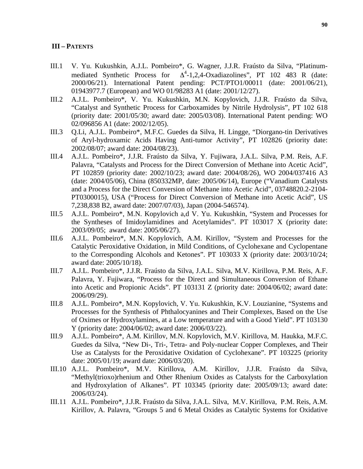### **III – PATENTS**

- III.1 V. Yu. Kukushkin, A.J.L. Pombeiro\*, G. Wagner, J.J.R. Fraústo da Silva, "Platinummediated Synthetic Process for  $\Delta^4$ -1,2,4-Oxadiazolines", PT 102 483 R (date: 2000/06/21). International Patent pending: PCT/PTO1/00011 (date: 2001/06/21), 01943977.7 (European) and WO 01/98283 A1 (date: 2001/12/27).
- III.2 A.J.L. Pombeiro\*, V. Yu. Kukushkin, M.N. Kopylovich, J.J.R. Fraústo da Silva, "Catalyst and Synthetic Process for Carboxamides by Nitrile Hydrolysis", PT 102 618 (priority date: 2001/05/30; award date: 2005/03/08). International Patent pending: WO 02/096856 A1 (date: 2002/12/05).
- III.3 Q.Li, A.J.L. Pombeiro\*, M.F.C. Guedes da Silva, H. Lingge, "Diorgano-tin Derivatives of Aryl-hydroxamic Acids Having Anti-tumor Activity", PT 102826 (priority date: 2002/08/07; award date: 2004/08/23).
- III.4 A.J.L. Pombeiro\*, J.J.R. Fraústo da Silva, Y. Fujiwara, J.A.L. Silva, P.M. Reis, A.F. Palavra, "Catalysts and Process for the Direct Conversion of Methane into Acetic Acid", PT 102859 (priority date: 2002/10/23; award date: 2004/08/26), WO 2004/037416 A3 (date: 2004/05/06), China (850332MP, date: 2005/06/14), Europe ("Vanadium Catalysts and a Process for the Direct Conversion of Methane into Acetic Acid", 03748820.2-2104- PT0300015), USA ("Process for Direct Conversion of Methane into Acetic Acid", US 7,238,838 B2, award date: 2007/07/03), Japan (2004-546574).
- III.5 A.J.L. Pombeiro\*, M.N. Kopylovich a,d V. Yu. Kukushkin, "System and Processes for the Syntheses of Imidoylamidines and Acetylamides". PT 103017 X (priority date: 2003/09/05; award date: 2005/06/27).
- III.6 A.J.L. Pombeiro\*, M.N. Kopylovich, A.M. Kirillov, "System and Processes for the Catalytic Peroxidative Oxidation, in Mild Conditions, of Cyclohexane and Cyclopentane to the Corresponding Alcohols and Ketones". PT 103033 X (priority date: 2003/10/24; award date: 2005/10/18).
- III.7 A.J.L. Pombeiro\*, J.J.R. Fraústo da Silva, J.A.L. Silva, M.V. Kirillova, P.M. Reis, A.F. Palavra, Y. Fujiwara, "Process for the Direct and Simultaneous Conversion of Ethane into Acetic and Propionic Acids". PT 103131 Z (priority date: 2004/06/02; award date: 2006/09/29).
- III.8 A.J.L. Pombeiro\*, M.N. Kopylovich, V. Yu. Kukushkin, K.V. Louzianine, "Systems and Processes for the Synthesis of Phthalocyanines and Their Complexes, Based on the Use of Oximes or Hydroxylamines, at a Low temperature and with a Good Yield". PT 103130 Y (priority date: 2004/06/02; award date: 2006/03/22).
- III.9 A.J.L. Pombeiro\*, A.M. Kirillov, M.N. Kopylovich, M.V. Kirillova, M. Haukka, M.F.C. Guedes da Silva, "New Di-, Tri-, Tetra- and Poly-nuclear Copper Complexes, and Their Use as Catalysts for the Peroxidative Oxidation of Cyclohexane". PT 103225 (priority date: 2005/01/19; award date: 2006/03/20).
- III.10 A.J.L. Pombeiro\*, M.V. Kirillova, A.M. Kirillov, J.J.R. Fraústo da Silva, "Methyl(trioxo)rhenium and Other Rhenium Oxides as Catalysts for the Carboxylation and Hydroxylation of Alkanes". PT 103345 (priority date: 2005/09/13; award date: 2006/03/24).
- III.11 A.J.L. Pombeiro\*, J.J.R. Fraústo da Silva, J.A.L. Silva, M.V. Kirillova, P.M. Reis, A.M. Kirillov, A. Palavra, "Groups 5 and 6 Metal Oxides as Catalytic Systems for Oxidative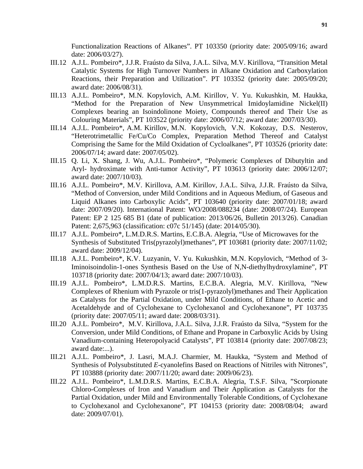Functionalization Reactions of Alkanes". PT 103350 (priority date: 2005/09/16; award date: 2006/03/27).

- III.12 A.J.L. Pombeiro\*, J.J.R. Fraústo da Silva, J.A.L. Silva, M.V. Kirillova, "Transition Metal Catalytic Systems for High Turnover Numbers in Alkane Oxidation and Carboxylation Reactions, their Preparation and Utilization". PT 103352 (priority date: 2005/09/20; award date: 2006/08/31).
- III.13 A.J.L. Pombeiro\*, M.N. Kopylovich, A.M. Kirillov, V. Yu. Kukushkin, M. Haukka, "Method for the Preparation of New Unsymmetrical Imidoylamidine Nickel(II) Complexes bearing an Isoindolinone Moiety, Compounds thereof and Their Use as Colouring Materials", PT 103522 (priority date: 2006/07/12; award date: 2007/03/30).
- III.14 A.J.L. Pombeiro\*, A.M. Kirillov, M.N. Kopylovich, V.N. Kokozay, D.S. Nesterov, "Heterotrimetallic Fe/Cu/Co Complex, Preparation Method Thereof and Catalyst Comprising the Same for the Mild Oxidation of Cycloalkanes", PT 103526 (priority date: 2006/07/14; award date: 2007/05/02).
- III.15 Q. Li, X. Shang, J. Wu, A.J.L. Pombeiro\*, "Polymeric Complexes of Dibutyltin and Aryl- hydroximate with Anti-tumor Activity", PT 103613 (priority date: 2006/12/07; award date: 2007/10/03).
- III.16 A.J.L. Pombeiro\*, M.V. Kirillova, A.M. Kirillov, J.A.L. Silva, J.J.R. Fraústo da Silva, "Method of Conversion, under Mild Conditions and in Aqueous Medium, of Gaseous and Liquid Alkanes into Carboxylic Acids", PT 103640 (priority date: 2007/01/18; award date: 2007/09/20). International Patent: WO/2008/088234 (date: 2008/07/24). European Patent: EP 2 125 685 B1 (date of publication: 2013/06/26, Bulletin 2013/26). Canadian Patent: 2,675,963 (classification: c07c 51/145) (date: 2014/05/30).
- III.17 A.J.L. Pombeiro\*, L.M.D.R.S. Martins, E.C.B.A. Alegria, "Use of Microwaves for the Synthesis of Substituted Tris(pyrazolyl)methanes", PT 103681 (priority date: 2007/11/02; award date: 2009/12/04).
- III.18 A.J.L. Pombeiro\*, K.V. Luzyanin, V. Yu. Kukushkin, M.N. Kopylovich, "Method of 3- Iminoisoindolin-1-ones Synthesis Based on the Use of N,N-diethylhydroxylamine", PT 103718 (priority date: 2007/04/13; award date: 2007/10/03).
- III.19 A.J.L. Pombeiro\*, L.M.D.R.S. Martins, E.C.B.A. Alegria, M.V. Kirillova, "New Complexes of Rhenium with Pyrazole or tris(1-pyrazolyl)methanes and Their Application as Catalysts for the Partial Oxidation, under Mild Conditions, of Ethane to Acetic and Acetaldehyde and of Cyclohexane to Cyclohexanol and Cyclohexanone", PT 103735 (priority date: 2007/05/11; award date: 2008/03/31).
- III.20 A.J.L. Pombeiro\*, M.V. Kirillova, J.A.L. Silva, J.J.R. Fraústo da Silva, "System for the Conversion, under Mild Conditions, of Ethane and Propane in Carboxylic Acids by Using Vanadium-containing Heteropolyacid Catalysts", PT 103814 (priority date: 2007/08/23; award date:...).
- III.21 A.J.L. Pombeiro\*, J. Lasri, M.A.J. Charmier, M. Haukka, "System and Method of Synthesis of Polysubstituted *E*-cyanolefins Based on Reactions of Nitriles with Nitrones", PT 103888 (priority date: 2007/11/20; award date: 2009/06/23).
- III.22 A.J.L. Pombeiro\*, L.M.D.R.S. Martins, E.C.B.A. Alegria, T.S.F. Silva, "Scorpionate Chloro-Complexes of Iron and Vanadium and Their Application as Catalysts for the Partial Oxidation, under Mild and Environmentally Tolerable Conditions, of Cyclohexane to Cyclohexanol and Cyclohexanone", PT 104153 (priority date: 2008/08/04; award date: 2009/07/01).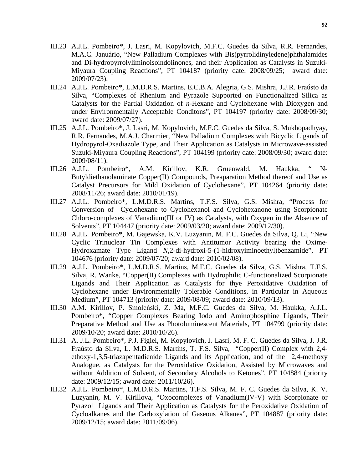- III.23 A.J.L. Pombeiro\*, J. Lasri, M. Kopylovich, M.F.C. Guedes da Silva, R.R. Fernandes, M.A.C. Januário, "New Palladium Complexes with Bis(pyrrolidinyledene)phthalamides and Di-hydropyrrolyliminoisoindolinones, and their Application as Catalysts in Suzuki-Miyaura Coupling Reactions", PT 104187 (priority date: 2008/09/25; award date: 2009/07/23).
- III.24 A.J.L. Pombeiro\*, L.M.D.R.S. Martins, E.C.B.A. Alegria, G.S. Mishra, J.J.R. Fraústo da Silva, "Complexes of Rhenium and Pyrazole Supported on Functionalized Silica as Catalysts for the Partial Oxidation of *n*-Hexane and Cyclohexane with Dioxygen and under Environmentally Acceptable Conditons", PT 104197 (priority date: 2008/09/30; award date: 2009/07/27).
- III.25 A.J.L. Pombeiro\*, J. Lasri, M. Kopylovich, M.F.C. Guedes da Silva, S. Mukhopadhyay, R.R. Fernandes, M.A.J. Charmier, "New Palladium Complexes with Bicyclic Ligands of Hydropyrol-Oxadiazole Type, and Their Application as Catalysts in Microwave-assisted Suzuki-Miyaura Coupling Reactions", PT 104199 (priority date: 2008/09/30; award date: 2009/08/11).
- III.26 A.J.L. Pombeiro\*, A.M. Kirillov, K.R. Gruenwald, M. Haukka, " N-Butyldiethanolaminate Copper(II) Compounds, Preaparation Method thereof and Use as Catalyst Precursors for Mild Oxidation of Cyclohexane", PT 104264 (priority date: 2008/11/26; award date: 2010/01/19).
- III.27 A.J.L. Pombeiro\*, L.M.D.R.S. Martins, T.F.S. Silva, G.S. Mishra, "Process for Conversion of Cyclohexane to Cyclohexanol and Cyclohexanone using Scorpionate Chloro-complexes of Vanadium(III or IV) as Catalysts, with Oxygen in the Absence of Solvents", PT 104447 (priority date: 2009/03/20; award date: 2009/12/30).
- III.28 A.J.L. Pombeiro\*, M. Gajewska, K.V. Luzyanin, M. F.C. Guedes da Silva, Q. Li, "New Cyclic Trinuclear Tin Complexes with Antitumor Activity bearing the Oxime-Hydroxamate Type Ligand *N*,2-di-hydroxi-5-(1-hidroxyiminoethyl)benzamide", PT 104676 (priority date: 2009/07/20; award date: 2010/02/08).
- III.29 A.J.L. Pombeiro\*, L.M.D.R.S. Martins, M.F.C. Guedes da Silva, G.S. Mishra, T.F.S. Silva, R. Wanke, "Copper(II) Complexes with Hydrophilic C-functionalized Scorpionate Ligands and Their Application as Catalysts for thye Peroxidative Oxidation of Cyclohexane under Environmentally Tolerable Conditions, in Particular in Aqueous Medium", PT 104713 (priority date: 2009/08/09; award date: 2010/09/13).
- III.30 A.M. Kirillov, P. Smoleński, Z. Ma, M.F.C. Guedes da Silva, M. Haukka, A.J.L. Pombeiro\*, "Copper Complexes Bearing Iodo and Aminophosphine Ligands, Their Preparative Method and Use as Photoluminescent Materials, PT 104799 (priority date: 2009/10/20; award date: 2010/10/26).
- III.31 A. J.L. Pombeiro\*, P.J. Figiel, M. Kopylovich, J. Lasri, M. F. C. Guedes da Silva, J. J.R. Fraústo da Silva, L. M.D.R.S. Martins, T. F.S. Silva, "Copper(II) Complex with 2,4 ethoxy-1,3,5-triazapentadienide Ligands and its Application, and of the 2,4-methoxy Analogue, as Catalysts for the Peroxidative Oxidation, Assisted by Microwaves and without Addition of Solvent, of Secondary Alcohols to Ketones", PT 104884 (priority date: 2009/12/15; award date: 2011/10/26).
- III.32 A.J.L. Pombeiro\*, L.M.D.R.S. Martins, T.F.S. Silva, M. F. C. Guedes da Silva, K. V. Luzyanin, M. V. Kirillova, "Oxocomplexes of Vanadium(IV-V) with Scorpionate or Pyrazol Ligands and Their Application as Catalysts for the Peroxidative Oxidation of Cycloalkanes and the Carboxylation of Gaseous Alkanes", PT 104887 (priority date: 2009/12/15; award date: 2011/09/06).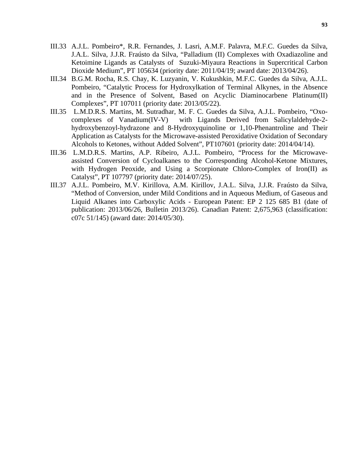- III.33 A.J.L. Pombeiro\*, R.R. Fernandes, J. Lasri, A.M.F. Palavra, M.F.C. Guedes da Silva, J.A.L. Silva, J.J.R. Fraústo da Silva, "Palladium (II) Complexes with Oxadiazoline and Ketoimine Ligands as Catalysts of Suzuki-Miyaura Reactions in Supercritical Carbon Dioxide Medium", PT 105634 (priority date: 2011/04/19; award date: 2013/04/26).
- III.34 B.G.M. Rocha, R.S. Chay, K. Luzyanin, V. Kukushkin, M.F.C. Guedes da Silva, A.J.L. Pombeiro, "Catalytic Process for Hydroxylkation of Terminal Alkynes, in the Absence and in the Presence of Solvent, Based on Acyclic Diaminocarbene Platinum(II) Complexes", PT 107011 (priority date: 2013/05/22).
- III.35 L.M.D.R.S. Martins, M. Sutradhar, M. F. C. Guedes da Silva, A.J.L. Pombeiro, "Oxocomplexes of Vanadium(IV-V) with Ligands Derived from Salicylaldehyde-2 hydroxybenzoyl-hydrazone and 8-Hydroxyquinoline or 1,10-Phenantroline and Their Application as Catalysts for the Microwave-assisted Peroxidative Oxidation of Secondary Alcohols to Ketones, without Added Solvent", PT107601 (priority date: 2014/04/14).
- III.36 L.M.D.R.S. Martins, A.P. Ribeiro, A.J.L. Pombeiro, "Process for the Microwaveassisted Conversion of Cycloalkanes to the Corresponding Alcohol-Ketone Mixtures, with Hydrogen Peoxide, and Using a Scorpionate Chloro-Complex of Iron(II) as Catalyst", PT 107797 (priority date: 2014/07/25).
- III.37 A.J.L. Pombeiro, M.V. Kirillova, A.M. Kirillov, J.A.L. Silva, J.J.R. Fraústo da Silva, "Method of Conversion, under Mild Conditions and in Aqueous Medium, of Gaseous and Liquid Alkanes into Carboxylic Acids - European Patent: EP 2 125 685 B1 (date of publication: 2013/06/26, Bulletin 2013/26). Canadian Patent: 2,675,963 (classification: c07c 51/145) (award date: 2014/05/30).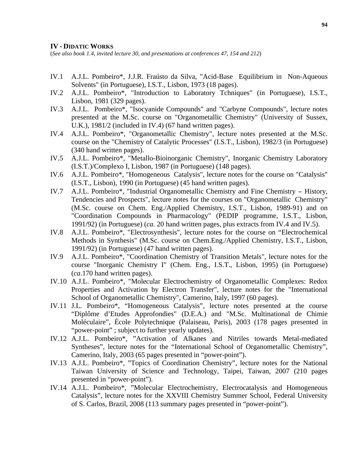#### **IV - DIDATIC WORKS**

(*See also book 1.4, invited lecture 30, and presentations at conferences 47, 154 and 212*)

- IV.1 A.J.L. Pombeiro\*, J.J.R. Fraústo da Silva, "Acid-Base Equilibrium in Non-Aqueous Solvents" (in Portuguese), I.S.T., Lisbon, 1973 (18 pages).
- IV.2 A.J.L. Pombeiro\*, "Introduction to Laboratory Tchniques" (in Portuguese), I.S.T., Lisbon, 1981 (329 pages).
- IV.3 A.J.L. Pombeiro\*, "Isocyanide Compounds" and "Carbyne Compounds", lecture notes presented at the M.Sc. course on "Organometallic Chemistry" (University of Sussex, U.K.), 1981/2 (included in IV.4) (67 hand written pages).
- IV.4 A.J.L. Pombeiro\*, "Organometallic Chemistry", lecture notes presented at the M.Sc. course on the "Chemistry of Catalytic Processes" (I.S.T., Lisbon), 1982/3 (in Portuguese) (340 hand written pages).
- IV.5 A.J.L. Pombeiro\*, "Metallo-Bioinorganic Chemistry", Inorganic Chemistry Laboratory (I.S.T.)/Complexo I, Lisbon, 1987 (in Portuguese) (148 pages).
- IV.6 A.J.L. Pombeiro\*, "Homogeneous Catalysis", lecture notes for the course on "Catalysis" (I.S.T., Lisbon), 1990 (in Portuguese) (45 hand written pages).
- IV.7 A.J.L. Pombeiro\*, "Industrial Organometallic Chemistry and Fine Chemistry − History, Tendencies and Prospects", lecture notes for the courses on "Organometallic Chemistry" (M.Sc. course on Chem. Eng./Applied Chemistry, I.S.T., Lisbon, 1989-91) and on "Coordination Compounds in Pharmacology" (PEDIP programme, I.S.T., Lisbon, 1991/92) (in Portuguese) (*ca*. 20 hand written pages, plus extracts from IV.4 and IV.5).
- IV.8 A.J.L. Pombeiro\*, "Electrosynthesis", lecture notes for the course on "Electrochemical Methods in Synthesis" (M.Sc. course on Chem.Eng./Applied Chemistry, I.S.T., Lisbon, 1991/92) (in Portuguese) (47 hand written pages).
- IV.9 A.J.L. Pombeiro\*, "Coordination Chemistry of Transition Metals", lecture notes for the course "Inorganic Chemistry I" (Chem. Eng., I.S.T., Lisbon, 1995) (in Portuguese) (*ca*.170 hand written pages).
- IV.10 A.J.L. Pombeiro\*, "Molecular Electrochemistry of Organometallic Complexes: Redox Properties and Activation by Electron Transfer", lecture notes for the "International School of Organometallic Chemistry", Camerino, Italy, 1997 (60 pages).
- IV.11 J.L. Pombeiro\*, "Homogeneous Catalysis", lecture notes presented at the course "Diplôme d'Etudes Approfondies" (D.E.A.) and "M.Sc. Multinational de Chimie Moléculaire", École Polytechnique (Palaiseau, Paris), 2003 (178 pages presented in "power-point" ; subject to further yearly updates).
- IV.12 A.J.L. Pombeiro\*, "Activation of Alkanes and Nitriles towards Metal-mediated Syntheses", lecture notes for the "International School of Organometallic Chemistry", Camerino, Italy, 2003 (65 pages presented in "power-point").
- IV.13 A.J.L. Pombeiro\*, "Topics of Coordination Chemistry", lecture notes for the National Taiwan University of Science and Technology, Taipei, Taiwan, 2007 (210 pages presented in "power-point").
- IV.14 A.J.L. Pombeiro\*, "Molecular Electrochemistry, Electrocatalysis and Homogeneous Catalysis", lecture notes for the XXVIII Chemistry Summer School, Federal University of S. Carlos, Brazil, 2008 (113 summary pages presented in "power-point").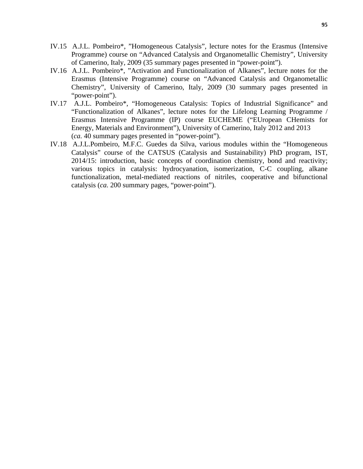- IV.15 A.J.L. Pombeiro\*, "Homogeneous Catalysis", lecture notes for the Erasmus (Intensive Programme) course on "Advanced Catalysis and Organometallic Chemistry", University of Camerino, Italy, 2009 (35 summary pages presented in "power-point").
- IV.16 A.J.L. Pombeiro\*, "Activation and Functionalization of Alkanes", lecture notes for the Erasmus (Intensive Programme) course on "Advanced Catalysis and Organometallic Chemistry", University of Camerino, Italy, 2009 (30 summary pages presented in "power-point").
- IV.17 A.J.L. Pombeiro\*, "Homogeneous Catalysis: Topics of Industrial Significance" and "Functionalization of Alkanes", lecture notes for the Lifelong Learning Programme / Erasmus Intensive Programme (IP) course EUCHEME ("EUropean CHemists for Energy, Materials and Environment"), University of Camerino, Italy 2012 and 2013 (*ca.* 40 summary pages presented in "power-point").
- IV.18 A.J.L.Pombeiro, M.F.C. Guedes da Silva, various modules within the "Homogeneous Catalysis" course of the CATSUS (Catalysis and Sustainability) PhD program, IST, 2014/15: introduction, basic concepts of coordination chemistry, bond and reactivity; various topics in catalysis: hydrocyanation, isomerization, C-C coupling, alkane functionalization, metal-mediated reactions of nitriles, cooperative and bifunctional catalysis (*ca.* 200 summary pages, "power-point").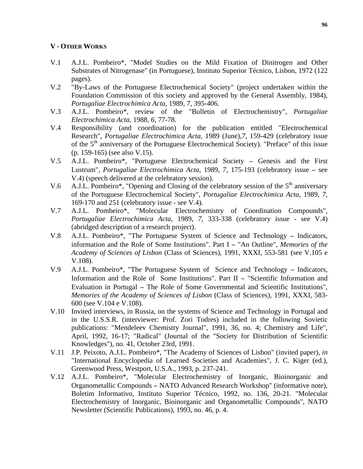## **V - OTHER WORKS**

- V.1 A.J.L. Pombeiro\*, "Model Studies on the Mild Fixation of Dinitrogen and Other Substrates of Nitrogenase" (in Portuguese), Instituto Superior Técnico, Lisbon, 1972 (122 pages).
- V.2 "By-Laws of the Portuguese Electrochemical Society" (project undertaken within the Foundation Commission of this society and approved by the General Assembly, 1984), *Portugaliae Electrochimica Acta*, 1989, *7*, 395-406.
- V.3 A.J.L. Pombeiro\*, review of the "Bulletin of Electrochemistry", *Portugaliae Electrochimica Acta*, 1988, *6*, 77-78.
- V.4 Responsibility (and coordination) for the publication entitled "Electrochemical Research", *Portugaliae Electrochimica Acta*, 1989 (June),*7*, 159-429 (celebratory issue of the 5<sup>th</sup> anniversary of the Portuguese Electrochemical Society). "Preface" of this issue (p. 159-165) (see also V.15).
- V.5 A.J.L. Pombeiro\*, "Portuguese Electrochemical Society − Genesis and the First Lustrum", *Portugaliae Electrochimica Acta*, 1989, *7*, 175-193 (celebratory issue − see V.4) (speech delivered at the celebratory session).
- V.6 A.J.L. Pombeiro\*, "Opening and Closing of the celebratory session of the  $5<sup>th</sup>$  anniversary of the Portuguese Electrochemical Society", *Portugaliae Electrochimica Acta*, 1989, *7*, 169-170 and 251 (celebratory issue - see V.4).
- V.7 A.J.L. Pombeiro\*, "Molecular Electrochemistry of Coordination Compounds", *Portugaliae Electrochimica Acta*, 1989, *7*, 333-338 (celebratory issue - see V.4) (abridged description of a research project).
- V.8 A.J.L. Pombeiro\*, "The Portuguese System of Science and Technology − Indicators, information and the Role of Some Institutions". Part I − "An Outline", *Memories of the Academy of Sciences of Lisbon* (Class of Sciences), 1991, XXXI, 553-581 (see V.105 e V.108).
- V.9 A.J.L. Pombeiro\*, "The Portuguese System of Science and Technology − Indicators, Information and the Role of Some Institutions". Part II − "Scientific Information and Evaluation in Portugal − The Role of Some Governmental and Scientific Institutions", *Memories of the Academy of Sciences of Lisbon* (Class of Sciences), 1991, XXXI, 583- 600 (see V.104 e V.108).
- V.10 Invited interviews, in Russia, on the systems of Science and Technology in Portugal and in the U.S.S.R. (interviewer: Prof. Zori Todres) included in the following Sovietic publications: "Mendeleev Chemistry Journal", 1991, *36*, no. 4; Chemistry and Life", April, 1992, 16-17; "Radical" (Journal of the "Society for Distribution of Scientific Knowledges"), no. 41, October 23rd, 1991.
- V.11 J.P. Peixoto, A.J.L. Pombeiro\*, "The Academy of Sciences of Lisbon" (invited paper), *in* "International Encyclopedia of Learned Societies and Academies", J. C. Kiger (ed.), Greenwood Press, Westport, U.S.A., 1993, p. 237-241.
- V.12 A.J.L. Pombeiro\*, "Molecular Electrochemistry of Inorganic, Bioinorganic and Organometallic Compounds − NATO Advanced Research Workshop" (informative note), Boletim Informativo, Instituto Superior Técnico, 1992, no. 136, 20-21. "Molecular Electrochemistry of Inorganic, Bioinorganic and Organometallic Compounds", NATO Newsletter (Scientific Publications), 1993, no. 46, p. 4.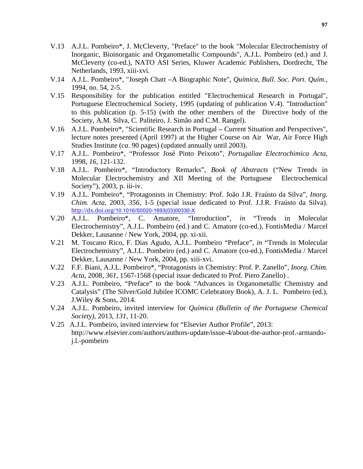- V.13 A.J.L. Pombeiro\*, J. McCleverty, "Preface" to the book "Molecular Electrochemistry of Inorganic, Bioinorganic and Organometallic Compounds", A.J.L. Pombeiro (ed.) and J. McCleverty (co-ed.), NATO ASI Series, Kluwer Academic Publishers, Dordrecht, The Netherlands, 1993, xiii-xvi.
- V.14 A.J.L. Pombeiro\*, "Joseph Chatt −A Biographic Note", *Química*, *Bull. Soc. Port. Quím*., 1994, no. 54, 2-5.
- V.15 Responsibility for the publication entitled "Electrochemical Research in Portugal", Portuguese Electrochemical Society, 1995 (updating of publication V.4). "Introduction" to this publication (p. 5-15) (with the other members of the Directive body of the Society, A.M. Silva, C. Paliteiro, J. Simão and C.M. Rangel).
- V.16 A.J.L. Pombeiro\*, "Scientific Research in Portugal − Current Situation and Perspectives", lecture notes presented (April 1997) at the Higher Course on Air War, Air Force High Studies Institute (*ca*. 90 pages) (updated annually until 2003).
- V.17 A.J.L. Pombeiro\*, "Professor José Pinto Peixoto", *Portugaliae Electrochimica Acta*, 1998, *16*, 121-132.
- V.18 A.J.L. Pombeiro\*, "Introductory Remarks", *Book of Abstracts* ("New Trends in Molecular Electrochemistry and XII Meeting of the Portuguese Electrochemical Society"), 2003, p. iii-iv.
- V.19 A.J.L. Pombeiro\*, "Protagonists in Chemistry: Prof. João J.R. Fraústo da Silva", *Inorg. Chim. Acta*, 2003, *356*, 1-5 (special issue dedicated to Prof. J.J.R. Fraústo da Silva). http://dx.doi.org/10.1016/S0020-1693(03)00330-X
- V.20 A.J.L. Pombeiro\*, C. Amatore, "Introduction", *in* "Trends in Molecular Electrochemistry", A.J.L. Pombeiro (ed.) and C. Amatore (co-ed.), FontisMedia / Marcel Dekker, Lausanne / New York, 2004, pp. xi-xii.
- V.21 M. Toscano Rico, F. Dias Agudo, A.J.L. Pombeiro "Preface", *in* "Trends in Molecular Electrochemistry", A.J.L. Pombeiro (ed.) and C. Amatore (co-ed.), FontisMedia / Marcel Dekker, Lausanne / New York, 2004, pp. xiii-xvi.
- V.22 F.F. Biani, A.J.L. Pombeiro\*, "Protagonists in Chemistry: Prof. P. Zanello", *Inorg. Chim. Acta*, 2008, *361*, 1567-1568 (special issue dedicated to Prof. Piero Zanello) .
- V.23 A.J.L. Pombeiro, "Preface" to the book "Advances in Organometallic Chemistry and Catalysis" (The Silver/Gold Jubilee ICOMC Celebratory Book), A. J. L. Pombeiro (ed.), J.Wiley & Sons, 2014.
- V.24 A.J.L. Pombeiro, invited interview for *Química (Bulletin of the Portuguese Chemical Society),* 2013, *131*, 11-20.
- V.25 A.J.L. Pombeiro, invited interview for "Elsevier Author Profile", 2013: http://www.elsevier.com/authors/authors-update/issue-4/about-the-author-prof.-armandoj.l.-pombeiro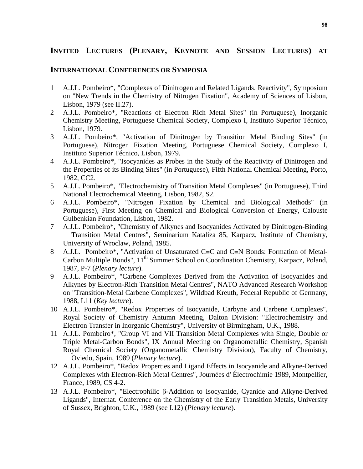# **INVITED LECTURES (PLENARY, KEYNOTE AND SESSION LECTURES) AT**

## **INTERNATIONAL CONFERENCES OR SYMPOSIA**

- 1 A.J.L. Pombeiro\*, "Complexes of Dinitrogen and Related Ligands. Reactivity", Symposium on "New Trends in the Chemistry of Nitrogen Fixation", Academy of Sciences of Lisbon, Lisbon, 1979 (see II.27).
- 2 A.J.L. Pombeiro\*, "Reactions of Electron Rich Metal Sites" (in Portuguese), Inorganic Chemistry Meeting, Portuguese Chemical Society, Complexo I, Instituto Superior Técnico, Lisbon, 1979.
- 3 A.J.L. Pombeiro\*, "Activation of Dinitrogen by Transition Metal Binding Sites" (in Portuguese), Nitrogen Fixation Meeting, Portuguese Chemical Society, Complexo I, Instituto Superior Técnico, Lisbon, 1979.
- 4 A.J.L. Pombeiro\*, "Isocyanides as Probes in the Study of the Reactivity of Dinitrogen and the Properties of its Binding Sites" (in Portuguese), Fifth National Chemical Meeting, Porto, 1982, CC2.
- 5 A.J.L. Pombeiro\*, "Electrochemistry of Transition Metal Complexes" (in Portuguese), Third National Electrochemical Meeting, Lisbon, 1982, S2.
- 6 A.J.L. Pombeiro\*, "Nitrogen Fixation by Chemical and Biological Methods" (in Portuguese), First Meeting on Chemical and Biological Conversion of Energy, Calouste Gulbenkian Foundation, Lisbon, 1982.
- 7 A.J.L. Pombeiro\*, "Chemistry of Alkynes and Isocyanides Activated by Dinitrogen-Binding Transition Metal Centres", Seminarium Kataliza 85, Karpacz, Institute of Chemistry, University of Wroclaw, Poland, 1985.
- 8 A.J.L. Pombeiro\*, "Activation of Unsaturated C≡C and C≡N Bonds: Formation of Metal-Carbon Multiple Bonds", 11<sup>th</sup> Summer School on Coordination Chemistry, Karpacz, Poland, 1987, P-7 (*Plenary lecture*).
- 9 A.J.L. Pombeiro\*, "Carbene Complexes Derived from the Activation of Isocyanides and Alkynes by Electron-Rich Transition Metal Centres", NATO Advanced Research Workshop on "Transition-Metal Carbene Complexes", Wildbad Kreuth, Federal Republic of Germany, 1988, L11 (*Key lecture*).
- 10 A.J.L. Pombeiro\*, "Redox Properties of Isocyanide, Carbyne and Carbene Complexes", Royal Society of Chemistry Antumn Meeting, Dalton Division: "Electrochemistry and Electron Transfer in Inorganic Chemistry", University of Birmingham, U.K., 1988.
- 11 A.J.L. Pombeiro\*, "Group VI and VII Transition Metal Complexes with Single, Double or Triple Metal-Carbon Bonds", IX Annual Meeting on Organometallic Chemistry, Spanish Royal Chemical Society (Organometallic Chemistry Division), Faculty of Chemistry, Oviedo, Spain, 1989 (*Plenary lecture*).
- 12 A.J.L. Pombeiro\*, "Redox Properties and Ligand Effects in Isocyanide and Alkyne-Derived Complexes with Electron-Rich Metal Centres", Journées d' Électrochimie 1989, Montpellier, France, 1989, CS 4-2.
- 13 A.J.L. Pombeiro\*, "Electrophilic β-Addition to Isocyanide, Cyanide and Alkyne-Derived Ligands", Internat. Conference on the Chemistry of the Early Transition Metals, University of Sussex, Brighton, U.K., 1989 (see I.12) (*Plenary lecture*).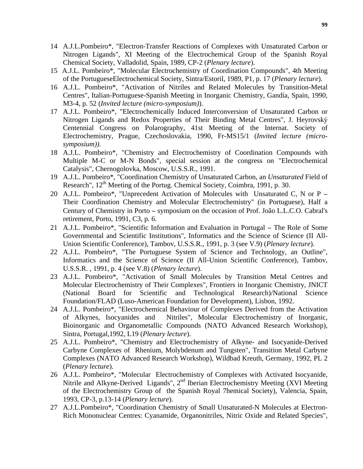- 14 A.J.L.Pombeiro\*, "Electron-Transfer Reactions of Complexes with Unsaturated Carbon or Nitrogen Ligands", XI Meeting of the Electrochemical Group of the Spanish Royal Chemical Society, Valladolid, Spain, 1989, CP-2 (*Plenary lecture*).
- 15 A.J.L. Pombeiro\*, "Molecular Electrochemistry of Coordination Compounds", 4th Meeting of the PortugueseElectrochemical Society, Sintra/Estoril, 1989, P1, p. 17 (*Plenary lecture*).
- 16 A.J.L. Pombeiro\*, "Activation of Nitriles and Related Molecules by Transition-Metal Centres", Italian-Portuguese-Spanish Meeting in Inorganic Chemistry, Gandía, Spain, 1990, M3-4, p. 52 (*Invited lecture (micro-symposium)*).
- 17 A.J.L. Pombeiro\*, "Electrochemically Induced Interconversion of Unsaturated Carbon or Nitrogen Ligands and Redox Properties of Their Binding Metal Centres", J. Heyrovský Centennial Congress on Polarography, 41st Meeting of the Internat. Society of Electrochemistry, Prague, Czechoslovakia, 1990, Fr-MS15/1 (*Invited lecture (microsymposium)).*
- 18 A.J.L. Pombeiro\*, "Chemistry and Electrochemistry of Coordination Compounds with Multiple M-C or M-N Bonds", special session at the congress on "Electrochemical Catalysis", Chernogolovka, Moscow, U.S.S.R., 1991.
- 19 A.J.L. Pombeiro\*, "Coordination Chemistry of Unsaturated Carbon, an *Unsaturated* Field of Research", 12<sup>th</sup> Meeting of the Portug. Chemical Society, Coimbra, 1991, p. 30.
- 20 A.J.L. Pombeiro\*, "Unprecedent Activation of Molecules with Unsaturated C, N or P − Their Coordination Chemistry and Molecular Electrochemistry" (in Portuguese), Half a Century of Chemistry in Porto − symposium on the occasion of Prof. João L.L.C.O. Cabral's retirement, Porto, 1991, C3, p. 6.
- 21 A.J.L. Pombeiro\*, "Scientific Information and Evaluation in Portugal − The Role of Some Governmental and Scientific Institutions", Informatics and the Science of Science (II All-Union Scientific Conference), Tambov, U.S.S.R., 1991, p. 3 (see V.9) (*Plenary lecture*).
- 22 A.J.L. Pombeiro\*, "The Portuguese System of Science and Technology, an Outline", Informatics and the Science of Science (II All-Union Scientific Conference), Tambov, U.S.S.R. , 1991, p. 4 (see V.8) (*Plenary lecture*).
- 23 A.J.L. Pombeiro\*, "Activation of Small Molecules by Transition Metal Centres and Molecular Electrochemistry of Their Complexes", Frontiers in Inorganic Chemistry, JNICT (National Board for Scientific and Technological Research)/National Science Foundation/FLAD (Luso-American Foundation for Development), Lisbon, 1992.
- 24 A.J.L. Pombeiro\*, "Electrochemical Behaviour of Complexes Derived from the Activation of Alkynes, Isocyanides and Nitriles", Molecular Electrochemistry of Inorganic, Bioinorganic and Organometallic Compounds (NATO Advanced Research Workshop), Sintra, Portugal,1992, L19 (*Plenary lecture*).
- 25 A.J.L. Pombeiro\*, "Chemistry and Electrochemistry of Alkyne- and Isocyanide-Derived Carbyne Complexes of Rhenium, Molybdenum and Tungsten", Transition Metal Carbyne Complexes (NATO Advanced Research Workshop), Wildbad Kreuth, Germany, 1992, PL 2 (*Plenary lecture*).
- 26 A.J.L. Pombeiro\*, "Molecular Electrochemistry of Complexes with Activated Isocyanide, Nitrile and Alkyne-Derived Ligands", 2<sup>nd</sup> Iberian Electrochemistry Meeting (XVI Meeting of the Electrochemistry Group of the Spanish Royal 7hemical Society), Valencia, Spain, 1993, CP-3, p.13-14 (*Plenary lecture*).
- 27 A.J.L.Pombeiro\*, "Coordination Chemistry of Small Unsaturated-N Molecules at Electron-Rich Mononuclear Centres: Cyanamide, Organonitriles, Nitric Oxide and Related Species",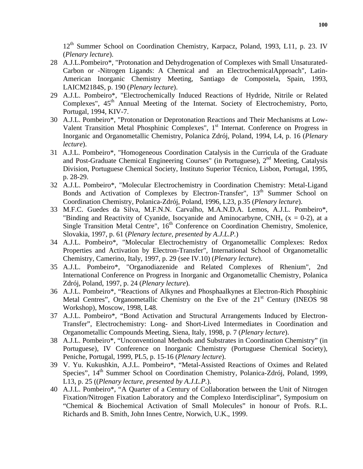12<sup>th</sup> Summer School on Coordination Chemistry, Karpacz, Poland, 1993, L11, p. 23. IV (*Plenary lecture*).

- 28 A.J.L.Pombeiro\*, "Protonation and Dehydrogenation of Complexes with Small Unsaturated-Carbon or -Nitrogen Ligands: A Chemical and an ElectrochemicalApproach", Latin-American Inorganic Chemistry Meeting, Santiago de Compostela, Spain, 1993, LAICM2184S, p. 190 (*Plenary lecture*).
- 29 A.J.L. Pombeiro\*, "Electrochemically Induced Reactions of Hydride, Nitrile or Related Complexes", 45<sup>th</sup> Annual Meeting of the Internat. Society of Electrochemistry, Porto, Portugal, 1994, KIV-7.
- 30 A.J.L. Pombeiro\*, "Protonation or Deprotonation Reactions and Their Mechanisms at Low-Valent Transition Metal Phosphinic Complexes", 1<sup>st</sup> Internat. Conference on Progress in Inorganic and Organometallic Chemistry, Polanica Zdrój, Poland, 1994, L4, p. 16 (*Plenary lecture*).
- 31 A.J.L. Pombeiro\*, "Homogeneous Coordination Catalysis in the Curricula of the Graduate and Post-Graduate Chemical Engineering Courses" (in Portuguese), 2<sup>nd</sup> Meeting, Catalysis Division, Portuguese Chemical Society, Instituto Superior Técnico, Lisbon, Portugal, 1995, p. 28-29.
- 32 A.J.L. Pombeiro\*, "Molecular Electrochemistry in Coordination Chemistry: Metal-Ligand Bonds and Activation of Complexes by Electron-Transfer", 13<sup>th</sup> Summer School on Coordination Chemistry, Polanica-Zdrój, Poland, 1996*,* L23, p.35 (*Plenary lecture*).
- 33 M.F.C. Guedes da Silva, M.F.N.N. Carvalho, M.A.N.D.A. Lemos, A.J.L. Pombeiro\*, "Binding and Reactivity of Cyanide, Isocyanide and Aminocarbyne,  $CNH<sub>x</sub>$  (x = 0-2), at a Single Transition Metal Centre",  $16<sup>th</sup>$  Conference on Coordination Chemistry, Smolenice, Slovakia, 1997, p. 61 (*Plenary lecture, presented by A.J.L.P.*)
- 34 A.J.L. Pombeiro\*, "Molecular Electrochemistry of Organometallic Complexes: Redox Properties and Activation by Electron-Transfer", International School of Organometallic Chemistry, Camerino, Italy, 1997, p. 29 (see IV.10) (*Plenary lecture*).
- 35 A.J.L. Pombeiro\*, "Organodiazenide and Related Complexes of Rhenium", 2nd International Conference on Progress in Inorganic and Organometallic Chemistry, Polanica Zdrój, Poland, 1997, p. 24 (*Plenary lecture*).
- 36 A.J.L. Pombeiro\*, "Reactions of Alkynes and Phosphaalkynes at Electron-Rich Phosphinic Metal Centres", Organometallic Chemistry on the Eve of the  $21<sup>st</sup>$  Century (INEOS 98) Workshop), Moscow, 1998, L48.
- 37 A.J.L. Pombeiro\*, "Bond Activation and Structural Arrangements Induced by Electron-Transfer", Electrochemistry: Long- and Short-Lived Intermediates in Coordination and Organometallic Compounds Meeting, Siena, Italy, 1998, p. 7 (*Plenary lecture*).
- 38 A.J.L. Pombeiro\*, "Unconventional Methods and Substrates in Coordination Chemistry" (in Portuguese), IV Conference on Inorganic Chemistry (Portuguese Chemical Society), Peniche, Portugal, 1999, PL5, p. 15-16 (*Plenary lecture*).
- 39 V. Yu. Kukushkin, A.J.L. Pombeiro\*, "Metal-Assisted Reactions of Oximes and Related Species", 14<sup>th</sup> Summer School on Coordination Chemistry, Polanica-Zdrój, Poland, 1999, L13, p. 25 ((*Plenary lecture, presented by A.J.L.P.*).
- 40 A.J.L. Pombeiro\*, "A Quarter of a Century of Collaboration between the Unit of Nitrogen Fixation/Nitrogen Fixation Laboratory and the Complexo Interdisciplinar", Symposium on "Chemical & Biochemical Activation of Small Molecules" in honour of Profs. R.L. Richards and B. Smith, John Innes Centre, Norwich, U.K., 1999.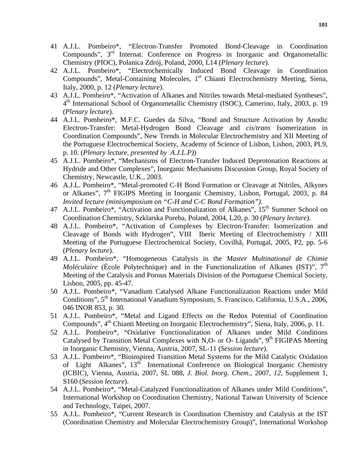- 41 A.J.L. Pombeiro\*, "Electron-Transfer Promoted Bond-Cleavage in Coordination Compounds",  $3<sup>rd</sup>$  Internat. Conference on Progress in Inorganic and Organometallic Chemistry (PIOC), Polanica Zdrój, Poland, 2000, L14 (*Plenary lecture*).
- 42 A.J.L. Pombeiro\*, "Electrochemically Induced Bond Cleavage in Coordination Compounds", Metal-Containing Molecules,  $1<sup>st</sup>$  Chianti Electrochemistry Meeting, Siena, Italy, 2000, p. 12 (*Plenary lecture*).
- 43 A.J.L. Pombeiro\*, "Activation of Alkanes and Nitriles towards Metal-mediated Syntheses", 4th International School of Organometallic Chemistry (ISOC), Camerino, Italy, 2003, p. 19 (*Plenary lecture*).
- 44 A.J.L. Pombeiro\*, M.F.C. Guedes da Silva, "Bond and Structure Activation by Anodic Electron-Transfer: Metal-Hydrogen Bond Cleavage and *cis*/*trans* Isomerization in Coordination Compounds", New Trends in Molecular Electrochemistry and XII Meeting of the Portuguese Electrochemical Society, Academy of Science of Lisbon, Lisbon, 2003, PL9, p. 10. (*Plenary lecture, presented by A.J.L.P)*)
- 45 A.J.L. Pombeiro\*, "Mechanisms of Electron-Transfer Induced Deprotonation Reactions at Hydride and Other Complexes", Inorganic Mechanisms Discussion Group, Royal Society of Chemistry, Newcastle, U.K., 2003.
- 46 A.J.L. Pombeiro\*, "Metal-promoted C-H Bond Formation or Cleavage at Nitriles, Alkynes or Alkanes", 7<sup>th</sup> FIGIPS Meeting in Inorganic Chemistry, Lisbon, Portugal, 2003, p. 84 *Invited lecture (minisymposium on "C-H and C-C Bond Formation")*.
- 47 A.J.L. Pombeiro\*, "Activation and Functionalization of Alkanes", 15<sup>th</sup> Summer School on Coordination Chemistry, Szklarska Poreba, Poland, 2004, L20, p. 30 (*Plenary lecture*).
- 48 A.J.L. Pombeiro\*, "Activation of Complexes by Electron-Transfer: Isomerization and Cleavage of Bonds with Hydrogen", VIII Iberic Meeting of Electrochemistry / XIII Meeting of the Portuguese Electrochemical Society, Covilhã, Portugal, 2005, P2, pp. 5-6 (*Plenary lecture*).
- 49 A.J.L. Pombeiro\*, "Homogeneous Catalysis in the *Master Multinational de Chimie Moléculaire* (École Polytechnique) and in the Functionalization of Alkanes (IST)", 7<sup>th</sup> Meeting of the Catalysis and Porous Materials Division of the Portuguese Chemical Society, Lisbon, 2005, pp. 45-47.
- 50 A.J.L. Pombeiro\*, "Vanadium Catalysed Alkane Functionalization Reactions under Mild Conditions", 5<sup>th</sup> International Vanadium Symposium, S. Francisco, California, U.S.A., 2006, 046 INOR 853, p. 30.
- 51 A.J.L. Pombeiro\*, "Metal and Ligand Effects on the Redox Potential of Coordination Compounds", 4<sup>th</sup> Chianti Meeting on Inorganic Electrochemistry", Siena, Italy, 2006, p. 11.
- 52 A.J.L. Pombeiro\*, "Oxidative Functionalization of Alkanes under Mild Conditions Catalysed by Transition Metal Complexes with N,O- or O- Ligands",  $9<sup>th</sup>$  FIGIPAS Meeting in Inorganic Chemistry, Vienna, Austria, 2007, SL-11 (*Session lecture*).
- 53 A.J.L. Pombeiro\*, "Bioinspired Transition Metal Systems for the Mild Catalytic Oxidation of Light Alkanes", 13<sup>th</sup> International Conference on Biological Inorganic Chemistry (ICBIC), Vienna, Austria, 2007, SL 088, *J. Biol. Inorg. Chem*., 2007, *12*, Supplement 1, S160 (*Session lecture*).
- 54 A.J.L. Pombeiro\*, "Metal-Catalyzed Functionalization of Alkanes under Mild Conditions", International Workshop on Coordination Chemistry, National Taiwan University of Science and Technology, Taipei, 2007.
- 55 A.J.L. Pombeiro\*, "Current Research in Coordination Chemistry and Catalysis at the IST (Coordination Chemistry and Molecular Electrochemistry Group)", International Workshop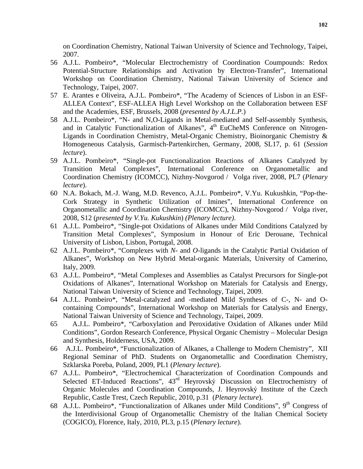on Coordination Chemistry, National Taiwan University of Science and Technology, Taipei, 2007.

- 56 A.J.L. Pombeiro\*, "Molecular Electrochemistry of Coordination Coumpounds: Redox Potential-Structure Relationships and Activation by Electron-Transfer", International Workshop on Coordination Chemistry, National Taiwan University of Science and Technology, Taipei, 2007.
- 57 E. Arantes e Oliveira, A.J.L. Pombeiro\*, "The Academy of Sciences of Lisbon in an ESF-ALLEA Context", ESF-ALLEA High Level Workshop on the Collaboration between ESF and the Academies, ESF, Brussels, 2008 (*presented by A.J.L.P.*)
- 58 A.J.L. Pombeiro\*, "N- and N,O-Ligands in Metal-mediated and Self-assembly Synthesis, and in Catalytic Functionalization of Alkanes",  $4<sup>th</sup>$  EuCheMS Conference on Nitrogen-Ligands in Coordination Chemistry, Metal-Organic Chemistry, Bioinorganic Chemistry & Homogeneous Catalysis, Garmisch-Partenkirchen, Germany, 2008, SL17, p. 61 (*Session lecture*).
- 59 A.J.L. Pombeiro\*, "Single-pot Functionalization Reactions of Alkanes Catalyzed by Transition Metal Complexes", International Conference on Organometallic and Coordination Chemistry (ICOMCC), Nizhny-Novgorod / Volga river, 2008, PL7 (*Plenary lecture*).
- 60 N.A. Bokach, M.-J. Wang, M.D. Revenco, A.J.L. Pombeiro\*, V.Yu. Kukushkin, "Pop-the-Cork Strategy in Synthetic Utilization of Imines", International Conference on Organometallic and Coordination Chemistry (ICOMCC), Nizhny-Novgorod / Volga river, 2008, S12 (*presented by V.Yu. Kukushkin*) *(Plenary lecture)*.
- 61 A.J.L. Pombeiro\*, "Single-pot Oxidations of Alkanes under Mild Conditions Catalyzed by Transition Metal Complexes", Symposium in Honour of Eric Derouane, Technical University of Lisbon, Lisbon, Portugal, 2008.
- 62 A.J.L. Pombeiro\*, "Complexes with *N* and *O*-ligands in the Catalytic Partial Oxidation of Alkanes", Workshop on New Hybrid Metal-organic Materials, University of Camerino, Italy, 2009.
- 63 A.J.L. Pombeiro\*, "Metal Complexes and Assemblies as Catalyst Precursors for Single-pot Oxidations of Alkanes", International Workshop on Materials for Catalysis and Energy, National Taiwan University of Science and Technology, Taipei, 2009.
- 64 A.J.L. Pombeiro\*, "Metal-catalyzed and -mediated Mild Syntheses of C-, N- and Ocontaining Compounds", International Workshop on Materials for Catalysis and Energy, National Taiwan University of Science and Technology, Taipei, 2009.
- 65 A.J.L. Pombeiro\*, "Carboxylation and Peroxidative Oxidation of Alkanes under Mild Conditions", Gordon Research Conference, Physical Organic Chemistry – Molecular Design and Synthesis, Holderness, USA, 2009.
- 66 A.J.L. Pombeiro\*, "Functionalization of Alkanes, a Challenge to Modern Chemistry", XII Regional Seminar of PhD. Students on Organometallic and Coordination Chemistry, Szklarska Poreba, Poland, 2009, PL1 (*Plenary lecture*).
- 67 A.J.L. Pombeiro\*, "Electrochemical Characterization of Coordination Compounds and Selected ET-Induced Reactions", 43<sup>rd</sup> Heyrovský Discussion on Electrochemistry of Organic Molecules and Coordination Compounds, J. Heyrovský Institute of the Czech Republic, Castle Trest, Czech Republic, 2010, p.31 (*Plenary lecture*).
- 68 A.J.L. Pombeiro\*, "Functionalization of Alkanes under Mild Conditions",  $9<sup>th</sup>$  Congress of the Interdivisional Group of Organometallic Chemistry of the Italian Chemical Society (COGICO), Florence, Italy, 2010, PL3, p.15 (*Plenary lecture*).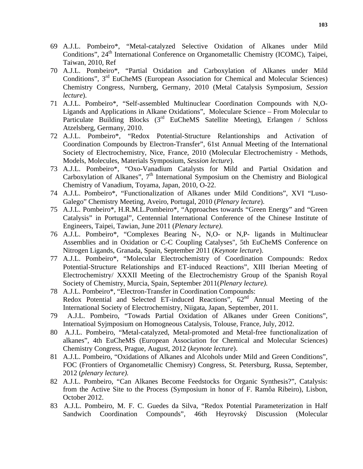- 69 A.J.L. Pombeiro\*, "Metal-catalyzed Selective Oxidation of Alkanes under Mild Conditions", 24<sup>th</sup> International Conference on Organometallic Chemistry (ICOMC), Taipei, Taiwan, 2010, Ref
- 70 A.J.L. Pombeiro\*, "Partial Oxidation and Carboxylation of Alkanes under Mild Conditions", 3rd EuCheMS (European Association for Chemical and Molecular Sciences) Chemistry Congress, Nurnberg, Germany, 2010 (Metal Catalysis Symposium, *Session lecture*).
- 71 A.J.L. Pombeiro\*, "Self-assembled Multinuclear Coordination Compounds with N,O-Ligands and Applications in Alkane Oxidations", Moleculare Science – From Molecular to Particulate Building Blocks  $(3<sup>rd</sup>$  EuCheMS Satellite Meeting), Erlangen / Schloss Atzelsberg, Germany, 2010.
- 72 A.J.L. Pombeiro\*, "Redox Potential-Structure Relantionships and Activation of Coordination Compounds by Electron-Transfer", 61st Annual Meeting of the International Society of Electrochemistry, Nice, France, 2010 (Molecular Electrochemistry - Methods, Models, Molecules, Materials Symposium, *Session lecture*).
- 73 A.J.L. Pombeiro\*, "Oxo-Vanadium Catalysts for Mild and Partial Oxidation and Carboxylation of Alkanes", 7<sup>th</sup> International Symposium on the Chemistry and Biological Chemistry of Vanadium, Toyama, Japan, 2010, O-22.
- 74 A.J.L. Pombeiro\*, "Functionalization of Alkanes under Mild Conditions", XVI "Luso-Galego" Chemistry Meeting, Aveiro, Portugal, 2010 (*Plenary lecture*).
- 75 A.J.L. Pombeiro\*, H.R.M.L.Pombeiro\*, "Approaches towards "Green Energy" and "Green Catalysis" in Portugal", Centennial International Conference of the Chinese Institute of Engineers, Taipei, Tawian, June 2011 (*Plenary lecture).*
- 76 A.J.L. Pombeiro\*, "Complexes Bearing N-, N,O- or N,P- ligands in Multinuclear Assemblies and in Oxidation or C-C Coupling Catalyses", 5th EuCheMS Conference on Nitrogen Ligands, Granada, Spain, September 2011 (*Keynote lecture*).
- 77 A.J.L. Pombeiro\*, "Molecular Electrochemistry of Coordination Compounds: Redox Potential-Structure Relationships and ET-induced Reactions", XIII Iberian Meeting of Electrochemistry/ XXXII Meeting of the Electrochemistry Group of the Spanish Royal Society of Chemistry, Murcia, Spain, September 2011(*Plenary lecture).*
- 78 A.J.L. Pombeiro\*, "Electron-Transfer in Coordination Compounds: Redox Potential and Selected ET-induced Reactions",  $62<sup>nd</sup>$  Annual Meeting of the International Society of Electrochemistry, Niigata, Japan, September, 2011.
- 79 A.J.L. Pombeiro, "Towads Partial Oxidation of Alkanes under Green Conitions", Internatioal Syjmposium on Homogneous Catalysis, Tolouse, France, July, 2012.
- 80 A.J.L. Pombeiro, "Metal-catalyzed, Metal-promoted and Metal-free functionalization of alkanes", 4th EuCheMS (European Association for Chemical and Molecular Sciences) Chemistry Congress, Prague, August, 2012 (*keynote lecture*).
- 81 A.J.L. Pombeiro, "Oxidations of Alkanes and Alcohols under Mild and Green Conditions", FOC (Frontiers of Organometallic Chemisry) Congress, St. Petersburg, Russa, September, 2012 (*plenary lecture).*
- 82 A.J.L. Pombeiro, "Can Alkanes Become Feedstocks for Organic Synthesis?", Catalysis: from the Active Site to the Process (Symposium in honor of F. Ramôa Ribeiro), Lisbon, October 2012.
- 83 A.J.L. Pombeiro, M. F. C. Guedes da Silva, "Redox Potential Parameterization in Half Sandwich Coordination Compounds", 46th Heyrovský Discussion (Molecular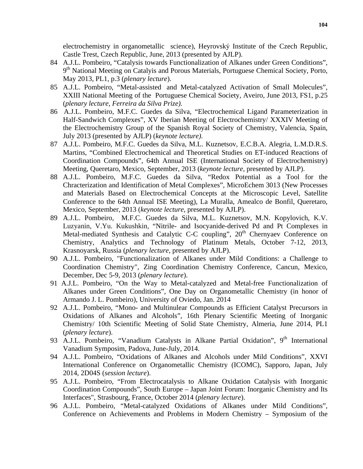electrochemistry in organometallic science), Heyrovský Institute of the Czech Republic, Castle Trest, Czech Republic, June, 2013 (presented by AJLP).

- 84 A.J.L. Pombeiro, "Catalysis towards Functionalization of Alkanes under Green Conditions", 9<sup>th</sup> National Meeting on Catalyis and Porous Materials, Portuguese Chemical Society, Porto, May 2013, PL1, p.3 (*plenary lecture*).
- 85 A.J.L. Pombeiro, "Metal-assisted and Metal-catalyzed Activation of Small Molecules", XXIII National Meeting of the Portuguese Chemical Society, Aveiro, June 2013, FS1, p.25 (*plenary lecture, Ferreira da Silva Prize).*
- 86 A.J.L. Pombeiro, M.F.C. Guedes da Silva, "Electrochemical Ligand Parameterization in Half-Sandwich Complexes", XV Iberian Meeting of Electrochemistry/ XXXIV Meeting of the Electrochemistry Group of the Spanish Royal Society of Chemistry, Valencia, Spain, July 2013 (presented by AJLP) (*keynote lecture).*
- 87 A.J.L. Pombeiro, M.F.C. Guedes da Silva, M.L. Kuznetsov, E.C.B.A. Alegria, L.M.D.R.S. Martins, "Combined Electrochemical and Theoretical Studies on ET-induced Reactions of Coordination Compounds", 64th Annual ISE (International Society of Electrochemistry) Meeting, Queretaro, Mexico, September, 2013 (*keynote lecture*, presented by AJLP).
- 88 A.J.L. Pombeiro, M.F.C. Guedes da Silva, "Redox Potential as a Tool for the Chracterization and Identification of Metal Complexes", MicroEchem 3013 (New Processes and Materials Based on Electrochemical Concepts at the Microscopic Level, Satellite Conference to the 64th Annual ISE Meeting), La Muralla, Amealco de Bonfil, Queretaro, Mexico, September, 2013 (*keynote lecture*, presented by AJLP).
- 89 A.J.L. Pombeiro, M.F.C. Guedes da Silva, M.L. Kuznetsov, M.N. Kopylovich, K.V. Luzyanin, V.Yu. Kukushkin, "Nitrile- and Isocyanide-derived Pd and Pt Complexes in Metal-mediated Synthesis and Catalytic C-C coupling", 20<sup>th</sup> Chernyaev Conference on Chemistry, Analytics and Technology of Platinum Metals, October 7-12, 2013, Krasnoyarsk, Russia (*plenary lecture*, presented by AJLP).
- 90 A.J.L. Pombeiro, "Functionalization of Alkanes under Mild Conditions: a Challenge to Coordination Chemistry", Zing Coordination Chemistry Conference, Cancun, Mexico, December, Dec 5-9, 2013 (*plenary lecture*).
- 91 A.J.L. Pombeiro, "On the Way to Metal-catalyzed and Metal-free Functionalization of Alkanes under Green Conditions", One Day on Organometallic Chemistry (in honor of Armando J. L. Pombeiro), University of Oviedo, Jan. 2014
- 92 A.J.L. Pombeiro, "Mono- and Multinulear Compounds as Efficient Catalyst Precursors in Oxidations of Alkanes and Alcohols", 16th Plenary Scientific Meeting of Inorganic Chemistry/ 10th Scientific Meeting of Solid State Chemistry, Almeria, June 2014, PL1 (*plenary lecture*).
- 93 A.J.L. Pombeiro, "Vanadium Catalysts in Alkane Partial Oxidation", 9<sup>th</sup> International Vanadium Symposim, Padova, June-July, 2014.
- 94 A.J.L. Pombeiro, "Oxidations of Alkanes and Alcohols under Mild Conditions", XXVI International Conference on Organometallic Chemistry (ICOMC), Sapporo, Japan, July 2014, 2D04S (*session lecture*).
- 95 A.J.L. Pombeiro, "From Electrocatalysis to Alkane Oxidation Catalysis with Inorganic Coordination Compounds", South Europe – Japan Joint Forum: Inorganic Chemistry and Its Interfaces", Strasbourg, France, October 2014 (*plenary lecture*).
- 96 A.J.L. Pombeiro, "Metal-catalyzed Oxidations of Alkanes under Mild Conditions", Conference on Achievements and Problems in Modern Chemistry – Symposium of the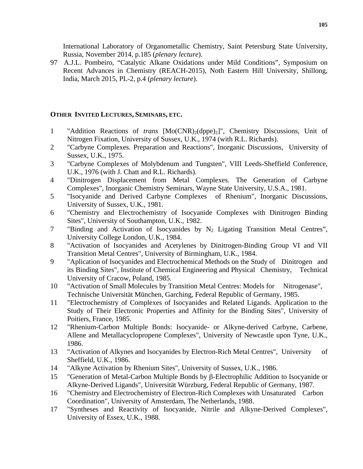International Laboratory of Organometallic Chemistry, Saint Petersburg State University, Russia, November 2014, p.185 (*plenary lecture*).

97 A.J.L. Pombeiro, "Catalytic Alkane Oxidations under Mild Conditions", Symposium on Recent Advances in Chemistry (REACH-2015), Noth Eastern Hill University, Shillong, India, March 2015, PL-2, p.4 (*plenary lecture*).

# **OTHER INVITED LECTURES, SEMINARS, ETC.**

- 1 "Addition Reactions of *trans* [Mo(CNR)2(dppe)2]", Chemistry Discussions, Unit of Nitrogen Fixation, University of Sussex, U.K., 1974 (with R.L. Richards).
- 2 "Carbyne Complexes. Preparation and Reactions", Inorganic Discussions, University of Sussex, U.K., 1975.
- 3 "Carbyne Complexes of Molybdenum and Tungsten", VIII Leeds-Sheffield Conference, U.K., 1976 (with J. Chatt and R.L. Richards).
- 4 "Dinitrogen Displacement from Metal Complexes. The Generation of Carbyne Complexes", Inorganic Chemistry Seminars, Wayne State University, U.S.A., 1981.
- 5 "Isocyanide and Derived Carbyne Complexes of Rhenium", Inorganic Discussions, University of Sussex, U.K., 1981.
- 6 "Chemistry and Electrochemistry of Isocyanide Complexes with Dinitrogen Binding Sites", University of Southampton, U.K., 1982.
- 7 "Binding and Activation of Isocyanides by  $N_2$  Ligating Transition Metal Centres", University College London, U.K., 1984.
- 8 "Activation of Isocyanides and Acetylenes by Dinitrogen-Binding Group VI and VII Transition Metal Centres", University of Birmingham, U.K., 1984.
- 9 "Aplication of Isocyanides and Electrochemical Methods on the Study of Dinitrogen and its Binding Sites", Institute of Chemical Engineering and Physical Chemistry, Technical University of Cracow, Poland, 1985.
- 10 "Activation of Small Molecules by Transition Metal Centres: Models for Nitrogenase", Technische Universität München, Garching, Federal Republic of Germany, 1985.
- 11 "Electrochemistry of Complexes of Isocyanides and Related Ligands. Application to the Study of Their Electronic Properties and Affinity for the Binding Sites", University of Poitiers, France, 1985.
- 12 "Rhenium-Carbon Multiple Bonds: Isocyanide- or Alkyne-derived Carbyne, Carbene, Allene and Metallacyclopropene Complexes", University of Newcastle upon Tyne, U.K., 1986.
- 13 "Activation of Alkynes and Isocyanides by Electron-Rich Metal Centres", University of Sheffield, U.K., 1986.
- 14 "Alkyne Activation by Rhenium Sites", University of Sussex, U.K., 1986.
- 15 "Generation of Metal-Carbon Multiple Bonds by β-Electrophilic Addition to Isocyanide or Alkyne-Derived Ligands", Universität Würzburg, Federal Republic of Germany, 1987.
- 16 "Chemistry and Electrochemistry of Electron-Rich Complexes with Unsaturated Carbon Coordination", University of Amsterdam, The Netherlands, 1988.
- 17 "Syntheses and Reactivity of Isocyanide, Nitrile and Alkyne-Derived Complexes", University of Essex, U.K., 1988.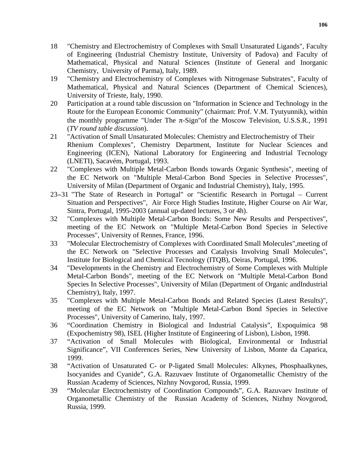- 18 "Chemistry and Electrochemistry of Complexes with Small Unsaturated Ligands", Faculty of Engineering (Industrial Chemistry Institute, University of Padova) and Faculty of Mathematical, Physical and Natural Sciences (Institute of General and Inorganic Chemistry, University of Parma), Italy, 1989.
- 19 "Chemistry and Electrochemistry of Complexes with Nitrogenase Substrates", Faculty of Mathematical, Physical and Natural Sciences (Department of Chemical Sciences), University of Trieste, Italy, 1990.
- 20 Participation at a round table discussion on "Information in Science and Technology in the Route for the European Economic Community" (chairman: Prof. V.M. Tyutyunnik), within the monthly programme "Under The  $\pi$ -Sign" of the Moscow Television, U.S.S.R., 1991 (*TV round table discussion*).
- 21 "Activation of Small Unsaturated Molecules: Chemistry and Electrochemistry of Their Rhenium Complexes", Chemistry Department, Institute for Nuclear Sciences and Engineering (ICEN), National Laboratory for Engineering and Industrial Tecnology (LNETI), Sacavém, Portugal, 1993.
- 22 "Complexes with Multiple Metal-Carbon Bonds towards Organic Synthesis", meeting of the EC Network on "Multiple Metal-Carbon Bond Species in Selective Processes", University of Milan (Department of Organic and Industrial Chemistry), Italy, 1995.
- 23−31 "The State of Research in Portugal" or "Scientific Research in Portugal Current Situation and Perspectives", Air Force High Studies Institute, Higher Course on Air War, Sintra, Portugal, 1995-2003 (annual up-dated lectures, 3 or 4h).
- 32 "Complexes with Multiple Metal-Carbon Bonds: Some New Results and Perspectives", meeting of the EC Network on "Multiple Metal-Carbon Bond Species in Selective Processes", University of Rennes, France, 1996.
- 33 "Molecular Electrochemistry of Complexes with Coordinated Small Molecules",meeting of the EC Network on "Selective Processes and Catalysis Involving Small Molecules", Institute for Biological and Chemical Tecnology (ITQB), Oeiras, Portugal, 1996.
- 34 "Developments in the Chemistry and Electrochemistry of Some Complexes with Multiple Metal-Carbon Bonds", meeting of the EC Network on "Multiple Metal-Carbon Bond Species In Selective Processes", University of Milan (Department of Organic andIndustrial Chemistry), Italy, 1997.
- 35 "Complexes with Multiple Metal-Carbon Bonds and Related Species (Latest Results)", meeting of the EC Network on "Multiple Metal-Carbon Bond Species in Selective Processes", University of Camerino, Italy, 1997.
- 36 "Coordination Chemistry in Biological and Industrial Catalysis", Expoquímica 98 (Expochemistry 98), ISEL (Higher Institute of Engineering of Lisbon), Lisbon, 1998.
- 37 "Activation of Small Molecules with Biological, Environmental or Industrial Significance", VII Conferences Series, New University of Lisbon, Monte da Caparica, 1999.
- 38 "Activation of Unsaturated C- or P-ligated Small Molecules: Alkynes, Phosphaalkynes, Isocyanides and Cyanide", G.A. Razuvaev Institute of Organometallic Chemistry of the Russian Academy of Sciences, Nizhny Novgorod, Russia, 1999.
- 39 "Molecular Electrochemistry of Coordination Compounds", G.A. Razuvaev Institute of Organometallic Chemistry of the Russian Academy of Sciences, Nizhny Novgorod, Russia, 1999.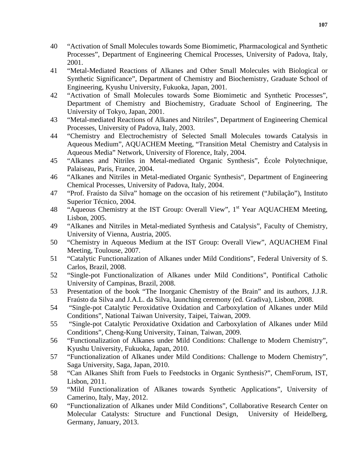- 40 "Activation of Small Molecules towards Some Biomimetic, Pharmacological and Synthetic Processes", Department of Engineering Chemical Processes, University of Padova, Italy, 2001.
- 41 "Metal-Mediated Reactions of Alkanes and Other Small Molecules with Biological or Synthetic Significance", Department of Chemistry and Biochemistry, Graduate School of Engineering, Kyushu University, Fukuoka, Japan, 2001.
- 42 "Activation of Small Molecules towards Some Biomimetic and Synthetic Processes", Department of Chemistry and Biochemistry, Graduate School of Engineering, The University of Tokyo, Japan, 2001.
- 43 "Metal-mediated Reactions of Alkanes and Nitriles", Department of Engineering Chemical Processes, University of Padova, Italy, 2003.
- 44 "Chemistry and Electrochemistry of Selected Small Molecules towards Catalysis in Aqueous Medium", AQUACHEM Meeting, "Transition Metal Chemistry and Catalysis in Aqueous Media" Network, University of Florence, Italy, 2004.
- 45 "Alkanes and Nitriles in Metal-mediated Organic Synthesis", École Polytechnique, Palaiseau, Paris, France, 2004.
- 46 "Alkanes and Nitriles in Metal-mediated Organic Synthesis", Department of Engineering Chemical Processes, University of Padova, Italy, 2004.
- 47 "Prof. Fraústo da Silva" homage on the occasion of his retirement ("Jubilação"), Instituto Superior Técnico, 2004.
- 48 "Aqueous Chemistry at the IST Group: Overall View", 1<sup>st</sup> Year AQUACHEM Meeting, Lisbon, 2005.
- 49 "Alkanes and Nitriles in Metal-mediated Synthesis and Catalysis", Faculty of Chemistry, University of Vienna, Austria, 2005.
- 50 "Chemistry in Aqueous Medium at the IST Group: Overall View", AQUACHEM Final Meeting, Toulouse, 2007.
- 51 "Catalytic Functionalization of Alkanes under Mild Conditions", Federal University of S. Carlos, Brazil, 2008.
- 52 "Single-pot Functionalization of Alkanes under Mild Conditions", Pontifical Catholic University of Campinas, Brazil, 2008.
- 53 Presentation of the book "The Inorganic Chemistry of the Brain" and its authors, J.J.R. Fraústo da Silva and J.A.L. da Silva, launching ceremony (ed. Gradiva), Lisbon, 2008.
- 54 "Single-pot Catalytic Peroxidative Oxidation and Carboxylation of Alkanes under Mild Conditions", National Taiwan University, Taipei, Taiwan, 2009.
- 55 "Single-pot Catalytic Peroxidative Oxidation and Carboxylation of Alkanes under Mild Conditions", Cheng-Kung University, Tainan, Taiwan, 2009.
- 56 "Functionalization of Alkanes under Mild Conditions: Challenge to Modern Chemistry", Kyushu University, Fukuoka, Japan, 2010.
- 57 "Functionalization of Alkanes under Mild Conditions: Challenge to Modern Chemistry", Saga University, Saga, Japan, 2010.
- 58 "Can Alkanes Shift from Fuels to Feedstocks in Organic Synthesis?", ChemForum, IST, Lisbon, 2011.
- 59 "Mild Functionalization of Alkanes towards Synthetic Applications", University of Camerino, Italy, May, 2012.
- 60 "Functionalization of Alkanes under Mild Conditions", Collaborative Research Center on Molecular Catalysts: Structure and Functional Design, University of Heidelberg, Germany, January, 2013.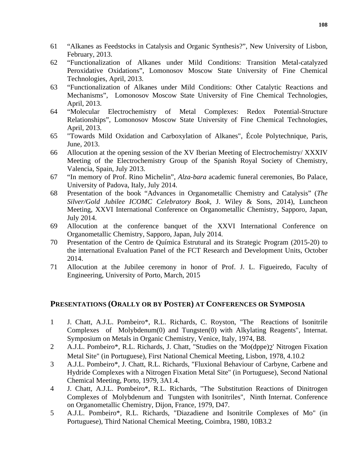- 61 "Alkanes as Feedstocks in Catalysis and Organic Synthesis?", New University of Lisbon, February, 2013.
- 62 "Functionalization of Alkanes under Mild Conditions: Transition Metal-catalyzed Peroxidative Oxidations", Lomonosov Moscow State University of Fine Chemical Technologies, April, 2013.
- 63 "Functionalization of Alkanes under Mild Conditions: Other Catalytic Reactions and Mechanisms", Lomonosov Moscow State University of Fine Chemical Technologies, April, 2013.
- 64 "Molecular Electrochemistry of Metal Complexes: Redox Potential-Structure Relationships", Lomonosov Moscow State University of Fine Chemical Technologies, April, 2013.
- 65 "Towards Mild Oxidation and Carboxylation of Alkanes", École Polytechnique, Paris, June, 2013.
- 66 Allocution at the opening session of the XV Iberian Meeting of Electrochemistry/ XXXIV Meeting of the Electrochemistry Group of the Spanish Royal Society of Chemistry, Valencia, Spain, July 2013.
- 67 "In memory of Prof. Rino Michelin", *Alza-bara* academic funeral ceremonies, Bo Palace, University of Padova, Italy, July 2014.
- 68 Presentation of the book "Advances in Organometallic Chemistry and Catalysis" (*The Silver/Gold Jubilee ICOMC Celebratory Book,* J. Wiley & Sons, 2014), Luncheon Meeting, XXVI International Conference on Organometallic Chemistry, Sapporo, Japan, July 2014.
- 69 Allocution at the conference banquet of the XXVI International Conference on Organometallic Chemistry, Sapporo, Japan, July 2014.
- 70 Presentation of the Centro de Química Estrutural and its Strategic Program (2015-20) to the international Evaluation Panel of the FCT Research and Development Units, October 2014.
- 71 Allocution at the Jubilee ceremony in honor of Prof. J. L. Figueiredo, Faculty of Engineering, University of Porto, March, 2015

# **PRESENTATIONS (ORALLY OR BY POSTER) AT CONFERENCES OR SYMPOSIA**

- 1 J. Chatt, A.J.L. Pombeiro\*, R.L. Richards, C. Royston, "The Reactions of Isonitrile Complexes of Molybdenum(0) and Tungsten(0) with Alkylating Reagents", Internat. Symposium on Metals in Organic Chemistry, Venice, Italy, 1974, B8.
- 2 A.J.L. Pombeiro\*, R.L. Richards, J. Chatt, "Studies on the 'Mo(dppe)2' Nitrogen Fixation Metal Site" (in Portuguese), First National Chemical Meeting, Lisbon, 1978, 4.10.2
- 3 A.J.L. Pombeiro\*, J. Chatt, R.L. Richards, "Fluxional Behaviour of Carbyne, Carbene and Hydride Complexes with a Nitrogen Fixation Metal Site" (in Portuguese), Second National Chemical Meeting, Porto, 1979, 3A1.4.
- 4 J. Chatt, A.J.L. Pombeiro\*, R.L. Richards, "The Substitution Reactions of Dinitrogen Complexes of Molybdenum and Tungsten with Isonitriles", Ninth Internat. Conference on Organometallic Chemistry, Dijon, France, 1979, D47.
- 5 A.J.L. Pombeiro\*, R.L. Richards, "Diazadiene and Isonitrile Complexes of Mo" (in Portuguese), Third National Chemical Meeting, Coimbra, 1980, 10B3.2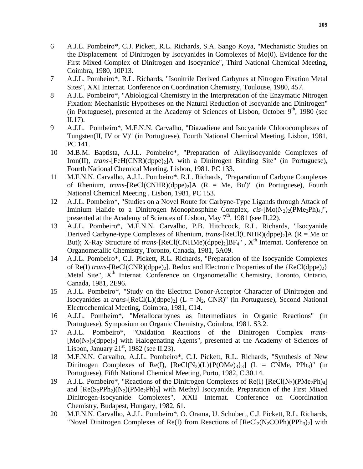- 6 A.J.L. Pombeiro\*, C.J. Pickett, R.L. Richards, S.A. Sango Koya, "Mechanistic Studies on the Displacement of Dinitrogen by Isocyanides in Complexes of Mo(0). Evidence for the First Mixed Complex of Dinitrogen and Isocyanide", Third National Chemical Meeting, Coimbra, 1980, 10P13.
- 7 A.J.L. Pombeiro\*, R.L. Richards, "Isonitrile Derived Carbynes at Nitrogen Fixation Metal Sites", XXI Internat. Conference on Coordination Chemistry, Toulouse, 1980, 457.
- 8 A.J.L. Pombeiro\*, "Abiological Chemistry in the Interpretation of the Enzymatic Nitrogen Fixation: Mechanistic Hypotheses on the Natural Reduction of Isocyanide and Dinitrogen" (in Portuguese), presented at the Academy of Sciences of Lisbon, October  $9<sup>th</sup>$ , 1980 (see II.17).
- 9 A.J.L. Pombeiro\*, M.F.N.N. Carvalho, "Diazadiene and Isocyanide Chlorocomplexes of Tungsten(II, IV or V)" (in Portuguese), Fourth National Chemical Meeting, Lisbon, 1981, PC 141.
- 10 M.B.M. Baptista, A.J.L. Pombeiro\*, "Preparation of Alkylisocyanide Complexes of Iron(II), *trans*-[FeH(CNR)(dppe)<sub>2</sub>]A with a Dinitrogen Binding Site" (in Portuguese), Fourth National Chemical Meeting, Lisbon, 1981, PC 133.
- 11 M.F.N.N. Carvalho, A.J.L. Pombeiro\*, R.L. Richards, "Preparation of Carbyne Complexes of Rhenium, *trans*-[ReCl(CNHR)(dppe)<sub>2</sub>]A (R = Me, Bu<sup>t</sup>)" (in Portuguese), Fourth National Chemical Meeting , Lisbon, 1981, PC 153.
- 12 A.J.L. Pombeiro\*, "Studies on a Novel Route for Carbyne-Type Ligands through Attack of Iminium Halide to a Dinitrogen Monophosphine Complex,  $cis$ - $[Mo(N<sub>2</sub>)<sub>2</sub>(PMe<sub>2</sub>Ph)<sub>4</sub>]'$ , presented at the Academy of Sciences of Lisbon, May  $7<sup>th</sup>$ , 1981 (see II.22).
- 13 A.J.L. Pombeiro\*, M.F.N.N. Carvalho, P.B. Hitchcock, R.L. Richards, "Isocyanide Derived Carbyne-type Complexes of Rhenium, *trans*-[ReCl(CNHR)(dppe)<sub>2</sub>]A (R = Me or But); X-Ray Structure of *trans*-[ReCl(CNHMe)(dppe)<sub>2</sub>]BF<sub>4</sub>",  $X<sup>th</sup>$  Internat. Conference on Organometallic Chemistry, Toronto, Canada, 1981, 5A09.
- 14 A.J.L. Pombeiro\*, C.J. Pickett, R.L. Richards, "Preparation of the Isocyanide Complexes of Re(I) *trans*-[ReCl(CNR)(dppe)<sub>2</sub>]. Redox and Electronic Properties of the {ReCl(dppe)<sub>2</sub>} Metal Site", X<sup>th</sup> Internat. Conference on Organometallic Chemistry, Toronto, Ontario, Canada, 1981, 2E96.
- 15 A.J.L. Pombeiro\*, "Study on the Electron Donor-Acceptor Character of Dinitrogen and Isocyanides at *trans*-[ReCl(L)(dppe)<sub>2</sub>] (L = N<sub>2</sub>, CNR)" (in Portuguese), Second National Electrochemical Meeting, Coimbra, 1981, C14.
- 16 A.J.L. Pombeiro\*, "Metallocarbynes as Intermediates in Organic Reactions" (in Portuguese), Symposium on Organic Chemistry, Coimbra, 1981, S3.2.
- 17 A.J.L. Pombeiro\*, "Oxidation Reactions of the Dinitrogen Complex *trans* [Mo(N<sub>2</sub>)<sub>2</sub>(dppe)<sub>2</sub>] with Halogenating Agents", presented at the Academy of Sciences of Lisbon, January  $21<sup>st</sup>$ , 1982 (see II.23).
- 18 M.F.N.N. Carvalho, A.J.L. Pombeiro\*, C.J. Pickett, R.L. Richards, "Synthesis of New Dinitrogen Complexes of Re(I),  $[ReCl(N_2)(L)\{P(OMe)<sub>3</sub>\}]$  (L = CNMe, PPh<sub>3</sub>)" (in Portuguese), Fifth National Chemical Meeting, Porto, 1982, C.30.14.
- 19 A.J.L. Pombeiro\*, "Reactions of the Dinitrogen Complexes of Re(I)  $[ReCl(N_2)(PMe_2Ph)_4]$ and  $[Re(S_2PPh_2)(N_2)(PMe_2Ph)_3]$  with Methyl Isocyanide. Preparation of the First Mixed Dinitrogen-Isocyanide Complexes", XXII Internat. Conference on Coordination Chemistry, Budapest, Hungary, 1982, 61.
- 20 M.F.N.N. Carvalho, A.J.L. Pombeiro\*, O. Orama, U. Schubert, C.J. Pickett, R.L. Richards, "Novel Dinitrogen Complexes of Re(I) from Reactions of  $[ReCl_2(N_2COPh)(PPh_3)_2]$  with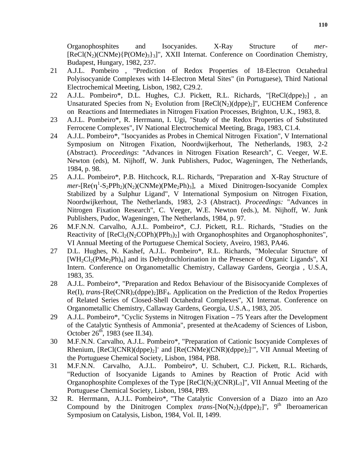Organophosphites and Isocyanides. X-Ray Structure of *mer*-  $[ReCl(N<sub>2</sub>)(CNMe)$  $[POMe)<sub>3</sub>$  $]$ ", XXII Internat. Conference on Coordination Chemistry, Budapest, Hungary, 1982, 237.

- 21 A.J.L. Pombeiro , "Prediction of Redox Properties of 18-Electron Octahedral Polyisocyanide Complexes with 14-Electron Metal Sites" (in Portuguese), Third National Electrochemical Meeting, Lisbon, 1982, C29.2.
- 22 A.J.L. Pombeiro\*, D.L. Hughes, C.J. Pickett, R.L. Richards, " $[ReCl(dppe)_2]$ , an Unsaturated Species from  $N_2$  Evolution from  $[Recl(N_2)(dppe)_2]$ ", EUCHEM Conference on Reactions and Intermediates in Nitrogen Fixation Processes, Brighton, U.K., 1983, 8.
- 23 A.J.L. Pombeiro\*, R. Herrmann, I. Ugi, "Study of the Redox Properties of Substituted Ferrocene Complexes", IV National Electrochemical Meeting, Braga, 1983, C1.4.
- 24 A.J.L. Pombeiro\*, "Isocyanides as Probes in Chemical Nitrogen Fixation", V International Symposium on Nitrogen Fixation, Noordwijkerhout, The Netherlands, 1983, 2-2 (Abstract). *Proceedings*: "Advances in Nitrogen Fixation Research", C. Veeger, W.E. Newton (eds), M. Nijhoff, W. Junk Publishers, Pudoc, Wageningen, The Netherlands, 1984, p. 98.
- 25 A.J.L. Pombeiro\*, P.B. Hitchcock, R.L. Richards, "Preparation and X-Ray Structure of  $mer-[Re(\eta^1-S_2PPh_2)(N_2)(CNMe)(PMe_2Ph)_3]$ , a Mixed Dinitrogen-Isocyanide Complex Stabilized by a Sulphur Ligand", V International Symposium on Nitrogen Fixation, Noordwijkerhout, The Netherlands, 1983, 2-3 (Abstract). *Proceedings:* "Advances in Nitrogen Fixation Research", C. Veeger, W.E. Newton (eds.), M. Nijhoff, W. Junk Publishers, Pudoc, Wageningen, The Netherlands, 1984, p. 97.
- 26 M.F.N.N. Carvalho, A.J.L. Pombeiro\*, C.J. Pickett, R.L. Richards, "Studies on the Reactivity of  $[ReCl_2(N_2COPh)(PPh_3)_2]$  with Organophosphites and Organophosphonites", VI Annual Meeting of the Portuguese Chemical Society, Aveiro, 1983, PA46.
- 27 D.L. Hughes, N. Kashef, A.J.L. Pombeiro\*, R.L. Richards, "Molecular Structure of  $[WH_2Cl_2(PMe_2Ph)_4]$  and its Dehydrochlorination in the Presence of Organic Ligands", XI Intern. Conference on Organometallic Chemistry, Callaway Gardens, Georgia , U.S.A, 1983, 35.
- 28 A.J.L. Pombeiro\*, "Preparation and Redox Behaviour of the Bisisocyanide Complexes of Re(I), *trans*-[Re(CNR)<sub>2</sub>(dppe)<sub>2</sub>]BF<sub>4</sub>. Application on the Prediction of the Redox Properties of Related Series of Closed-Shell Octahedral Complexes", XI Internat. Conference on Organometallic Chemistry, Callaway Gardens, Georgia, U.S.A., 1983, 205.
- 29 A.J.L. Pombeiro\*, "Cyclic Systems in Nitrogen Fixation − 75 Years after the Development of the Catalytic Synthesis of Ammonia", presented at theAcademy of Sciences of Lisbon, October  $26^{th}$ , 1983 (see II.34).
- 30 M.F.N.N. Carvalho, A.J.L. Pombeiro\*, "Preparation of Cationic Isocyanide Complexes of Rhenium, [ReCl(CNR)(dppe)<sub>2</sub>]<sup>+</sup> and [Re(CNMe)(CNR)(dppe)<sub>2</sub>]<sup>+</sup>", VII Annual Meeting of the Portuguese Chemical Society, Lisbon, 1984, PB8.
- 31 M.F.N.N. Carvalho, A.J.L. Pombeiro\*, U. Schubert, C.J. Pickett, R.L. Richards, "Reduction of Isocyanide Ligands to Amines by Reaction of Protic Acid with Organophosphite Complexes of the Type  $[ReCl(N_2)(CNR)L_3]$ ", VII Annual Meeting of the Portuguese Chemical Society, Lisbon, 1984, PB9.
- 32 R. Herrmann, A.J.L. Pombeiro\*, "The Catalytic Conversion of a Diazo into an Azo Compound by the Dinitrogen Complex *trans*- $[No(N_2)_2(\text{dppe})_2]$ ", 9<sup>th</sup> Iberoamerican Symposium on Catalysis, Lisbon, 1984, Vol. II, 1499.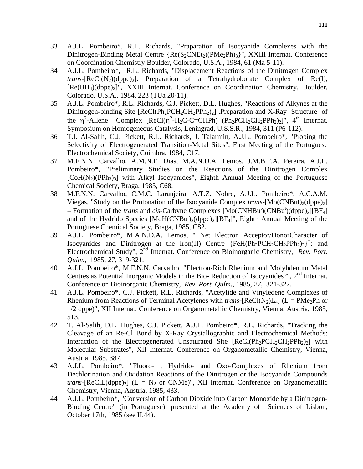- 33 A.J.L. Pombeiro\*, R.L. Richards, "Praparation of Isocyanide Complexes with the Dinitrogen-Binding Metal Centre {Re(S<sub>2</sub>CNEt<sub>2</sub>)(PMe<sub>2</sub>Ph)<sub>3</sub>}", XXIII Internat. Conference on Coordination Chemistry Boulder, Colorado, U.S.A., 1984, 61 (Ma 5-11).
- 34 A.J.L. Pombeiro\*, R.L. Richards, "Displacement Reactions of the Dinitrogen Complex *trans*-[ReCl(N<sub>2</sub>)(dppe)<sub>2</sub>]. Preparation of a Tetrahydroborate Complex of Re(I), [Re(BH4)(dppe)2]", XXIII Internat. Conference on Coordination Chemistry, Boulder, Colorado, U.S.A., 1984, 223 (TUa 20-11).
- 35 A.J.L. Pombeiro\*, R.L. Richards, C.J. Pickett, D.L. Hughes, "Reactions of Alkynes at the Dinitrogen-binding Site  $[ReCl(Ph_2PCH_2CH_2PPh_2)_2]$ . Preparation and X-Ray Structure of the  $\eta^2$ -Allene Complex [ReCl( $\eta^2$ -H<sub>2</sub>C-C=CHPh) (Ph<sub>2</sub>PCH<sub>2</sub>CH<sub>2</sub>PPh<sub>2</sub>)<sub>2</sub>]", 4<sup>th</sup> Internat. Symposium on Homogeneous Catalysis, Leningrad, U.S.S.R., 1984, 311 (P6-112).
- 36 T.I. Al-Salih, C.J. Pickett, R.L. Richards, J. Talarmin, A.J.L. Pombeiro\*, "Probing the Selectivity of Electrogenerated Transition-Metal Sites", First Meeting of the Portuguese Electrochemical Society, Coimbra, 1984, C17.
- 37 M.F.N.N. Carvalho, A.M.N.F. Dias, M.A.N.D.A. Lemos, J.M.B.F.A. Pereira, A.J.L. Pombeiro\*, "Preliminary Studies on the Reactions of the Dinitrogen Complex  $[CoH(N<sub>2</sub>)(PPh<sub>3</sub>)$  with Alkyl Isocyanides", Eighth Annual Meeting of the Portuguese Chemical Society, Braga, 1985, C68.
- 38 M.F.N.N. Carvalho, C.M.C. Laranjeira, A.T.Z. Nobre, A.J.L. Pombeiro\*, A.C.A.M. Viegas, "Study on the Protonation of the Isocyanide Complex *trans*-[Mo(CNBut)<sub>2</sub>(dppe)<sub>2</sub>] − Formation of the *trans* and *cis*-Carbyne Complexes [Mo(CNHBu<sup>t</sup> )(CNBut )(dppe)2][BF4] and of the Hydrido Species  $[MoH(CNBu<sup>t</sup>)<sub>2</sub>(dppe)<sub>2</sub>][BF<sub>4</sub>]<sup>n</sup>$ , Eighth Annual Meeting of the Portuguese Chemical Society, Braga, 1985, C82.
- 39 A.J.L. Pombeiro\*, M.A.N.D.A. Lemos, " Net Electron Acceptor/DonorCharacter of Isocyanides and Dinitrogen at the Iron(II) Centre  ${FeH(Ph_2PCH_2CH_2PPh_2)_2}^+$ : and Electrochemical Study", 2nd Internat. Conference on Bioinorganic Chemistry, *Rev. Port. Quím.*, 1985, *27*, 319-321.
- 40 A.J.L. Pombeiro\*, M.F.N.N. Carvalho, "Electron-Rich Rhenium and Molybdenum Metal Centres as Potential Inorganic Models in the Bio- Reduction of Isocyanides?",  $2<sup>nd</sup>$  Internat. Conference on Bioinorganic Chemistry, *Rev. Port. Quím.*, 1985, *27*, 321-322.
- 41 A.J.L. Pombeiro\*, C.J. Pickett, R.L. Richards, "Acetylide and Vinyledene Complexes of Rhenium from Reactions of Terminal Acetylenes with *trans*-[ReCl(N<sub>2</sub>)L<sub>4</sub>] (L = PMe<sub>2</sub>Ph or 1/2 dppe)", XII Internat. Conference on Organometallic Chemistry, Vienna, Austria, 1985, 513.
- 42 T. Al-Salih, D.L. Hughes, C.J. Pickett, A.J.L. Pombeiro\*, R.L. Richards, "Tracking the Cleavage of an Re-Cl Bond by X-Ray Crystallographic and Electrochemical Methods: Interaction of the Electrogenerated Unsaturated Site  $[ReCl(Ph<sub>2</sub>PCH<sub>2</sub>CH<sub>2</sub>PPh<sub>2</sub>)<sub>2</sub>]$  with Molecular Substrates", XII Internat. Conference on Organometallic Chemistry, Vienna, Austria, 1985, 387.
- 43 A.J.L. Pombeiro\*, "Fluoro- , Hydrido- and Oxo-Complexes of Rhenium from Dechlorination and Oxidation Reactions of the Dinitrogen or the Isocyanide Compounds *trans*-[ReClL(dppe)<sub>2</sub>] ( $L = N_2$  or CNMe)", XII Internat. Conference on Organometallic Chemistry, Vienna, Austria, 1985, 433.
- 44 A.J.L. Pombeiro\*, "Conversion of Carbon Dioxide into Carbon Monoxide by a Dinitrogen-Binding Centre" (in Portuguese), presented at the Academy of Sciences of Lisbon, October 17th, 1985 (see II.44).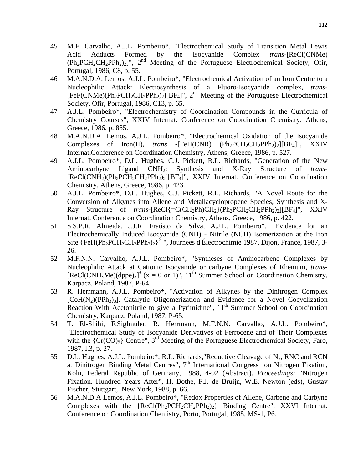- 45 M.F. Carvalho, A.J.L. Pombeiro\*, "Electrochemical Study of Transition Metal Lewis Acid Adducts Formed by the Isocyanide Complex *trans-*[ReCl(CNMe)  $(Ph_2PCH_2CH_2PPh_2)_2]$ ",  $2<sup>nd</sup>$  Meeting of the Portuguese Electrochemical Society, Ofir, Portugal, 1986, C8, p. 55.
- 46 M.A.N.D.A. Lemos, A.J.L. Pombeiro\*, "Electrochemical Activation of an Iron Centre to a Nucleophilic Attack: Electrosynthesis of a Fluoro-Isocyanide complex, *trans*-  $[FeF(CNMe)(Ph<sub>2</sub>PCH<sub>2</sub>CH<sub>2</sub>PPh<sub>2</sub>)<sub>2</sub>][BF<sub>4</sub>]<sup>n</sup>$ , 2<sup>nd</sup> Meeting of the Portuguese Electrochemical Society, Ofir, Portugal, 1986, C13, p. 65.
- 47 A.J.L. Pombeiro\*, "Electrochemistry of Coordination Compounds in the Curricula of Chemistry Courses", XXIV Internat. Conference on Coordination Chemistry, Athens, Greece, 1986, p. 885.
- 48 M.A.N.D.A. Lemos, A.J.L. Pombeiro\*, "Electrochemical Oxidation of the Isocyanide Complexes of Iron(II), *trans* -[FeH(CNR) (Ph<sub>2</sub>PCH<sub>2</sub>CH<sub>2</sub>PPh<sub>2</sub>)<sub>2</sub>][BF<sub>4</sub>]", XXIV Internat.Conference on Coordination Chemistry, Athens, Greece, 1986, p. 527.
- 49 A.J.L. Pombeiro\*, D.L. Hughes, C.J. Pickett, R.L. Richards, "Generation of the New Aminocarbyne Ligand CNH2: Synthesis and X-Ray Structure of *trans*- [ReCl(CNH<sub>2</sub>)(Ph<sub>2</sub>PCH<sub>2</sub>CH<sub>2</sub>PPh<sub>2</sub>)<sub>2</sub>][BF<sub>4</sub>]", XXIV Internat. Conference on Coordination Chemistry, Athens, Greece, 1986, p. 423.
- 50 A.J.L. Pombeiro\*, D.L. Hughes, C.J. Pickett, R.L. Richards, "A Novel Route for the Conversion of Alkynes into Allene and Metallacyclopropene Species; Synthesis and X-Ray Structure of *trans*-[ReCl{=C(CH2Ph)CH2}(Ph2PCH2CH2PPh2)2][BF4]", XXIV Internat. Conference on Coordination Chemistry, Athens, Greece, 1986, p. 422.
- 51 S.S.P.R. Almeida, J.J.R. Fraústo da Silva, A.J.L. Pombeiro\*, "Evidence for an Electrochemically Induced Isocyanide (CNH) - Nitrile (NCH) Isomerization at the Iron Site  ${FeH(Ph<sub>2</sub>PCH<sub>2</sub>CH<sub>2</sub>PPh<sub>2</sub>)<sub>2</sub>}<sup>2+</sup>$ ", Journées d'Électrochimie 1987, Dijon, France, 1987, 3-26.
- 52 M.F.N.N. Carvalho, A.J.L. Pombeiro\*, "Syntheses of Aminocarbene Complexes by Nucleophilic Attack at Cationic Isocyanide or carbyne Complexes of Rhenium, *trans*-  $[ReLU(CNH_xMe)(dppe)_2]^+$  (x = 0 or 1)", 11<sup>th</sup> Summer School on Coordination Chemistry, Karpacz, Poland, 1987, P-64.
- 53 R. Herrmann, A.J.L. Pombeiro\*, "Activation of Alkynes by the Dinitrogen Complex  $[CoH(N<sub>2</sub>)(PPh<sub>3</sub>)$ . Catalytic Oligomerization and Evidence for a Novel Cocyclization Reaction With Acetonitrile to give a Pyrimidine",  $11<sup>th</sup>$  Summer School on Coordination Chemistry, Karpacz, Poland, 1987, P-65.
- 54 T. El-Shihi, F.Siglmüler, R. Herrmann, M.F.N.N. Carvalho, A.J.L. Pombeiro\*, "Electrochemical Study of Isocyanide Derivatives of Ferrocene and of Their Complexes with the  ${Cr(CO)_5}$  Centre",  $3^{rd}$  Meeting of the Portuguese Electrochemical Society, Faro, 1987, I.3, p. 27.
- 55 D.L. Hughes, A.J.L. Pombeiro\*, R.L. Richards, "Reductive Cleavage of  $N_2$ , RNC and RCN at Dinitrogen Binding Metal Centres",  $7<sup>th</sup>$  International Congress on Nitrogen Fixation, Köln, Federal Republic of Germany, 1988, 4-02 (Abstract). *Proceedings:* "Nitrogen Fixation. Hundred Years After", H. Bothe, F.J. de Bruijn, W.E. Newton (eds), Gustav Fischer, Stuttgart, New York, 1988, p. 66.
- 56 M.A.N.D.A Lemos, A.J.L. Pombeiro\*, "Redox Properties of Allene, Carbene and Carbyne Complexes with the  ${ReCl(Ph_2PCH_2CH_2PPh_2)_2}$  Binding Centre", XXVI Internat. Conference on Coordination Chemistry, Porto, Portugal, 1988, MS-1, P6.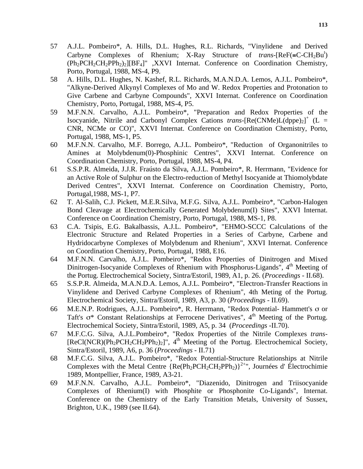- 57 A.J.L. Pombeiro\*, A. Hills, D.L. Hughes, R.L. Richards, "Vinylidene and Derived Carbyne Complexes of Rhenium; X-Ray Structure of *trans*-[ReF(=C-CH<sub>2</sub>Bu<sup>t</sup>)  $(Ph_2PCH_2CH_2PPh_2)_2$ [[BF<sub>4</sub>]", XXVI Internat. Conference on Coordination Chemistry, Porto, Portugal, 1988, MS-4, P9.
- 58 A. Hills, D.L. Hughes, N. Kashef, R.L. Richards, M.A.N.D.A. Lemos, A.J.L. Pombeiro\*, "Alkyne-Derived Alkynyl Complexes of Mo and W. Redox Properties and Protonation to Give Carbene and Carbyne Compounds", XXVI Internat. Conference on Coordination Chemistry, Porto, Portugal, 1988, MS-4, P5.
- 59 M.F.N.N. Carvalho, A.J.L. Pombeiro\*, "Preparation and Redox Properties of the Isocyanide, Nitrile and Carbonyl Complex Cations *trans*-[Re(CNMe)L(dppe)<sub>2</sub>]<sup>+</sup> (L = CNR, NCMe or CO)", XXVI Internat. Conference on Coordination Chemistry, Porto, Portugal, 1988, MS-1, P5.
- 60 M.F.N.N. Carvalho, M.F. Borrego, A.J.L. Pombeiro\*, "Reduction of Organonitriles to Amines at Molybdenum(0)-Phosphinic Centres", XXVI Internat. Conference on Coordination Chemistry, Porto, Portugal, 1988, MS-4, P4.
- 61 S.S.P.R. Almeida, J.J.R. Fraústo da Silva, A.J.L. Pombeiro\*, R. Herrmann, "Evidence for an Active Role of Sulphur on the Electro-reduction of Methyl Isocyanide at Thiomolybdate Derived Centres", XXVI Internat. Conference on Coordination Chemistry, Porto, Portugal,1988, MS-1, P7.
- 62 T. Al-Salih, C.J. Pickett, M.E.R.Silva, M.F.G. Silva, A.J.L. Pombeiro\*, "Carbon-Halogen Bond Cleavage at Electrochemically Generated Molybdenum(I) Sites", XXVI Internat. Conference on Coordination Chemistry, Porto, Portugal, 1988, MS-1, P8.
- 63 C.A. Tsipis, E.G. Bakalbassis, A.J.L. Pombeiro\*, "EHMO-SCCC Calculations of the Electronic Structure and Related Properties in a Series of Carbyne, Carbene and Hydridocarbyne Complexes of Molybdenum and Rhenium", XXVI Internat. Conference on Coordination Chemistry, Porto, Portugal, 1988, E16.
- 64 M.F.N.N. Carvalho, A.J.L. Pombeiro\*, "Redox Properties of Dinitrogen and Mixed Dinitrogen-Isocyanide Complexes of Rhenium with Phosphorus-Ligands", 4<sup>th</sup> Meeting of the Portug. Electrochemical Society, Sintra/Estoril, 1989, A1, p. 26. (*Proceedings* - II.68).
- 65 S.S.P.R. Almeida, M.A.N.D.A. Lemos, A.J.L. Pombeiro\*, "Electron-Transfer Reactions in Vinylidene and Derived Carbyne Complexes of Rhenium", 4th Meting of the Portug. Electrochemical Society, Sintra/Estoril, 1989, A3, p. 30 (*Proceedings* - II.69).
- 66 M.E.N.P. Rodrigues, A.J.L. Pombeiro\*, R. Herrmann, "Redox Potential- Hammett's σ or Taft's  $\sigma^*$  Constant Relationships at Ferrocene Derivatives", 4<sup>th</sup> Meeting of the Portug. Electrochemical Society, Sintra/Estoril, 1989, A5, p. 34 (*Proceedings -*II.70).
- 67 M.F.C.G. Silva, A.J.L.Pombeiro\*, "Redox Properties of the Nitrile Complexes *trans*  $[ReCl(NCR)(Ph<sub>2</sub>PCH<sub>2</sub>CH<sub>2</sub>PPh<sub>2</sub>)<sub>2</sub>]'',$  4<sup>th</sup> Meeting of the Portug. Electrochemical Society, Sintra/Estoril, 1989, A6, p. 36 (*Proceedings* - II.71)
- 68 M.F.C.G. Silva, A.J.L. Pombeiro\*, "Redox Potential-Structure Relationships at Nitrile Complexes with the Metal Centre  ${Re(Ph_2PCH_2CH_2PPh_2)}^{2+}$ , Journées d'Électrochimie 1989, Montpellier, France, 1989, A3-21.
- 69 M.F.N.N. Carvalho, A.J.L. Pombeiro\*, "Diazenido, Dinitrogen and Triisocyanide Complexes of Rhenium(I) with Phosphite or Phosphonite Co-Ligands", Internat. Conference on the Chemistry of the Early Transition Metals, University of Sussex, Brighton, U.K., 1989 (see II.64).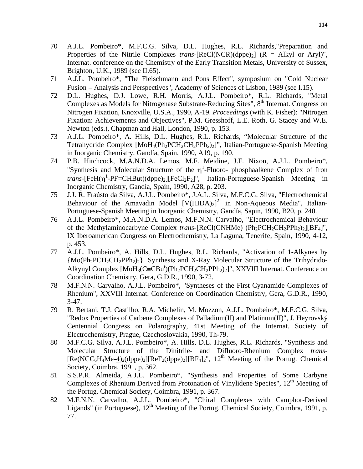- 70 A.J.L. Pombeiro\*, M.F.C.G. Silva, D.L. Hughes, R.L. Richards,"Preparation and Properties of the Nitrile Complexes *trans*- $[RecI(NCR)(dppe)_2]$   $(R = Alkyl$  or Aryl)", Internat. conference on the Chemistry of the Early Transition Metals, University of Sussex, Brighton, U.K., 1989 (see II.65).
- 71 A.J.L. Pombeiro\*, "The Fleischmann and Pons Effect", symposium on "Cold Nuclear Fusion − Analysis and Perspectives", Academy of Sciences of Lisbon, 1989 (see I.15).
- 72 D.L. Hughes, D.J. Lowe, R.H. Morris, A.J.L. Pombeiro\*, R.L. Richards, "Metal Complexes as Models for Nitrogenase Substrate-Reducing Sites", 8<sup>th</sup> Internat. Congress on Nitrogen Fixation, Knoxville, U.S.A., 1990, A-19. *Proceedings* (with K. Fisher): "Nitrogen Fixation: Achievements and Objectives", P.M. Gresshoff, L.E. Roth, G. Stacey and W.E. Newton (eds.), Chapman and Hall, London, 1990, p. 153.
- 73 A.J.L. Pombeiro\*, A. Hills, D.L. Hughes, R.L. Richards, "Molecular Structure of the Tetrahydride Complex [MoH<sub>4</sub>(Ph<sub>2</sub>PCH<sub>2</sub>CH<sub>2</sub>PPh<sub>2</sub>)<sub>2</sub>]", Italian-Portuguese-Spanish Meeting in Inorganic Chemistry, Gandía, Spain, 1990, A19, p. 190.
- 74 P.B. Hitchcock, M.A.N.D.A. Lemos, M.F. Meidine, J.F. Nixon, A.J.L. Pombeiro\*, "Synthesis and Molecular Structure of the  $\eta$ <sup>1</sup>-Fluoro- phosphaalkene Complex of Iron *trans*-[FeH( $\eta$ <sup>1</sup>-PF=CHBut)(dppe)<sub>2</sub>][FeCl<sub>2</sub>F<sub>2</sub>]", Italian-Portuguese-Spanish Meeting in Inorganic Chemistry, Gandía, Spain, 1990, A28, p. 203.
- 75 J.J. R. Fraústo da Silva, A.J.L. Pombeiro\*, J.A.L. Silva, M.F.C.G. Silva, "Electrochemical Behaviour of the Amavadin Model  $[V(HIDA)_2]^2$  in Non-Aqueous Media", Italian-Portuguese-Spanish Meeting in Inorganic Chemistry, Gandía, Sapin, 1990, B20, p. 240.
- 76 A.J.L. Pombeiro\*, M.A.N.D.A. Lemos, M.F.N.N. Carvalho, "Electrochemical Behaviour of the Methylaminocarbyne Complex *trans*-[ReCl(CNHMe) (Ph<sub>2</sub>PCH<sub>2</sub>CH<sub>2</sub>PPh<sub>2</sub>)<sub>2</sub>][BF<sub>4</sub>]", IX Iberoamerican Congress on Electrochemistry, La Laguna, Tenerife, Spain, 1990, 4-12, p. 453.
- 77 A.J.L. Pombeiro\*, A. Hills, D.L. Hughes, R.L. Richards, "Activation of 1-Alkynes by {Mo(Ph2PCH2CH2PPh2)2}. Synthesis and X-Ray Molecular Structure of the Trihydrido-Alkynyl Complex  $[MoH_3(C=CBu^t)(Ph_2PCH_2CH_2PPh_2)_2]$ ", XXVIII Internat. Conference on Coordination Chemistry, Gera, G.D.R., 1990, 3-72.
- 78 M.F.N.N. Carvalho, A.J.L. Pombeiro\*, "Syntheses of the First Cyanamide Complexes of Rhenium", XXVIII Internat. Conference on Coordination Chemistry, Gera, G.D.R., 1990, 3-47.
- 79 R. Bertani, T.J. Castilho, R.A. Michelin, M. Mozzon, A.J.L. Pombeiro\*, M.F.C.G. Silva, "Redox Properties of Carbene Complexes of Palladium(II) and Platinum(II)", J. Heyrovský Centennial Congress on Polarography, 41st Meeting of the Internat. Society of Electrochemistry, Prague, Czechoslovakia, 1990, Th-79.
- 80 M.F.C.G. Silva, A.J.L. Pombeiro\*, A. Hills, D.L. Hughes, R.L. Richards, "Synthesis and Molecular Structure of the Dinitrile- and Difluoro-Rhenium Complex *trans*-  $[Re(NCC_6H_4Me-4)_2(dppe)_2][ReF_2(dppe)_2][BF_4]_2$ ",  $12<sup>th</sup>$  Meeting of the Portug. Chemical Society, Coimbra, 1991, p. 362.
- 81 S.S.P.R. Almeida, A.J.L. Pombeiro\*, "Synthesis and Properties of Some Carbyne Complexes of Rhenium Derived from Protonation of Vinylidene Species",  $12<sup>th</sup>$  Meeting of the Portug. Chemical Society, Coimbra, 1991, p. 367.
- 82 M.F.N.N. Carvalho, A.J.L. Pombeiro\*, "Chiral Complexes with Camphor-Derived Ligands" (in Portuguese),  $12<sup>th</sup>$  Meeting of the Portug. Chemical Society, Coimbra, 1991, p. 77.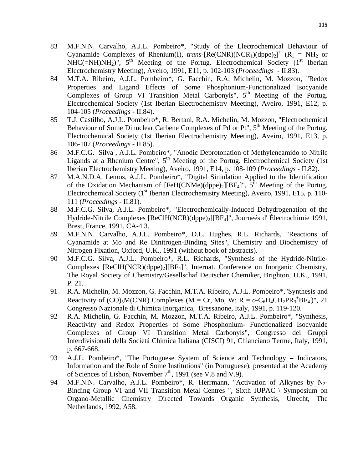- 83 M.F.N.N. Carvalho, A.J.L. Pombeiro\*, "Study of the Electrochemical Behaviour of Cyanamide Complexes of Rhenium(I), *trans*-[Re(CNR)(NCR<sub>1</sub>)(dppe)<sub>2</sub>]<sup>+</sup> (R<sub>1</sub> = NH<sub>2</sub> or  $NHC(=NH)NH<sub>2</sub>)$ <sup>"</sup>, 5<sup>th</sup> Meeting of the Portug. Electrochemical Society (1<sup>st</sup> Iberian Electrochemistry Meeting), Aveiro, 1991, E11, p. 102-103 (*Proceedings* - II.83).
- 84 M.T.A. Ribeiro, A.J.L. Pombeiro\*, G. Facchin, R.A. Michelin, M. Mozzon, "Redox Properties and Ligand Effects of Some Phosphonium-Functionalized Isocyanide Complexes of Group VI Transition Metal Carbonyls",  $5<sup>th</sup>$  Meeting of the Portug. Electrochemical Society (1st Iberian Electrochemistry Meeting), Aveiro, 1991, E12, p. 104-105 (*Proceedings* - II.84).
- 85 T.J. Castilho, A.J.L. Pombeiro\*, R. Bertani, R.A. Michelin, M. Mozzon, "Electrochemical Behaviour of Some Dinuclear Carbene Complexes of Pd or Pt", 5<sup>th</sup> Meeting of the Portug. Electrochemical Society (1st Iberian Electrochemistry Meeting), Aveiro, 1991, E13, p. 106-107 (*Proceedings* - II.85).
- 86 M.F.C.G. Silva , A.J.L. Pombeiro\*, "Anodic Deprotonation of Methyleneamido to Nitrile Ligands at a Rhenium Centre",  $5<sup>th</sup>$  Meeting of the Portug. Electrochemical Society (1st Iberian Electrochemistry Meeting), Aveiro, 1991, E14, p. 108-109 (*Proceedings* - II.82).
- 87 M.A.N.D.A. Lemos, A.J.L. Pombeiro\*, "Digital Simulation Applied to the Identification of the Oxidation Mechanism of  $[FeH(CNMe)(dppe)_2][BF_4]^T$ ,  $5^{th}$  Meeting of the Portug. Electrochemical Society ( $1<sup>st</sup>$  Iberian Electrochemistry Meeting), Aveiro, 1991, E15, p. 110-111 (*Proceedings* - II.81).
- 88 M.F.C.G. Silva, A.J.L. Pombeiro\*, "Electrochemically-Induced Dehydrogenation of the Hydride-Nitrile Complexes [ReClH(NCR)(dppe)2][BF4]", Journeés d' Électrochimie 1991, Brest, France, 1991, CA-4.3.
- 89 M.F.N.N. Carvalho, A.J.L. Pombeiro\*, D.L. Hughes, R.L. Richards, "Reactions of Cyanamide at Mo and Re Dinitrogen-Binding Sites", Chemistry and Biochemistry of Nitrogen Fixation, Oxford, U.K., 1991 (without book of abstracts).
- 90 M.F.C.G. Silva, A.J.L. Pombeiro\*, R.L. Richards, "Synthesis of the Hydride-Nitrile-Complexes  $[ReCH(NCR)(dppe)_2][BF_4]$ ", Internat. Conference on Inorganic Chemistry, The Royal Society of Chemistry/Gesellschaf Deutscher Chemiker, Brighton, U.K., 1991, P. 21.
- 91 R.A. Michelin, M. Mozzon, G. Facchin, M.T.A. Ribeiro, A.J.L. Pombeiro\*,"Synthesis and Reactivity of  $(CO)_{5}M(CNR)$  Complexes (M = Cr, Mo, W; R =  $o$ -C<sub>6</sub>H<sub>4</sub>CH<sub>2</sub>PR<sub>3</sub><sup>+</sup>BF<sub>4</sub>)", 21 Congresso Nazionale di Chimica Inorganica, Bressanone, Italy, 1991, p. 119-120.
- 92 R.A. Michelin, G. Facchin, M. Mozzon, M.T.A. Ribeiro, A.J.L. Pombeiro\*, "Synthesis, Reactivity and Redox Properties of Some Phosphonium- Functionalized Isocyanide Complexes of Group VI Transition Metal Carbonyls", Congresso dei Gruppi Interdivisionali della Societá Chimica Italiana (CISCI) 91, Chianciano Terme, Italy, 1991, p. 667-668.
- 93 A.J.L. Pombeiro\*, "The Portuguese System of Science and Technology Indicators, Information and the Role of Some Institutions" (in Portuguese), presented at the Academy of Sciences of Lisbon, November  $7<sup>th</sup>$ , 1991 (see V.8 and V.9).
- 94 M.F.N.N. Carvalho, A.J.L. Pombeiro\*, R. Herrmann, "Activation of Alkynes by N<sub>2</sub>-Binding Group VI and VII Transition Metal Centres ", Sixth IUPAC \ Symposium on Organo-Metallic Chemistry Directed Towards Organic Synthesis, Utrecht, The Netherlands, 1992, A58.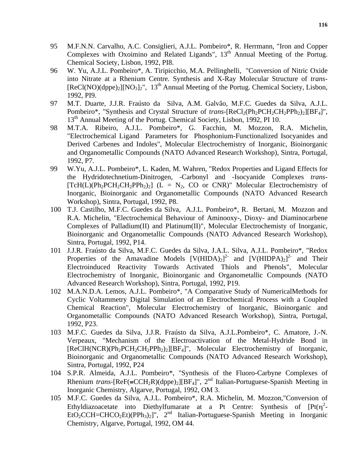- 95 M.F.N.N. Carvalho, A.C. Consiglieri, A.J.L. Pombeiro\*, R. Herrmann, "Iron and Copper Complexes with Oxoimino and Related Ligands",  $13<sup>th</sup>$  Annual Meeting of the Portug. Chemical Society, Lisbon, 1992, PI8.
- 96 W. Yu, A.J.L. Pombeiro\*, A. Tiripicchio, M.A. Pellinghelli, "Conversion of Nitric Oxide into Nitrate at a Rhenium Centre. Synthesis and X-Ray Molecular Structure of *trans*-  $[ReLU(NO)(dppe)_2][NO_3]_2$ ", 13<sup>th</sup> Annual Meeting of the Portug. Chemical Society, Lisbon, 1992, PI9.
- 97 M.T. Duarte, J.J.R. Fraústo da Silva, A.M. Galvão, M.F.C. Guedes da Silva, A.J.L. Pombeiro\*, "Synthesis and Crystal Structure of *trans*-[ReCl<sub>2</sub>(Ph<sub>2</sub>PCH<sub>2</sub>CH<sub>2</sub>PPh<sub>2</sub>)<sub>2</sub>][BF<sub>4</sub>]", 13<sup>th</sup> Annual Meeting of the Portug. Chemical Society, Lisbon, 1992, PI 10.
- 98 M.T.A. Ribeiro, A.J.L. Pombeiro\*, G. Facchin, M. Mozzon, R.A. Michelin, "Electrochemical Ligand Parameters for Phosphonium-Functionalized Isocyanides and Derived Carbenes and Indoles", Molecular Electrochemistry of Inorganic, Bioinorganic and Organometallic Compounds (NATO Advanced Research Workshop), Sintra, Portugal, 1992, P7.
- 99 W.Yu, A.J.L. Pombeiro\*, L. Kaden, M. Wahren, "Redox Properties and Ligand Effects for the Hydridotechnetium-Dinitrogen, -Carbonyl and -Isocyanide Complexes *trans*-  $[TcH(L)(Ph<sub>2</sub>PCH<sub>2</sub>CH<sub>2</sub>PPh<sub>2</sub>)<sub>2</sub>]$  (L = N<sub>2</sub>, CO or CNR)" Molecular Electrochemistry of Inorganic, Bioinorganic and Organometallic Compounds (NATO Advanced Research Workshop), Sintra, Portugal, 1992, P8.
- 100 T.J. Castilho, M.F.C. Guedes da Silva, A.J.L. Pombeiro\*, R. Bertani, M. Mozzon and R.A. Michelin, "Electrochemical Behaviour of Aminooxy-, Dioxy- and Diaminocarbene Complexes of Palladium(II) and Platinum(II)", Molecular Electrochemisty of Inorganic, Bioinorganic and Organometallic Compounds (NATO Advanced Research Workshop), Sintra, Portugal, 1992, P14.
- 101 J.J.R. Fraústo da Silva, M.F.C. Guedes da Silva, J.A.L. Silva, A.J.L. Pombeiro\*, "Redox Properties of the Amavadine Models  $[V(HIDA)<sub>2</sub>]<sup>2</sup>$  and  $[V(HIDPA)<sub>2</sub>]<sup>2</sup>$  and Their Electroinduced Reactivity Towards Activated Thiols and Phenols", Molecular Electrochemistry of Inorganic, Bioinorganic and Organometallic Compounds (NATO Advanced Research Workshop), Sintra, Portugal, 1992, P19.
- 102 M.A.N.D.A. Lemos, A.J.L. Pombeiro\*, "A Comparative Study of NumericalMethods for Cyclic Voltammetry Digital Simulation of an Electrochemical Process with a Coupled Chemical Reaction", Molecular Electrochemistry of Inorganic, Bioinorganic and Organometallic Compounds (NATO Advanced Research Workshop), Sintra, Portugal, 1992, P23.
- 103 M.F.C. Guedes da Silva, J.J.R. Fraústo da Silva, A.J.L.Pombeiro\*, C. Amatore, J.-N. Verpeaux, "Mechanism of the Electroactivation of the Metal-Hydride Bond in [ReClH(NCR)(Ph<sub>2</sub>PCH<sub>2</sub>CH<sub>2</sub>PPh<sub>2</sub>)<sub>2</sub>][BF<sub>4</sub>]", Molecular Electrochemistry of Inorganic, Bioinorganic and Organometallic Compounds (NATO Advanced Research Workshop), Sintra, Portugal, 1992, P24
- 104 S.P.R. Almeida, A.J.L. Pombeiro\*, "Synthesis of the Fluoro-Carbyne Complexes of Rhenium *trans*-[ReF(=CCH<sub>2</sub>R)(dppe)<sub>2</sub>][BF<sub>4</sub>]", 2<sup>nd</sup> Italian-Portuguese-Spanish Meeting in Inorganic Chemistry, Algarve, Portugal, 1992, OM 3.
- 105 M.F.C. Guedes da Silva, A.J.L. Pombeiro\*, R.A. Michelin, M. Mozzon,"Conversion of Ethyldiazoacetate into Diethylfumarate at a Pt Centre: Synthesis of  $[Pt(\eta^2 -$ EtO<sub>2</sub>CCH=CHCO<sub>2</sub>Et)(PPh<sub>3</sub>)<sub>2</sub>]", 2<sup>nd</sup> Italian-Portuguese-Spanish Meeting in Inorganic Chemistry, Algarve, Portugal, 1992, OM 44.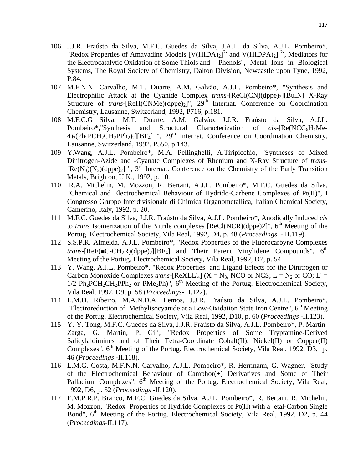- 106 J.J.R. Fraústo da Silva, M.F.C. Guedes da Silva, J.A.L. da Silva, A.J.L. Pombeiro\*, "Redox Properties of Amavadine Models  $[V(HIDA)_{2}]^{2}$  and  $V(HIDPA)_{2}]^{2}$ , Mediators for the Electrocatalytic Oxidation of Some Thiols and Phenols", Metal Ions in Biological Systems, The Royal Society of Chemistry, Dalton Division, Newcastle upon Tyne, 1992, P.84.
- 107 M.F.N.N. Carvalho, M.T. Duarte, A.M. Galvão, A.J.L. Pombeiro\*, "Synthesis and Electrophilic Attack at the Cyanide Complex *trans*-[ReCl(CN)(dppe)<sub>2</sub>][Bu<sub>4</sub>N] X-Ray Structure of *trans*-[ $ReH(CNMe)(dppe)_2$ ]",  $29<sup>th</sup>$  Internat. Conference on Coordination Chemistry, Lausanne, Switzerland, 1992, P716, p.181.
- 108 M.F.C.G Silva, M.T. Duarte, A.M. Galvão, J.J.R. Fraústo da Silva, A.J.L. Pombeiro\*,"Synthesis and Structural Characterization of *cis*-[Re(NCC<sub>6</sub>H<sub>4</sub>Me- $4)_{2}(Ph_{2}PCH_{2}CH_{2}Ph_{2})_{2}[[BF_{4}]$  ",  $29<sup>th</sup>$  Internat. Conference on Coordination Chemistry, Lausanne, Switzerland, 1992, P550, p.143.
- 109 Y.Wang, A.J.L. Pombeiro\*, M.A. Pellinghelli, A.Tiripicchio, "Syntheses of Mixed Dinitrogen-Azide and -Cyanate Complexes of Rhenium and X-Ray Structure of *trans*-  $[Re(N_3)(N_2)(dppe)_2]$  ", 3<sup>rd</sup> Internat. Conference on the Chemistry of the Early Transition Metals, Brighton, U.K., 1992, p. 10.
- 110 R.A. Michelin, M. Mozzon, R. Bertani, A.J.L. Pombeiro\*, M.F.C. Guedes da Silva, "Chemical and Electrochemical Behaviour of Hydrido-Carbene Complexes of Pt(II)", I Congresso Gruppo Interdivisionale di Chimica Organometallica, Italian Chemical Society, Camerino, Italy, 1992, p. 20.
- 111 M.F.C. Guedes da Silva, J.J.R. Fraústo da Silva, A.J.L. Pombeiro\*, Anodically Induced *cis*  to *trans* Isomerization of the Nitrile complexes  $[Recl(NCR)(dppe)2]$ ",  $6<sup>th</sup>$  Meeting of the Portug. Electrochemical Society, Vila Real, 1992, D4, p. 48 (*Proceedings* - II.119).
- 112 S.S.P.R. Almeida, A.J.L. Pombeiro\*, "Redox Properties of the Fluorocarbyne Complexes *trans*-[ReF( $=C-CH_2R$ )(dppe)<sub>2</sub>][BF<sub>4</sub>] and Their Parent Vinylidene Compounds", 6<sup>th</sup> Meeting of the Portug. Electrochemical Society, Vila Real, 1992, D7, p. 54.
- 113 Y. Wang, A.J.L. Pombeiro\*, "Redox Properties and Ligand Effects for the Dinitrogen or Carbon Monoxide Complexes *trans*-[ReXLL'<sub>4</sub>] ( $X = N_3$ , NCO or NCS; L = N<sub>2</sub> or CO; L' =  $1/2$  Ph<sub>2</sub>PCH<sub>2</sub>CH<sub>2</sub>PPh<sub>2</sub> or PMe<sub>2</sub>Ph)", 6<sup>th</sup> Meeting of the Portug. Electrochemical Society, Vila Real, 1992, D9, p. 58 (*Proceedings*- II.122).
- 114 L.M.D. Ribeiro, M.A.N.D.A. Lemos, J.J.R. Fraústo da Silva, A.J.L. Pombeiro\*, "Electroreduction of Methylisocyanide at a Low-Oxidation State Iron Centre", 6<sup>th</sup> Meeting of the Portug. Electrochemical Society, Vila Real, 1992, D10, p. 60 (*Proceedings* -II.123).
- 115 Y.-Y. Tong, M.F.C. Guedes da Silva, J.J.R. Fraústo da Silva, A.J.L. Pombeiro\*, P. Martin-Zarga, G. Martin, P. Gili, "Redox Properties of Some Tryptamine-Derived Salicylaldimines and of Their Tetra-Coordinate Cobalt(II), Nickel(II) or Copper(II) Complexes",  $6<sup>th</sup>$  Meeting of the Portug. Electrochemical Society, Vila Real, 1992, D3, p. 46 (*Proceedings* -II.118).
- 116 L.M.G. Costa, M.F.N.N. Carvalho, A.J.L. Pombeiro\*, R. Herrmann, G. Wagner, "Study of the Electrochemical Behaviour of Camphor(+) Derivatives and Some of Their Palladium Complexes", 6<sup>th</sup> Meeting of the Portug. Electrochemical Society, Vila Real, 1992, D6, p. 52 (*Proceedings* -II.120).
- 117 E.M.P.R.P. Branco, M.F.C. Guedes da Silva, A.J.L. Pombeiro\*, R. Bertani, R. Michelin, M. Mozzon, "Redox Properties of Hydride Complexes of Pt(II) with a etal-Carbon Single Bond", 6<sup>th</sup> Meeting of the Portug. Electrochemical Society, Vila Real, 1992, D2, p. 44 (*Proceedings*-II.117).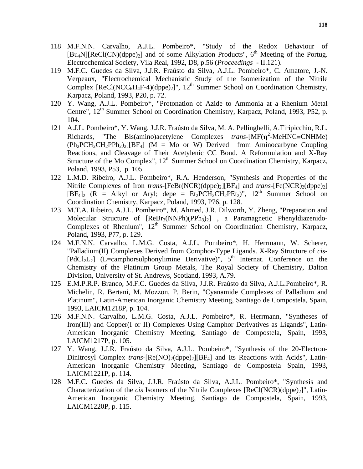- 118 M.F.N.N. Carvalho, A.J.L. Pombeiro\*, "Study of the Redox Behaviour of  $[Bu_4N][ReCl(CN)(dppe)_2]$  and of some Alkylation Products", 6<sup>th</sup> Meeting of the Portug. Electrochemical Society, Vila Real, 1992, D8, p.56 (*Proceedings* - II.121).
- 119 M.F.C. Guedes da Silva, J.J.R. Fraústo da Silva, A.J.L. Pombeiro\*, C. Amatore, J.-N. Verpeaux, "Electrochemical Mechanistic Study of the Isomerization of the Nitrile Complex  $[ReCl(NCC_6H_4F-4)(dppe)_2]$ ",  $12<sup>th</sup>$  Summer School on Coordination Chemistry, Karpacz, Poland, 1993, P20, p. 72.
- 120 Y. Wang, A.J.L. Pombeiro\*, "Protonation of Azide to Ammonia at a Rhenium Metal Centre",  $12^{th}$  Summer School on Coordination Chemistry, Karpacz, Poland, 1993, P52, p. 104.
- 121 A.J.L. Pombeiro\*, Y. Wang, J.J.R. Fraústo da Silva, M. A. Pellinghelli, A.Tiripicchio, R.L. Richards, "The Bis(amino)acetylene Complexes *trans*-[MF( $\eta$ <sup>2</sup>-MeHNC≡CNHMe)  $(Ph_2PCH_2CH_2PPh_2)_2[BF_4]$  (M = Mo or W) Derived from Aminocarbyne Coupling Reactions, and Cleavage of Their Acetylenic CC Bond. A Reformulation and X-Ray Structure of the Mo Complex", 12<sup>th</sup> Summer School on Coordination Chemistry, Karpacz, Poland, 1993, P53, p. 105
- 122 L.M.D. Ribeiro, A.J.L. Pombeiro\*, R.A. Henderson, "Synthesis and Properties of the Nitrile Complexes of Iron *trans*-[FeBr(NCR)(dppe)<sub>2</sub>][BF<sub>4</sub>] and *trans*-[Fe(NCR)<sub>2</sub>(dppe)<sub>2</sub>]  $[BF_4]_2$  (R = Alkyl or Aryl; depe =  $Et_2PCH_2CH_2PEt_2$ )",  $12<sup>th</sup>$  Summer School on Coordination Chemistry, Karpacz, Poland, 1993, P76, p. 128.
- 123 M.T.A. Ribeiro, A.J.L. Pombeiro\*, M. Ahmed, J.R. Dilworth, Y. Zheng, "Preparation and Molecular Structure of  $[ReBr_3(NNPh)(PPh_3)_2]$ , a Paramagnetic Phenyldiazenido-Complexes of Rhenium",  $12<sup>th</sup>$  Summer School on Coordination Chemistry, Karpacz, Poland, 1993, P77, p. 129.
- 124 M.F.N.N. Carvalho, L.M.G. Costa, A.J.L. Pombeiro\*, H. Herrmann, W. Scherer, "Palladium(II) Complexes Derived from Comphor-Type Ligands. X-Ray Structure of *cis*-  $[PdCl<sub>2</sub>L<sub>2</sub>]$  (L=camphorsulphonylimine Derivative)",  $5<sup>th</sup>$  Internat. Conference on the Chemistry of the Platinum Group Metals, The Royal Society of Chemistry, Dalton Division, University of St. Andrews, Scotland, 1993, A.79.
- 125 E.M.P.R.P. Branco, M.F.C. Guedes da Silva, J.J.R. Fraústo da Silva, A.J.L.Pombeiro\*, R. Michelin, R. Bertani, M. Mozzon, P. Berin, "Cyanamide Complexes of Palladium and Platinum", Latin-American Inorganic Chemistry Meeting, Santiago de Compostela, Spain, 1993, LAICM1218P, p. 104.
- 126 M.F.N.N. Carvalho, L.M.G. Costa, A.J.L. Pombeiro\*, R. Herrmann, "Syntheses of Iron(III) and Copper(I or II) Complexes Using Camphor Derivatives as Ligands", Latin-American Inorganic Chemistry Meeting, Santiago de Compostela, Spain, 1993, LAICM1217P, p. 105.
- 127 Y. Wang, J.J.R. Fraústo da Silva, A.J.L. Pombeiro\*, "Synthesis of the 20-Electron-Dinitrosyl Complex *trans*-[Re(NO)<sub>2</sub>(dppe)<sub>2</sub>][BF<sub>4</sub>] and Its Reactions with Acids", Latin-American Inorganic Chemistry Meeting, Santiago de Compostela Spain, 1993, LAICM1221P, p. 114.
- 128 M.F.C. Guedes da Silva, J.J.R. Fraústo da Silva, A.J.L. Pombeiro\*, "Synthesis and Characterization of the *cis* Isomers of the Nitrile Complexes  $[ReCl(NCR)(dppe)_2]$ ", Latin-American Inorganic Chemistry Meeting, Santiago de Compostela, Spain, 1993, LAICM1220P, p. 115.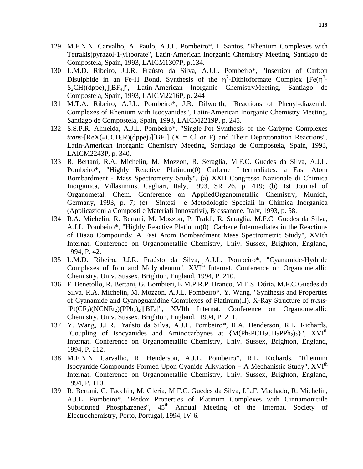- 129 M.F.N.N. Carvalho, A. Paulo, A.J.L. Pombeiro\*, I. Santos, "Rhenium Complexes with Tetrakis(pyrazol-1-yl)borate", Latin-American Inorganic Chemistry Meeting, Santiago de Compostela, Spain, 1993, LAICM1307P, p.134.
- 130 L.M.D. Ribeiro, J.J.R. Fraústo da Silva, A.J.L. Pombeiro\*, "Insertion of Carbon Disulphide in an Fe-H Bond. Synthesis of the  $\eta^2$ -Dithioformate Complex [Fe( $\eta^2$ - $S_2CH$ )(dppe)<sub>2</sub>][BF<sub>4</sub>]", Latin-American Inorganic ChemistryMeeting, Santiago de Compostela, Spain, 1993, LAICM2216P, p. 244
- 131 M.T.A. Ribeiro, A.J.L. Pombeiro\*, J.R. Dilworth, "Reactions of Phenyl-diazenide Complexes of Rhenium with Isocyanides", Latin-American Inorganic Chemistry Meeting, Santiago de Compostela, Spain, 1993, LAICM2219P, p. 245.
- 132 S.S.P.R. Almeida, A.J.L. Pombeiro\*, "Single-Pot Synthesis of the Carbyne Complexes *trans*-[ReX(=CCH<sub>2</sub>R)(dppe)<sub>2</sub>][BF<sub>4</sub>] (X = Cl or F) and Their Deprotonation Reactions", Latin-American Inorganic Chemistry Meeting, Santiago de Compostela, Spain, 1993, LAICM2243P, p. 340.
- 133 R. Bertani, R.A. Michelin, M. Mozzon, R. Seraglia, M.F.C. Guedes da Silva, A.J.L. Pombeiro\*, "Highly Reactive Platinum(0) Carbene Intermediates: a Fast Atom Bombardment - Mass Spectrometry Study", (a) XXII Congresso Nazionale di Chimica Inorganica, Villasimius, Cagliari, Italy, 1993, SR 26, p. 419; (b) 1st Journal of Organometal. Chem. Conference on AppliedOrganometallic Chemistry, Munich, Germany, 1993, p. 7; (c) Sintesi e Metodologie Speciali in Chimica Inorganica (Applicazioni a Composti e Materiali Innovativi), Bressanone, Italy, 1993, p. 58.
- 134 R.A. Michelin, R. Bertani, M. Mozzon, P. Traldi, R. Seraglia, M.F.C. Guedes da Silva, A.J.L. Pombeiro\*, "Highly Reactive Platinum(0) Carbene Intermediates in the Reactions of Diazo Compounds: A Fast Atom Bombardment Mass Spectrometric Study", XVIth Internat. Conference on Organometallic Chemistry, Univ. Sussex, Brighton, England, 1994, P. 42.
- 135 L.M.D. Ribeiro, J.J.R. Fraústo da Silva, A.J.L. Pombeiro\*, "Cyanamide-Hydride Complexes of Iron and Molybdenum", XVI<sup>th</sup> Internat. Conference on Organometallic Chemistry, Univ. Sussex, Brighton, England, 1994, P. 210.
- 136 F. Benetollo, R. Bertani, G. Bombieri, E.M.P.R.P. Branco, M.E.S. Dória, M.F.C.Guedes da Silva, R.A. Michelin, M. Mozzon, A.J.L. Pombeiro\*, Y. Wang, "Synthesis and Properties of Cyanamide and Cyanoguanidine Complexes of Platinum(II). X-Ray Structure of *trans*- [Pt(CF<sub>3</sub>)(NCNEt<sub>2</sub>)(PPh<sub>3</sub>)<sub>2</sub>][BF<sub>4</sub>]", XVIth Internat. Conference on Organometallic Chemistry, Univ. Sussex, Brighton, England, 1994, P. 211.
- 137 Y. Wang, J.J.R. Fraústo da Silva, A.J.L. Pombeiro\*, R.A. Henderson, R.L. Richards, "Coupling of Isocyanides and Aminocarbynes at {M(Ph<sub>2</sub>PCH<sub>2</sub>CH<sub>2</sub>PPh<sub>2</sub>)<sub>2</sub>}", XVI<sup>th</sup> Internat. Conference on Organometallic Chemistry, Univ. Sussex, Brighton, England, 1994, P. 212.
- 138 M.F.N.N. Carvalho, R. Henderson, A.J.L. Pombeiro\*, R.L. Richards, "Rhenium Isocyanide Compounds Formed Upon Cyanide Alkylation − A Mechanistic Study", XVIth Internat. Conference on Organometallic Chemistry, Univ. Sussex, Brighton, England, 1994, P. 110.
- 139 R. Bertani, G. Facchin, M. Gleria, M.F.C. Guedes da Silva, I.L.F. Machado, R. Michelin, A.J.L. Pombeiro\*, "Redox Properties of Platinum Complexes with Cinnamonitrile Substituted Phosphazenes",  $45<sup>th</sup>$  Annual Meeting of the Internat. Society of Electrochemistry, Porto, Portugal, 1994, IV-6.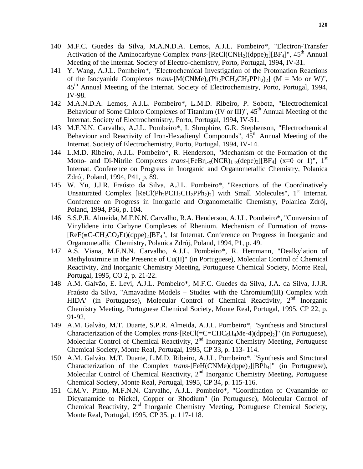- 140 M.F.C. Guedes da Silva, M.A.N.D.A. Lemos, A.J.L. Pombeiro\*, "Electron-Transfer Activation of the Aminocarbyne Complex *trans*-[ReCl(CNH<sub>2</sub>)(dppe)<sub>2</sub>][BF<sub>4</sub>]", 45<sup>th</sup> Annual Meeting of the Internat. Society of Electro-chemistry, Porto, Portugal, 1994, IV-31.
- 141 Y. Wang, A.J.L. Pombeiro\*, "Electrochemical Investigation of the Protonation Reactions of the Isocyanide Complexes *trans*-[M(CNMe)<sub>2</sub>(Ph<sub>2</sub>PCH<sub>2</sub>CH<sub>2</sub>PPh<sub>2</sub>)<sub>2</sub>] (M = Mo or W)", 45th Annual Meeting of the Internat. Society of Electrochemistry, Porto, Portugal, 1994, IV-98.
- 142 M.A.N.D.A. Lemos, A.J.L. Pombeiro\*, L.M.D. Ribeiro, P. Sobota, "Electrochemical Behaviour of Some Chloro Complexes of Titanium (IV or III)",  $45<sup>th</sup>$  Annual Meeting of the Internat. Society of Electrochemistry, Porto, Portugal, 1994, IV-51.
- 143 M.F.N.N. Carvalho, A.J.L. Pombeiro\*, I. Shrophire, G.R. Stephenson, "Electrochemical Behaviour and Reactivity of Iron-Hexadienyl Compounds",  $45<sup>th</sup>$  Annual Meeting of the Internat. Society of Electrochemistry, Porto, Portugal, 1994, IV-14.
- 144 L.M.D. Ribeiro, A.J.L. Pombeiro\*, R. Henderson, "Mechanism of the Formation of the Mono- and Di-Nitrile Complexes *trans*-[FeB $r_{1-x}$ (NCR)<sub>1+x</sub>(depe)<sub>2</sub>][BF<sub>4</sub>] (x=0 or 1)", 1<sup>st</sup> Internat. Conference on Progress in Inorganic and Organometallic Chemistry, Polanica Zdrój, Poland, 1994, P41, p. 89.
- 145 W. Yu, J.J.R. Fraústo da Silva, A.J.L. Pombeiro\*, "Reactions of the Coordinatively Unsaturated Complex  $[ReCl(Ph<sub>2</sub>PCH<sub>2</sub>CH<sub>2</sub>PPh<sub>2</sub>)<sub>2</sub>]$  with Small Molecules", 1<sup>st</sup> Internat. Conference on Progress in Inorganic and Organometallic Chemistry, Polanica Zdrój, Poland, 1994, P56, p. 104.
- 146 S.S.P.R. Almeida, M.F.N.N. Carvalho, R.A. Henderson, A.J.L. Pombeiro\*, "Conversion of Vinylidene into Carbyne Complexes of Rhenium. Mechanism of Formation of *trans*-  $[ReF(\equiv C-CH_2CO_2Et)(dppe)_2]BF_4$ ", 1st Internat. Conference on Progress in Inorganic and Organometallic Chemistry, Polanica Zdrój, Poland, 1994, P1, p. 49.
- 147 A.S. Viana, M.F.N.N. Carvalho, A.J.L. Pombeiro\*, R. Herrmann, "Dealkylation of Methyloximine in the Presence of Cu(II)" (in Portuguese), Molecular Control of Chemical Reactivity, 2nd Inorganic Chemistry Meeting, Portuguese Chemical Society, Monte Real, Portugal, 1995, CO 2, p. 21-22.
- 148 A.M. Galvão, E. Levi, A.J.L. Pombeiro\*, M.F.C. Guedes da Silva, J.A. da Silva, J.J.R. Fraústo da Silva, "Amavadine Models − Studies with the Chromium(III) Complex with HIDA" (in Portuguese), Molecular Control of Chemical Reactivity,  $2<sup>nd</sup>$  Inorganic Chemistry Meeting, Portuguese Chemical Society, Monte Real, Portugal, 1995, CP 22, p. 91-92.
- 149 A.M. Galvão, M.T. Duarte, S.P.R. Almeida, A.J.L. Pombeiro\*, "Synthesis and Structural Characterization of the Complex *trans*-[ReCl(=C=CHC6H4Me-4)(dppe)2]" (in Portuguese), Molecular Control of Chemical Reactivity, 2<sup>nd</sup> Inorganic Chemistry Meeting, Portuguese Chemical Society, Monte Real, Portugal, 1995, CP 33, p. 113- 114.
- 150 A.M. Galvão. M.T. Duarte, L.M.D. Ribeiro, A.J.L. Pombeiro\*, "Synthesis and Structural Characterization of the Complex *trans*-[FeH(CNMe)(dppe)2][BPh4]" (in Portuguese), Molecular Control of Chemical Reactivity, 2<sup>nd</sup> Inorganic Chemistry Meeting, Portuguese Chemical Society, Monte Real, Portugal, 1995, CP 34, p. 115-116.
- 151 C.M.V. Pinto, M.F.N.N. Carvalho, A.J.L. Pombeiro\*, "Coordination of Cyanamide or Dicyanamide to Nickel, Copper or Rhodium" (in Portuguese), Molecular Control of Chemical Reactivity, 2nd Inorganic Chemistry Meeting, Portuguese Chemical Society, Monte Real, Portugal, 1995, CP 35, p. 117-118.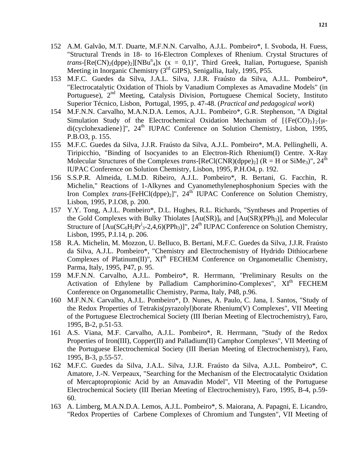- 152 A.M. Galvão, M.T. Duarte, M.F.N.N. Carvalho, A.J.L. Pombeiro\*, I. Svoboda, H. Fuess, "Structural Trends in 18- to 16-Electron Complexes of Rhenium. Crystal Structures of *trans*-[Re(CN)<sub>2</sub>(dppe)<sub>2</sub>][NBu<sup>n</sup><sub>4</sub>]x (x = 0,1)", Third Greek, Italian, Portuguese, Spanish Meeting in Inorganic Chemistry (3rd GIPS), Senigallia, Italy, 1995, P55.
- 153 M.F.C. Guedes da Silva, J.A.L. Silva, J.J.R. Fraústo da Silva, A.J.L. Pombeiro\*, "Electrocatalytic Oxidation of Thiols by Vanadium Complexes as Amavadine Models" (in Portuguese), 2<sup>nd</sup> Meeting, Catalysis Division, Portuguese Chemical Society, Instituto Superior Técnico, Lisbon, Portugal, 1995, p. 47-48. (*Practical and pedagogical work*)
- 154 M.F.N.N. Carvalho, M.A.N.D.A. Lemos, A.J.L. Pombeiro\*, G.R. Stephenson, "A Digital Simulation Study of the Electrochemical Oxidation Mechanism of  $[\{Fe(CO)_3\}_2\}$  $di(cyclohexadiene)$ ]",  $24<sup>th</sup> IUPAC$  Conference on Solution Chemistry, Lisbon, 1995, P.B.O3, p. 155.
- 155 M.F.C. Guedes da Silva, J.J.R. Fraústo da Silva, A.J.L. Pombeiro\*, M.A. Pellinghelli, A. Tiripicchio, "Binding of Isocyanides to an Electron-Rich Rhenium(I) Centre. X-Ray Molecular Structures of the Complexes *trans*-[ReCl(CNR)(dppe)<sub>2</sub>] (R = H or SiMe<sub>3</sub>)", 24<sup>th</sup> IUPAC Conference on Solution Chemistry, Lisbon, 1995, P.H.O4, p. 192.
- 156 S.S.P.R. Almeida, L.M.D. Ribeiro, A.J.L. Pombeiro\*, R. Bertani, G. Facchin, R. Michelin," Reactions of 1-Alkynes and Cyanomethylenephosphonium Species with the Iron Complex *trans*-[FeHCl(dppe)<sub>2</sub>]", 24<sup>th</sup> IUPAC Conference on Solution Chemistry, Lisbon, 1995, P.I.O8, p. 200.
- 157 Y.Y. Tong, A.J.L. Pombeiro\*, D.L. Hughes, R.L. Richards, "Syntheses and Properties of the Gold Complexes with Bulky Thiolates  $[Au(SR)]_6$  and  $[Au(SR)(PPh_3)]$ , and Molecular Structure of  $[Au(SC_6H_2Pr^i_3-2,4,6)(PPh_3)]$ ", 24<sup>th</sup> IUPAC Conference on Solution Chemistry, Lisbon, 1995, P.I.14, p. 206.
- 158 R.A. Michelin, M. Mozzon, U. Belluco, B. Bertani, M.F.C. Guedes da Silva, J.J.R. Fraústo da Silva, A.J.L. Pombeiro\*, "Chemistry and Electrochemistry of Hydrido Dithiocarbene Complexes of Platinum(II)",  $XI<sup>th</sup> FECHEM$  Conference on Organometallic Chemistry, Parma, Italy, 1995, P47, p. 95.
- 159 M.F.N.N. Carvalho, A.J.L. Pombeiro\*, R. Herrmann, "Preliminary Results on the Activation of Ethylene by Palladium Camphorimino-Complexes",  $XI<sup>th</sup> FECHEM$ Conference on Organometallic Chemistry, Parma, Italy, P48, p.96.
- 160 M.F.N.N. Carvalho, A.J.L. Pombeiro\*, D. Nunes, A. Paulo, C. Jana, I. Santos, "Study of the Redox Properties of Tetrakis(pyrazolyl)borate Rhenium(V) Complexes", VII Meeting of the Portuguese Electrochemical Society (III Iberian Meeting of Electrochemistry), Faro, 1995, B-2, p.51-53.
- 161 A.S. Viana, M.F. Carvalho, A.J.L. Pombeiro\*, R. Herrmann, "Study of the Redox Properties of Iron(III), Copper(II) and Palladium(II) Camphor Complexes", VII Meeting of the Portuguese Electrochemical Society (III Iberian Meeting of Electrochemistry), Faro, 1995, B-3, p.55-57.
- 162 M.F.C. Guedes da Silva, J.A.L. Silva, J.J.R. Fraústo da Silva, A.J.L. Pombeiro\*, C. Amatore, J.-N. Verpeaux, "Searching for the Mechanism of the Electrocatalytic Oxidation of Mercaptopropionic Acid by an Amavadin Model", VII Meeting of the Portuguese Electrochemical Society (III Iberian Meeting of Electrochemistry), Faro, 1995, B-4, p.59- 60.
- 163 A. Limberg, M.A.N.D.A. Lemos, A.J.L. Pombeiro\*, S. Maiorana, A. Papagni, E. Licandro, "Redox Properties of Carbene Complexes of Chromium and Tungsten", VII Meeting of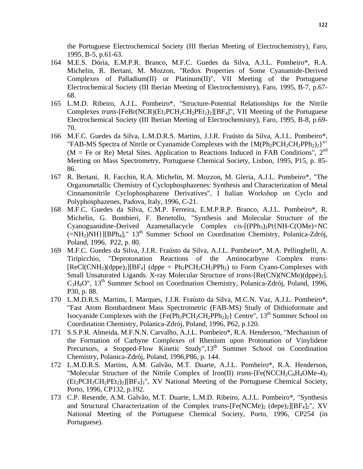the Portuguese Electrochemical Society (III Iberian Meeting of Electrochemistry), Faro, 1995, B-5, p.61-63.

- 164 M.E.S. Dória, E.M.P.R. Branco, M.F.C. Guedes da Silva, A.J.L. Pombeiro\*, R.A. Michelin, R. Bertani, M. Mozzon, "Redox Properties of Some Cyanamide-Derived Complexes of Palladium(II) or Platinum(II)", VII Meeting of the Portuguese Electrochemical Society (III Iberian Meeting of Electrochemistry), Faro, 1995, B-7, p.67- 68.
- 165 L.M.D. Ribeiro, A.J.L. Pombeiro\*, "Structure-Potential Relationships for the Nitrile Complexes *trans*-[FeBr(NCR)( $Et_2PCH_2CH_2PEt_2$ )<sub>2</sub>][BF<sub>4</sub>]", VII Meeting of the Portuguese Electrochemical Society (III Iberian Meeting of Electrochemistry), Faro, 1995, B-8, p.69- 70.
- 166 M.F.C. Guedes da Silva, L.M.D.R.S. Martins, J.J.R. Fraústo da Silva, A.J.L. Pombeiro\*, "FAB-MS Spectra of Nitrile or Cyanamide Complexes with the  ${M(Ph_2PCH_2CH_2PPh_2)_2}^{n+}$ ( $M = Fe$  or Re) Metal Sites. Application to Reactions Induced in FAB Conditions", 2<sup>nd</sup> Meeting on Mass Spectrometry, Portuguese Chemical Society, Lisbon, 1995, P15, p. 85- 86.
- 167 R. Bertani, R. Facchin, R.A. Michelin, M. Mozzon, M. Gleria, A.J.L. Pombeiro\*, "The Organometallic Chemistry of Cyclophosphazenes: Synthesis and Characterization of Metal Cinnamonitrile Cyclophosphazene Derivatives", I Italian Workshop on Cyclo and Polyphosphazenes, Padova, Italy, 1996, C-21.
- 168 M.F.C. Guedes da Silva, C.M.P. Ferreira, E.M.P.R.P. Branco, A.J.L. Pombeiro\*, R. Michelin, G. Bombieri, F. Benetollo, "Synthesis and Molecular Structure of the Cyanoguanidine-Derived Azametallacycle Complex *cis*-[(PPh<sub>3</sub>)<sub>2</sub>Pt{NH-C(OMe)=NC  $(=NH<sub>2</sub>)NH$ }][BPh<sub>4</sub>]," 13<sup>th</sup> Summer School on Coordination Chemistry, Polanica-Zdrój, Poland, 1996*,* P22, p. 80.
- 169 M.F.C. Guedes da Silva, J.J.R. Fraústo da Silva, A.J.L. Pombeiro\*, M.A. Pellinghelli, A. Tiripicchio, "Deprotonation Reactions of the Aminocarbyne Complex *trans*-  $[ReCl(CNH<sub>2</sub>)(dppe)<sub>2</sub>][BF<sub>4</sub>]$  (dppe = Ph<sub>2</sub>PCH<sub>2</sub>CH<sub>2</sub>PPh<sub>2</sub>) to Form Cyano-Complexes with Small Unsaturated Ligands. X-ray Molecular Structure of *trans*-[Re(CN)(NCMe)(dppe)<sub>2</sub>]. C3H8O", 13th Summer School on Coordination Chemistry, Polanica-Zdrój, Poland, 1996*,* P30, p. 88.
- 170 L.M.D.R.S. Martins, I. Marques, J.J.R. Fraústo da Silva, M.C.N. Vaz, A.J.L. Pombeiro\*, "Fast Atom Bombardment Mass Spectrometric (FAB-MS) Study of Dithioformate and Isocyanide Complexes with the  ${Fe(Ph_2PCH_2CH_2PPh_2)_2}$  Centre",  $13<sup>th</sup>$  Summer School on Coordination Chemistry, Polanica-Zdrój*,* Poland, 1996*,* P62, p.120.
- 171 S.S.P.R. Almeida, M.F.N.N. Carvalho, A.J.L. Pombeiro\*, R.A. Henderson, "Mechanism of the Formation of Carbyne Complexes of Rhenium upon Protonation of Vinylidene Precursors, a Stopped-Flow Kinetic Study", 13<sup>th</sup> Summer School on Coordination Chemistry, Polanica-Zdrój, Poland, 1996,P86, p. 144.
- 172 L.M.D.R.S. Martins, A.M. Galvão, M.T. Duarte, A.J.L. Pombeiro\*, R.A. Henderson, "Molecular Structure of the Nitrile Complex of Iron(II) *trans*-[Fe(NCCH<sub>2</sub>C<sub>6</sub>H<sub>4</sub>OMe-4)<sub>2</sub>  $(Et_2PCH_2CH_2PEt_2)_2$ [[BF<sub>4</sub>]<sub>2</sub>", XV National Meeting of the Portuguese Chemical Society, Porto, 1996, CP132, p.192.
- 173 C.P. Resende, A.M. Galvão, M.T. Duarte, L.M.D. Ribeiro, A.J.L. Pombeiro\*, "Synthesis and Structural Characterization of the Complex *trans*-[Fe(NCMe)<sub>2</sub> (depe)<sub>2</sub>][BF<sub>4</sub>]<sub>2</sub>", XV National Meeting of the Portuguese Chemical Society, Porto, 1996, CP254 (in Portuguese).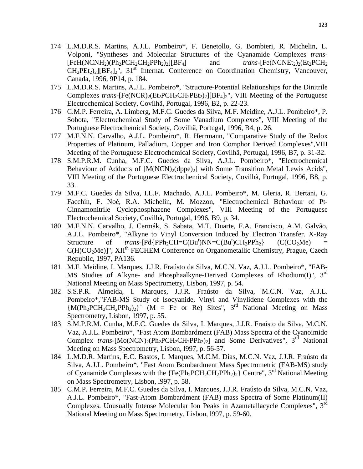- 174 L.M.D.R.S. Martins, A.J.L. Pombeiro\*, F. Benetollo, G. Bombieri, R. Michelin, L. Volponi, "Syntheses and Molecular Structures of the Cyanamide Complexes *trans*-  $[FeH(NCNH<sub>2</sub>)(Ph<sub>2</sub>PCH<sub>2</sub>CH<sub>2</sub>PPh<sub>2</sub>)<sub>24</sub>]$  and *trans*- $[Fe(NCNEt<sub>2</sub>)<sub>2</sub>(Et<sub>2</sub>PCH<sub>2</sub>]$  $CH_2PEt_2)_2$ [ $BF_4$ ]<sub>2</sub>", 31<sup>st</sup> Internat. Conference on Coordination Chemistry, Vancouver, Canada, 1996, 9P14, p. 184.
- 175 L.M.D.R.S. Martins, A.J.L. Pombeiro\*, "Structure-Potential Relationships for the Dinitrile Complexes *trans*-[Fe(NCR)<sub>2</sub>(Et<sub>2</sub>PCH<sub>2</sub>CH<sub>2</sub>PEt<sub>2</sub>)<sub>2</sub>][BF<sub>4</sub>]<sub>2</sub>", VIII Meeting of the Portuguese Electrochemical Society, Covilhã, Portugal, 1996, B2, p. 22-23.
- 176 C.M.P. Ferreira, A. Limberg, M.F.C. Guedes da Silva, M.F. Meidine, A.J.L. Pombeiro\*, P. Sobota, "Electrochemical Study of Some Vanadium Complexes", VIII Meeting of the Portuguese Electrochemical Society, Covilhã, Portugal, 1996, B4, p. 26.
- 177 M.F.N.N. Carvalho, A.J.L. Pombeiro\*, R. Herrmann, "Comparative Study of the Redox Properties of Platinum, Palladium, Copper and Iron Comphor Derived Complexes",VIII Meeting of the Portuguese Electrochemical Society, Covilhã, Portugal, 1996, B7, p. 31-32.
- 178 S.M.P.R.M. Cunha, M.F.C. Guedes da Silva, A.J.L. Pombeiro\*, "Electrochemical Behaviour of Adducts of  $[M(NCN)_2(dppe)_2]$  with Some Transition Metal Lewis Acids", VIII Meeting of the Portuguese Electrochemical Society, Covilhã, Portugal, 1996, B8, p. 33.
- 179 M.F.C. Guedes da Silva, I.L.F. Machado, A.J.L. Pombeiro\*, M. Gleria, R. Bertani, G. Facchin, F. Noé, R.A. Michelin, M. Mozzon, "Electrochemical Behaviour of Pt-Cinnamonitrile Cyclophosphazene Complexes", VIII Meeting of the Portuguese Electrochemical Society, Covilhã, Portugal, 1996, B9, p. 34.
- 180 M.F.N.N. Carvalho, J. Cermák, S. Sabata, M.T. Duarte, F.A. Francisco, A.M. Galvão, A.J.L. Pombeiro\*, "Alkyne to Vinyl Conversion Induced by Electron Transfer. X-Ray Structure of *trans*-[Pd{PPh<sub>2</sub>CH=C(Bu<sup>t</sup>)NN=C(Bu<sup>t</sup>)  $(C(CO<sub>2</sub>Me) =$  $C(H)CO<sub>2</sub>Me$ ]", XII<sup>th</sup> FECHEM Conference on Organometallic Chemistry, Prague, Czech Republic, 1997, PA136.
- 181 M.F. Meidine, I. Marques, J.J.R. Fraústo da Silva, M.C.N. Vaz, A.J.L. Pombeiro\*, "FAB-MS Studies of Alkyne- and Phosphaalkyne-Derived Complexes of Rhodium(I)", 3<sup>rd</sup> National Meeting on Mass Spectrometry, Lisbon, 1997, p. 54.
- 182 S.S.P.R. Almeida, I. Marques, J.J.R. Fraústo da Silva, M.C.N. Vaz, A.J.L. Pombeiro\*,"FAB-MS Study of Isocyanide, Vinyl and Vinylidene Complexes with the  ${M(Ph_2PCH_2CH_2PPh_2)_2}^+$  (M = Fe or Re) Sites", 3<sup>rd</sup> National Meeting on Mass Spectrometry, Lisbon, 1997, p. 55.
- 183 S.M.P.R.M. Cunha, M.F.C. Guedes da Silva, I. Marques, J.J.R. Fraústo da Silva, M.C.N. Vaz, A.J.L. Pombeiro\*, "Fast Atom Bombardment (FAB) Mass Spectra of the Cyanoimido Complex *trans*- $[Mo(NCN)_2(Ph_2PCH_2CH_2PPh_2)_2]$  and Some Derivatives",  $3<sup>rd</sup>$  National Meeting on Mass Spectrometry, Lisbon, l997, p. 56-57.
- 184 L.M.D.R. Martins, E.C. Bastos, I. Marques, M.C.M. Dias, M.C.N. Vaz, J.J.R. Fraústo da Silva, A.J.L. Pombeiro\*, "Fast Atom Bombardment Mass Spectrometric (FAB-MS) study of Cyanamide Complexes with the  ${Fe(Ph_2PCH_2CH_2PPh_2)_2}$  Centre", 3<sup>rd</sup> National Meeting on Mass Spectrometry, Lisbon, l997, p. 58.
- 185 C.M.P. Ferreira, M.F.C. Guedes da Silva, I. Marques, J.J.R. Fraústo da Silva, M.C.N. Vaz, A.J.L. Pombeiro\*, "Fast-Atom Bombardment (FAB) mass Spectra of Some Platinum(II) Complexes. Unusually Intense Molecular Ion Peaks in Azametallacycle Complexes", 3rd National Meeting on Mass Spectrometry, Lisbon, l997, p. 59-60.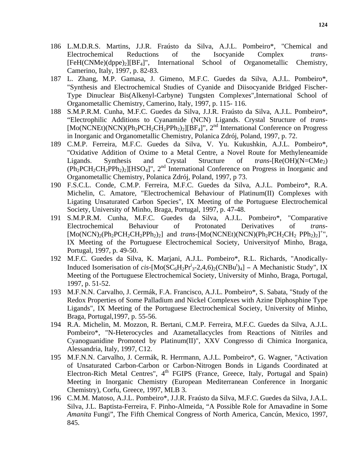- 186 L.M.D.R.S. Martins, J.J.R. Fraústo da Silva, A.J.L. Pombeiro\*, "Chemical and Electrochemical Reductions of the Isocyanide Complex *trans*- [FeH(CNMe)(dppe)2][BF4]", International School of Organometallic Chemistry, Camerino, Italy, 1997, p. 82-83.
- 187 L. Zhang, M.P. Gamasa, J. Gimeno, M.F.C. Guedes da Silva, A.J.L. Pombeiro\*, "Synthesis and Electrochemical Studies of Cyanide and Diisocyanide Bridged Fischer-Type Dinuclear Bis(Alkenyl-Carbyne) Tungsten Complexes",International School of Organometallic Chemistry, Camerino, Italy, 1997, p. 115- 116.
- 188 S.M.P.R.M. Cunha, M.F.C. Guedes da Silva, J.J.R. Fraústo da Silva, A.J.L. Pombeiro\*, "Electrophilic Additions to Cyanamide (NCN) Ligands. Crystal Structure of *trans*-  $[Mo(NCNEt)(NCN)(Ph<sub>2</sub>PCH<sub>2</sub>CH<sub>2</sub>PPh<sub>2</sub>)<sub>2</sub>][BF<sub>4</sub>]<sup>n</sup>$ ,  $2<sup>nd</sup> International Conference on Progress$ in Inorganic and Organometallic Chemistry, Polanica Zdrój, Poland, 1997, p. 72.
- 189 C.M.P. Ferreira, M.F.C. Guedes da Silva, V. Yu. Kukushkin, A.J.L. Pombeiro\*, "Oxidative Addition of Oxime to a Metal Centre, a Novel Route for Methyleneamide Ligands. Synthesis and Crystal Structure of *trans*-[Re(OH)(N=CMe<sub>2</sub>)  $(Ph_2PCH_2CH_2PPh_2)_2$ [HSO<sub>4</sub>]", 2<sup>nd</sup> International Conference on Progress in Inorganic and Organometallic Chemistry, Polanica Zdrój, Poland, 1997, p 73.
- 190 F.S.C.L. Conde, C.M.P. Ferreira, M.F.C. Guedes da Silva, A.J.L. Pombeiro\*, R.A. Michelin, C. Amatore, "Electrochemical Behaviour of Platinum(II) Complexes with Ligating Unsaturated Carbon Species", IX Meeting of the Portuguese Electrochemical Society, University of Minho, Braga, Portugal, 1997, p. 47-48.
- 191 S.M.P.R.M. Cunha, M.F.C. Guedes da Silva, A.J.L. Pombeiro\*, "Comparative Electrochemical Behaviour of Protonated Derivatives of *trans*-  $[Mo(NCN)_2(Ph_2PCH_2CH_2PPh_2)_2]$  and *trans*- $[Mo(NCNEt)(NCN)(Ph_2PCH_2CH_2 PPh_2)_2]^+$ ", IX Meeting of the Portuguese Electrochemical Society, Universityof Minho, Braga, Portugal, 1997, p. 49-50.
- 192 M.F.C. Guedes da Silva, K. Marjani, A.J.L. Pombeiro\*, R.L. Richards, "Anodically-Induced Isomerisation of  $cis$ -[Mo(SC<sub>6</sub>H<sub>2</sub>Pr<sup>i</sup><sub>3</sub>-2,4,6)<sub>2</sub>(CNBu<sup>t</sup>)<sub>4</sub>] – A Mechanistic Study", IX Meeting of the Portuguese Electrochemical Society, University of Minho, Braga, Portugal, 1997, p. 51-52.
- 193 M.F.N.N. Carvalho, J. Cermák, F.A. Francisco, A.J.L. Pombeiro\*, S. Sabata, "Study of the Redox Properties of Some Palladium and Nickel Complexes with Azine Diphosphine Type Ligands", IX Meeting of the Portuguese Electrochemical Society, University of Minho, Braga, Portugal,1997, p. 55-56.
- 194 R.A. Michelin, M. Mozzon, R. Bertani, C.M.P. Ferreira, M.F.C. Guedes da Silva, A.J.L. Pombeiro\*, "N-Heterocycles and Azametallacycles from Reactions of Nitriles and Cyanoguanidine Promoted by Platinum(II)", XXV Congresso di Chimica Inorganica, Alessandria, Italy, 1997, C12.
- 195 M.F.N.N. Carvalho, J. Cermák, R. Herrmann, A.J.L. Pombeiro\*, G. Wagner, "Activation of Unsaturated Carbon-Carbon or Carbon-Nitrogen Bonds in Ligands Coordinated at Electron-Rich Metal Centres",  $4<sup>th</sup>$  FGIPS (France, Greece, Italy, Portugal and Spain) Meeting in Inorganic Chemistry (European Mediterranean Conference in Inorganic Chemistry), Corfu, Greece, 1997, MLB 3.
- 196 C.M.M. Matoso, A.J.L. Pombeiro\*, J.J.R. Fraústo da Silva, M.F.C. Guedes da Silva, J.A.L. Silva, J.L. Baptista-Ferreira, F. Pinho-Almeida, "A Possible Role for Amavadine in Some *Amanita* Fungi", The Fifth Chemical Congress of North America, Cancún, Mexico, 1997, 845.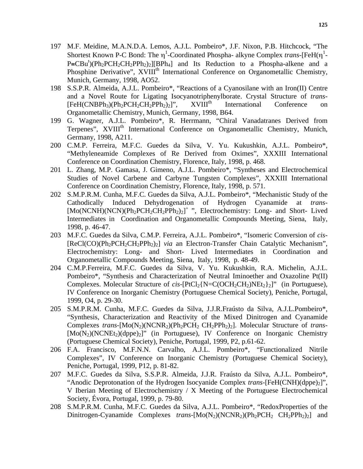- 197 M.F. Meidine, M.A.N.D.A. Lemos, A.J.L. Pombeiro\*, J.F. Nixon, P.B. Hitchcock, "The Shortest Known P-C Bond: The η<sup>1</sup>-Coordinated Phospha- alkyne Complex *trans*-[FeH(η<sup>1</sup>- $P = CBu<sup>t</sup>$ )(Ph<sub>2</sub>PCH<sub>2</sub>CH<sub>2</sub>PPh<sub>2</sub>)<sub>2</sub>][BPh<sub>4</sub>] and Its Reduction to a Phospha-alkene and a Phosphine Derivative", XVIII<sup>th</sup> International Conference on Organometallic Chemistry, Munich, Germany, 1998, AO52.
- 198 S.S.P.R. Almeida, A.J.L. Pombeiro\*, "Reactions of a Cyanosilane with an Iron(II) Centre and a Novel Route for Ligating Isocyanotriphenylborate. Crystal Structure of *trans*-  $[FeH(CNBPh<sub>3</sub>)(Ph<sub>2</sub>PCH<sub>2</sub>CH<sub>2</sub>PPh<sub>2</sub>)<sub>2</sub>]'',$  XVIII<sup>th</sup> International Conference on Organometallic Chemistry, Munich, Germany, 1998, B64.
- 199 G. Wagner, A.J.L. Pombeiro\*, R. Herrmann, "Chiral Vanadatranes Derived from Terpenes", XVIII<sup>th</sup> International Conference on Organometallic Chemistry, Munich, Germany, 1998, A211.
- 200 C.M.P. Ferreira, M.F.C. Guedes da Silva, V. Yu. Kukushkin, A.J.L. Pombeiro\*, "Methyleneamide Complexes of Re Derived from Oximes", XXXIII International Conference on Coordination Chemistry, Florence, Italy, 1998, p. 468.
- 201 L. Zhang, M.P. Gamasa, J. Gimeno, A.J.L. Pombeiro\*, "Syntheses and Electrochemical Studies of Novel Carbene and Carbyne Tungsten Complexes", XXXIII International Conference on Coordination Chemistry, Florence, Italy, 1998, p. 571.
- 202 S.M.P.R.M. Cunha, M.F.C. Guedes da Silva, A.J.L. Pombeiro\*, "Mechanistic Study of the Cathodically Induced Dehydrogenation of Hydrogen Cyanamide at *trans*- [Mo(NCNH)(NCN)(Ph<sub>2</sub>PCH<sub>2</sub>CH<sub>2</sub>PPh<sub>2</sub>)<sub>2</sub>]<sup>+</sup> ", Electrochemistry: Long- and Short- Lived Intermediates in Coordination and Organometallic Compounds Meeting, Siena, Italy, 1998, p. 46-47.
- 203 M.F.C. Guedes da Silva, C.M.P. Ferreira, A.J.L. Pombeiro\*, "Isomeric Conversion of *cis* [ReCl(CO)(Ph<sub>2</sub>PCH<sub>2</sub>CH<sub>2</sub>PPh<sub>2</sub>)<sub>2</sub>] *via* an Electron-Transfer Chain Catalytic Mechanism", Electrochemistry: Long- and Short- Lived Intermediates in Coordination and Organometallic Compounds Meeting, Siena, Italy, 1998, p. 48-49.
- 204 C.M.P.Ferreira, M.F.C. Guedes da Silva, V. Yu. Kukushkin, R.A. Michelin, A.J.L. Pombeiro\*, "Synthesis and Characterization of Neutral Iminoether and Oxazoline Pt(II) Complexes. Molecular Structure of *cis*- $[PtCl<sub>2</sub>{N=CC(OCH<sub>2</sub>CH<sub>2</sub>)NEt<sub>2</sub>}$ <sup>"</sup> (in Portuguese), IV Conference on Inorganic Chemistry (Portuguese Chemical Society), Peniche, Portugal, 1999, O4, p. 29-30.
- 205 S.M.P.R.M. Cunha, M.F.C. Guedes da Silva, J.J.R.Fraústo da Silva, A.J.L.Pombeiro\*, "Synthesis, Characterization and Reactivity of the Mixed Dinitrogen and Cyanamide Complexes *trans*-[Mo(N<sub>2</sub>)(NCNR<sub>2</sub>)(Ph<sub>2</sub>PCH<sub>2</sub> CH<sub>2</sub>PPh<sub>2</sub>)<sub>2</sub>]. Molecular Structure of *trans*- $[Mo(N<sub>2</sub>)(NCNE<sub>t<sub>2</sub></sub>)(dppe)<sub>2</sub>]'$  (in Portuguese), IV Conference on Inorganic Chemistry (Portuguese Chemical Society), Peniche, Portugal, 1999, P2, p.61-62.
- 206 F.A. Francisco, M.F.N.N. Carvalho, A.J.L. Pombeiro\*, "Functionalized Nitrile Complexes", IV Conference on Inorganic Chemistry (Portuguese Chemical Society), Peniche, Portugal, 1999, P12, p. 81-82.
- 207 M.F.C. Guedes da Silva, S.S.P.R. Almeida, J.J.R. Fraústo da Silva, A.J.L. Pombeiro\*, "Anodic Deprotonation of the Hydrogen Isocyanide Complex *trans*-[FeH(CNH)(dppe)<sub>2</sub>]", V Iberian Meeting of Electrochemistry / X Meeting of the Portuguese Electrochemical Society, Évora, Portugal, 1999, p. 79-80.
- 208 S.M.P.R.M. Cunha, M.F.C. Guedes da Silva, A.J.L. Pombeiro\*, "RedoxProperties of the Dinitrogen-Cyanamide Complexes *trans*-[Mo(N<sub>2</sub>)(NCNR<sub>2</sub>)(Ph<sub>2</sub>PCH<sub>2</sub> CH<sub>2</sub>PPh<sub>2</sub>)<sub>2</sub>] and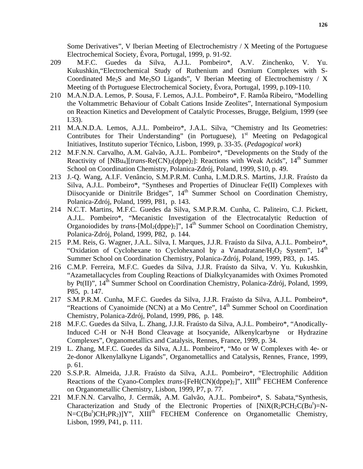Some Derivatives", V Iberian Meeting of Electrochemistry / X Meeting of the Portuguese Electrochemical Society, Évora, Portugal, 1999, p. 91-92.

- 209 M.F.C. Guedes da Silva, A.J.L. Pombeiro\*, A.V. Zinchenko, V. Yu. Kukushkin,"Electrochemical Study of Ruthenium and Osmium Complexes with S-Coordinated Me<sub>2</sub>S and Me<sub>2</sub>SO Ligands", V Iberian Meeting of Electrochemistry / X Meeting of th Portuguese Electrochemical Society, Évora, Portugal, 1999, p.109-110.
- 210 M.A.N.D.A. Lemos, P. Sousa, F. Lemos, A.J.L. Pombeiro\*, F. Ramôa Ribeiro, "Modelling the Voltammetric Behaviour of Cobalt Cations Inside Zeolites", International Symposium on Reaction Kinetics and Development of Catalytic Processes, Brugge, Belgium, 1999 (see I.33).
- 211 M.A.N.D.A. Lemos, A.J.L. Pombeiro\*, J.A.L. Silva, "Chemistry and Its Geometries: Contributes for Their Understanding" (in Portuguese),  $1<sup>st</sup>$  Meeting on Pedagogical Initiatives, Instituto superior Técnico, Lisbon, 1999, p. 33-35. (*Pedagogical work*)
- 212 M.F.N.N. Carvalho, A.M. Galvão, A.J.L. Pombeiro\*, "Developments on the Study of the Reactivity of  $[NBu_4][trans-Re(CN)_2(dppe)_2]$ : Reactions with Weak Acids",  $14<sup>th</sup>$  Summer School on Coordination Chemistry, Polanica-Zdrój, Poland, 1999, S10, p. 49.
- 213 J.-Q. Wang, A.I.F. Venâncio, S.M.P.R.M. Cunha, L.M.D.R.S. Martins, J.J.R. Fraústo da Silva, A.J.L. Pombeiro\*, "Syntheses and Properties of Dinuclear Fe(II) Complexes with Diisocyanide or Dinitrile Bridges",  $14<sup>th</sup>$  Summer School on Coordination Chemistry, Polanica-Zdrój, Poland, 1999, P81, p. 143.
- 214 N.C.T. Martins, M.F.C. Guedes da Silva, S.M.P.R.M. Cunha, C. Paliteiro, C.J. Pickett, A.J.L. Pombeiro\*, "Mecanistic Investigation of the Electrocatalytic Reduction of Organoiodides by *trans*- $[MoI<sub>2</sub>(dppe)<sub>2</sub>]<sup>n</sup>$ , 14<sup>th</sup> Summer School on Coordination Chemistry, Polanica-Zdrój, Poland, 1999, P82, p. 144.
- 215 P.M. Reis, G. Wagner, J.A.L. Silva, I. Marques, J.J.R. Fraústo da Silva, A.J.L. Pombeiro\*, "Oxidation of Cyclohexane to Cyclohexanol by a Vanadratane/ $H_2O_2$  System", 14<sup>th</sup> Summer School on Coordination Chemistry, Polanica-Zdrój, Poland, 1999, P83, p. 145.
- 216 C.M.P. Ferreira, M.F.C. Guedes da Silva, J.J.R. Fraústo da Silva, V. Yu. Kukushkin, "Azametallacycles from Coupling Reactions of Dialkylcyanamides with Oximes Promoted by Pt(II)", 14<sup>th</sup> Summer School on Coordination Chemistry, Polanica-Zdrój, Poland, 1999, P85, p. 147.
- 217 S.M.P.R.M. Cunha, M.F.C. Guedes da Silva, J.J.R. Fraústo da Silva, A.J.L. Pombeiro\*, "Reactions of Cyanoimide (NCN) at a Mo Centre",  $14<sup>th</sup>$  Summer School on Coordination Chemistry, Polanica-Zdrój, Poland, 1999, P86, p. 148.
- 218 M.F.C. Guedes da Silva, L. Zhang, J.J.R. Fraústo da Silva, A.J.L. Pombeiro\*, "Anodically-Induced C-H or N-H Bond Cleavage at Isocyanide, Alkenylcarbyne or Hydrazine Complexes", Organometallics and Catalysis, Rennes, France, 1999, p. 34.
- 219 L. Zhang, M.F.C. Guedes da Silva, A.J.L. Pombeiro\*, "Mo or W Complexes with 4e- or 2e-donor Alkenylalkyne Ligands", Organometallics and Catalysis, Rennes, France, 1999, p. 61.
- 220 S.S.P.R. Almeida, J.J.R. Fraústo da Silva, A.J.L. Pombeiro\*, "Electrophilic Addition Reactions of the Cyano-Complex *trans*-[FeH(CN)(dppe)<sub>2</sub>]", XIII<sup>th</sup> FECHEM Conference on Organometallic Chemistry, Lisbon, 1999, P7, p. 77.
- 221 M.F.N.N. Carvalho, J. Cermák, A.M. Galvão, A.J.L. Pombeiro\*, S. Sabata,"Synthesis, Characterization and Study of the Electronic Properties of  $[NiX(R_2PCH_2C(Bu^t)=N N = C(Bu^t)CH_2PR_2$ ]Y", XIII<sup>th</sup> FECHEM Conference on Organometallic Chemistry, Lisbon, 1999, P41, p. 111.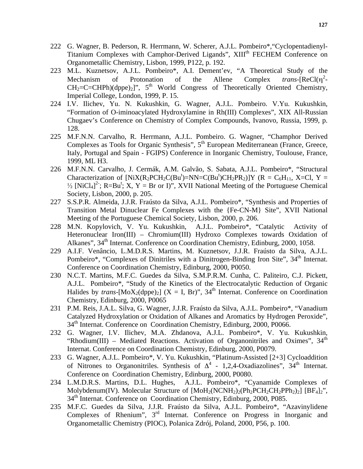- 222 G. Wagner, B. Pederson, R. Herrmann, W. Scherer, A.J.L. Pombeiro\*,"Cyclopentadienyl-Titanium Complexes with Camphor-Derived Ligands", XIII<sup>th</sup> FECHEM Conference on Organometallic Chemistry, Lisbon, 1999, P122, p. 192.
- 223 M.L. Kuznetsov, A.J.L. Pombeiro\*, A.I. Dement'ev, "A Theoretical Study of the Mechanism of Protonation of the Allene Complex *trans*-[ReCl(η  $\frac{2}{1}$  $CH_2=C=CHPh)(dppe)_2]$ ",  $5<sup>th</sup>$  World Congress of Theoretically Oriented Chemistry, Imperial College, London, 1999, P. 15.
- 224 I.V. Ilichev, Yu. N. Kukushkin, G. Wagner, A.J.L. Pombeiro. V.Yu. Kukushkin, "Formation of O-iminoacylated Hydroxylamine in Rh(III) Complexes", XIX All-Russian Chugaev's Conference on Chemistry of Complex Compounds, Ivanovo, Russia, 1999, p. 128.
- 225 M.F.N.N. Carvalho, R. Herrmann, A.J.L. Pombeiro. G. Wagner, "Champhor Derived Complexes as Tools for Organic Synthesis", 5<sup>th</sup> European Mediterranean (France, Greece, Italy, Portugal and Spain - FGIPS) Conference in Inorganic Chemistry, Toulouse, France, 1999, ML H3.
- 226 M.F.N.N. Carvalho, J. Cermák, A.M. Galvão, S. Sabata, A.J.L. Pombeiro\*, "Structural Characterization of [NiX(R<sub>2</sub>PCH<sub>2</sub>C(Bu<sup>t</sup>)=NN=C(Bu<sup>t</sup>)CH<sub>2</sub>PR<sub>2</sub>)]Y (R = C<sub>6</sub>H<sub>11</sub>, X=Cl, Y = <sup>1</sup>/<sub>2</sub> [NiCl<sub>4</sub>]<sup>2</sup>; R=Bu<sup>t</sup>; X, Y = Br or I)", XVII National Meeting of the Portuguese Chemical Society, Lisbon, 2000, p. 205.
- 227 S.S.P.R. Almeida, J.J.R. Fraústo da Silva, A.J.L. Pombeiro\*, "Synthesis and Properties of Transition Metal Dinuclear Fe Complexes with the {Fe-CN-M} Site", XVII National Meeting of the Portuguese Chemical Society, Lisbon, 2000, p. 206.
- 228 M.N. Kopylovich, V. Yu. Kukushkin, A.J.L. Pombeiro\*, "Catalytic Activity of Heteronuclear Iron(III) – Chromium(III) Hydroxo Complexes towards Oxidation of Alkanes", 34<sup>th</sup> Internat. Conference on Coordination Chemistry, Edinburg, 2000, 1058.
- 229 A.I.F. Venâncio, L.M.D.R.S. Martins, M. Kuznetsov, J.J.R. Fraústo da Silva, A.J.L. Pombeiro\*, "Complexes of Dinitriles with a Dinitrogen-Binding Iron Site", 34<sup>th</sup> Internat. Conference on Coordination Chemistry, Edinburg, 2000, P0050.
- 230 N.C.T. Martins, M.F.C. Guedes da Silva, S.M.P.R.M. Cunha, C. Paliteiro, C.J. Pickett, A.J.L. Pombeiro\*, "Study of the Kinetics of the Electrocatalytic Reduction of Organic Halides by *trans*- $[MoX_2(dppe)_2]$  (X = I, Br)", 34<sup>th</sup> Internat. Conference on Coordination Chemistry, Edinburg, 2000, P0065
- 231 P.M. Reis, J.A.L. Silva, G. Wagner, J.J.R. Fraústo da Silva, A.J.L. Pombeiro\*, "Vanadium Catalyzed Hydroxylation or Oxidation of Alkanes and Aromatics by Hydrogen Peroxide", 34<sup>th</sup> Internat. Conference on Coordination Chemistry, Edinburg, 2000, P0066.
- 232 G. Wagner, I.V. Ilichev, M.A. Zhdanova, A.J.L. Pombeiro\*, V. Yu. Kukushkin, "Rhodium(III) – Mediated Reactions. Activation of Organonitriles and Oximes",  $34<sup>th</sup>$ Internat. Conference on Coordination Chemistry, Edinburg, 2000, P0079.
- 233 G. Wagner, A.J.L. Pombeiro\*, V. Yu. Kukushkin, "Platinum-Assisted [2+3] Cycloaddition of Nitrones to Organonitriles. Synthesis of  $\Delta^4$  - 1,2,4-Oxadiazolines", 34<sup>th</sup> Internat. Conference on Coordination Chemistry, Edinburg, 2000, P0080.
- 234 L.M.D.R.S. Martins, D.L. Hughes, A.J.L. Pombeiro\*, "Cyanamide Complexes of Molybdenum(IV). Molecular Structure of  $[MoH_2(NCNH_2)_2(Ph_2PCH_2CH_2PPh_2)_2]$   $[BF_4]_2$ ", 34<sup>th</sup> Internat. Conference on Coordination Chemistry, Edinburg, 2000, P085.
- 235 M.F.C. Guedes da Silva, J.J.R. Fraústo da Silva, A.J.L. Pombeiro\*, "Azavinylidene Complexes of Rhenium", 3<sup>rd</sup> Internat. Conference on Progress in Inorganic and Organometallic Chemistry (PIOC), Polanica Zdrój, Poland, 2000, P56, p. 100.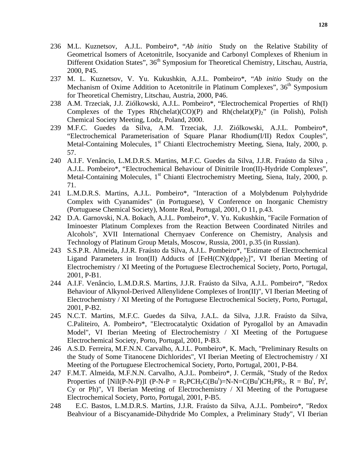- 236 M.L. Kuznetsov, A.J.L. Pombeiro\*, "*Ab initio* Study on the Relative Stability of Geometrical Isomers of Acetonitrile, Isocyanide and Carbonyl Complexes of Rhenium in Different Oxidation States", 36<sup>th</sup> Symposium for Theoretical Chemistry, Litschau, Austria, 2000, P45.
- 237 M. L. Kuznetsov, V. Yu. Kukushkin, A.J.L. Pombeiro\*, "*Ab initio* Study on the Mechanism of Oxime Addition to Acetonitrile in Platinum Complexes", 36<sup>th</sup> Symposium for Theoretical Chemistry, Litschau, Austria, 2000, P46.
- 238 A.M. Trzeciak, J.J. Ziólkowski, A.J.L. Pombeiro\*, "Electrochemical Properties of Rh(I) Complexes of the Types  $Rh(chelat)(CO)(P)$  and  $Rh(chelat)(P)_2$ " (in Polish), Polish Chemical Society Meeting, Lodz, Poland, 2000.
- 239 M.F.C. Guedes da Silva, A.M. Trzeciak, J.J. Ziólkowski, A.J.L. Pombeiro\*, "Electrochemical Parameterisation of Square Planar Rhodium(I/II) Redox Couples", Metal-Containing Molecules, 1<sup>st</sup> Chianti Electrochemistry Meeting, Siena, Italy, 2000, p. 57.
- 240 A.I.F. Venâncio, L.M.D.R.S. Martins, M.F.C. Guedes da Silva, J.J.R. Fraústo da Silva , A.J.L. Pombeiro\*, "Electrochemical Behaviour of Dinitrile Iron(II)-Hydride Complexes", Metal-Containing Molecules, 1<sup>st</sup> Chianti Electrochemistry Meeting, Siena, Italy, 2000, p. 71.
- 241 L.M.D.R.S. Martins, A.J.L. Pombeiro\*, "Interaction of a Molybdenum Polyhydride Complex with Cyanamides" (in Portuguese), V Conference on Inorganic Chemistry (Portuguese Chemical Society), Monte Real, Portugal, 2001, O 11, p.43.
- 242 D.A. Garnovski, N.A. Bokach, A.J.L. Pombeiro\*, V. Yu. Kukushkin, "Facile Formation of Iminoester Platinum Complexes from the Reaction Between Coordinated Nitriles and Alcohols", XVII International Chernyaev Conference on Chemistry, Analysis and Technology of Platinum Group Metals, Moscow, Russia, 2001, p.35 (in Russian).
- 243 S.S.P.R. Almeida, J.J.R. Fraústo da Silva, A.J.L. Pombeiro\*, "Estimate of Electrochemical Ligand Parameters in Iron(II) Adducts of  $[FeH(CN)(dppe)_2]$ ", VI Iberian Meeting of Electrochemistry / XI Meeting of the Portuguese Electrochemical Society, Porto, Portugal, 2001, P-B1.
- 244 A.I.F. Venâncio, L.M.D.R.S. Martins, J.J.R. Fraústo da Silva, A.J.L. Pombeiro\*, "Redox Behaviour of Alkynol-Derived Allenylidene Complexes of Iron(II)", VI Iberian Meeting of Electrochemistry / XI Meeting of the Portuguese Electrochemical Society, Porto, Portugal, 2001, P-B2.
- 245 N.C.T. Martins, M.F.C. Guedes da Silva, J.A.L. da Silva, J.J.R. Fraústo da Silva, C.Paliteiro, A. Pombeiro\*, "Electrocatalytic Oxidation of Pyrogallol by an Amavadin Model", VI Iberian Meeting of Electrochemistry / XI Meeting of the Portuguese Electrochemical Society, Porto, Portugal, 2001, P-B3.
- 246 A.S.D. Ferreira, M.F.N.N. Carvalho, A.J.L. Pombeiro\*, K. Mach, "Preliminary Results on the Study of Some Titanocene Dichlorides", VI Iberian Meeting of Electrochemistry / XI Meeting of the Portuguese Electrochemical Society, Porto, Portugal, 2001, P-B4.
- 247 F.M.T. Almeida, M.F.N.N. Carvalho, A.J.L. Pombeiro\*, J. Cermák, "Study of the Redox Properties of [NiI(P-N-P)]I (P-N-P = R<sub>2</sub>PCH<sub>2</sub>C(Bu<sup>t</sup>)=N-N=C(Bu<sup>t</sup>)CH<sub>2</sub>PR<sub>2</sub>, R = Bu<sup>t</sup>, Pr<sup>i</sup>, Cy or Ph)", VI Iberian Meeting of Electrochemistry / XI Meeting of the Portuguese Electrochemical Society, Porto, Portugal, 2001, P-B5.
- 248 E.C. Bastos, L.M.D.R.S. Martins, J.J.R. Fraústo da Silva, A.J.L. Pombeiro\*, "Redox Beahviour of a Biscyanamide-Dihydride Mo Complex, a Preliminary Study", VI Iberian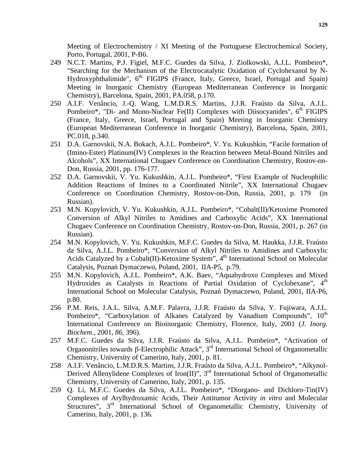Meeting of Electrochemistry / XI Meeting of the Portuguese Electrochemical Society, Porto, Portugal, 2001, P-B6.

- 249 N.C.T. Martins, P.J. Figiel, M.F.C. Guedes da Silva, J. Ziolkowski, A.J.L. Pombeiro\*, "Searching for the Mechanism of the Electrocatalytic Oxidation of Cyclohexanol by N-Hydroxyphthalimide",  $6<sup>th</sup>$  FIGIPS (France, Italy, Greece, Israel, Portugal and Spain) Meeting in Inorganic Chemistry (European Mediterranean Conference in Inorganic Chemistry), Barcelona, Spain, 2001, PA.058, p.170.
- 250 A.I.F. Venâncio, J.-Q. Wang, L.M.D.R.S. Martins, J.J.R. Fraústo da Silva, A.J.L. Pombeiro\*, "Di- and Mono-Nuclear Fe(II) Complexes with Diisocyanides",  $6<sup>th</sup>$  FIGIPS (France, Italy, Greece, Israel, Portugal and Spain) Meeting in Inorganic Chemistry (European Mediterranean Conference in Inorganic Chemistry), Barcelona, Spain, 2001, PC.018, p.340.
- 251 D.A. Garnovskii, N.A. Bokach, A.J.L. Pombeiro\*, V. Yu. Kukushkin, "Facile formation of (Imino-Ester) Platinum(IV) Complexes in the Reaction between Metal-Bound Nitriles and Alcohols", XX International Chugaev Conference on Coordination Chemistry, Rostov-on-Don, Russia, 2001, pp. 176-177.
- 252 D.A. Garnovskii, V. Yu. Kukushkin, A.J.L. Pombeiro\*, "First Example of Nucleophilic Addition Reactions of Imines to a Coordinated Nitrile", XX International Chugaev Conference on Coordination Chemistry, Rostov-on-Don, Russia, 2001, p. 179 (in Russian).
- 253 M.N. Kopylovich, V. Yu. Kukushkin, A.J.L. Pombeiro\*, "Cobalt(II)/Ketoxime Promoted Conversion of Alkyl Nitriles to Amidines and Carboxylic Acids", XX International Chugaev Conference on Coordination Chemistry, Rostov-on-Don, Russia, 2001, p. 267 (in Russian).
- 254 M.N. Kopylovich, V. Yu. Kukushkin, M.F.C. Guedes da Silva, M. Haukka, J.J.R. Fraústo da Silva, A.J.L. Pombeiro\*, "Conversion of Alkyl Nitriles to Amidines and Carboxylic Acids Catalyzed by a Cobalt(II)-Ketoxime System",  $4<sup>th</sup>$  International School on Molecular Catalysis, Poznań Dymaczewo, Poland, 2001, IIA-P5, p.79.
- 255 M.N. Kopylovich, A.J.L. Pombeiro\*, A.K. Baev, "Aquahydroxo Complexes and Mixed Hydroxides as Catalysts in Reactions of Partial Oxidation of Cyclohexane", 4<sup>th</sup> International School on Molecular Catalysis, Poznań Dymaczewo, Poland, 2001, IIA-P6, p.80.
- 256 P.M. Reis, J.A.L. Silva, A.M.F. Palavra, J.J.R. Fraústo da Silva, Y. Fujiwara, A.J.L. Pombeiro\*, "Carboxylation of Alkanes Catalyzed by Vanadium Compounds", 10<sup>th</sup> International Conference on Bioinorganic Chemistry, Florence, Italy, 2001 (*J. Inorg. Biochem*., 2001, *86*, 396).
- 257 M.F.C. Guedes da Silva, J.J.R. Fraústo da Silva, A.J.L. Pombeiro\*, "Activation of Organonitriles towards β-Electrophilic Attack", 3rd International School of Organometallic Chemistry, University of Camerino, Italy, 2001, p. 81.
- 258 A.I.F. Venâncio, L.M.D.R.S. Martins, J.J.R. Fraústo da Silva, A.J.L. Pombeiro\*, "Alkynol-Derived Allenylidene Complexes of Iron(II)",  $3<sup>rd</sup>$  International School of Organometallic Chemistry, University of Camerino, Italy, 2001, p. 135.
- 259 Q. Li, M.F.C. Guedes da Silva, A.J.L. Pombeiro\*, "Diorgano- and Dichloro-Tin(IV) Complexes of Arylhydroxamic Acids, Their Antitumor Activity *in vitro* and Molecular Structures", 3<sup>rd</sup> International School of Organometallic Chemistry, University of Camerino, Italy, 2001, p. 136.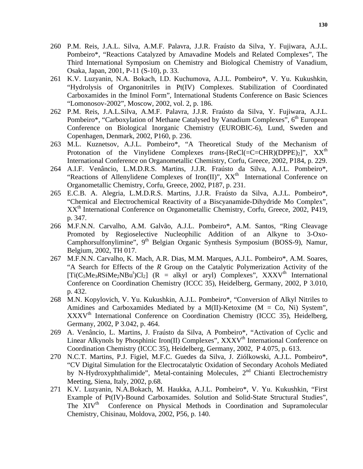- 260 P.M. Reis, J.A.L. Silva, A.M.F. Palavra, J.J.R. Fraústo da Silva, Y. Fujiwara, A.J.L. Pombeiro\*, "Reactions Catalyzed by Amavadine Models and Related Complexes", The Third International Symposium on Chemistry and Biological Chemistry of Vanadium, Osaka, Japan, 2001, P-11 (S-10), p. 33.
- 261 K.V. Luzyanin, N.A. Bokach, I.D. Kuchumova, A.J.L. Pombeiro\*, V. Yu. Kukushkin, "Hydrolysis of Organonitriles in Pt(IV) Complexes. Stabilization of Coordinated Carboxamides in the Iminol Form", International Students Conference on Basic Sciences "Lomonosov-2002", Moscow, 2002, vol. 2, p. 186.
- 262 P.M. Reis, J.A.L.Silva, A.M.F. Palavra, J.J.R. Fraústo da Silva, Y. Fujiwara, A.J.L. Pombeiro\*, "Carboxylation of Methane Catalysed by Vanadium Complexes", 6<sup>th</sup> European Conference on Biological Inorganic Chemistry (EUROBIC-6), Lund, Sweden and Copenhagen, Denmark, 2002, P160, p. 236.
- 263 M.L. Kuznetsov, A.J.L. Pombeiro\*, "A Theoretical Study of the Mechanism of Protonation of the Vinylidene Complexes *trans*-[ReCl(=C=CHR)(DPPE)<sub>2</sub>]", XX<sup>th</sup> International Conference on Organometallic Chemistry, Corfu, Greece, 2002, P184, p. 229.
- 264 A.I.F. Venâncio, L.M.D.R.S. Martins, J.J.R. Fraústo da Silva, A.J.L. Pombeiro\*, "Reactions of Allenylidene Complexes of Iron(II)",  $XX<sup>th</sup>$  International Conference on Organometallic Chemistry, Corfu, Greece, 2002, P187, p. 231.
- 265 E.C.B. A. Alegria, L.M.D.R.S. Martins, J.J.R. Fraústo da Silva, A.J.L. Pombeiro\*, "Chemical and Electrochemical Reactivity of a Biscyanamide-Dihydride Mo Complex", XX<sup>th</sup> International Conference on Organometallic Chemistry, Corfu, Greece, 2002, P419, p. 347.
- 266 M.F.N.N. Carvalho, A.M. Galvão, A.J.L. Pombeiro\*, A.M. Santos, "Ring Cleavage Promoted by Regioselective Nucleophilic Addition of an Alkyne to 3-Oxo-Camphorsulfonylimine", 9<sup>th</sup> Belgian Organic Synthesis Symposium (BOSS-9), Namur, Belgium, 2002, TH 017.
- 267 M.F.N.N. Carvalho, K. Mach, A.R. Dias, M.M. Marques, A.J.L. Pombeiro\*, A.M. Soares, "A Search for Effects of the *R* Group on the Catalytic Polymerization Activity of the  $[Ti(C_5Me_3RSiMe_2NBu^t)Cl_2]$  (R = alkyl or aryl) Complexes", XXXV<sup>th</sup> International Conference on Coordination Chemistry (ICCC 35), Heidelberg, Germany, 2002, P 3.010, p. 432.
- 268 M.N. Kopylovich, V. Yu. Kukushkin, A.J.L. Pombeiro\*, "Conversion of Alkyl Nitriles to Amidines and Carboxamides Mediated by a M(II)-Ketoxime ( $M = Co$ , Ni) System", XXXVth International Conference on Coordination Chemistry (ICCC 35), Heidelberg, Germany, 2002, P 3.042, p. 464.
- 269 A. Venâncio, L. Martins, J. Fraústo da Silva, A Pombeiro\*, "Activation of Cyclic and Linear Alkynols by Phosphinic Iron(II) Complexes",  $\overline{XXXV}^{th}$  International Conference on Coordination Chemistry (ICCC 35), Heidelberg, Germany, 2002, P 4.075, p. 613.
- 270 N.C.T. Martins, P.J. Figiel, M.F.C. Guedes da Silva, J. Ziólkowski, A.J.L. Pombeiro\*, "CV Digital Simulation for the Electrocatalytic Oxidation of Secondary Acohols Mediated by N-Hydroxyphthalimide", Metal-containing Molecules,  $2<sup>nd</sup>$  Chianti Electrochemistry Meeting, Siena, Italy, 2002, p.68.
- 271 K.V. Luzyanin, N.A.Bokach, M. Haukka, A.J.L. Pombeiro\*, V. Yu. Kukushkin, "First Example of Pt(IV)-Bound Carboxamides. Solution and Solid-State Structural Studies", The XIV<sup>th</sup> Conference on Physical Methods in Coordination and Supramolecular Chemistry, Chisinau, Moldova, 2002, P56, p. 140.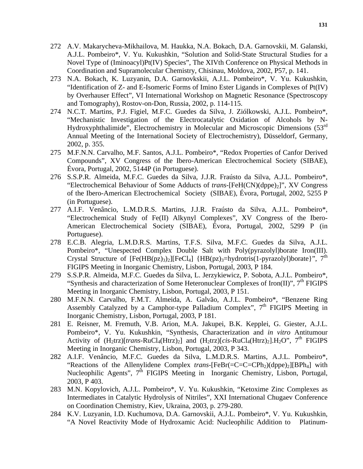- 272 A.V. Makarycheva-Mikhailova, M. Haukka, N.A. Bokach, D.A. Garnovskii, M. Galanski, A.J.L. Pombeiro\*, V. Yu. Kukushkin, "Solution and Solid-State Structural Studies for a Novel Type of (Iminoacyl)Pt(IV) Species", The XIVth Conference on Physical Methods in Coordination and Supramolecular Chemistry, Chisinau, Moldova, 2002, P57, p. 141.
- 273 N.A. Bokach, K. Luzyanin, D.A. Garnovkskii, A.J.L. Pombeiro\*, V. Yu. Kukushkin, "Identification of Z- and E-Isomeric Forms of Imino Ester Ligands in Complexes of Pt(IV) by Overhauser Effect", VI International Workshop on Magnetic Resonance (Spectroscopy and Tomography), Rostov-on-Don, Russia, 2002, p. 114-115.
- 274 N.C.T. Martins, P.J. Figiel, M.F.C. Guedes da Silva, J. Ziólkowski, A.J.L. Pombeiro\*, "Mechanistic Investigation of the Electrocatalytic Oxidation of Alcohols by N-Hydroxyphthalimide", Electrochemistry in Molecular and Microscopic Dimensions (53<sup>rd</sup>) Annual Meeting of the International Society of Electrochemistry), Düsseldorf, Germany, 2002, p. 355.
- 275 M.F.N.N. Carvalho, M.F. Santos, A.J.L. Pombeiro\*, "Redox Properties of Canfor Derived Compounds", XV Congress of the Ibero-American Electrochemical Society (SIBAE), Évora, Portugal, 2002, 5144P (in Portuguese).
- 276 S.S.P.R. Almeida, M.F.C. Guedes da Silva, J.J.R. Fraústo da Silva, A.J.L. Pombeiro\*, "Electrochemical Behaviour of Some Adducts of *trans*-[FeH(CN)(dppe)<sub>2</sub>]", XV Congress of the Ibero-American Electrochemical Society (SIBAE), Évora, Portugal, 2002, 5255 P (in Portuguese).
- 277 A.I.F. Venâncio, L.M.D.R.S. Martins, J.J.R. Fraústo da Silva, A.J.L. Pombeiro\*, "Electrochemical Study of Fe(II) Alkynyl Complexes", XV Congress of the Ibero-American Electrochemical Society (SIBAE), Évora, Portugal, 2002, 5299 P (in Portuguese).
- 278 E.C.B. Alegria, L.M.D.R.S. Martins, T.F.S. Silva, M.F.C. Guedes da Silva, A.J.L. Pombeiro\*, "Unespected Complex Double Salt with Poly(pyrazolyl)borate Iron(III). Crystal Structure of  $[Fe(HB(pz)_3)_2][FeCl_4]$   ${HB(pz)_3=hydrotris(1-pyrazolyl)borate}$ ", 7<sup>th</sup> FIGIPS Meeting in Inorganic Chemistry, Lisbon, Portugal, 2003, P 184.
- 279 S.S.P.R. Almeida, M.F.C. Guedes da Silva, L. Jerzykiewicz, P. Sobota, A.J.L. Pombeiro\*, "Synthesis and characterization of Some Heteronuclear Complexes of Iron(II)",  $7<sup>th</sup>$  FIGIPS Meeting in Inorganic Chemistry, Lisbon, Portugal, 2003, P 151.
- 280 M.F.N.N. Carvalho, F.M.T. Almeida, A. Galvão, A.J.L. Pombeiro\*, "Benzene Ring Assembly Catalyzed by a Camphor-type Palladium Complex", 7<sup>th</sup> FIGIPS Meeting in Inorganic Chemistry, Lisbon, Portugal, 2003, P 181.
- 281 E. Reisner, M. Fremuth, V.B. Arion, M.A. Jakupei, B.K. Kepplei, G. Giester, A.J.L. Pombeiro\*, V. Yu. Kukushkin, "Synthesis, Characterization and *in vitro* Antitumour Activity of  $(H_2trz)[trans-RuCl_4(Htrz)_2]$  and  $(H_2trz)[cis-RuCl_4(Htrz)_2].H_2O$ ", 7<sup>th</sup> FIGIPS Meeting in Inorganic Chemistry, Lisbon, Portugal, 2003, P 343.
- 282 A.I.F. Venâncio, M.F.C. Guedes da Silva, L.M.D.R.S. Martins, A.J.L. Pombeiro\*, "Reactions of the Allenylidene Complex *trans*-[FeBr(=C=C=CPh<sub>2</sub>)(dppe)<sub>2</sub>][BPh<sub>4</sub>] with Nucleophilic Agents", 7<sup>th</sup> FIGIPS Meeting in Inorganic Chemistry, Lisbon, Portugal, 2003, P 403.
- 283 M.N. Kopylovich, A.J.L. Pombeiro\*, V. Yu. Kukushkin, "Ketoxime Zinc Complexes as Intermediates in Catalytic Hydrolysis of Nitriles", XXI International Chugaev Conference on Coordination Chemistry, Kiev, Ukraina, 2003, p. 279-280.
- 284 K.V. Luzyanin, I.D. Kuchumova, D.A. Garnovskii, A.J.L. Pombeiro\*, V. Yu. Kukushkin, "A Novel Reactivity Mode of Hydroxamic Acid: Nucleophilic Addition to Platinum-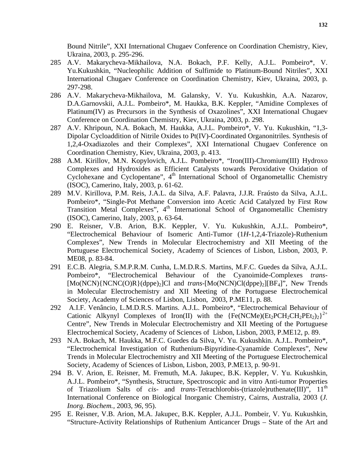Bound Nitrile", XXI International Chugaev Conference on Coordination Chemistry, Kiev, Ukraina, 2003, p. 295-296.

- 285 A.V. Makarycheva-Mikhailova, N.A. Bokach, P.F. Kelly, A.J.L. Pombeiro\*, V. Yu.Kukushkin, "Nucleophilic Addition of Sulfimide to Platinum-Bound Nitriles", XXI International Chugaev Conference on Coordination Chemistry, Kiev, Ukraina, 2003, p. 297-298.
- 286 A.V. Makarycheva-Mikhailova, M. Galansky, V. Yu. Kukushkin, A.A. Nazarov, D.A.Garnovskii, A.J.L. Pombeiro\*, M. Haukka, B.K. Keppler, "Amidine Complexes of Platinum(IV) as Precursors in the Synthesis of Oxazolines", XXI International Chugaev Conference on Coordination Chemistry, Kiev, Ukraina, 2003, p. 298.
- 287 A.V. Khripoun, N.A. Bokach, M. Haukka, A.J.L. Pombeiro\*, V. Yu. Kukushkin, "1,3- Dipolar Cycloaddition of Nitrile Oxides to Pt(IV)-Coordinated Organonitriles. Synthesis of 1,2,4-Oxadiazoles and their Complexes", XXI International Chugaev Conference on Coordination Chemistry, Kiev, Ukraina, 2003, p. 413.
- 288 A.M. Kirillov, M.N. Kopylovich, A.J.L. Pombeiro\*, "Iron(III)-Chromium(III) Hydroxo Complexes and Hydroxides as Efficient Catalysts towards Peroxidative Oxidation of Cyclohexane and Cyclopentane",  $4<sup>th</sup>$  International School of Organometallic Chemistry (ISOC), Camerino, Italy, 2003, p. 61-62.
- 289 M.V. Kirillova, P.M. Reis, J.A.L. da Silva, A.F. Palavra, J.J.R. Fraústo da Silva, A.J.L. Pombeiro\*, "Single-Pot Methane Conversion into Acetic Acid Catalyzed by First Row Transition Metal Complexes",  $4<sup>th</sup>$  International School of Organometallic Chemistry (ISOC), Camerino, Italy, 2003, p. 63-64.
- 290 E. Reisner, V.B. Arion, B.K. Keppler, V. Yu. Kukushkin, A.J.L. Pombeiro\*, "Electrochemical Behaviour of Isomeric Anti-Tumor (1*H*-1,2,4-Triazole)-Ruthenium Complexes", New Trends in Molecular Electrochemistry and XII Meeting of the Portuguese Electrochemical Society, Academy of Sciences of Lisbon, Lisbon, 2003, P. ME08, p. 83-84.
- 291 E.C.B. Alegria, S.M.P.R.M. Cunha, L.M.D.R.S. Martins, M.F.C. Guedes da Silva, A.J.L. Pombeiro\*, "Electrochemical Behaviour of the Cyanoimide-Complexes *trans*- [Mo(NCN){NCNC(O)R}(dppe)<sub>2</sub>]Cl and *trans*-[Mo(NCN)Cl(dppe)<sub>2</sub>][BF<sub>4</sub>]", New Trends in Molecular Electrochemistry and XII Meeting of the Portuguese Electrochemical Society, Academy of Sciences of Lisbon, Lisbon, 2003, P.ME11, p. 88.
- 292 A.I.F. Venâncio, L.M.D.R.S. Martins. A.J.L. Pombeiro\*, "Electrochemical Behaviour of Cationic Alkynyl Complexes of Iron(II) with the  ${Fe(NCMe)(Et_2PCH_2CH_2PEt_2)_2}^{2+}$ Centre", New Trends in Molecular Electrochemistry and XII Meeting of the Portuguese Electrochemical Society, Academy of Sciences of Lisbon, Lisbon, 2003, P.ME12, p. 89.
- 293 N.A. Bokach, M. Haukka, M.F.C. Guedes da Silva, V. Yu. Kukushkin. A.J.L. Pombeiro\*, "Electrochemical Investigation of Ruthenium-Bipyridine-Cyanamide Complexes", New Trends in Molecular Electrochemistry and XII Meeting of the Portuguese Electrochemical Society, Academy of Sciences of Lisbon, Lisbon, 2003, P.ME13, p. 90-91.
- 294 B. V. Arion, E. Reisner, M. Fremuth, M.A. Jakupec, B.K. Keppler, V. Yu. Kukushkin, A.J.L. Pombeiro\*, "Synthesis, Structure, Spectroscopic and in vitro Anti-tumor Properties of Triazolium Salts of *cis*- and *trans*-Tetrachlorobis-(triazole)ruthenate(III)", 11<sup>th</sup> International Conference on Biological Inorganic Chemistry, Cairns, Australia, 2003 (*J. Inorg. Biochem.,* 2003, *96*, 95).
- 295 E. Reisner, V.B. Arion, M.A. Jakupec, B.K. Keppler, A.J.L. Pombeir, V. Yu. Kukushkin, "Structure-Activity Relationships of Ruthenium Anticancer Drugs – State of the Art and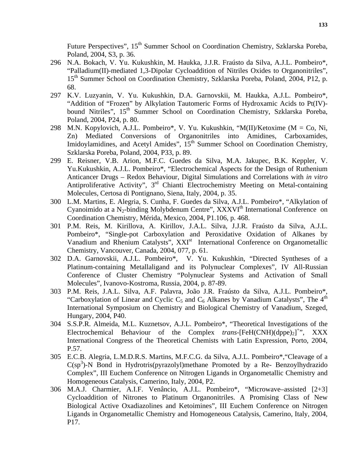Future Perspectives", 15<sup>th</sup> Summer School on Coordination Chemistry, Szklarska Poreba, Poland, 2004, S3, p. 36.

- 296 N.A. Bokach, V. Yu. Kukushkin, M. Haukka, J.J.R. Fraústo da Silva, A.J.L. Pombeiro\*, "Palladium(II)-mediated 1,3-Dipolar Cycloaddition of Nitriles Oxides to Organonitriles", 15<sup>th</sup> Summer School on Coordination Chemistry, Szklarska Poreba, Poland, 2004, P12, p. 68.
- 297 K.V. Luzyanin, V. Yu. Kukushkin, D.A. Garnovskii, M. Haukka, A.J.L. Pombeiro\*, "Addition of "Frozen" by Alkylation Tautomeric Forms of Hydroxamic Acids to Pt(IV) bound Nitriles", 15<sup>th</sup> Summer School on Coordination Chemistry, Szklarska Poreba, Poland, 2004, P24, p. 80.
- 298 M.N. Kopylovich, A.J.L. Pombeiro\*, V. Yu. Kukushkin, "M(II)/Ketoxime (M = Co, Ni, Zn) Mediated Conversions of Organonitriles into Amidines, Carboxamides, Imidoylamidines, and Acetyl Amides",  $15<sup>th</sup>$  Summer School on Coordination Chemistry, Szklarska Poreba, Poland, 2004, P33, p. 89.
- 299 E. Reisner, V.B. Arion, M.F.C. Guedes da Silva, M.A. Jakupec, B.K. Keppler, V. Yu.Kukushkin, A.J.L. Pombeiro\*, "Electrochemical Aspects for the Design of Ruthenium Anticancer Drugs – Redox Behaviour, Digital Simulations and Correlations with *in vitro*  Antiproliferative Activity",  $3<sup>rd</sup>$  Chianti Electrochemistry Meeting on Metal-containing Molecules, Certosa di Pontignano, Siena, Italy, 2004, p. 35.
- 300 L.M. Martins, E. Alegria, S. Cunha, F. Guedes da Silva, A.J.L. Pombeiro\*, "Alkylation of Cyanoimido at a N<sub>2</sub>-binding Molybdenum Centre", XXXVI<sup>th</sup> International Conference on Coordination Chemistry, Mérida, Mexico, 2004, P1.106, p. 468.
- 301 P.M. Reis, M. Kirillova, A. Kirillov, J.A.L. Silva, J.J.R. Fraústo da Silva, A.J.L. Pombeiro\*, "Single-pot Carboxylation and Peroxidative Oxidation of Alkanes by Vanadium and Rhenium Catalysts", XXI<sup>st</sup> International Conference on Organometallic Chemistry, Vancouver, Canada, 2004, 077, p. 61.
- 302 D.A. Garnovskii, A.J.L. Pombeiro\*, V. Yu. Kukushkin, "Directed Syntheses of a Platinum-containing Metallaligand and its Polynuclear Complexes", IV All-Russian Conference of Cluster Chemistry "Polynuclear Systems and Activation of Small Molecules", Ivanovo-Kostroma, Russia, 2004, p. 87-89.
- 303 P.M. Reis, J.A.L. Silva, A.F. Palavra, João J.R. Fraústo da Silva, A.J.L. Pombeiro\*, "Carboxylation of Linear and Cyclic  $C_5$  and  $C_6$  Alkanes by Vanadium Catalysts", The 4<sup>th</sup> International Symposium on Chemistry and Biological Chemistry of Vanadium, Szeged, Hungary, 2004, P40.
- 304 S.S.P.R. Almeida, M.L. Kuznetsov, A.J.L. Pombeiro\*, "Theoretical Investigations of the Electrochemical Behaviour of the Complex *trans*-[FeH(CNH)(dppe)<sub>2</sub>]<sup>+++</sup>, XXX International Congress of the Theoretical Chemists with Latin Expression, Porto, 2004, P.57.
- 305 E.C.B. Alegria, L.M.D.R.S. Martins, M.F.C.G. da Silva, A.J.L. Pombeiro\*,"Cleavage of a  $C(sp^3)$ -N Bond in Hydrotris(pyrazolyl)methane Promoted by a Re- Benzoylhydrazido Complex", III Euchem Conference on Nitrogen Ligands in Organometallic Chemistry and Homogeneous Catalysis, Camerino, Italy, 2004, P2.
- 306 M.A.J. Charmier, A.I.F. Venâncio, A.J.L. Pombeiro\*, "Microwave–assisted [2+3] Cycloaddition of Nitrones to Platinum Organonitriles. A Promising Class of New Biological Active Oxadiazolines and Ketoimines", III Euchem Conference on Nitrogen Ligands in Organometallic Chemistry and Homogeneous Catalysis, Camerino, Italy, 2004, P17.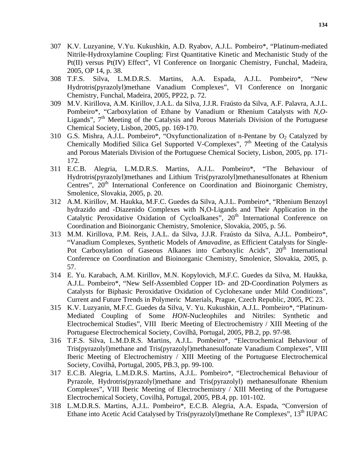- 307 K.V. Luzyanine, V.Yu. Kukushkin, A.D. Ryabov, A.J.L. Pombeiro\*, "Platinum-mediated Nitrile-Hydroxylamine Coupling: First Quantitative Kinetic and Mechanistic Study of the Pt(II) versus Pt(IV) Effect", VI Conference on Inorganic Chemistry, Funchal, Madeira, 2005, OP 14, p. 38.
- 308 T.F.S. Silva, L.M.D.R.S. Martins, A.A. Espada, A.J.L. Pombeiro\*, "New Hydrotris(pyrazolyl)methane Vanadium Complexes", VI Conference on Inorganic Chemistry, Funchal, Madeira, 2005, PP22, p. 72.
- 309 M.V. Kirillova, A.M. Kirillov, J.A.L. da Silva, J.J.R. Fraústo da Silva, A.F. Palavra, A.J.L. Pombeiro\*, "Carboxylation of Ethane by Vanadium or Rhenium Catalysts with *N*,*O*-Ligands",  $7<sup>th</sup>$  Meeting of the Catalysis and Porous Materials Division of the Portuguese Chemical Society, Lisbon, 2005, pp. 169-170.
- 310 G.S. Mishra, A.J.L. Pombeiro\*, "Oxyfunctionalization of n-Pentane by  $O_2$  Catalyzed by Chemically Modified Silica Gel Supported V-Complexes",  $7<sup>th</sup>$  Meeting of the Catalysis and Porous Materials Division of the Portuguese Chemical Society, Lisbon, 2005, pp. 171- 172.
- 311 E.C.B. Alegria, L.M.D.R.S. Martins, A.J.L. Pombeiro\*, "The Behaviour of Hydrotris(pyrazolyl)methanes and Lithium Tris(pyrazolyl)methanesulfonates at Rhenium Centres", 20<sup>th</sup> International Conference on Coordination and Bioinorganic Chemistry, Smolenice, Slovakia, 2005, p. 20.
- 312 A.M. Kirillov, M. Haukka, M.F.C. Guedes da Silva, A.J.L. Pombeiro\*, "Rhenium Benzoyl hydrazido and -Diazenido Complexes with N,O-Ligands and Their Application in the Catalytic Peroxidative Oxidation of Cycloalkanes", 20<sup>th</sup> International Conference on Coordination and Bioinorganic Chemistry, Smolenice, Slovakia, 2005, p. 56.
- 313 M.M. Kirillova, P.M. Reis, J.A.L. da Silva, J.J.R. Fraústo da Silva, A.J.L. Pombeiro\*, "Vanadium Complexes, Synthetic Models of *Amavadine*, as Efficient Catalysts for Single-Pot Carboxylation of Gaseous Alkanes into Carboxylic Acids",  $20<sup>th</sup>$  International Conference on Coordination and Bioinorganic Chemistry, Smolenice, Slovakia, 2005, p. 57.
- 314 E. Yu. Karabach, A.M. Kirillov, M.N. Kopylovich, M.F.C. Guedes da Silva, M. Haukka, A.J.L. Pombeiro\*, "New Self-Assembled Copper 1D- and 2D-Coordination Polymers as Catalysts for Biphasic Peroxidative Oxidation of Cyclohexane under Mild Conditions", Current and Future Trends in Polymeric Materials, Prague, Czech Republic, 2005, PC 23.
- 315 K.V. Luzyanin, M.F.C. Guedes da Silva, V. Yu. Kukushkin, A.J.L. Pombeiro\*, "Platinum-Mediated Coupling of Some *HON*-Nucleophiles and Nitriles: Synthetic and Electrochemical Studies", VIII Iberic Meeting of Electrochemistry / XIII Meeting of the Portuguese Electrochemical Society, Covilhã, Portugal, 2005, PB.2, pp. 97-98.
- 316 T.F.S. Silva, L.M.D.R.S. Martins, A.J.L. Pombeiro\*, "Electrochemical Behaviour of Tris(pyrazolyl)methane and Tris(pyrazolyl)methanesulfonate Vanadium Complexes", VIII Iberic Meeting of Electrochemistry / XIII Meeting of the Portuguese Electrochemical Society, Covilhã, Portugal, 2005, PB.3, pp. 99-100.
- 317 E.C.B. Alegria, L.M.D.R.S. Martins, A.J.L. Pombeiro\*, "Electrochemical Behaviour of Pyrazole, Hydrotris(pyrazolyl)methane and Tris(pyrazolyl) methanesulfonate Rhenium Complexes", VIII Iberic Meeting of Electrochemistry / XIII Meeting of the Portuguese Electrochemical Society, Covilhã, Portugal, 2005, PB.4, pp. 101-102.
- 318 L.M.D.R.S. Martins, A.J.L. Pombeiro\*, E.C.B. Alegria, A.A. Espada, "Conversion of Ethane into Acetic Acid Catalysed by Tris(pyrazolyl)methane Re Complexes",  $13<sup>th</sup> IUPAC$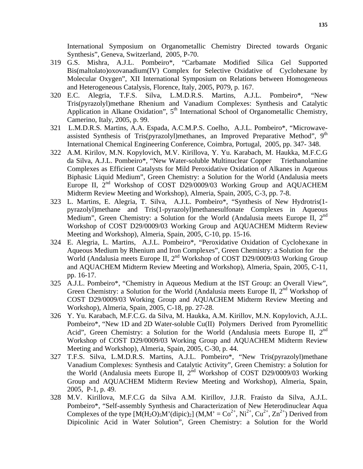International Symposium on Organometallic Chemistry Directed towards Organic Synthesis", Geneva, Switzerland, 2005, P-70.

- 319 G.S. Mishra, A.J.L. Pombeiro\*, "Carbamate Modified Silica Gel Supported Bis(maltolato)oxovanadium(IV) Complex for Selective Oxidative of Cyclohexane by Molecular Oxygen", XII International Symposium on Relations between Homogeneous and Heterogeneous Catalysis, Florence, Italy, 2005, P079, p. 167.
- 320 E.C. Alegria, T.F.S. Silva, L.M.D.R.S. Martins, A.J.L. Pombeiro\*, "New Tris(pyrazolyl)methane Rhenium and Vanadium Complexes: Synthesis and Catalytic Application in Alkane Oxidation",  $5<sup>th</sup>$  International School of Organometallic Chemistry, Camerino, Italy, 2005, p. 99.
- 321 L.M.D.R.S. Martins, A.A. Espada, A.C.M.P.S. Coelho, A.J.L. Pombeiro\*, "Microwaveassisted Synthesis of Tris(pyrazolyl)methanes, an Improved Preparative Method",  $9<sup>th</sup>$ International Chemical Engineering Conference, Coimbra, Portugal, 2005, pp. 347- 348.
- 322 A.M. Kirilov, M.N. Kopylovich, M.V. Kirillova, Y. Yu. Karabach, M. Haukka, M.F.C.G da Silva, A.J.L. Pombeiro\*, "New Water-soluble Multinuclear Copper Triethanolamine Complexes as Efficient Catalysts for Mild Peroxidative Oxidation of Alkanes in Aqueous Biphasic Liquid Medium", Green Chemistry: a Solution for the World (Andalusia meets Europe II, 2<sup>nd</sup> Workshop of COST D29/0009/03 Working Group and AQUACHEM Midterm Review Meeting and Workshop), Almeria, Spain, 2005, C-3, pp. 7-8.
- 323 L. Martins, E. Alegria, T. Silva, A.J.L. Pombeiro\*, "Synthesis of New Hydrotris(1 pyrazolyl)methane and Tris(1-pyrazolyl)methanesulfonate Complexes in Aqueous Medium", Green Chemistry: a Solution for the World (Andalusia meets Europe II, 2<sup>nd</sup> Workshop of COST D29/0009/03 Working Group and AQUACHEM Midterm Review Meeting and Workshop), Almeria, Spain, 2005, C-10, pp. 15-16.
- 324 E. Alegria, L. Martins, A.J.L. Pombeiro\*, "Peroxidative Oxidation of Cyclohexane in Aqueous Medium by Rhenium and Iron Complexes", Green Chemistry: a Solution for the World (Andalusia meets Europe II, 2<sup>nd</sup> Workshop of COST D29/0009/03 Working Group and AQUACHEM Midterm Review Meeting and Workshop), Almeria, Spain, 2005, C-11, pp. 16-17.
- 325 A.J.L. Pombeiro\*, "Chemistry in Aqueous Medium at the IST Group: an Overall View", Green Chemistry: a Solution for the World (Andalusia meets Europe II, 2<sup>nd</sup> Workshop of COST D29/0009/03 Working Group and AQUACHEM Midterm Review Meeting and Workshop), Almeria, Spain, 2005, C-18, pp. 27-28.
- 326 Y. Yu. Karabach, M.F.C.G. da Silva, M. Haukka, A.M. Kirillov, M.N. Kopylovich, A.J.L. Pombeiro\*, "New 1D and 2D Water-soluble Cu(II) Polymers Derived from Pyromellitic Acid", Green Chemistry: a Solution for the World (Andalusia meets Europe II,  $2<sup>nd</sup>$ Workshop of COST D29/0009/03 Working Group and AQUACHEM Midterm Review Meeting and Workshop), Almeria, Spain, 2005, C-30, p. 44.
- 327 T.F.S. Silva, L.M.D.R.S. Martins, A.J.L. Pombeiro\*, "New Tris(pyrazolyl)methane Vanadium Complexes: Synthesis and Catalytic Activity", Green Chemistry: a Solution for the World (Andalusia meets Europe II,  $2<sup>nd</sup>$  Workshop of COST D29/0009/03 Working Group and AQUACHEM Midterm Review Meeting and Workshop), Almeria, Spain, 2005, P-1, p. 49.
- 328 M.V. Kirillova, M.F.C.G da Silva A.M. Kirillov, J.J.R. Fraústo da Silva, A.J.L. Pombeiro\*, "Self-assembly Synthesis and Characterization of New Heterodinuclear Aqua Complexes of the type  $[M(H_2O)_5M'(\text{dipic})_2]$   $(M,M' = Co^{2+}, Ni^{2+}, Cu^{2+}, Zn^{2+})$  Derived from Dipicolinic Acid in Water Solution", Green Chemistry: a Solution for the World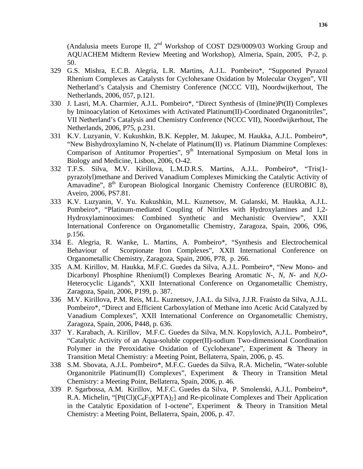(Andalusia meets Europe II,  $2^{nd}$  Workshop of COST D29/0009/03 Working Group and AQUACHEM Midterm Review Meeting and Workshop), Almeria, Spain, 2005, P-2, p. 50.

- 329 G.S. Mishra, E.C.B. Alegria, L.R. Martins, A.J.L. Pombeiro\*, "Supported Pyrazol Rhenium Complexes as Catalysts for Cyclohexane Oxidation by Molecular Oxygen", VII Netherland's Catalysis and Chemistry Conference (NCCC VII), Noordwijkerhout, The Netherlands, 2006, 057, p.121.
- 330 J. Lasri, M.A. Charmier, A.J.L. Pombeiro\*, "Direct Synthesis of (Imine)Pt(II) Complexes by Iminoacylation of Ketoximes with Activated Platinum(II)-Coordinated Organonitriles", VII Netherland's Catalysis and Chemistry Conference (NCCC VII), Noordwijkerhout, The Netherlands, 2006, P75, p.231.
- 331 K.V. Luzyanin, V. Kukushkin, B.K. Keppler, M. Jakupec, M. Haukka, A.J.L. Pombeiro\*, "New Bishydroxylamino N, N-chelate of Platinum(II) *vs*. Platinum Diammine Complexes: Comparison of Antitumor Properties",  $9<sup>th</sup>$  International Symposium on Metal Ions in Biology and Medicine, Lisbon, 2006, O-42.
- 332 T.F.S. Silva, M.V. Kirillova, L.M.D.R.S. Martins, A.J.L. Pombeiro\*, "Tris(1 pyrazolyl)methane and Derived Vanadium Complexes Mimicking the Catalytic Activity of Amavadine", 8<sup>th</sup> European Biological Inorganic Chemistry Conference (EUROBIC 8), Aveiro, 2006, PS7.81.
- 333 K.V. Luzyanin, V. Yu. Kukushkin, M.L. Kuznetsov, M. Galanski, M. Haukka, A.J.L. Pombeiro\*, "Platinum-mediated Coupling of Nitriles with Hydroxylamines and 1,2- Hydroxylaminooximes: Combined Synthetic and Mechanistic Overview", XXII International Conference on Organometallic Chemistry, Zaragoza, Spain, 2006, O96, p.156.
- 334 E. Alegria, R. Wanke, L. Martins, A. Pombeiro\*, "Synthesis and Electrochemical Behaviour of Scorpionate Iron Complexes", XXII International Conference on Organometallic Chemistry, Zaragoza, Spain, 2006, P78, p. 266.
- 335 A.M. Kirillov, M. Haukka, M.F.C. Guedes da Silva, A.J.L. Pombeiro\*, "New Mono- and Dicarbonyl Phosphine Rhenium(I) Complexes Bearing Aromatic *N*-, *N*, *N*- and *N*,*O*-Heterocyclic Ligands", XXII International Conference on Organometallic Chemistry, Zaragoza, Spain, 2006, P199, p. 387.
- 336 M.V. Kirillova, P.M. Reis, M.L. Kuznetsov, J.A.L. da Silva, J.J.R. Fraústo da Silva, A.J.L. Pombeiro\*, "Direct and Efficient Carboxylation of Methane into Acetic Acid Catalyzed by Vanadium Complexes", XXII International Conference on Organometallic Chemistry, Zaragoza, Spain, 2006, P448, p. 636.
- 337 Y. Karabach, A. Kirillov, M.F.C. Guedes da Silva, M.N. Kopylovich, A.J.L. Pombeiro\*, "Catalytic Activity of an Aqua-soluble copper(II)-sodium Two-dimensional Coordination Polymer in the Peroxidative Oxidation of Cyclohexane", Experiment & Theory in Transition Metal Chemistry: a Meeting Point, Bellaterra, Spain, 2006, p. 45.
- 338 S.M. Sbovata, A.J.L. Pombeiro\*, M.F.C. Guedes da Silva, R.A. Michelin, "Water-soluble Organonitrile Platinum(II) Complexes", Experiment & Theory in Transition Metal Chemistry: a Meeting Point, Bellaterra, Spain, 2006, p. 46.
- 339 P. Sgarbossa, A.M. Kirillov, M.F.C. Guedes da Silva, P. Smolenski, A.J.L. Pombeiro\*, R.A. Michelin, " $[Pt(Cl)(C_6F_5)(PTA)_2]$  and Re-picolinate Complexes and Their Application in the Catalytic Epoxidation of 1-octene", Experiment & Theory in Transition Metal Chemistry: a Meeting Point, Bellaterra, Spain, 2006, p. 47.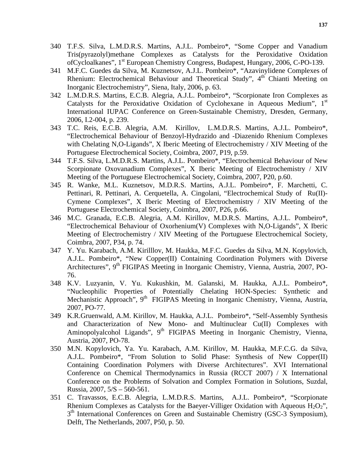- 340 T.F.S. Silva, L.M.D.R.S. Martins, A.J.L. Pombeiro\*, "Some Copper and Vanadium Tris(pyrazolyl)methane Complexes as Catalysts for the Peroxidative Oxidation ofCycloalkanes", 1<sup>st</sup> European Chemistry Congress, Budapest, Hungary, 2006, C-PO-139.
- 341 M.F.C. Guedes da Silva, M. Kuznetsov, A.J.L. Pombeiro\*, "Azavinylidene Complexes of Rhenium: Electrochemical Behaviour and Theoretical Study", 4<sup>th</sup> Chianti Meeting on Inorganic Electrochemistry", Siena, Italy, 2006, p. 63.
- 342 L.M.D.R.S. Martins, E.C.B. Alegria, A.J.L. Pombeiro\*, "Scorpionate Iron Complexes as Catalysts for the Peroxidative Oxidation of Cyclohexane in Aqueous Medium",  $1<sup>st</sup>$ International IUPAC Conference on Green-Sustainable Chemistry, Dresden, Germany, 2006, I.2-004, p. 239.
- 343 T.C. Reis, E.C.B. Alegria, A.M. Kirillov, L.M.D.R.S. Martins, A.J.L. Pombeiro\*, "Electrochemical Behaviour of Benzoyl-Hydrazido and -Diazenido Rhenium Complexes with Chelating N,O-Ligands", X Iberic Meeting of Electrochemistry / XIV Meeting of the Portuguese Electrochemical Society, Coimbra, 2007, P19, p.59.
- 344 T.F.S. Silva, L.M.D.R.S. Martins, A.J.L. Pombeiro\*, "Electrochemical Behaviour of New Scorpionate Oxovanadium Complexes", X Iberic Meeting of Electrochemistry / XIV Meeting of the Portuguese Electrochemical Society, Coimbra, 2007, P20, p.60.
- 345 R. Wanke, M.L. Kuznetsov, M.D.R.S. Martins, A.J.L. Pombeiro\*, F. Marchetti, C. Pettinari, R. Pettinari, A. Cerquetella, A. Cingolani, "Electrochemical Study of Ru(II)- Cymene Complexes", X Iberic Meeting of Electrochemistry / XIV Meeting of the Portuguese Electrochemical Society, Coimbra, 2007, P26, p.66.
- 346 M.C. Granada, E.C.B. Alegria, A.M. Kirillov, M.D.R.S. Martins, A.J.L. Pombeiro\*, "Electrochemical Behaviour of Oxorhenium(V) Complexes with N,O-Ligands", X Iberic Meeting of Electrochemistry / XIV Meeting of the Portuguese Electrochemical Society, Coimbra, 2007, P34, p. 74.
- 347 Y. Yu. Karabach, A.M. Kirilllov, M. Haukka, M.F.C. Guedes da Silva, M.N. Kopylovich, A.J.L. Pombeiro\*, "New Copper(II) Containing Coordination Polymers with Diverse Architectures", 9<sup>th</sup> FIGIPAS Meeting in Inorganic Chemistry, Vienna, Austria, 2007, PO-76.
- 348 K.V. Luzyanin, V. Yu. Kukushkin, M. Galanski, M. Haukka, A.J.L. Pombeiro\*, "Nucleophilic Properties of Potentially Chelating HON-Species: Synthetic and Mechanistic Approach", 9<sup>th</sup> FIGIPAS Meeting in Inorganic Chemistry, Vienna, Austria, 2007, PO-77.
- 349 K.R.Gruenwald, A.M. Kirillov, M. Haukka, A.J.L. Pombeiro\*, "Self-Assembly Synthesis and Characterization of New Mono- and Multinuclear Cu(II) Complexes with Aminopolyalcohol Ligands", 9<sup>th</sup> FIGIPAS Meeting in Inorganic Chemistry, Vienna, Austria, 2007, PO-78.
- 350 M.N. Kopylovich, Ya. Yu. Karabach, A.M. Kirillov, M. Haukka, M.F.C.G. da Silva, A.J.L. Pombeiro\*, "From Solution to Solid Phase: Synthesis of New Copper(II) Containing Coordination Polymers with Diverse Architectures". XVI International Conference on Chemical Thermodynamics in Russia (RCCT 2007) / X International Conference on the Problems of Solvation and Complex Formation in Solutions, Suzdal, Russia, 2007, 5/S – 560-561.
- 351 C. Travassos, E.C.B. Alegria, L.M.D.R.S. Martins, A.J.L. Pombeiro\*, "Scorpionate Rhenium Complexes as Catalysts for the Baeyer-Villiger Oxidation with Aqueous  $H_2O_2$ ", 3<sup>th</sup> International Conferences on Green and Sustainable Chemistry (GSC-3 Symposium), Delft, The Netherlands, 2007, P50, p. 50.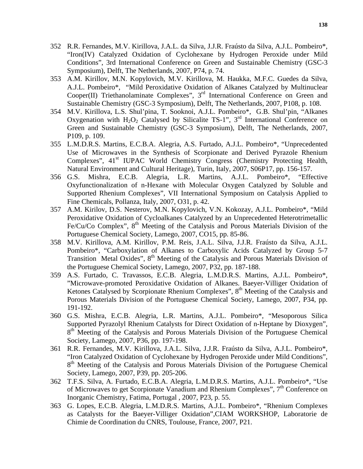- 352 R.R. Fernandes, M.V. Kirillova, J.A.L. da Silva, J.J.R. Fraústo da Silva, A.J.L. Pombeiro\*, "Iron(IV) Catalyzed Oxidation of Cyclohexane by Hydrogen Peroxide under Mild Conditions", 3rd International Conference on Green and Sustainable Chemistry (GSC-3 Symposium), Delft, The Netherlands, 2007, P74, p. 74.
- 353 A.M. Kirillov, M.N. Kopylovich, M.V. Kirillova, M. Haukka, M.F.C. Guedes da Silva, A.J.L. Pombeiro\*, "Mild Peroxidative Oxidation of Alkanes Catalyzed by Multinuclear Cooper(II) Triethanolaminate Complexes", 3<sup>rd</sup> International Conference on Green and Sustainable Chemistry (GSC-3 Symposium), Delft, The Netherlands, 2007, P108, p. 108.
- 354 M.V. Kirillova, L.S. Shul'pina, T. Sooknoi, A.J.L. Pombeiro\*, G.B. Shul'pin, "Alkanes Oxygenation with  $H_2O_2$  Catalysed by Silicalite TS-1", 3<sup>rd</sup> International Conference on Green and Sustainable Chemistry (GSC-3 Symposium), Delft, The Netherlands, 2007, P109, p. 109.
- 355 L.M.D.R.S. Martins, E.C.B.A. Alegria, A.S. Furtado, A.J.L. Pombeiro\*, "Unprecedented Use of Microwaves in the Synthesis of Scorpionate and Derived Pyrazole Rhenium Complexes", 41<sup>st</sup> IUPAC World Chemistry Congress (Chemistry Protecting Health, Natural Environment and Cultural Heritage), Turin, Italy, 2007, S06P17, pp. 156-157.
- 356 G.S. Mishra, E.C.B. Alegria, L.R. Martins, A.J.L. Pombeiro\*, "Effective Oxyfunctionalization of n-Hexane with Molecular Oxygen Catalyzed by Soluble and Supported Rhenium Complexes", VII International Symposium on Catalysis Applied to Fine Chemicals, Pollanza, Italy, 2007, O31, p. 42.
- 357 A.M. Kirilov, D.S. Nesterov, M.N. Kopylovich, V.N. Kokozay, A.J.L. Pombeiro\*, "Mild Peroxidative Oxidation of Cycloalkanes Catalyzed by an Unprecedented Heterotrimetallic Fe/Cu/Co Complex",  $8<sup>th</sup>$  Meeting of the Catalysis and Porous Materials Division of the Portuguese Chemical Society, Lamego, 2007, CO15, pp. 85-86.
- 358 M.V. Kirillova, A.M. Kirillov, P.M. Reis, J.A.L. Silva, J.J.R. Fraústo da Silva, A.J.L. Pombeiro\*, "Carboxylation of Alkanes to Carboxylic Acids Catalyzed by Group 5-7 Transition Metal Oxides", 8<sup>th</sup> Meeting of the Catalysis and Porous Materials Division of the Portuguese Chemical Society, Lamego, 2007, P32, pp. 187-188.
- 359 A.S. Furtado, C. Travassos, E.C.B. Alegria, L.M.D.R.S. Martins, A.J.L. Pombeiro\*, "Microwave-promoted Peroxidative Oxidation of Alkanes. Baeyer-Villiger Oxidation of Ketones Catalysed by Scorpionate Rhenium Complexes",  $8<sup>th</sup>$  Meeting of the Catalysis and Porous Materials Division of the Portuguese Chemical Society, Lamego, 2007, P34, pp. 191-192.
- 360 G.S. Mishra, E.C.B. Alegria, L.R. Martins, A.J.L. Pombeiro\*, "Mesoporous Silica Supported Pyrazolyl Rhenium Catalysts for Direct Oxidation of n-Heptane by Dioxygen", 8<sup>th</sup> Meeting of the Catalysis and Porous Materials Division of the Portuguese Chemical Society, Lamego, 2007, P36, pp. 197-198.
- 361 R.R. Fernandes, M.V. Kirillova, J.A.L. Silva, J.J.R. Fraústo da Silva, A.J.L. Pombeiro\*, "Iron Catalyzed Oxidation of Cyclohexane by Hydrogen Peroxide under Mild Conditions", 8<sup>th</sup> Meeting of the Catalysis and Porous Materials Division of the Portuguese Chemical Society, Lamego, 2007, P39, pp. 205-206.
- 362 T.F.S. Silva, A. Furtado, E.C.B.A. Alegria, L.M.D.R.S. Martins, A.J.L. Pombeiro\*, "Use of Microwaves to get Scorpionate Vanadium and Rhenium Complexes", 7<sup>th</sup> Conference on Inorganic Chemistry, Fatima, Portugal , 2007, P23, p. 55.
- 363 G. Lopes, E.C.B. Alegria, L.M.D.R.S. Martins, A.J.L. Pombeiro\*, "Rhenium Complexes as Catalysts for the Baeyer-Villiger Oxidation"*,*CIAM WORKSHOP, Laboratorie de Chimie de Coordination du CNRS, Toulouse, France, 2007, P21.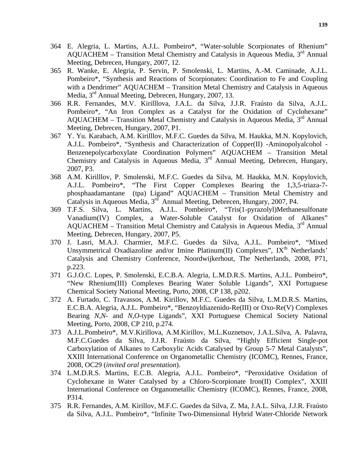- 364 E. Alegria, L. Martins, A.J.L. Pombeiro\*, "Water-soluble Scorpionates of Rhenium" AQUACHEM – Transition Metal Chemistry and Catalysis in Aqueous Media,  $3<sup>rd</sup>$  Annual Meeting, Debrecen, Hungary, 2007, 12.
- 365 R. Wanke, E. Alegria, P. Servin, P. Smolenski, L. Martins, A.-M. Caminade, A.J.L. Pombeiro\*, "Synthesis and Reactions of Scorpionates: Coordination to Fe and Coupling with a Dendrimer" AQUACHEM – Transition Metal Chemistry and Catalysis in Aqueous Media, 3rd Annual Meeting, Debrecen, Hungary, 2007, 13.
- 366 R.R. Fernandes, M.V. Kirilllova, J.A.L. da Silva, J.J.R. Fraústo da Silva, A.J.L. Pombeiro\*, "An Iron Complex as a Catalyst for the Oxidation of Cyclohexane" AQUACHEM – Transition Metal Chemistry and Catalysis in Aqueous Media,  $3<sup>rd</sup>$  Annual Meeting, Debrecen, Hungary, 2007, P1.
- 367 Y. Yu. Karabach, A.M. Kirilllov, M.F.C. Guedes da Silva, M. Haukka, M.N. Kopylovich, A.J.L. Pombeiro\*, "Synthesis and Characterization of Copper(II) -Aminopolyalcohol - Benzenepolycarboxylate Coordination Polymers" AQUACHEM – Transition Metal Chemistry and Catalysis in Aqueous Media, 3<sup>rd</sup> Annual Meeting, Debrecen, Hungary, 2007, P3.
- 368 A.M. Kirilllov, P. Smolenski, M.F.C. Guedes da Silva, M. Haukka, M.N. Kopylovich, A.J.L. Pombeiro\*, "The First Copper Complexes Bearing the 1,3,5-triaza-7 phosphaadamantane (tpa) Ligand" AQUACHEM – Transition Metal Chemistry and Catalysis in Aqueous Media, 3<sup>rd</sup> Annual Meeting, Debrecen, Hungary, 2007, P4.
- 369 T.F.S. Silva, L. Martins, A.J.L. Pombeiro\*, "Tris(1-pyrazolyl)Methanesulfonate Vanadium(IV) Complex, a Water-Soluble Catalyst for Oxidation of Alkanes" AQUACHEM – Transition Metal Chemistry and Catalysis in Aqueous Media,  $3<sup>rd</sup>$  Annual Meeting, Debrecen, Hungary, 2007, P5.
- 370 J. Lasri, M.A.J. Charmier, M.F.C. Guedes da Silva, A.J.L. Pombeiro\*, "Mixed Unsymmetrical Oxadiazoline and/or Imine Platinum(II) Complexes",  $IX<sup>th</sup>$  Netherlands' Catalysis and Chemistry Conference, Noordwijkerhout, The Netherlands, 2008, P71, p.223.
- 371 G.J.O.C. Lopes, P. Smolenski, E.C.B.A. Alegria, L.M.D.R.S. Martins, A.J.L. Pombeiro\*, "New Rhenium(III) Complexes Bearing Water Soluble Ligands", XXI Portuguese Chemical Society National Meeting, Porto, 2008, CP 138, p202.
- 372 A. Furtado, C. Travassos, A.M. Kirillov, M.F.C. Guedes da Silva, L.M.D.R.S. Martins, E.C.B.A. Alegria, A.J.L. Pombeiro\*, "Benzoyldiazenido-Re(III) or Oxo-Re(V) Complexes Bearing *N*,*N*- and *N*,*O*-type Ligands", XXI Portuguese Chemical Society National Meeting, Porto, 2008, CP 210, p.274.
- 373 A.J.L.Pombeiro\*, M.V.Kirillova, A.M.Kirillov, M.L.Kuznetsov, J.A.L.Silva, A. Palavra, M.F.C.Guedes da Silva, J.J.R. Fraústo da Silva, "Highly Efficient Single-pot Carboxylation of Alkanes to Carboxylic Acids Catalysed by Group 5-7 Metal Catalysts", XXIII International Conference on Organometallic Chemistry (ICOMC), Rennes, France, 2008, OC29 (*invited oral presentation*).
- 374 L.M.D.R.S. Martins, E.C.B. Alegria, A.J.L. Pombeiro\*, "Peroxidative Oxidation of Cyclohexane in Water Catalysed by a Chloro-Scorpionate Iron(II) Complex", XXIII International Conference on Organometallic Chemistry (ICOMC), Rennes, France, 2008, P314.
- 375 R.R. Fernandes, A.M. Kirillov, M.F.C. Guedes da Silva, Z. Ma, J.A.L. Silva, J.J.R. Fraústo da Silva, A.J.L. Pombeiro\*, "Infinite Two-Dimensional Hybrid Water-Chloride Network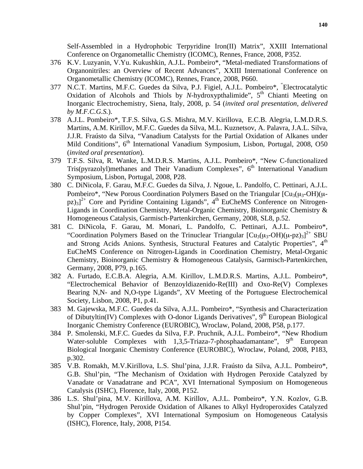Self-Assembled in a Hydrophobic Terpyridine Iron(II) Matrix", XXIII International Conference on Organometallic Chemistry (ICOMC), Rennes, France, 2008, P352.

- 376 K.V. Luzyanin, V.Yu. Kukushkin, A.J.L. Pombeiro\*, "Metal-mediated Transformations of Organonitriles: an Overview of Recent Advances", XXIII International Conference on Organometallic Chemistry (ICOMC), Rennes, France, 2008, P660.
- 377 N.C.T. Martins, M.F.C. Guedes da Silva, P.J. Figiel, A.J.L. Pombeiro\*, *"* Electrocatalytic Oxidation of Alcohols and Thiols by *N*-hydroxypthalimide", 5<sup>th</sup> Chianti Meeting on Inorganic Electrochemistry, Siena, Italy, 2008, p. 54 (*invited oral presentation, delivered by M.F.C.G.S.*).
- 378 A.J.L. Pombeiro\*, T.F.S. Silva, G.S. Mishra, M.V. Kirillova, E.C.B. Alegria, L.M.D.R.S. Martins, A.M. Kirillov, M.F.C. Guedes da Silva, M.L. Kuznetsov, A. Palavra, J.A.L. Silva, J.J.R. Fraústo da Silva, "Vanadium Catalysts for the Partial Oxidation of Alkanes under Mild Conditions", 6<sup>th</sup> International Vanadium Symposium, Lisbon, Portugal, 2008, O50 (*invited oral presentation*).
- 379 T.F.S. Silva, R. Wanke, L.M.D.R.S. Martins, A.J.L. Pombeiro\*, "New C-functionalized Tris(pyrazolyl)methanes and Their Vanadium Complexes",  $6<sup>th</sup>$  International Vanadium Symposium, Lisbon, Portugal, 2008, P28.
- 380 C. DiNicola, F. Garau, M.F.C. Guedes da Silva, J. Ngoue, L. Pandolfo, C. Pettinari, A.J.L. Pombeiro\*, "New Porous Coordination Polymers Based on the Triangular  $[Cu_3(\mu_3-OH)(\mu [pz]_{3}]^{2+}$  Core and Pyridine Containing Ligands", 4<sup>th</sup> EuCheMS Conference on Nitrogen-Ligands in Coordination Chemistry, Metal-Organic Chemistry, Bioinorganic Chemistry & Homogeneous Catalysis, Garmisch-Partenkirchen, Germany, 2008, SL8, p.52.
- 381 C. DiNicola, F. Garau, M. Monari, L. Pandolfo, C. Pettinari, A.J.L. Pombeiro\*, "Coordination Polymers Based on the Trinuclear Triangular  $\left[ Cu_3(\mu_3-OH)(\mu-pz)_3 \right]^{2+}$  SBU and Strong Acids Anions. Synthesis, Structural Features and Catalytic Properties", 4<sup>th</sup> EuCheMS Conference on Nitrogen-Ligands in Coordination Chemistry, Metal-Organic Chemistry, Bioinorganic Chemistry & Homogeneous Catalysis, Garmisch-Partenkirchen, Germany, 2008, P79, p.165.
- 382 A. Furtado, E.C.B.A. Alegria, A.M. Kirillov, L.M.D.R.S. Martins, A.J.L. Pombeiro\*, "Electrochemical Behavior of Benzoyldiazenido-Re(III) and Oxo-Re(V) Complexes Bearing N,N- and N,O-type Ligands", XV Meeting of the Portuguese Electrochemical Society, Lisbon, 2008, P1, p.41.
- 383 M. Gajewska, M.F.C. Guedes da Silva, A.J.L. Pombeiro\*, "Synthesis and Characterization of Dibutyltin(IV) Complexes with O-donor Ligands Derivatives",  $9<sup>th</sup>$  European Biological Inorganic Chemistry Conference (EUROBIC), Wroclaw, Poland, 2008, P58, p.177.
- 384 P. Smolenski, M.F.C. Guedes da Silva, F.P. Pruchnik, A.J.L. Pombeiro\*, "New Rhodium Water-soluble Complexes with  $1,3,5$ -Triaza-7-phosphaadamantane",  $9<sup>th</sup>$  European Biological Inorganic Chemistry Conference (EUROBIC), Wroclaw, Poland, 2008, P183, p.302.
- 385 V.B. Romakh, M.V.Kirillova, L.S. Shul'pina, J.J.R. Fraústo da Silva, A.J.L. Pombeiro\*, G.B. Shul'pin, "The Mechanism of Oxidation with Hydrogen Peroxide Catalyzed by Vanadate or Vanadatrane and PCA", XVI International Symposium on Homogeneous Catalysis (ISHC), Florence, Italy, 2008, P152.
- 386 L.S. Shul'pina, M.V. Kirillova, A.M. Kirillov, A.J.L. Pombeiro\*, Y.N. Kozlov, G.B. Shul'pin, "Hydrogen Peroxide Oxidation of Alkanes to Alkyl Hydroperoxides Catalyzed by Copper Complexes", XVI International Symposium on Homogeneous Catalysis (ISHC), Florence, Italy, 2008, P154.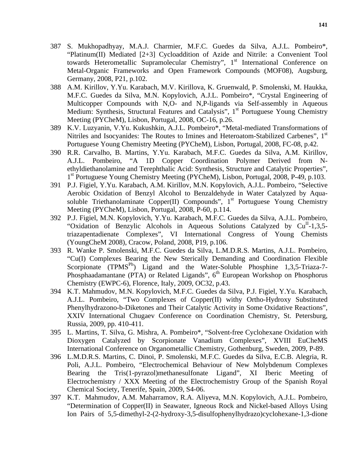- 387 S. Mukhopadhyay, M.A.J. Charmier, M.F.C. Guedes da Silva, A.J.L. Pombeiro\*, "Platinum(II) Mediated [2+3] Cycloaddition of Azide and Nitrile: a Convenient Tool towards Heterometallic Supramolecular Chemistry", 1<sup>st</sup> International Conference on Metal-Organic Frameworks and Open Framework Compounds (MOF08), Augsburg, Germany, 2008, P21, p.102.
- 388 A.M. Kirillov, Y.Yu. Karabach, M.V. Kirillova, K. Gruenwald, P. Smolenski, M. Haukka, M.F.C. Guedes da Silva, M.N. Kopylovich, A.J.L. Pombeiro\*, "Crystal Engineering of Multicopper Compounds with N,O- and N,P-ligands via Self-assembly in Aqueous Medium: Synthesis, Structural Features and Catalysis", 1<sup>st</sup> Portuguese Young Chemistry Meeting (PYCheM), Lisbon, Portugal, 2008, OC-16, p.26.
- 389 K.V. Luzyanin, V.Yu. Kukushkin, A.J.L. Pombeiro\*, "Metal-mediated Transformations of Nitriles and Isocyanides: The Routes to Imines and Heteroatom-Stabilized Carbenes", 1<sup>st</sup> Portuguese Young Chemistry Meeting (PYCheM), Lisbon, Portugal, 2008, FC-08, p.42.
- 390 R.R. Carvalho, B. Martins, Y.Yu. Karabach, M.F.C. Guedes da Silva, A.M. Kirillov, A.J.L. Pombeiro, "A 1D Copper Coordination Polymer Derived from Nethyldiethanolamine and Terephthalic Acid: Synthesis, Structure and Catalytic Properties", 1<sup>st</sup> Portuguese Young Chemistry Meeting (PYCheM), Lisbon, Portugal, 2008, P-49, p.103.
- 391 P.J. Figiel, Y.Yu. Karabach, A.M. Kirillov, M.N. Kopylovich, A.J.L. Pombeiro, "Selective Aerobic Oxidation of Benzyl Alcohol to Benzaldehyde in Water Catalyzed by Aquasoluble Triethanolaminate Copper(II) Compounds",  $1<sup>st</sup>$  Portuguese Young Chemistry Meeting (PYCheM), Lisbon, Portugal, 2008, P-60, p.114.
- 392 P.J. Figiel, M.N. Kopylovich, Y.Yu. Karabach, M.F.C. Guedes da Silva, A.J.L. Pombeiro, "Oxidation of Benzylic Alcohols in Aqueous Solutions Catalyzed by Cu<sup>II</sup>-1,3,5triazapentadienate Complexes", VI International Congress of Young Chemists (YoungCheM 2008), Cracow, Poland, 2008, P19, p.106.
- 393 R. Wanke P. Smolenski, M.F.C. Guedes da Silva, L.M.D.R.S. Martins, A.J.L. Pombeiro, "Cu(I) Complexes Bearing the New Sterically Demanding and Coordination Flexible Scorpionate (TPMS<sup>Ph</sup>) Ligand and the Water-Soluble Phosphine 1,3,5-Triaza-7-Phosphaadamantane (PTA) or Related Ligands",  $6<sup>th</sup>$  European Workshop on Phosphorus Chemistry (EWPC-6), Florence, Italy, 2009, OC32, p.43.
- 394 K.T. Mahmudov, M.N. Kopylovich, M.F.C. Guedes da Silva, P.J. Figiel, Y.Yu. Karabach, A.J.L. Pombeiro, "Two Complexes of Copper(II) withy Ortho-Hydroxy Substituted Phenylhydrazono-b-Diketones and Their Catalytic Activity in Some Oxidative Reactions", XXIV International Chugaev Conference on Coordination Chemistry, St. Petersburg, Russia, 2009, pp. 410-411.
- 395 L. Martins, T. Silva, G. Mishra, A. Pombeiro\*, "Solvent-free Cyclohexane Oxidation with Dioxygen Catalyzed by Scorpionate Vanadium Complexes", XVIII EuCheMS International Conference on Organometallic Chemistry, Gothenburg, Sweden, 2009, P-89.
- 396 L.M.D.R.S. Martins, C. Dinoi, P. Smolenski, M.F.C. Guedes da Silva, E.C.B. Alegria, R. Poli, A.J.L. Pombeiro, "Electrochemical Behaviour of New Molybdenum Complexes Bearing the Tris(1-pyrazol)methanesulfonate Ligand", XI Iberic Meeting of Electrochemistry / XXX Meeting of the Electrochemistry Group of the Spanish Royal Chemical Society, Tenerife, Spain, 2009, S4-06.
- 397 K.T. Mahmudov, A.M. Maharramov, R.A. Aliyeva, M.N. Kopylovich, A.J.L. Pombeiro, "Determination of Copper(II) in Seawater, Igneous Rock and Nickel-based Alloys Using Ion Pairs of 5,5-dimethyl-2-(2-hydroxy-3,5-disulfophenylhydrazo)cyclohexane-1,3-dione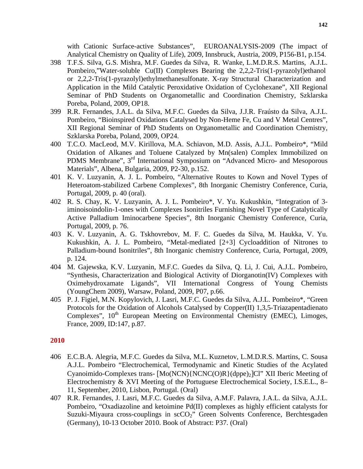with Cationic Surface-active Substances", EUROANALYSIS-2009 (The impact of Analytical Chemistry on Quality of Life), 2009, Innsbruck, Austria, 2009, P156-B1, p.154.

- 398 T.F.S. Silva, G.S. Mishra, M.F. Guedes da Silva, R. Wanke, L.M.D.R.S. Martins, A.J.L. Pombeiro,"Water-soluble Cu(II) Complexes Bearing the 2,2,2-Tris(1-pyrazolyl)ethanol or 2,2,2-Tris(1-pyrazolyl)ethylmethanesulfonate. X-ray Structural Characterization and Application in the Mild Catalytic Peroxidative Oxidation of Cyclohexane", XII Regional Seminar of PhD Students on Organometallic and Coordination Chemistry, Szklarska Poreba, Poland, 2009, OP18.
- 399 R.R. Fernandes, J.A.L. da Silva, M.F.C. Guedes da Silva, J.J.R. Fraústo da Silva, A.J.L. Pombeiro, "Bioinspired Oxidations Catalysed by Non-Heme Fe, Cu and V Metal Centres", XII Regional Seminar of PhD Students on Organometallic and Coordination Chemistry, Szklarska Poreba, Poland, 2009, OP24.
- 400 T.C.O. MacLeod, M.V. Kirillova, M.A. Schiavon, M.D. Assis, A.J.L. Pombeiro\*, "Mild Oxidation of Alkanes and Toluene Catalyzed by Mn(salen) Complex Immobilized on PDMS Membrane", 3<sup>rd</sup> International Symposium on "Advanced Micro- and Mesoporous Materials", Albena, Bulgaria, 2009, P2-30, p.152.
- 401 K. V. Luzyanin, A. J. L. Pombeiro, "Alternative Routes to Kown and Novel Types of Heteroatom-stabilized Carbene Complexes", 8th Inorganic Chemistry Conference, Curia, Portugal, 2009, p. 40 (oral).
- 402 R. S. Chay, K. V. Luzyanin, A. J. L. Pombeiro\*, V. Yu. Kukushkin, "Integration of 3 iminoisoindolin-1-ones with Complexes Isonitriles Furnishing Novel Type of Catalytically Active Palladium Iminocarbene Species", 8th Inorganic Chemistry Conference, Curia, Portugal, 2009, p. 76.
- 403 K. V. Luzyanin, A. G. Tskhovrebov, M. F. C. Guedes da Silva, M. Haukka, V. Yu. Kukushkin, A. J. L. Pombeiro, "Metal-mediated [2+3] Cycloaddition of Nitrones to Palladium-bound Isonitriles", 8th Inorganic chemistry Conference, Curia, Portugal, 2009, p. 124.
- 404 M. Gajewska, K.V. Luzyanin, M.F.C. Guedes da Silva, Q. Li, J. Cui, A.J.L. Pombeiro, "Synthesis, Characterization and Biological Activity of Diorganotin(IV) Complexes with Oximehydroxamate Ligands", VII International Congress of Young Chemists (YoungChem 2009), Warsaw, Poland, 2009, P07, p.66.
- 405 P. J. Figiel, M.N. Kopylovich, J. Lasri, M.F.C. Guedes da Silva, A.J.L. Pombeiro\*, "Green Protocols for the Oxidation of Alcohols Catalysed by Copper(II) 1,3,5-Triazapentadienato Complexes", 10<sup>th</sup> European Meeting on Environmental Chemistry (EMEC), Limoges, France, 2009, ID:147, p.87.

## **2010**

- 406 E.C.B.A. Alegria, M.F.C. Guedes da Silva, M.L. Kuznetov, L.M.D.R.S. Martins, C. Sousa A.J.L. Pombeiro "Electrochemical, Termodynamic and Kinetic Studies of the Acylated Cyanoimido-Complexes trans-  $[Mo(NCN)\{NCNC(O)R\}$  (dppe)<sub>2</sub>]Cl" XII Iberic Meeting of Electrochemistry & XVI Meeting of the Portuguese Electrochemical Society, I.S.E.L., 8– 11, September, 2010, Lisbon, Portugal. (Oral)
- 407 R.R. Fernandes, J. Lasri, M.F.C. Guedes da Silva, A.M.F. Palavra, J.A.L. da Silva, A.J.L. Pombeiro, "Oxadiazoline and ketoimine Pd(II) complexes as highly efficient catalysts for Suzuki-Miyaura cross-couplings in scCO<sub>2</sub>" Green Solvents Conference, Berchtesgaden (Germany), 10-13 October 2010. Book of Abstract: P37. (Oral)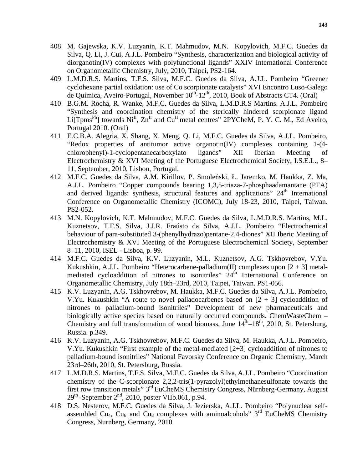- 408 M. Gajewska, K.V. Luzyanin, K.T. Mahmudov, M.N. Kopylovich, M.F.C. Guedes da Silva, Q. Li, J. Cui, A.J.L. Pombeiro "Synthesis, characterization and biological activity of diorganotin(IV) complexes with polyfunctional ligands" XXIV International Conference on Organometallic Chemistry, July, 2010, Taipei, PS2-164.
- 409 L.M.D.R.S. Martins, T.F.S. Silva, M.F.C. Guedes da Silva, A.J.L. Pombeiro "Greener cyclohexane partial oxidation: use of Co scorpionate catalysts" XVI Encontro Luso-Galego de Química, Aveiro-Portugal, November  $10^{th}$ -12<sup>th</sup>, 2010, Book of Abstracts CT4. (Oral)
- 410 B.G.M. Rocha, R. Wanke, M.F.C. Guedes da Silva, L.M.D.R.S Martins. A.J.L. Pombeiro "Synthesis and coordination chemistry of the sterically hindered scorpionate ligand Li $[Tpms<sup>Ph</sup>]$  towards  $Ni<sup>II</sup>$ ,  $Zn<sup>II</sup>$  and  $Cu<sup>II</sup>$  metal centres" 2PYCheM, P. Y. C. M., Ed Aveiro, Portugal 2010. (Oral)
- 411 E.C.B.A. Alegria, X. Shang, X. Meng, Q. Li, M.F.C. Guedes da Silva, A.J.L. Pombeiro, "Redox properties of antitumor active organotin(IV) complexes containing 1-(4 chlorophenyl)-1-cyclopentanecarboxylato ligands" XII Iberian Meeting of Electrochemistry & XVI Meeting of the Portuguese Electrochemical Society, I.S.E.L., 8– 11, September, 2010, Lisbon, Portugal.
- 412 M.F.C. Guedes da Silva, A.M. Kirillov, P. Smoleński, Ł. Jaremko, M. Haukka, Z. Ma, A.J.L. Pombeiro "Copper compounds bearing 1,3,5-triaza-7-phosphaadamantane (PTA) and derived ligands: synthesis, structural features and applications"  $24<sup>th</sup>$  International Conference on Organometallic Chemistry (ICOMC), July 18-23, 2010, Taipei, Taiwan. PS2-052.
- 413 M.N. Kopylovich, K.T. Mahmudov, M.F.C. Guedes da Silva, L.M.D.R.S. Martins, M.L. Kuznetsov, T.F.S. Silva, J.J.R. Fraústo da Silva, A.J.L. Pombeiro "Electrochemical behaviour of para-substituted 3-(phenylhydrazo)pentane-2,4-diones" XII Iberic Meeting of Electrochemistry & XVI Meeting of the Portuguese Electrochemical Society, September 8–11, 2010, ISEL - Lisboa, p. 99.
- 414 M.F.C. Guedes da Silva, K.V. Luzyanin, M.L. Kuznetsov, A.G. Tskhovrebov, V.Yu. Kukushkin, A.J.L. Pombeiro "Heterocarbene-palladium(II) complexes upon  $[2 + 3]$  metalmediated cycloaddition of nitrones to isonitriles"  $24<sup>th</sup>$  International Conference on Organometallic Chemistry, July 18th–23rd, 2010, Taipei, Taiwan. PS1-056.
- 415 K.V. Luzyanin, A.G. Tskhovrebov, M. Haukka, M.F.C. Guedes da Silva, A.J.L. Pombeiro, V.Yu. Kukushkin "A route to novel palladocarbenes based on  $[2 + 3]$  cycloaddition of nitrones to palladium-bound isonitriles" Development of new pharmaceuticals and biologically active species based on naturally occurred compounds. ChemWasteChem – Chemistry and full transformation of wood biomass, June  $14^{\text{th}} - 18^{\text{th}}$ , 2010, St. Petersburg, Russia. p.349.
- 416 K.V. Luzyanin, A.G. Tskhovrebov, M.F.C. Guedes da Silva, M. Haukka, A.J.L. Pombeiro, V.Yu. Kukushkin "First example of the metal-mediated [2+3] cycloaddition of nitrones to palladium-bound isonitriles" National Favorsky Conference on Organic Chemistry, March 23rd–26th, 2010, St. Petersburg, Russia.
- 417 L.M.D.R.S. Martins, T.F.S. Silva, M.F.C. Guedes da Silva, A.J.L. Pombeiro "Coordination chemistry of the C-scorpionate 2,2,2-tris(1-pyrazolyl)ethylmethanesulfonate towards the first row transition metals" 3rd EuCheMS Chemistry Congress, Nürnberg-Germany, August  $29<sup>th</sup>$ -September  $2<sup>nd</sup>$ , 2010, poster VIIb.061, p.94.
- 418 D.S. Nesterov, M.F.C. Guedes da Silva, J. Jezierska, A.J.L. Pombeiro "Polynuclear selfassembled Cu<sub>4</sub>, Cu<sub>6</sub> and Cu<sub>8</sub> complexes with aminoalcohols"  $3<sup>rd</sup>$  EuCheMS Chemistry Congress, Nurnberg, Germany, 2010.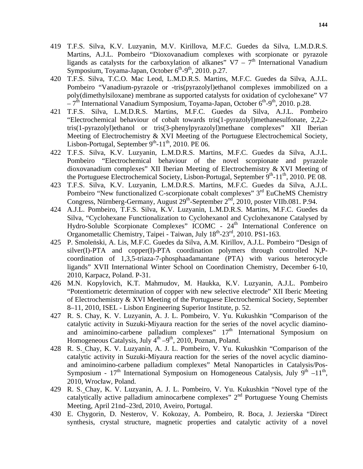- 419 T.F.S. Silva, K.V. Luzyanin, M.V. Kirillova, M.F.C. Guedes da Silva, L.M.D.R.S. Martins, A.J.L. Pombeiro "Dioxovanadium complexes with scorpionate or pyrazole ligands as catalysts for the carboxylation of alkanes"  $V7 - 7<sup>th</sup>$  International Vanadium Symposium, Toyama-Japan, October  $6<sup>th</sup>-9<sup>th</sup>$ , 2010. p.27.
- 420 T.F.S. Silva, T.C.O. Mac Leod, L.M.D.R.S. Martins, M.F.C. Guedes da Silva, A.J.L. Pombeiro "Vanadium-pyrazole or -tris(pyrazolyl)ethanol complexes immobilized on a poly(dimethylsiloxane) membrane as supported catalysts for oxidation of cyclohexane" V7  $-7<sup>th</sup>$  International Vanadium Symposium, Toyama-Japan, October 6<sup>th</sup>-9<sup>th</sup>, 2010. p.28.
- 421 T.F.S. Silva, L.M.D.R.S. Martins, M.F.C. Guedes da Silva, A.J.L. Pombeiro "Electrochemical behaviour of cobalt towards tris(1-pyrazolyl)methanesulfonate, 2,2,2 tris(1-pyrazolyl)ethanol or tris(3-phenylpyrazolyl)methane complexes" XII Iberian Meeting of Electrochemistry & XVI Meeting of the Portuguese Electrochemical Society, Lisbon-Portugal, September  $9<sup>th</sup>$ -11<sup>th</sup>, 2010. PE 06.
- 422 T.F.S. Silva, K.V. Luzyanin, L.M.D.R.S. Martins, M.F.C. Guedes da Silva, A.J.L. Pombeiro "Electrochemical behaviour of the novel scorpionate and pyrazole dioxovanadium complexes" XII Iberian Meeting of Electrochemistry & XVI Meeting of the Portuguese Electrochemical Society, Lisbon-Portugal, September  $9<sup>th</sup>$ -11<sup>th</sup>, 2010. PE 08.
- 423 T.F.S. Silva, K.V. Luzyanin, L.M.D.R.S. Martins, M.F.C. Guedes da Silva, A.J.L. Pombeiro "New functionalized C-scorpionate cobalt complexes"  $3<sup>rd</sup>$  EuCheMS Chemistry Congress, Nürnberg-Germany, August 29<sup>th</sup>-September 2<sup>nd</sup>, 2010, poster VIIb.081. P.94.
- 424 A.J.L. Pombeiro, T.F.S. Silva, K.V. Luzyanin, L.M.D.R.S. Martins, M.F.C. Guedes da Silva, "Cyclohexane Functionalization to Cyclohexanol and Cyclohexanone Catalysed by Hydro-Soluble Scorpionate Complexes" ICOMC -  $24<sup>th</sup>$  International Conference on Organometallic Chemistry, Taipei - Taiwan, July  $18^{th}$ -23<sup>rd</sup>, 2010. PS1-163.
- 425 P. Smoleński, A. Lis, M.F.C. Guedes da Silva, A.M. Kirillov, A.J.L. Pombeiro "Design of silver(I)-PTA and copper(I)-PTA coordination polymers through controlled N,Pcoordination of 1,3,5-triaza-7-phosphaadamantane (PTA) with various heterocycle ligands" XVII International Winter School on Coordination Chemistry, December 6-10, 2010, Karpacz, Poland. P-31.
- 426 M.N. Kopylovich, K.T. Mahmudov, M. Haukka, K.V. Luzyanin, A.J.L. Pombeiro "Potentiometric determination of copper with new selective electrode" XII Iberic Meeting of Electrochemistry & XVI Meeting of the Portuguese Electrochemical Society, September 8–11, 2010, ISEL - Lisbon Engineering Superior Institute, p. 52.
- 427 R. S. Chay, K. V. Luzyanin, A. J. L. Pombeiro, V. Yu. Kukushkin "Comparison of the catalytic activity in Suzuki-Miyaura reaction for the series of the novel acyclic diaminoand aminoimino-carbene palladium complexes"  $17<sup>th</sup>$  International Symposium on Homogeneous Catalysis, July  $4<sup>th</sup> - 9<sup>th</sup>$ , 2010, Poznan, Poland.
- 428 R. S. Chay, K. V. Luzyanin, A. J. L. Pombeiro, V. Yu. Kukushkin "Comparison of the catalytic activity in Suzuki-Miyaura reaction for the series of the novel acyclic diaminoand aminoimino-carbene palladium complexes" Metal Nanoparticles in Catalysis/Pos-Symposium -  $17<sup>th</sup>$  International Symposium on Homogeneous Catalysis, July 9<sup>th</sup> –11<sup>th</sup>, 2010, Wrocław, Poland.
- 429 R. S. Chay, K. V. Luzyanin, A. J. L. Pombeiro, V. Yu. Kukushkin "Novel type of the catalytically active palladium aminocarbene complexes"  $2<sup>nd</sup>$  Portuguese Young Chemists Meeting, April 21nd–23rd, 2010, Aveiro, Portugal.
- 430 E. Chygorin, D. Nesterov, V. Kokozay, A. Pombeiro, R. Boca, J. Jezierska "Direct synthesis, crystal structure, magnetic properties and catalytic activity of a novel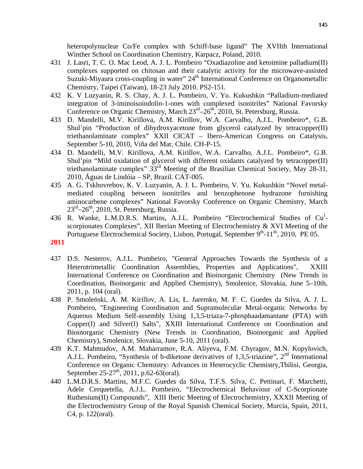heteropolynuclear Co/Fe complex with Schiff-base ligand" The XVIIth International Winther School on Coordination Chemistry, Karpacz, Poland, 2010.

- 431 J. Lasri, T. C. O. Mac Leod, A. J. L. Pombeiro "Oxadiazoline and ketoimine palladium(II) complexes supported on chitosan and their catalytic activity for the microwave-assisted Suzuki-Miyaura cross-coupling in water"  $24<sup>th</sup>$  International Conference on Organometallic Chemistry, Taipei (Taiwan), 18-23 July 2010. PS2-151.
- 432 K. V Luzyanin, R. S. Chay, A. J. L. Pombeiro, V. Yu. Kukushkin "Palladium-mediated integration of 3-iminoisoindolin-1-ones with complexed isonitriles" National Favorsky Conference on Organic Chemistry, March  $23<sup>rd</sup>-26<sup>th</sup>$ , 2010, St. Petersburg, Russia.
- 433 D. Mandelli, M.V. Kirillova, A.M. Kirillov, W.A. Carvalho, A.J.L. Pombeiro\*, G.B. Shul'pin "Production of dihydroxyacetone from glycerol catalyzed by tetracopper(II) triethanolaminate complex" XXII CICAT – Ibero-American Congress on Catalysis, September 5-10, 2010, Viña del Mar, Chile. CH-P-15.
- 434 D. Mandelli, M.V. Kirillova, A.M. Kirillov, W.A. Carvalho, A.J.L. Pombeiro\*, G.B. Shul'pin "Mild oxidation of glycerol with different oxidants catalyzed by tetracopper(II) triethanolaminate complex" 33<sup>rd</sup> Meeting of the Brasilian Chemical Society, May 28-31, 2010, Águas de Lindóia – SP, Brazil. CAT-005.
- 435 A. G. Tskhovrebov, K. V. Luzyanin, A. J. L. Pombeiro, V. Yu. Kukushkin "Novel metalmediated coupling between isonitriles and benzophenone hydrazone furnishing aminocarbene complexes" National Favorsky Conference on Organic Chemistry, March  $23^{\text{rd}} - 26^{\text{th}}$ , 2010, St. Petersburg, Russia.
- 436 R. Wanke, L.M.D.R.S. Martins, A.J.L. Pombeiro "Electrochemical Studies of Cu<sup>I</sup>scorpionates Complexes", XII Iberian Meeting of Electrochemistry & XVI Meeting of the Portuguese Electrochemical Society, Lisbon, Portugal, September  $9<sup>th</sup>$ -11<sup>th</sup>, 2010, PE 05.

## **2011**

- 437 D.S. Nesterov, A.J.L. Pombeiro, "General Approaches Towards the Synthesis of a Heterotrimetallic Coordination Assemblies, Properties and Applications", XXIII International Conference on Coordination and Bioinorganic Chemistry (New Trends in Coordination, Bioinorganic and Applied Chemistry), Smolenice, Slovakia, June 5–10th, 2011, p. 104 (oral).
- 438 P. Smoleński, A. M. Kirillov, A. Lis, Ł. Jaremko, M. F. C. Guedes da Silva, A. J. L. Pombeiro, "Engineering Coordination and Supramolecular Metal-organic Networks by Aqueous Medium Self-assembly Using 1,3,5-triaza-7-phosphaadamantane (PTA) with Copper(I) and Silver(I) Salts", XXIII International Conference on Coordination and Bioinorganic Chemistry (New Trends in Coordination, Bioinorganic and Applied Chemistry), Smolenice, Slovakia, June 5-10, 2011 (oral).
- 439 K.T. Mahmudov, A.M. Maharramov, R.A. Aliyeva, F.M. Chyragov, M.N. Kopylovich, A.J.L. Pombeiro, "Synthesis of b-diketone derivatives of 1,3,5-triazine", 2nd International Conference on Organic Chemistry: Advances in Heterocyclic Chemistry,Tbilisi, Georgia, September 25-27<sup>th</sup>, 2011, p.62-63(oral).
- 440 L.M.D.R.S. Martins, M.F.C. Guedes da Silva, T.F.S. Silva, C. Pettinari, F. Marchetti, Adele Cerquetella, A.J.L. Pombeiro, "Electrochemical Behaviour of C-Scorpionate Ruthenium(II) Compounds", XIII Iberic Meeting of Electrochemistry, XXXII Meeting of the Electrochemistry Group of the Royal Spanish Chemical Society, Murcia, Spain, 2011, C4, p. 122(oral).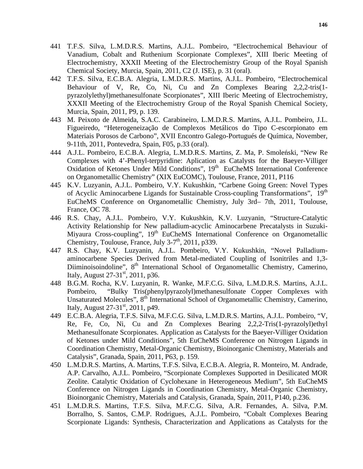- 441 T.F.S. Silva, L.M.D.R.S. Martins, A.J.L. Pombeiro, "Electrochemical Behaviour of Vanadium, Cobalt and Ruthenium Scorpionate Complexes", XIII Iberic Meeting of Electrochemistry, XXXII Meeting of the Electrochemistry Group of the Royal Spanish Chemical Society, Murcia, Spain, 2011, C2 (J. ISE), p. 31 (oral).
- 442 T.F.S. Silva, E.C.B.A. Alegria, L.M.D.R.S. Martins, A.J.L. Pombeiro, "Electrochemical Behaviour of V, Re, Co, Ni, Cu and Zn Complexes Bearing 2,2,2-tris(1 pyrazolylethyl)methanesulfonate Scorpionates", XIII Iberic Meeting of Electrochemistry, XXXII Meeting of the Electrochemistry Group of the Royal Spanish Chemical Society, Murcia, Spain, 2011, P9, p. 139.
- 443 M. Peixoto de Almeida, S.A.C. Carabineiro, L.M.D.R.S. Martins, A.J.L. Pombeiro, J.L. Figueiredo, "Heterogeneização de Complexos Metálicos do Tipo C-escorpionato em Materiais Porosos de Carbono", XVII Encontro Galego-Portugués de Química, November, 9-11th, 2011, Pontevedra, Spain, F05, p.33 (oral).
- 444 A.J.L. Pombeiro, E.C.B.A. Alegria, L.M.D.R.S. Martins, Z. Ma, P. Smoleński, "New Re Complexes with 4'-Phenyl-terpyridine: Aplication as Catalysts for the Baeyer-Villiger Oxidation of Ketones Under Mild Conditions", 19<sup>th</sup> EuCheMS International Conference on Organometallic Chemistry" (XIX EuCOMC), Toulouse, France, 2011, P116
- 445 K.V. Luzyanin, A.J.L. Pombeiro, V.Y. Kukushkin, "Carbene Going Green: Novel Types of Acyclic Aminocarbene Ligands for Sustainable Cross-coupling Transformations", 19<sup>th</sup> EuCheMS Conference on Organometallic Chemistry, July 3rd– 7th, 2011, Toulouse, France, OC 78.
- 446 R.S. Chay, A.J.L. Pombeiro, V.Y. Kukushkin, K.V. Luzyanin, "Structure-Catalytic Activity Relationship for New palladium-acyclic Aminocarbene Precatalysts in Suzuki-Miyaura Cross-coupling", 19<sup>th</sup> EuCheMS International Conference on Organometallic Chemistry, Toulouse, France, July  $3-7<sup>th</sup>$ , 2011, p339.
- 447 R.S. Chay, K.V. Luzyanin, A.J.L. Pombeiro, V.Y. Kukushkin, "Novel Palladiumaminocarbene Species Derived from Metal-mediated Coupling of Isonitriles and 1,3- Diiminoisoindoline", 8<sup>th</sup> International School of Organometallic Chemistry, Camerino, Italy, August 27-31<sup>st</sup>, 2011, p36.
- 448 B.G.M. Rocha, K.V. Luzyanin, R. Wanke, M.F.C.G. Silva, L.M.D.R.S. Martins, A.J.L. Pombeiro, "Bulky Tris(phenylpyrazolyl)methanesulfonate Copper Complexes with Unsaturated Molecules", 8<sup>th</sup> International School of Organometallic Chemistry, Camerino, Italy, August  $27-31$ <sup>st</sup>, 2011, p49.
- 449 E.C.B.A. Alegria, T.F.S. Silva, M.F.C.G. Silva, L.M.D.R.S. Martins, A.J.L. Pombeiro, "V, Re, Fe, Co, Ni, Cu and Zn Complexes Bearing 2,2,2-Tris(1-pyrazolyl)ethyl Methanesulfonate Scorpionates. Application as Catalysts for the Baeyer-Villiger Oxidation of Ketones under Mild Conditions", 5th EuCheMS Conference on Nitrogen Ligands in Coordination Chemistry, Metal-Organic Chemistry, Bioinorganic Chemistry, Materials and Catalysis", Granada, Spain, 2011, P63, p. 159.
- 450 L.M.D.R.S. Martins, A. Martins, T.F.S. Silva, E.C.B.A. Alegria, R. Monteiro, M. Andrade, A.P. Carvalho, A.J.L. Pombeiro, "Scorpionate Complexes Supported in Desilicated MOR Zeolite. Catalytic Oxidation of Cyclohexane in Heterogeneous Medium", 5th EuCheMS Conference on Nitrogen Ligands in Coordination Chemistry, Metal-Organic Chemistry, Bioinorganic Chemistry, Materials and Catalysis, Granada, Spain, 2011, P140, p.236.
- 451 L.M.D.R.S. Martins, T.F.S. Silva, M.F.C.G. Silva, A.R. Fernandes, A. Silva, P.M. Borralho, S. Santos, C.M.P. Rodrigues, A.J.L. Pombeiro, "Cobalt Complexes Bearing Scorpionate Ligands: Synthesis, Characterization and Applications as Catalysts for the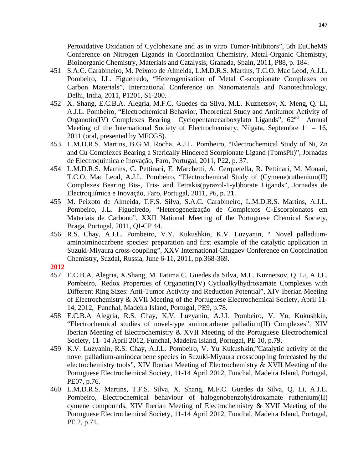Peroxidative Oxidation of Cyclohexane and as in vitro Tumor-Inhibitors", 5th EuCheMS Conference on Nitrogen Ligands in Coordination Chemistry, Metal-Organic Chemistry, Bioinorganic Chemistry, Materials and Catalysis, Granada, Spain, 2011, P88, p. 184.

- 451 S.A.C. Carabineiro, M. Peixoto de Almeida, L.M.D.R.S. Martins, T.C.O. Mac Leod, A.J.L. Pombeiro, J.L. Figueiredo, "Heterogenisation of Metal C-scorpionate Complexes on Carbon Materials", International Conference on Nanomaterials and Nanotechnology, Delhi, India, 2011, P1201, S1-200.
- 452 X. Shang, E.C.B.A. Alegria, M.F.C. Guedes da Silva, M.L. Kuznetsov, X. Meng, Q. Li, A.J.L. Pombeiro, "Electrochemical Behavior, Theoretical Study and Antitumor Activity of Organotin(IV) Complexes Bearing Cyclopentanecarboxylato Ligands",  $62<sup>nd</sup>$  Annual Meeting of the International Society of Electrochemistry, Niigata, Septembre  $11 - 16$ , 2011 (oral, presented by MFCGS).
- 453 L.M.D.R.S. Martins, B.G.M. Rocha, A.J.L. Pombeiro, "Electrochemical Study of Ni, Zn and Cu Complexes Bearing a Sterically Hindered Scorpionate Ligand (TpmsPh)", Jornadas de Electroquímica e Inovação, Faro, Portugal, 2011, P22, p. 37.
- 454 L.M.D.R.S. Martins, C. Pettinari, F. Marchetti, A. Cerquetella, R. Pettinari, M. Monari, T.C.O. Mac Leod, A.J.L. Pombeiro, "Electrochemical Study of (Cymene)ruthenium(II) Complexes Bearing Bis-, Tris- and Tetrakis(pyrazol-1-yl)borate Ligands", Jornadas de Electroquímica e Inovação, Faro, Portugal, 2011, P6, p. 21.
- 455 M. Peixoto de Almeida, T.F.S. Silva, S.A.C. Carabineiro, L.M.D.R.S. Martins, A.J.L. Pombeiro, J.L. Figueiredo, "Heterogeneização de Complexos C-Escorpionatos em Materiais de Carbono", XXII National Meeting of the Portuguese Chemical Society, Braga, Portugal, 2011, QI-CP 44.
- 456 R.S. Chay, A.J.L. Pombeiro, V.Y. Kukushkin, K.V. Luzyanin, " Novel palladiumaminoiminocarbene species: preparation and first example of the catalytic application in Suzuki-Miyaura cross-coupling", XXV International Chugaev Conference on Coordination Chemistry, Suzdal, Russia, June 6-11, 2011, pp.368-369.

## **2012**

- 457 E.C.B.A. Alegria, X.Shang, M. Fatima C. Guedes da Silva, M.L. Kuznetsov, Q. Li, A.J.L. Pombeiro, " Redox Properties of Organotin(IV) Cycloalkylhydroxamate Complexes with Different Ring Sizes: Anti-Tumor Activity and Reduction Potential", XIV Iberian Meeting of Electrochemistry & XVII Meeting of the Portuguese Electrochemical Society, April 11- 14, 2012, Funchal, Madeira Island, Portugal, PE9, p.78.
- 458 E.C.B.A Alegria, R.S. Chay, K.V. Luzyanin, A.J.L Pombeiro, V. Yu. Kukushkin, "Electrochemical studies of novel-type aminocarbene palladium(II) Complexes", XIV Iberian Meeting of Electrochemistry & XVII Meeting of the Portuguese Electrochemical Society, 11- 14 April 2012, Funchal, Madeira Island, Portugal, PE 10, p.79.
- 459 K.V. Luzyanin, R.S. Chay, A.J.L. Pombeiro, V. Yu Kukushkin,"Catalytic activity of the novel palladium-aminocarbene species in Suzuki-Miyaura crosscoupling forecasted by the electrochemistry tools", XIV Iberian Meeting of Electrochemistry & XVII Meeting of the Portuguese Electrochemical Society, 11-14 April 2012, Funchal, Madeira Island, Portugal, PE07, p.76.
- 460 L.M.D.R.S. Martins, T.F.S. Silva, X. Shang, M.F.C. Guedes da Silva, Q. Li, A.J.L. Pombeiro, Electrochemical behaviour of halogenobenzohyldroxamate ruthenium(II) cymene compounds, XIV Iberian Meeting of Electrochemistry & XVII Meeting of the Portuguese Electrochemical Society, 11-14 April 2012, Funchal, Madeira Island, Portugal, PE 2, p.71.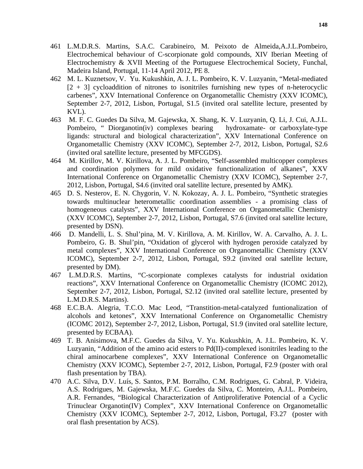- 461 L.M.D.R.S. Martins, S.A.C. Carabineiro, M. Peixoto de Almeida,A.J.L.Pombeiro, Electrochemical behaviour of C-scorpionate gold compounds, XIV Iberian Meeting of Electrochemistry & XVII Meeting of the Portuguese Electrochemical Society, Funchal, Madeira Island, Portugal, 11-14 April 2012, PE 8.
- 462 M. L. Kuznetsov, V. Yu. Kukushkin, A. J. L. Pombeiro, K. V. Luzyanin, "Metal-mediated  $[2 + 3]$  cycloaddition of nitrones to isonitriles furnishing new types of n-heterocyclic carbenes", XXV International Conference on Organometallic Chemistry (XXV ICOMC), September 2-7, 2012, Lisbon, Portugal, S1.5 (invited oral satellite lecture, presented by KVL).
- 463 M. F. C. Guedes Da Silva, M. Gajewska, X. Shang, K. V. Luzyanin, Q. Li, J. Cui, A.J.L. Pombeiro, " Diorganotin(iv) complexes bearing hydroxamate- or carboxylate-type ligands: structural and biological characterization", XXV International Conference on Organometallic Chemistry (XXV ICOMC), September 2-7, 2012, Lisbon, Portugal, S2.6 (invited oral satellite lecture, presented by MFCGDS).
- 464 M. Kirillov, M. V. Kirillova, A. J. L. Pombeiro, "Self-assembled multicopper complexes and coordination polymers for mild oxidative functionalization of alkanes", XXV International Conference on Organometallic Chemistry (XXV ICOMC), September 2-7, 2012, Lisbon, Portugal, S4.6 (invited oral satellite lecture, presented by AMK).
- 465 D. S. Nesterov, E. N. Chygorin, V. N. Kokozay, A. J. L. Pombeiro, "Synthetic strategies towards multinuclear heterometallic coordination assemblies - a promising class of homogeneous catalysts", XXV International Conference on Organometallic Chemistry (XXV ICOMC), September 2-7, 2012, Lisbon, Portugal, S7.6 (invited oral satellite lecture, presented by DSN).
- 466 D. Mandelli, L. S. Shul'pina, M. V. Kirillova, A. M. Kirillov, W. A. Carvalho, A. J. L. Pombeiro, G. B. Shul'pin, "Oxidation of glycerol with hydrogen peroxide catalyzed by metal complexes", XXV International Conference on Organometallic Chemistry (XXV ICOMC), September 2-7, 2012, Lisbon, Portugal, S9.2 (invited oral satellite lecture, presented by DM).
- 467 L.M.D.R.S. Martins, "C-scorpionate complexes catalysts for industrial oxidation reactions", XXV International Conference on Organometallic Chemistry (ICOMC 2012), September 2-7, 2012, Lisbon, Portugal, S2.12 (invited oral satellite lecture, presented by L.M.D.R.S. Martins).
- 468 E.C.B.A. Alegria, T.C.O. Mac Leod, "Transtition-metal-catalyzed funtionalization of alcohols and ketones", XXV International Conference on Organometallic Chemistry (ICOMC 2012), September 2-7, 2012, Lisbon, Portugal, S1.9 (invited oral satellite lecture, presented by ECBAA).
- 469 T. B. Anisimova, M.F.C. Guedes da Silva, V. Yu. Kukushkin, A. J.L. Pombeiro, K. V. Luzyanin, "Addition of the amino acid esters to Pd(II)-complexed isonitriles leading to the chiral aminocarbene complexes", XXV International Conference on Organometallic Chemistry (XXV ICOMC), September 2-7, 2012, Lisbon, Portugal, F2.9 (poster with oral flash presentation by TBA).
- 470 A.C. Silva, D.V. Luís, S. Santos, P.M. Borralho, C.M. Rodrigues, G. Cabral, P. Videira, A.S. Rodrigues, M. Gajewska, M.F.C. Guedes da Silva, C. Monteiro, A.J.L. Pombeiro, A.R. Fernandes, "Biological Characterization of Antiproliferative Potencial of a Cyclic Trinuclear Organotin(IV) Complex", XXV International Conference on Organometallic Chemistry (XXV ICOMC), September 2-7, 2012, Lisbon, Portugal, F3.27 (poster with oral flash presentation by ACS).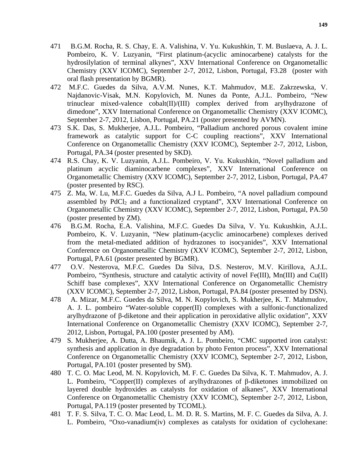- 471 B.G.M. Rocha, R. S. Chay, E. A. Valishina, V. Yu. Kukushkin, T. M. Buslaeva, A. J. L. Pombeiro, K. V. Luzyanin, "First platinum-(acyclic aminocarbene) catalysts for the hydrosilylation of terminal alkynes", XXV International Conference on Organometallic Chemistry (XXV ICOMC), September 2-7, 2012, Lisbon, Portugal, F3.28 (poster with oral flash presentation by BGMR).
- 472 M.F.C. Guedes da Silva, A.V.M. Nunes, K.T. Mahmudov, M.E. Zakrzewska, V. Najdanovic-Visak, M.N. Kopylovich, M. Nunes da Ponte, A.J.L. Pombeiro, "New trinuclear mixed-valence cobalt(II)/(III) complex derived from arylhydrazone of dimedone", XXV International Conference on Organometallic Chemistry (XXV ICOMC), September 2-7, 2012, Lisbon, Portugal, PA.21 (poster presented by AVMN).
- 473 S.K. Das, S. Mukherjee, A.J.L. Pombeiro, "Palladium anchored porous covalent imine framework as catalytic support for C-C coupling reactions", XXV International Conference on Organometallic Chemistry (XXV ICOMC), September 2-7, 2012, Lisbon, Portugal, PA.34 (poster presented by SKD).
- 474 R.S. Chay, K. V. Luzyanin, A.J.L. Pombeiro, V. Yu. Kukushkin, "Novel palladium and platinum acyclic diaminocarbene complexes", XXV International Conference on Organometallic Chemistry (XXV ICOMC), September 2-7, 2012, Lisbon, Portugal, PA.47 (poster presented by RSC).
- 475 Z. Ma, W. Lu, M.F.C. Guedes da Silva, A.J L. Pombeiro, "A novel palladium compound assembled by  $PdCl<sub>2</sub>$  and a functionalized cryptand", XXV International Conference on Organometallic Chemistry (XXV ICOMC), September 2-7, 2012, Lisbon, Portugal, PA.50 (poster presented by ZM).
- 476 B.G.M. Rocha, E.A. Valishina, M.F.C. Guedes Da Silva, V. Yu. Kukushkin, A.J.L. Pombeiro, K. V. Luzyanin, "New platinum-(acyclic aminocarbene) complexes derived from the metal-mediated addition of hydrazones to isocyanides", XXV International Conference on Organometallic Chemistry (XXV ICOMC), September 2-7, 2012, Lisbon, Portugal, PA.61 (poster presented by BGMR).
- 477 O.V. Nesterova, M.F.C. Guedes Da Silva, D.S. Nesterov, M.V. Kirillova, A.J.L. Pombeiro, "Synthesis, structure and catalytic activity of novel Fe(III), Mn(III) and Cu(II) Schiff base complexes", XXV International Conference on Organometallic Chemistry (XXV ICOMC), September 2-7, 2012, Lisbon, Portugal, PA.84 (poster presented by DSN).
- 478 A. Mizar, M.F.C. Guedes da Silva, M. N. Kopylovich, S. Mukherjee, K. T. Mahmudov, A. J. L. pombeiro "Water-soluble copper(II) complexes with a sulfonic-functionalized arylhydrazone of β-diketone and their application in peroxidative allylic oxidation", XXV International Conference on Organometallic Chemistry (XXV ICOMC), September 2-7, 2012, Lisbon, Portugal, PA.100 (poster presented by AM).
- 479 S. Mukherjee, A. Dutta, A. Bhaumik, A. J. L. Pombeiro, "CMC supported iron catalyst: synthesis and application in dye degradation by photo Fenton process", XXV International Conference on Organometallic Chemistry (XXV ICOMC), September 2-7, 2012, Lisbon, Portugal, PA.101 (poster presented by SM).
- 480 T. C. O. Mac Leod, M. N. Kopylovich, M. F. C. Guedes Da Silva, K. T. Mahmudov, A. J. L. Pombeiro, "Copper(II) complexes of arylhydrazones of β-diketones immobilized on layered double hydroxides as catalysts for oxidation of alkanes", XXV International Conference on Organometallic Chemistry (XXV ICOMC), September 2-7, 2012, Lisbon, Portugal, PA.119 (poster presented by TCOML).
- 481 T. F. S. Silva, T. C. O. Mac Leod, L. M. D. R. S. Martins, M. F. C. Guedes da Silva, A. J. L. Pombeiro, "Oxo-vanadium(iv) complexes as catalysts for oxidation of cyclohexane: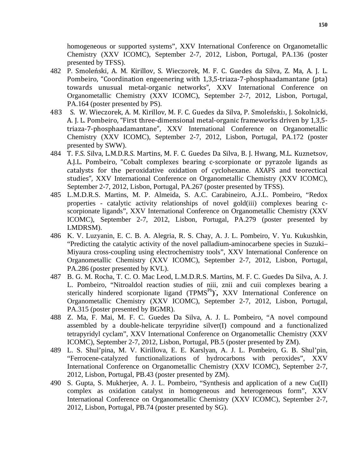homogeneous or supported systems", XXV International Conference on Organometallic Chemistry (XXV ICOMC), September 2-7, 2012, Lisbon, Portugal, PA.136 (poster presented by TFSS).

- 482 P. Smoleński, A. M. Kirillov, S. Wieczorek, M. F. C. Guedes da Silva, Z. Ma, A. J. L. Pombeiro, "Coordination engeenering with 1,3,5-triaza-7-phosphaadamantane (pta) towards unusual metal-organic networks", XXV International Conference on Organometallic Chemistry (XXV ICOMC), September 2-7, 2012, Lisbon, Portugal, PA.164 (poster presented by PS).
- 483 S. W. Wieczorek, A. M. Kirillov, M. F. C. Guedes da Silva, P. Smoleński3, J. Sokolnicki, A. J. L. Pombeiro, "First three-dimensional metal-organic frameworks driven by 1,3,5triaza-7-phosphaadamantane", XXV International Conference on Organometallic Chemistry (XXV ICOMC), September 2-7, 2012, Lisbon, Portugal, PA.172 (poster presented by SWW).
- 484 T. F.S. Silva, L.M.D.R.S. Martins, M. F. C. Guedes Da Silva, B. J. Hwang, M.L. Kuznetsov, A.J.L. Pombeiro, "Cobalt complexes bearing c-scorpionate or pyrazole ligands as catalysts for the peroxidative oxidation of cyclohexane. AXAFS and teorectical studies", XXV International Conference on Organometallic Chemistry (XXV ICOMC), September 2-7, 2012, Lisbon, Portugal, PA.267 (poster presented by TFSS).
- 485 L.M.D.R.S. Martins, M. P. Almeida, S. A.C. Carabineiro, A.J.L. Pombeiro, "Redox properties - catalytic activity relationships of novel gold(iii) complexes bearing cscorpionate ligands", XXV International Conference on Organometallic Chemistry (XXV ICOMC), September 2-7, 2012, Lisbon, Portugal, PA.279 (poster presented by LMDRSM).
- 486 K. V. Luzyanin, E. C. B. A. Alegria, R. S. Chay, A. J. L. Pombeiro, V. Yu. Kukushkin, "Predicting the catalytic activity of the novel palladium-aminocarbene species in Suzuki– Miyaura cross-coupling using electrochemistry tools", XXV International Conference on Organometallic Chemistry (XXV ICOMC), September 2-7, 2012, Lisbon, Portugal, PA.286 (poster presented by KVL).
- 487 B. G. M. Rocha, T. C. O. Mac Leod, L.M.D.R.S. Martins, M. F. C. Guedes Da Silva, A. J. L. Pombeiro, "Nitroaldol reaction studies of niii, znii and cuii complexes bearing a sterically hindered scorpionate ligand (TPMS<sup>Ph</sup>), XXV International Conference on Organometallic Chemistry (XXV ICOMC), September 2-7, 2012, Lisbon, Portugal, PA.315 (poster presented by BGMR).
- 488 Z. Ma, F. Mai, M. F. C. Guedes Da Silva, A. J. L. Pombeiro, "A novel compound assembled by a double-helicate terpyridine silver(I) compound and a functionalized tetrapyridyl cyclam", XXV International Conference on Organometallic Chemistry (XXV ICOMC), September 2-7, 2012, Lisbon, Portugal, PB.5 (poster presented by ZM).
- 489 L. S. Shul'pina, M. V. Kirillova, E. E. Karslyan, A. J. L. Pombeiro, G. B. Shul'pin, "Ferrocene-catalyzed functionalizations of hydrocarbons with peroxides", XXV International Conference on Organometallic Chemistry (XXV ICOMC), September 2-7, 2012, Lisbon, Portugal, PB.43 (poster presented by ZM).
- 490 S. Gupta, S. Mukherjee, A. J. L. Pombeiro, "Synthesis and application of a new Cu(II) complex as oxidation catalyst in homogeneous and heterogeneous form", XXV International Conference on Organometallic Chemistry (XXV ICOMC), September 2-7, 2012, Lisbon, Portugal, PB.74 (poster presented by SG).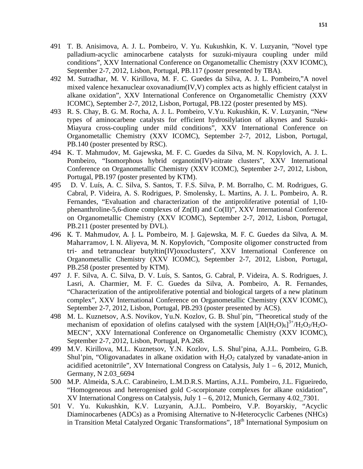- 491 T. B. Anisimova, A. J. L. Pombeiro, V. Yu. Kukushkin, K. V. Luzyanin, "Novel type palladium-acyclic aminocarbene catalysts for suzuki-miyaura coupling under mild conditions", XXV International Conference on Organometallic Chemistry (XXV ICOMC), September 2-7, 2012, Lisbon, Portugal, PB.117 (poster presented by TBA).
- 492 M. Sutradhar, M. V. Kirillova, M. F. C. Guedes da Silva, A. J. L. Pombeiro,"A novel mixed valence hexanuclear oxovanadium(IV,V) complex acts as highly efficient catalyst in alkane oxidation", XXV International Conference on Organometallic Chemistry (XXV ICOMC), September 2-7, 2012, Lisbon, Portugal, PB.122 (poster presented by MS).
- 493 R. S. Chay, B. G. M. Rocha, A. J. L. Pombeiro, V.Yu. Kukushkin, K. V. Luzyanin, "New types of aminocarbene catalysts for efficient hydrosilylation of alkynes and Suzuki-Miayura cross-coupling under mild conditions", XXV International Conference on Organometallic Chemistry (XXV ICOMC), September 2-7, 2012, Lisbon, Portugal, PB.140 (poster presented by RSC).
- 494 K. T. Mahmudov, M. Gajewska, M. F. C. Guedes da Silva, M. N. Kopylovich, A. J. L. Pombeiro, "Isomorphous hybrid organotin(IV)-nitrate clusters", XXV International Conference on Organometallic Chemistry (XXV ICOMC), September 2-7, 2012, Lisbon, Portugal, PB.197 (poster presented by KTM).
- 495 D. V. Luís, A. C. Silva, S. Santos, T. F.S. Silva, P. M. Borralho, C. M. Rodrigues, G. Cabral, P. Videira, A. S. Rodrigues, P. Smolensky, L. Martins, A. J. L. Pombeiro, A. R. Fernandes, "Evaluation and characterization of the antiproliferative potential of 1,10 phenanthroline-5,6-dione complexes of Zn(II) and Co(II)", XXV International Conference on Organometallic Chemistry (XXV ICOMC), September 2-7, 2012, Lisbon, Portugal, PB.211 (poster presented by DVL).
- 496 K. T. Mahmudov, A. J. L. Pombeiro, M. J. Gajewska, M. F. C. Guedes da Silva, A. M. Maharramov, I. N. Aliyeva, M. N. Kopylovich, "Composite oligomer constructed from tri- and tetranuclear butyltin(IV)oxoclusters", XXV International Conference on Organometallic Chemistry (XXV ICOMC), September 2-7, 2012, Lisbon, Portugal, PB.258 (poster presented by KTM).
- 497 J. F. Silva, A. C. Silva, D. V. Luís, S. Santos, G. Cabral, P. Videira, A. S. Rodrigues, J. Lasri, A. Charmier, M. F. C. Guedes da Silva, A. Pombeiro, A. R. Fernandes, "Characterization of the antiproliferative potential and biological targets of a new platinum complex", XXV International Conference on Organometallic Chemistry (XXV ICOMC), September 2-7, 2012, Lisbon, Portugal, PB.293 (poster presented by ACS).
- 498 M. L. Kuznetsov, A.S. Novikov, Yu.N. Kozlov, G. B. Shul´pin, "Theoretical study of the mechanism of epoxidation of olefins catalysed with the system  $[A](H_2O)_{6}]^{3+}/H_2O_2/H_2O$ MECN", XXV International Conference on Organometallic Chemistry (XXV ICOMC), September 2-7, 2012, Lisbon, Portugal, PA.268.
- 499 M.V. Kirillova, M.L. Kuznetsov, Y.N. Kozlov, L.S. Shul'pina, A.J.L. Pombeiro, G.B. Shul'pin, "Oligovanadates in alkane oxidation with  $H_2O_2$  catalyzed by vanadate-anion in acidified acetonitrile", XV International Congress on Catalysis, July  $1 - 6$ , 2012, Munich, Germany, N 2.03\_6694
- 500 M.P. Almeida, S.A.C. Carabineiro, L.M.D.R.S. Martins, A.J.L. Pombeiro, J.L. Figueiredo, "Homogeneous and heterogenised gold C-scorpionate complexes for alkane oxidation", KV International Congress on Catalysis, July  $1 - 6$ , 2012, Munich, Germany 4.02\_7301.
- 501 V. Yu. Kukushkin, K.V. Luzyanin, A.J.L. Pombeiro, V.P. Boyarskiy, "Acyclic Diaminocarbenes (ADCs) as a Promising Alternative to N-Heterocyclic Carbenes (NHCs) in Transition Metal Catalyzed Organic Transformations", 18<sup>th</sup> International Symposium on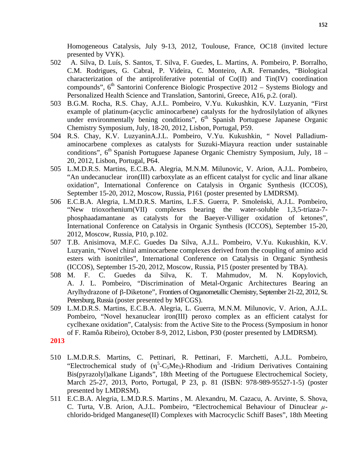Homogeneous Catalysis, July 9-13, 2012, Toulouse, France, OC18 (invited lecture presented by VYK).

- 502 A. Silva, D. Luís, S. Santos, T. Silva, F. Guedes, L. Martins, A. Pombeiro, P. Borralho, C.M. Rodrigues, G. Cabral, P. Videira, C. Monteiro, A.R. Fernandes, "Biological characterization of the antiproliferative potential of  $Co(II)$  and  $Ti(IV)$  coordination compounds",  $6<sup>th</sup>$  Santorini Conference Biologic Prospective 2012 – Systems Biology and Personalized Health Science and Translation, Santorini, Greece, A16, p.2. (oral).
- 503 B.G.M. Rocha, R.S. Chay, A.J.L. Pombeiro, V.Yu. Kukushkin, K.V. Luzyanin, "First example of platinum-(acyclic aminocarbene) catalysts for the hydrosilylation of alkynes under environmentally bening conditions",  $6<sup>th</sup>$  Spanish Portuguese Japanese Organic Chemistry Symposium, July, 18-20, 2012, Lisbon, Portugal, P59.
- 504 R.S. Chay, K.V. LuzyaninA.J.L. Pombeiro, V.Yu. Kukushkin, " Novel Palladiumaminocarbene complexes as catalysts for Suzuki-Miayura reaction under sustainable conditions",  $6<sup>th</sup>$  Spanish Portuguese Japanese Organic Chemistry Symposium, July, 18 – 20, 2012, Lisbon, Portugal, P64.
- 505 L.M.D.R.S. Martins, E.C.B.A. Alegria, M.N.M. Milunovic, V. Arion, A.J.L. Pombeiro, "An undecanuclear iron(III) carboxylate as an efficent catalyst for cyclic and linar alkane oxidation", International Conference on Catalysis in Organic Synthesis (ICCOS), September 15-20, 2012, Moscow, Russia, P161 (poster presented by LMDRSM).
- 506 E.C.B.A. Alegria, L.M.D.R.S. Martins, L.F.S. Guerra, P. Smoleński, A.J.L. Pombeiro, "New trioxorhenium(VII) complexes bearing the water-soluble 1,3,5-triaza-7 phosphaadamantane as catalysts for the Baeyer-Villiger oxidation of ketones", International Conference on Catalysis in Organic Synthesis (ICCOS), September 15-20, 2012, Moscow, Russia, P10, p.102.
- 507 T.B. Anisimova, M.F.C. Guedes Da Silva, A.J.L. Pombeiro, V.Yu. Kukushkin, K.V. Luzyanin, "Novel chiral aminocarbene complexes derived from the coupling of amino acid esters with isonitriles", International Conference on Catalysis in Organic Synthesis (ICCOS), September 15-20, 2012, Moscow, Russia, P15 (poster presented by TBA).
- 508 M. F. C. Guedes da Silva, K. T. Mahmudov, M. N. Kopylovich, A. J. L. Pombeiro, "Discrimination of Metal-Organic Architectures Bearing an Arylhydrazone of β-Diketone", Frontiers of Organometallic Chemistry, September 21-22, 2012, St. Petersburg, Russia (poster presented by MFCGS).
- 509 L.M.D.R.S. Martins, E.C.B.A. Alegria, L. Guerra, M.N.M. Milunovic, V. Arion, A.J.L. Pombeiro, "Novel hexanuclear iron(III) peroxo complex as an efficient catalyst for cyclhexane oxidation", Catalysis: from the Active Site to the Process (Symposium in honor of F. Ramôa Ribeiro), October 8-9, 2012, Lisbon, P30 (poster presented by LMDRSM).

## **2013**

- 510 L.M.D.R.S. Martins, C. Pettinari, R. Pettinari, F. Marchetti, A.J.L. Pombeiro, "Electrochemical study of  $(\eta^5$ -C<sub>5</sub>Me<sub>5</sub>)-Rhodium and -Iridium Derivatives Containing Bis(pyrazolyl)alkane Ligands", 18th Meeting of the Portuguese Electrochemical Society, March 25-27, 2013, Porto, Portugal, P 23, p. 81 (ISBN: 978-989-95527-1-5) (poster presented by LMDRSM).
- 511 E.C.B.A. Alegria, L.M.D.R.S. Martins , M. Alexandru, M. Cazacu, A. Arvinte, S. Shova, C. Turta, V.B. Arion, A.J.L. Pombeiro, "Electrochemical Behaviour of Dinuclear *µ*chlorido-bridged Manganese(II) Complexes with Macrocyclic Schiff Bases", 18th Meeting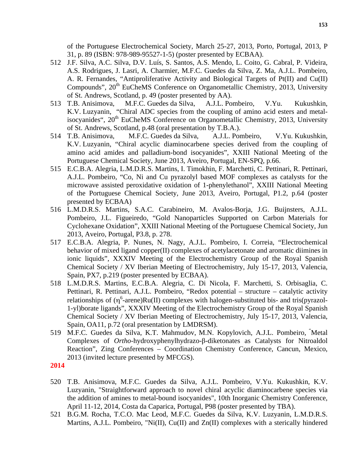of the Portuguese Electrochemical Society, March 25-27, 2013, Porto, Portugal, 2013, P 31, p. 89 (ISBN: 978-989-95527-1-5) (poster presented by ECBAA).

- 512 J.F. Silva, A.C. Silva, D.V. Luís, S. Santos, A.S. Mendo, L. Coito, G. Cabral, P. Videira, A.S. Rodrigues, J. Lasri, A. Charmier, M.F.C. Guedes da Silva, Z. Ma, A.J.L. Pombeiro, A. R. Fernandes, "Antiproliferative Activity and Biological Targets of Pt(II) and Cu(II) Compounds", 20<sup>th</sup> EuCheMS Conference on Organometallic Chemistry, 2013, University of St. Andrews, Scotland, p. 49 (poster presented by AA).
- 513 T.B. Anisimova, M.F.C. Guedes da Silva, A.J.L. Pombeiro, V.Yu. Kukushkin, K.V. Luzyanin, "Chiral ADC species from the coupling of amino acid esters and metalisocyanides",  $20<sup>th</sup>$  EuCheMS Conference on Organometallic Chemistry, 2013, University of St. Andrews, Scotland, p.48 (oral presentation by T.B.A.).
- 514 T.B. Anisimova, M.F.C. Guedes da Silva, A.J.L. Pombeiro, V.Yu. Kukushkin, K.V. Luzyanin, "Chiral acyclic diaminocarbene species derived from the coupling of amino acid amides and palladium-bond isocyanides", XXIII National Meeting of the Portuguese Chemical Society, June 2013, Aveiro, Portugal, EN-SPQ, p.66.
- 515 E.C.B.A. Alegria, L.M.D.R.S. Martins, I. Timokhin, F. Marchetti, C. Pettinari, R. Pettinari, A.J.L. Pombeiro, "Co, Ni and Cu pyrazolyl based MOF complexes as catalysts for the microwave assisted peroxidative oxidation of 1-phenylethanol", XXIII National Meeting of the Portuguese Chemical Society, June 2013, Aveiro, Portugal, P1.2, p.64 (poster presented by ECBAA)
- 516 L.M.D.R.S. Martins, S.A.C. Carabineiro, M. Avalos-Borja, J.G. Buijnsters, A.J.L. Pombeiro, J.L. Figueiredo, "Gold Nanoparticles Supported on Carbon Materials for Cyclohexane Oxidation", XXIII National Meeting of the Portuguese Chemical Society, Jun 2013, Aveiro, Portugal, P3.8, p. 278.
- 517 E.C.B.A. Alegria, P. Nunes, N. Nagy, A.J.L. Pombeiro, I. Correia, "Electrochemical behavior of mixed ligand copper(II) complexes of acetylacetonate and aromatic diimines in ionic liquids", XXXIV Meeting of the Electrochemistry Group of the Royal Spanish Chemical Society / XV Iberian Meeting of Electrochemistry, July 15-17, 2013, Valencia, Spain, PX7, p.219 (poster presented by ECBAA).
- 518 L.M.D.R.S. Martins, E.C.B.A. Alegria, C. Di Nicola, F. Marchetti, S. Orbisaglia, C. Pettinari, R. Pettinari, A.J.L. Pombeiro, "Redox potential – structure – catalytic activity relationships of  $(\eta^6$ -arene)Ru(II) complexes with halogen-substituted bis- and tris(pyrazol-1-yl)borate ligands", XXXIV Meeting of the Electrochemistry Group of the Royal Spanish Chemical Society / XV Iberian Meeting of Electrochemistry, July 15-17, 2013, Valencia, Spain, OA11, p.72 (oral presentation by LMDRSM).
- 519 M.F.C. Guedes da Silva, K.T. Mahmudov, M.N. Kopylovich, A.J.L. Pombeiro, " Metal Complexes of *Ortho*-hydroxyphenylhydrazo-β-diketonates as Catalysts for Nitroaldol Reaction", Zing Conferences – Coordination Chemistry Conference, Cancun, Mexico, 2013 (invited lecture presented by MFCGS).
- **2014**
- 520 T.B. Anisimova, M.F.C. Guedes da Silva, A.J.L. Pombeiro, V.Yu. Kukushkin, K.V. Luzyanin, "Straightforward approach to novel chiral acyclic diaminocarbene species via the addition of amines to metal-bound isocyanides", 10th Inorganic Chemistry Conference, April 11-12, 2014, Costa da Caparica, Portugal, P98 (poster presented by TBA).
- 521 B.G.M. Rocha, T.C.O. Mac Leod, M.F.C. Guedes da Silva, K.V. Luzyanin, L.M.D.R.S. Martins, A.J.L. Pombeiro, "Ni(II), Cu(II) and Zn(II) complexes with a sterically hindered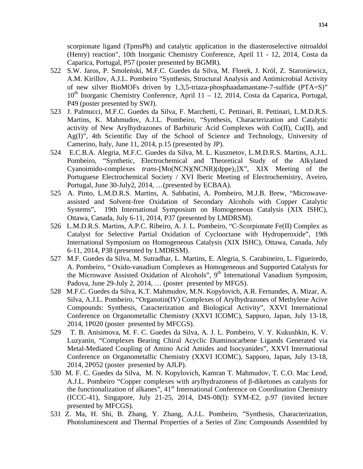scorpionate ligand (TpmsPh) and catalytic application in the diasteroselective nitroaldol (Henry) reaction", 10th Inorganic Chemistry Conference, April 11 - 12, 2014, Costa da Caparica, Portugal, P57 (poster presented by BGMR).

- 522 S.W. Jaros, P. Smoleński, M.F.C. Guedes da Silva, M. Florek, J. Król, Z. Staroniewicz, A.M. Kirillov, A.J.L. Pombeiro "Synthesis, Structural Analysis and Antimicrobial Activity of new silver BioMOFs driven by 1,3,5-triaza-phosphaadamantane-7-sulfide (PTA=S)"  $10<sup>th</sup>$  Inorganic Chemistry Conference, April 11 – 12, 2014, Costa da Caparica, Portugal, P49 (poster presented by SWJ).
- 523 J. Palmucci, M.F.C. Guedes da Silva, F. Marchetti, C. Pettinari, R. Pettinari, L.M.D.R.S. Martins, K. Mahmudov, A.J.L. Pombeiro, "Synthesis, Characterization and Catalytic activity of New Arylhydrazones of Barbituric Acid Complexes with Co(II), Cu(II), and Ag(I)", 4th Scientific Day of the School of Science and Technology, University of Camerino, Italy, June 11, 2014, p.15 (presented by JP).
- 524 E.C.B.A. Alegria, M.F.C. Guedes da Silva, M. L. Kusznetov, L.M.D.R.S. Martins, A.J.L. Pombeiro, "Synthetic, Electrochemical and Theoretical Study of the Alkylated Cyanoimido-complexes *trans*-[Mo(NCN)(NCNR)(dppe)<sub>2</sub>]X", XIX Meeting of the Portuguese Electrochemical Society / XVI Iberic Meeting of Electrochemistry, Aveiro, Portugal, June 30-July2, 2014, …(presented by ECBAA).
- 525 A. Pinto, L.M.D.R.S. Martins, A. Sabbatini, A. Pombeiro, M.J.B. Brew, "Microwaveassisted and Solvent-free Oxidation of Secondary Alcohols with Copper Catalytic Systems", 19th International Symposium on Homogeneous Catalysis (XIX ISHC), Ottawa, Canada, July 6-11, 2014, P37 (presented by LMDRSM).
- 526 L.M.D.R.S. Martins, A.P.C. Ribeiro, A. J. L. Pombeiro, "C-Scorpionate Fe(II) Complex as Catalyst for Selective Partial Oxidation of Cyclooctane with Hydroperoxide", 19th International Symposium on Homogeneous Catalysis (XIX ISHC), Ottawa, Canada, July 6-11, 2014, P38 (presented by LMDRSM).
- 527 M.F. Guedes da Silva, M. Sutradhar, L. Martins, E. Alegria, S. Carabineiro, L. Figueiredo, A. Pombeiro, " Oxido-vanadium Complexes as Homogeneous and Supported Catalysts for the Microwave Assisted Oxidation of Alcohols",  $9<sup>th</sup>$  International Vanadium Symposim, Padova, June 29-July 2, 2014, … (poster presented by MFGS).
- 528 M.F.C. Guedes da Silva, K.T. Mahmudov, M.N. Kopylovich, A.R. Fernandes, A. Mizar, A. Silva, A.J.L. Pombeiro, "Organotin(IV) Complexes of Arylhydrazones of Methylene Acive Compounds: Synthesis, Caracterization and Biological Activity", XXVI International Conference on Organometallic Chemistry (XXVI ICOMC), Sapporo, Japan, July 13-18, 2014, 1P020 (poster presented by MFCGS).
- 529 T. B. Anisimova, M. F. C. Guedes da Silva, A. J. L. Pombeiro, V. Y. Kukushkin, K. V. Luzyanin, "Complexes Bearing Chiral Acyclic Diaminocarbene Ligands Generated via Metal-Mediated Coupling of Amino Acid Amides and Isocyanides", XXVI International Conference on Organometallic Chemistry (XXVI ICOMC), Sapporo, Japan, July 13-18, 2014, 2P052 (poster presented by AJLP).
- 530 M. F. C. Guedes da Silva, M. N. Kopylovich, Kamran T. Mahmudov, T. C.O. Mac Leod, A.J.L. Pombeiro "Copper complexes with arylhydrazoness of β-diketones as catalysts for the functionalization of alkanes",  $41<sup>st</sup>$  International Conference on Coordination Chemistry (ICCC-41), Singapore, July 21-25, 2014, D4S-08(I): SYM-E2, p.97 (invited lecture presented by MFCGS).
- 531 Z. Ma, H. Shi, B. Zhang, Y. Zhang, A.J.L. Pombeiro, "Synthesis, Characterization, Photoluminescent and Thermal Properties of a Series of Zinc Compounds Assembled by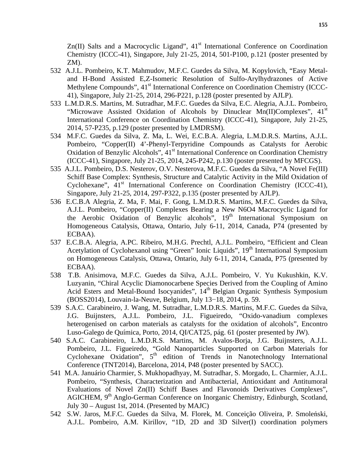$Zn(II)$  Salts and a Macrocyclic Ligand",  $41<sup>st</sup>$  International Conference on Coordination Chemistry (ICCC-41), Singapore, July 21-25, 2014, 501-P100, p.121 (poster presented by ZM).

- 532 A.J.L. Pombeiro, K.T. Mahmudov, M.F.C. Guedes da Silva, M. Kopylovich, "Easy Metaland H-Bond Assisted E,Z-Isomeric Resolution of Sulfo-Arylhydrazones of Active Methylene Compounds", 41<sup>st</sup> International Conference on Coordination Chemistry (ICCC-41), Singapore, July 21-25, 2014, 296-P221, p.128 (poster presented by AJLP).
- 533 L.M.D.R.S. Martins, M. Sutradhar, M.F.C. Guedes da Silva, E.C. Alegria, A.J.L. Pombeiro, "Microwave Assisted Oxidation of Alcohols by Dinuclear Mn(II)Complexes",  $41<sup>st</sup>$ International Conference on Coordination Chemistry (ICCC-41), Singapore, July 21-25, 2014, 57-P235, p.129 (poster presented by LMDRSM).
- 534 M.F.C. Guedes da Silva, Z. Ma, L. Wei, E.C.B.A. Alegria, L.M.D.R.S. Martins, A.J.L. Pombeiro, "Copper(II) 4'-Phenyl-Terpyridine Compounds as Catalysts for Aerobic Oxidation of Benzylic Alcohols", 41<sup>st</sup> International Conference on Coordination Chemistry (ICCC-41), Singapore, July 21-25, 2014, 245-P242, p.130 (poster presented by MFCGS).
- 535 A.J.L. Pombeiro, D.S. Nesterov, O.V. Nesterova, M.F.C. Guedes da Silva, "A Novel Fe(III) Schiff Base Complex: Synthesis, Structure and Catalytic Activity in the Mild Oxidation of Cyclohexane", 41<sup>st</sup> International Conference on Coordination Chemistry (ICCC-41), Singapore, July 21-25, 2014, 297-P322, p.135 (poster presented by AJLP).
- 536 E.C.B.A Alegria, Z. Ma, F. Mai, F. Gong, L.M.D.R.S. Martins, M.F.C. Guedes da Silva, A.J.L. Pombeiro, "Copper(II) Complexes Bearing a New N6O4 Macrocyclic Ligand for the Aerobic Oxidation of Benzylic alcohols", 19<sup>th</sup> International Symposium on Homogeneous Catalysis, Ottawa, Ontario, July 6-11, 2014, Canada, P74 (presented by ECBAA).
- 537 E.C.B.A. Alegria, A.PC. Ribeiro, M.H.G. Prechtl, A.J.L. Pombeiro, "Efficient and Clean Acetylation of Cyclohexanol using "Green" Ionic Liquids", 19<sup>th</sup> International Symposium on Homogeneous Catalysis, Ottawa, Ontario, July 6-11, 2014, Canada, P75 (presented by ECBAA).
- 538 T.B. Anisimova, M.F.C. Guedes da Silva, A.J.L. Pombeiro, V. Yu Kukushkin, K.V. Luzyanin, "Chiral Acyclic Diamonocarbene Species Derived from the Coupling of Amino Acid Esters and Metal-Bound Isocyanides", 14<sup>th</sup> Belgian Organic Synthesis Symposium (BOSS2014), Louvain-la-Neuve, Belgium, July 13−18, 2014, p. 59.
- 539 S.A.C. Carabineiro, J. Wang, M. Sutradhar, L.M.D.R.S. Martins, M.F.C. Guedes da Silva, J.G. Buijnsters, A.J.L. Pombeiro, J.L. Figueiredo, "Oxido-vanadium complexes heterogenised on carbon materials as catalysts for the oxidation of alcohols", Encontro Luso-Galego de Química, Porto, 2014, QI/CAT25, pág. 61 (poster presented by JW).
- 540 S.A.C. Carabineiro, L.M.D.R.S. Martins, M. Avalos-Borja, J.G. Buijnsters, A.J.L. Pombeiro, J.L. Figueiredo, "Gold Nanoparticles Supported on Carbon Materials for Cyclohexane Oxidation",  $5<sup>th</sup>$  edition of Trends in Nanotechnology International Conference (TNT2014), Barcelona, 2014, P48 (poster presented by SACC).
- 541 M.A. Januário Charmier, S. Mukhopadhyay, M. Sutradhar, S. Morgado, L. Charmier, A.J.L. Pombeiro, "Synthesis, Characterization and Antibacterial, Antioxidant and Antitumoral Evaluations of Novel Zn(II) Schiff Bases and Flavonoids Derivatives Complexes", AGICHEM, 9<sup>th</sup> Anglo-German Conference on Inorganic Chemistry, Edinburgh, Scotland, July 30 – August 1st, 2014. (Presented by MAJC)
- 542 S.W. Jaros, M.F.C. Guedes da Silva, M. Florek, M. Conceição Oliveira, P. Smoleński, A.J.L. Pombeiro, A.M. Kirillov, "1D, 2D and 3D Silver(I) coordination polymers